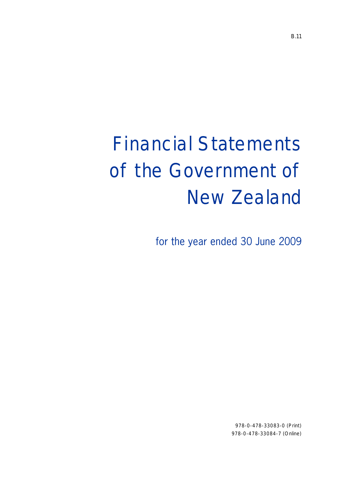# Financial Statements of the Government of New Zealand

for the year ended 30 June 2009

978-0-478-33083-0 (Print) 978-0-478-33084-7 (Online)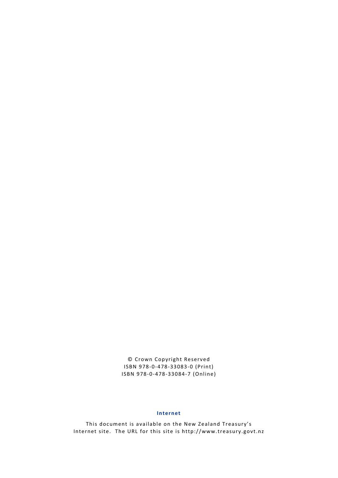© Crown Copyright Reserved ISBN 978-0-478-33083-0 (Print) ISBN 978-0-478-33084-7 (Online)

#### **Internet**

This document is available on the New Zealand Treasury's Internet site. The URL for this site is http://www.treasury.govt.nz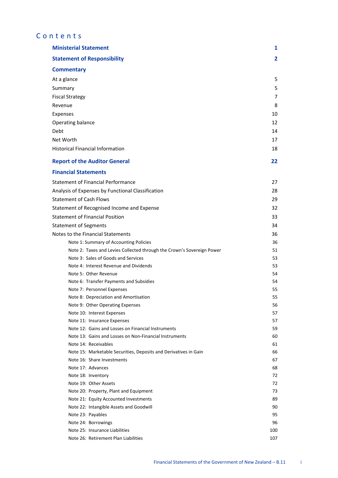# Contents

| <b>Ministerial Statement</b>                                           | 1              |
|------------------------------------------------------------------------|----------------|
| <b>Statement of Responsibility</b>                                     | $\overline{2}$ |
| <b>Commentary</b>                                                      |                |
| At a glance                                                            | 5              |
| Summary                                                                | 5              |
| <b>Fiscal Strategy</b>                                                 | 7              |
|                                                                        |                |
| Revenue                                                                | 8              |
| Expenses                                                               | 10             |
| Operating balance                                                      | 12             |
| Debt                                                                   | 14             |
| Net Worth                                                              | 17             |
| <b>Historical Financial Information</b>                                | 18             |
| <b>Report of the Auditor General</b>                                   | 22             |
| <b>Financial Statements</b>                                            |                |
| <b>Statement of Financial Performance</b>                              | 27             |
| Analysis of Expenses by Functional Classification                      | 28             |
| <b>Statement of Cash Flows</b>                                         | 29             |
| Statement of Recognised Income and Expense                             | 32             |
| <b>Statement of Financial Position</b>                                 | 33             |
| <b>Statement of Segments</b>                                           | 34             |
| Notes to the Financial Statements                                      | 36             |
| Note 1: Summary of Accounting Policies                                 | 36             |
| Note 2: Taxes and Levies Collected through the Crown's Sovereign Power | 51             |
| Note 3: Sales of Goods and Services                                    | 53             |
| Note 4: Interest Revenue and Dividends                                 | 53             |
| Note 5: Other Revenue                                                  | 54             |
| Note 6: Transfer Payments and Subsidies                                | 54             |
| Note 7: Personnel Expenses                                             | 55             |
| Note 8: Depreciation and Amortisation                                  | 55             |
| Note 9: Other Operating Expenses                                       | 56             |
| Note 10: Interest Expenses                                             | 57             |
| Note 11: Insurance Expenses                                            | 57             |
| Note 12: Gains and Losses on Financial Instruments                     | 59             |
| Note 13: Gains and Losses on Non-Financial Instruments                 | 60             |
| Note 14: Receivables                                                   | 61             |
| Note 15: Marketable Securities, Deposits and Derivatives in Gain       | 66             |
| Note 16: Share Investments                                             | 67             |
| Note 17: Advances                                                      | 68<br>72       |
| Note 18: Inventory<br>Note 19: Other Assets                            | 72             |
| Note 20: Property, Plant and Equipment                                 | 73             |
| Note 21: Equity Accounted Investments                                  | 89             |
| Note 22: Intangible Assets and Goodwill                                | 90             |
| Note 23: Payables                                                      | 95             |
| Note 24: Borrowings                                                    | 96             |
| Note 25: Insurance Liabilities                                         | 100            |
| Note 26: Retirement Plan Liabilities                                   | 107            |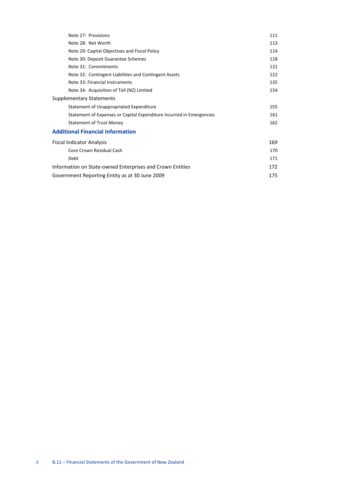| Note 27: Provisions                                                  | 111 |
|----------------------------------------------------------------------|-----|
| Note 28: Net Worth                                                   | 113 |
| Note 29: Capital Objectives and Fiscal Policy                        | 114 |
| Note 30: Deposit Guarantee Schemes                                   | 118 |
| Note 31: Commitments                                                 | 121 |
| Note 32: Contingent Liabilities and Contingent Assets                | 122 |
| Note 33: Financial Instruments                                       | 135 |
| Note 34: Acquisition of Toll (NZ) Limited                            | 154 |
| <b>Supplementary Statements</b>                                      |     |
| Statement of Unappropriated Expenditure                              | 155 |
| Statement of Expenses or Capital Expenditure Incurred in Emergencies | 161 |
| <b>Statement of Trust Money</b>                                      | 162 |
| <b>Additional Financial Information</b>                              |     |
| <b>Fiscal Indicator Analysis</b>                                     | 169 |
| Core Crown Residual Cash                                             | 170 |
| Debt                                                                 | 171 |
| Information on State-owned Enterprises and Crown Entities            | 172 |
| Government Reporting Entity as at 30 June 2009                       | 175 |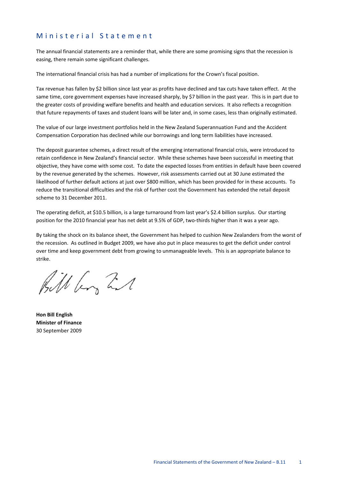### Ministerial Statement

The annual financial statements are a reminder that, while there are some promising signs that the recession is easing, there remain some significant challenges.

The international financial crisis has had a number of implications for the Crown's fiscal position.

Tax revenue has fallen by \$2 billion since last year as profits have declined and tax cuts have taken effect. At the same time, core government expenses have increased sharply, by \$7 billion in the past year. This is in part due to the greater costs of providing welfare benefits and health and education services. It also reflects a recognition that future repayments of taxes and student loans will be later and, in some cases, less than originally estimated.

The value of our large investment portfolios held in the New Zealand Superannuation Fund and the Accident Compensation Corporation has declined while our borrowings and long term liabilities have increased.

The deposit guarantee schemes, a direct result of the emerging international financial crisis, were introduced to retain confidence in New Zealand's financial sector. While these schemes have been successful in meeting that objective, they have come with some cost. To date the expected losses from entities in default have been covered by the revenue generated by the schemes. However, risk assessments carried out at 30 June estimated the likelihood of further default actions at just over \$800 million, which has been provided for in these accounts. To reduce the transitional difficulties and the risk of further cost the Government has extended the retail deposit scheme to 31 December 2011.

The operating deficit, at \$10.5 billion, is a large turnaround from last year's \$2.4 billion surplus. Our starting position for the 2010 financial year has net debt at 9.5% of GDP, two-thirds higher than it was a year ago.

By taking the shock on its balance sheet, the Government has helped to cushion New Zealanders from the worst of the recession. As outlined in Budget 2009, we have also put in place measures to get the deficit under control over time and keep government debt from growing to unmanageable levels. This is an appropriate balance to strike.

Bill by Zil

**Hon Bill English Minister of Finance**  30 September 2009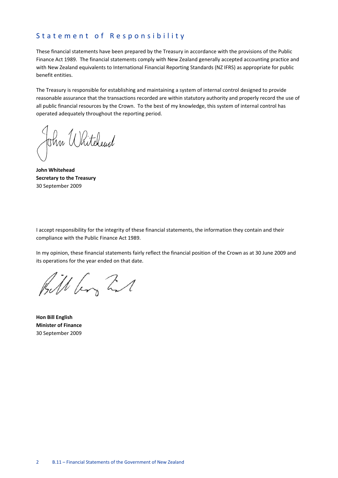#### Statement of Responsibility

These financial statements have been prepared by the Treasury in accordance with the provisions of the Public Finance Act 1989. The financial statements comply with New Zealand generally accepted accounting practice and with New Zealand equivalents to International Financial Reporting Standards (NZ IFRS) as appropriate for public benefit entities.

The Treasury is responsible for establishing and maintaining a system of internal control designed to provide reasonable assurance that the transactions recorded are within statutory authority and properly record the use of all public financial resources by the Crown. To the best of my knowledge, this system of internal control has operated adequately throughout the reporting period.

John Whiteleud

**John Whitehead Secretary to the Treasury**  30 September 2009

I accept responsibility for the integrity of these financial statements, the information they contain and their compliance with the Public Finance Act 1989.

In my opinion, these financial statements fairly reflect the financial position of the Crown as at 30 June 2009 and its operations for the year ended on that date.

Bill by Zil

**Hon Bill English Minister of Finance**  30 September 2009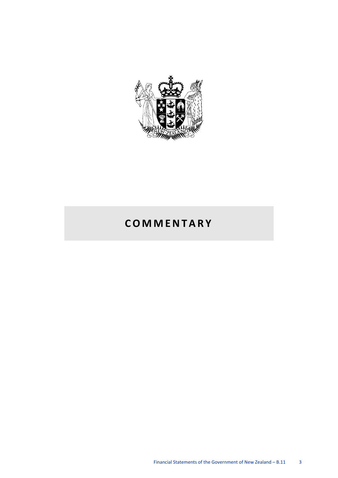

# **COMMENTARY**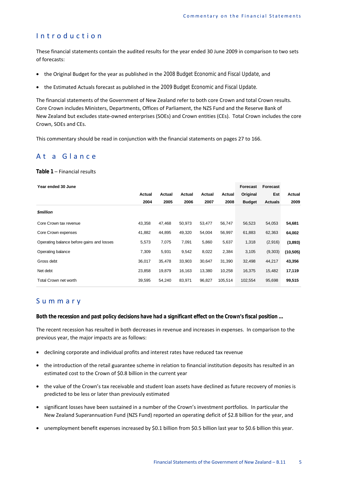### Introduction

These financial statements contain the audited results for the year ended 30 June 2009 in comparison to two sets of forecasts:

- the Original Budget for the year as published in the *2008 Budget Economic and Fiscal Update*, and
- the Estimated Actuals forecast as published in the *2009 Budget Economic and Fiscal Update*.

The financial statements of the Government of New Zealand refer to both core Crown and total Crown results. Core Crown includes Ministers, Departments, Offices of Parliament, the NZS Fund and the Reserve Bank of New Zealand but excludes state-owned enterprises (SOEs) and Crown entities (CEs). Total Crown includes the core Crown, SOEs and CEs.

This commentary should be read in conjunction with the financial statements on pages 27 to 166.

## At a Glance

#### *Table 1* – Financial results

| Year ended 30 June                        |        |        |        |        |         | Forecast      | <b>Forecast</b> |           |
|-------------------------------------------|--------|--------|--------|--------|---------|---------------|-----------------|-----------|
|                                           | Actual | Actual | Actual | Actual | Actual  | Original      | Est             | Actual    |
|                                           | 2004   | 2005   | 2006   | 2007   | 2008    | <b>Budget</b> | <b>Actuals</b>  | 2009      |
| <b><i><u>Smillion</u></i></b>             |        |        |        |        |         |               |                 |           |
| Core Crown tax revenue                    | 43,358 | 47,468 | 50,973 | 53,477 | 56,747  | 56,523        | 54,053          | 54,681    |
| Core Crown expenses                       | 41,882 | 44,895 | 49,320 | 54,004 | 56,997  | 61,883        | 62,363          | 64,002    |
| Operating balance before gains and losses | 5,573  | 7,075  | 7,091  | 5,860  | 5,637   | 1,318         | (2,916)         | (3,893)   |
| Operating balance                         | 7,309  | 5,931  | 9,542  | 8,022  | 2,384   | 3,105         | (9,303)         | (10, 505) |
| Gross debt                                | 36,017 | 35,478 | 33,903 | 30,647 | 31,390  | 32,498        | 44,217          | 43,356    |
| Net debt                                  | 23,858 | 19,879 | 16,163 | 13,380 | 10,258  | 16,375        | 15,482          | 17,119    |
| Total Crown net worth                     | 39,595 | 54,240 | 83,971 | 96,827 | 105,514 | 102,554       | 95,698          | 99,515    |

### Summary

*Both the recession and past policy decisions have had a significant effect on the Crown's fiscal position …* 

The recent recession has resulted in both decreases in revenue and increases in expenses. In comparison to the previous year, the major impacts are as follows:

- declining corporate and individual profits and interest rates have reduced tax revenue
- the introduction of the retail guarantee scheme in relation to financial institution deposits has resulted in an estimated cost to the Crown of \$0.8 billion in the current year
- the value of the Crown's tax receivable and student loan assets have declined as future recovery of monies is predicted to be less or later than previously estimated
- significant losses have been sustained in a number of the Crown's investment portfolios. In particular the New Zealand Superannuation Fund (NZS Fund) reported an operating deficit of \$2.8 billion for the year, and
- unemployment benefit expenses increased by \$0.1 billion from \$0.5 billion last year to \$0.6 billion this year.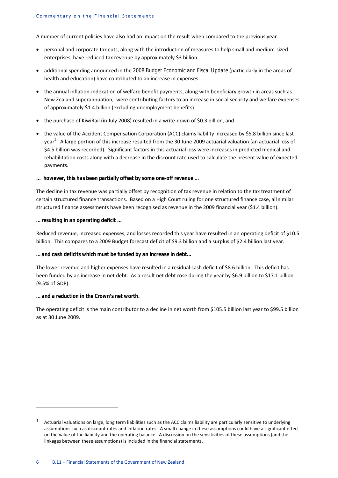A number of current policies have also had an impact on the result when compared to the previous year:

- personal and corporate tax cuts, along with the introduction of measures to help small and medium-sized enterprises, have reduced tax revenue by approximately \$3 billion
- additional spending announced in the *2008 Budget Economic and Fiscal Update* (particularly in the areas of health and education) have contributed to an increase in expenses
- the annual inflation-indexation of welfare benefit payments, along with beneficiary growth in areas such as New Zealand superannuation, were contributing factors to an increase in social security and welfare expenses of approximately \$1.4 billion (excluding unemployment benefits)
- the purchase of KiwiRail (in July 2008) resulted in a write-down of \$0.3 billion, and
- the value of the Accident Compensation Corporation (ACC) claims liability increased by \$5.8 billion since last year<sup>1</sup>. A large portion of this increase resulted from the 30 June 2009 actuarial valuation (an actuarial loss of \$4.5 billion was recorded). Significant factors in this actuarial loss were increases in predicted medical and rehabilitation costs along with a decrease in the discount rate used to calculate the present value of expected payments.

#### *... however, this has been partially offset by some one-off revenue …*

The decline in tax revenue was partially offset by recognition of tax revenue in relation to the tax treatment of certain structured finance transactions. Based on a High Court ruling for one structured finance case, all similar structured finance assessments have been recognised as revenue in the 2009 financial year (\$1.4 billion).

#### *… resulting in an operating deficit ...*

Reduced revenue, increased expenses, and losses recorded this year have resulted in an operating deficit of \$10.5 billion. This compares to a 2009 Budget forecast deficit of \$9.3 billion and a surplus of \$2.4 billion last year.

#### *… and cash deficits which must be funded by an increase in debt…*

The lower revenue and higher expenses have resulted in a residual cash deficit of \$8.6 billion. This deficit has been funded by an increase in net debt. As a result net debt rose during the year by \$6.9 billion to \$17.1 billion (9.5% of GDP).

#### *… and a reduction in the Crown's net worth.*

**.** 

The operating deficit is the main contributor to a decline in net worth from \$105.5 billion last year to \$99.5 billion as at 30 June 2009.

 $1$  Actuarial valuations on large, long term liabilities such as the ACC claims liability are particularly sensitive to underlying assumptions such as discount rates and inflation rates. A small change in these assumptions could have a significant effect on the value of the liability and the operating balance. A discussion on the sensitivities of these assumptions (and the linkages between these assumptions) is included in the financial statements.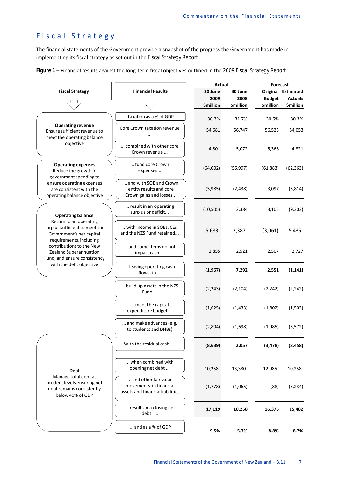# Fiscal Strategy

The financial statements of the Government provide a snapshot of the progress the Government has made in implementing its fiscal strategy as set out in the *Fiscal Strategy Report*.

| Figure 1 - Financial results against the long-term fiscal objectives outlined in the 2009 Fiscal Strategy Report |  |
|------------------------------------------------------------------------------------------------------------------|--|
|------------------------------------------------------------------------------------------------------------------|--|

|                                                                                                                 |                                                                                        | Actual           |                  | <b>Forecast</b>                   |                                             |  |  |
|-----------------------------------------------------------------------------------------------------------------|----------------------------------------------------------------------------------------|------------------|------------------|-----------------------------------|---------------------------------------------|--|--|
| <b>Fiscal Strategy</b>                                                                                          | <b>Financial Results</b>                                                               | 30 June<br>2009  | 30 June<br>2008  |                                   | <b>Original Estimated</b><br><b>Actuals</b> |  |  |
|                                                                                                                 |                                                                                        | <b>\$million</b> | <b>\$million</b> | <b>Budget</b><br><b>\$million</b> | <b>\$million</b>                            |  |  |
|                                                                                                                 | Taxation as a % of GDP                                                                 | 30.3%            | 31.7%            | 30.5%                             | 30.3%                                       |  |  |
| <b>Operating revenue</b><br>Ensure sufficient revenue to<br>meet the operating balance                          | Core Crown taxation revenue<br>                                                        | 54,681           | 56,747           | 56,523                            | 54,053                                      |  |  |
| objective                                                                                                       | combined with other core<br>Crown revenue                                              | 4,801            | 5,072            | 5,368                             | 4,821                                       |  |  |
| <b>Operating expenses</b><br>Reduce the growth in                                                               | fund core Crown<br>expenses                                                            | (64,002)         | (56, 997)        | (61, 883)                         | (62, 363)                                   |  |  |
| government spending to<br>ensure operating expenses<br>are consistent with the<br>operating balance objective   | and with SOE and Crown<br>entity results and core<br>Crown gains and losses            | (5,985)          | (2, 438)         | 3,097                             | (5, 814)                                    |  |  |
| <b>Operating balance</b>                                                                                        | result in an operating<br>surplus or deficit                                           | (10, 505)        | 2,384            | 3,105                             | (9,303)                                     |  |  |
| Return to an operating<br>surplus sufficient to meet the<br>Government's net capital<br>requirements, including | with income in SOEs, CEs<br>and the NZS Fund retained                                  | 5,683            | 2,387            | (3,061)                           | 5,435                                       |  |  |
| contributions to the New<br>Zealand Superannuation<br>Fund, and ensure consistency                              | and some items do not<br>impact cash                                                   | 2,855            | 2,521            | 2,507                             | 2,727                                       |  |  |
| with the debt objective                                                                                         | leaving operating cash<br>flows to                                                     | (1,967)          | 7,292            | 2,551                             | (1, 141)                                    |  |  |
|                                                                                                                 | build up assets in the NZS<br>Fund                                                     | (2, 243)         | (2, 104)         | (2, 242)                          | (2, 242)                                    |  |  |
|                                                                                                                 | meet the capital<br>expenditure budget                                                 | (1,625)          | (1, 433)         | (1,802)                           | (1,503)                                     |  |  |
|                                                                                                                 | and make advances (e.g.<br>to students and DHBs)                                       | (2,804)          | (1,698)          | (1,985)                           | (3, 572)                                    |  |  |
|                                                                                                                 | With the residual cash                                                                 | (8,639)          | 2,057            | (3, 478)                          | (8, 458)                                    |  |  |
| <b>Debt</b>                                                                                                     | when combined with<br>opening net debt                                                 | 10,258           | 13,380           | 12,985                            | 10,258                                      |  |  |
| Manage total debt at<br>prudent levels ensuring net<br>debt remains consistently<br>below 40% of GDP            | and other fair value<br>movements in financial<br>assets and financial liabilities<br> | (1,778)          | (1,065)          | (88)                              | (3,234)                                     |  |  |
|                                                                                                                 | results in a closing net<br>debt                                                       | 17,119           | 10,258           | 16,375                            | 15,482                                      |  |  |
|                                                                                                                 | $\ldots$ and as a % of GDP                                                             | 9.5%             | 5.7%             | 8.8%                              | 8.7%                                        |  |  |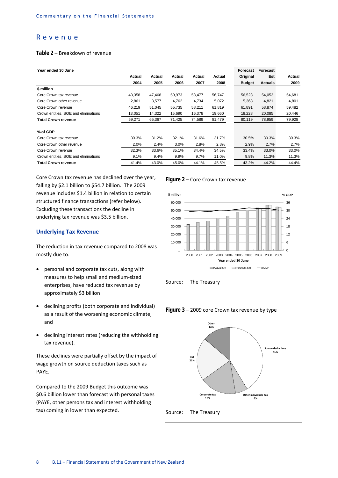#### Revenue

#### *Table 2* – Breakdown of revenue

| Year ended 30 June                   |        |        |        |        |        | Forecast      | Forecast       |        |
|--------------------------------------|--------|--------|--------|--------|--------|---------------|----------------|--------|
|                                      | Actual | Actual | Actual | Actual | Actual | Original      | Est            | Actual |
|                                      | 2004   | 2005   | 2006   | 2007   | 2008   | <b>Budget</b> | <b>Actuals</b> | 2009   |
| \$ million                           |        |        |        |        |        |               |                |        |
| Core Crown tax revenue               | 43,358 | 47,468 | 50,973 | 53,477 | 56,747 | 56,523        | 54,053         | 54,681 |
| Core Crown other revenue             | 2,861  | 3,577  | 4,762  | 4,734  | 5,072  | 5,368         | 4,821          | 4,801  |
| Core Crown revenue                   | 46,219 | 51,045 | 55,735 | 58,211 | 61,819 | 61,891        | 58,874         | 59,482 |
| Crown entities, SOE and eliminations | 13,051 | 14,322 | 15,690 | 16,378 | 19,660 | 18,228        | 20,085         | 20,446 |
| <b>Total Crown revenue</b>           | 59,271 | 65,367 | 71,425 | 74,589 | 81,479 | 80,119        | 78,959         | 79,928 |
| % of GDP                             |        |        |        |        |        |               |                |        |
| Core Crown tax revenue               | 30.3%  | 31.2%  | 32.1%  | 31.6%  | 31.7%  | 30.5%         | 30.3%          | 30.3%  |
| Core Crown other revenue             | 2.0%   | 2.4%   | 3.0%   | 2.8%   | 2.8%   | 2.9%          | 2.7%           | 2.7%   |
| Core Crown revenue                   | 32.3%  | 33.6%  | 35.1%  | 34.4%  | 34.5%  | 33.4%         | 33.0%          | 33.0%  |
| Crown entities, SOE and eliminations | 9.1%   | 9.4%   | 9.9%   | 9.7%   | 11.0%  | 9.8%          | 11.3%          | 11.3%  |
| Total Crown revenue                  | 41.4%  | 43.0%  | 45.0%  | 44.1%  | 45.5%  | 43.2%         | 44.2%          | 44.4%  |
|                                      |        |        |        |        |        |               |                |        |

Core Crown tax revenue has declined over the year, falling by \$2.1 billion to \$54.7 billion. The 2009 revenue includes \$1.4 billion in relation to certain structured finance transactions (refer below). Excluding these transactions the decline in underlying tax revenue was \$3.5 billion.

#### **Underlying Tax Revenue**

The reduction in tax revenue compared to 2008 was mostly due to:

- personal and corporate tax cuts, along with measures to help small and medium-sized enterprises, have reduced tax revenue by approximately \$3 billion
- declining profits (both corporate and individual) as a result of the worsening economic climate, and
- declining interest rates (reducing the withholding tax revenue).

These declines were partially offset by the impact of wage growth on source deduction taxes such as PAYE.

Compared to the 2009 Budget this outcome was \$0.6 billion lower than forecast with personal taxes (PAYE, other persons tax and interest withholding tax) coming in lower than expected.











Source: The Treasury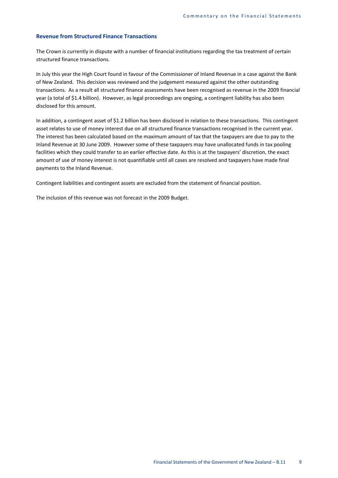#### **Revenue from Structured Finance Transactions**

The Crown is currently in dispute with a number of financial institutions regarding the tax treatment of certain structured finance transactions.

In July this year the High Court found in favour of the Commissioner of Inland Revenue in a case against the Bank of New Zealand. This decision was reviewed and the judgement measured against the other outstanding transactions. As a result all structured finance assessments have been recognised as revenue in the 2009 financial year (a total of \$1.4 billion). However, as legal proceedings are ongoing, a contingent liability has also been disclosed for this amount.

In addition, a contingent asset of \$1.2 billion has been disclosed in relation to these transactions. This contingent asset relates to use of money interest due on all structured finance transactions recognised in the current year. The interest has been calculated based on the maximum amount of tax that the taxpayers are due to pay to the Inland Revenue at 30 June 2009. However some of these taxpayers may have unallocated funds in tax pooling facilities which they could transfer to an earlier effective date. As this is at the taxpayers' discretion, the exact amount of use of money interest is not quantifiable until all cases are resolved and taxpayers have made final payments to the Inland Revenue.

Contingent liabilities and contingent assets are excluded from the statement of financial position.

The inclusion of this revenue was not forecast in the 2009 Budget.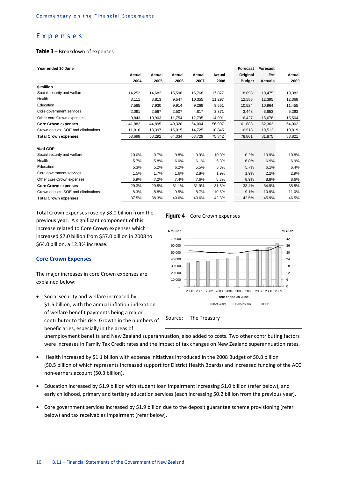#### Expenses

#### *Table 3* – Breakdown of expenses

| Year ended 30 June                   |        |        |               |        |        | <b>Forecast</b> | <b>Forecast</b> |               |
|--------------------------------------|--------|--------|---------------|--------|--------|-----------------|-----------------|---------------|
|                                      | Actual | Actual | <b>Actual</b> | Actual | Actual | Original        | Est             | <b>Actual</b> |
|                                      | 2004   | 2005   | 2006          | 2007   | 2008   | <b>Budget</b>   | <b>Actuals</b>  | 2009          |
| \$ million                           |        |        |               |        |        |                 |                 |               |
| Social security and welfare          | 14,252 | 14,682 | 15.598        | 16,768 | 17,877 | 18.898          | 19,475          | 19,382        |
| Health                               | 8,111  | 8,813  | 9,547         | 10,355 | 11,297 | 12,586          | 12,395          | 12,368        |
| Education                            | 7,585  | 7,930  | 9,914         | 9,269  | 9,551  | 10,524          | 10,964          | 11,455        |
| Core government services             | 2.091  | 2,567  | 2,507         | 4,817  | 3,371  | 3.448           | 3,853           | 5,293         |
| Other core Crown expenses            | 9,843  | 10,903 | 11,754        | 12,795 | 14,901 | 16,427          | 15,676          | 15,504        |
| <b>Core Crown expenses</b>           | 41,882 | 44,895 | 49,320        | 54,004 | 56,997 | 61,883          | 62,363          | 64,002        |
| Crown entities, SOE and eliminations | 11,816 | 13,397 | 15,015        | 14,725 | 18,845 | 16,918          | 19,512          | 19,819        |
| <b>Total Crown expenses</b>          | 53.698 | 58,292 | 64.334        | 68.729 | 75,842 | 78.801          | 81,875          | 83,821        |
| % of GDP                             |        |        |               |        |        |                 |                 |               |
| Social security and welfare          | 10.0%  | 9.7%   | 9.8%          | 9.9%   | 10.0%  | 10.2%           | 10.9%           | 10.8%         |
| Health                               | 5.7%   | 5.8%   | 6.0%          | 6.1%   | 6.3%   | 6.8%            | 6.9%            | 6.9%          |
| Education                            | 5.3%   | 5.2%   | 6.2%          | 5.5%   | 5.3%   | 5.7%            | 6.1%            | 6.4%          |
| Core government services             | 1.5%   | 1.7%   | 1.6%          | 2.8%   | 1.9%   | 1.9%            | 2.2%            | 2.9%          |
| Other core Crown expenses            | 6.9%   | 7.2%   | 7.4%          | 7.6%   | 8.3%   | 8.9%            | 8.8%            | 8.6%          |
| <b>Core Crown expenses</b>           | 29.3%  | 29.5%  | 31.1%         | 31.9%  | 31.8%  | 33.4%           | 34.9%           | 35.5%         |
| Crown entities, SOE and eliminations | 8.3%   | 8.8%   | 9.5%          | 8.7%   | 10.5%  | 9.1%            | 10.9%           | 11.0%         |
| <b>Total Crown expenses</b>          | 37.5%  | 38.3%  | 40.6%         | 40.6%  | 42.3%  | 42.5%           | 45.9%           | 46.5%         |
|                                      |        |        |               |        |        |                 |                 |               |

Total Crown expenses rose by \$8.0 billion from the previous year. A significant component of this increase related to Core Crown expenses which increased \$7.0 billion from \$57.0 billion in 2008 to \$64.0 billion, a 12.3% increase.

#### **Core Crown Expenses**

The major increases in core Crown expenses are explained below:

• Social security and welfare increased by \$1.5 billion, with the annual inflation-indexation of welfare benefit payments being a major contributor to this rise. Growth in the numbers of beneficiaries, especially in the areas of

#### *Figure 4* – Core Crown expenses



Source: The Treasury

unemployment benefits and New Zealand superannuation, also added to costs. Two other contributing factors were increases in Family Tax Credit rates and the impact of tax changes on New Zealand superannuation rates.

- Health increased by \$1.1 billion with expense initiatives introduced in the 2008 Budget of \$0.8 billion (\$0.5 billion of which represents increased support for District Health Boards) and increased funding of the ACC non-earners account (\$0.3 billion).
- Education increased by \$1.9 billion with student loan impairment increasing \$1.0 billion (refer below), and early childhood, primary and tertiary education services (each increasing \$0.2 billion from the previous year).
- Core government services increased by \$1.9 billion due to the deposit guarantee scheme provisioning (refer below) and tax receivables impairment (refer below).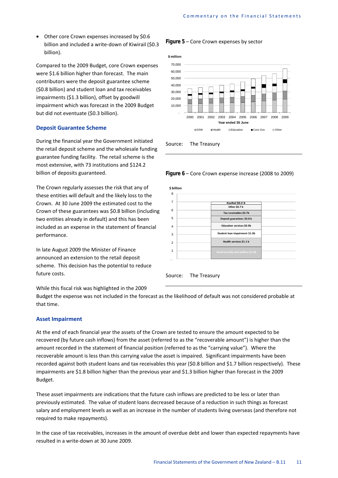• Other core Crown expenses increased by \$0.6 billion and included a write-down of Kiwirail (\$0.3 billion).

Compared to the 2009 Budget, core Crown expenses were \$1.6 billion higher than forecast. The main contributors were the deposit guarantee scheme (\$0.8 billion) and student loan and tax receivables impairments (\$1.3 billion), offset by goodwill impairment which was forecast in the 2009 Budget but did not eventuate (\$0.3 billion).

#### **Deposit Guarantee Scheme**

During the financial year the Government initiated the retail deposit scheme and the wholesale funding guarantee funding facility. The retail scheme is the most extensive, with 73 institutions and \$124.2 billion of deposits guaranteed.

The Crown regularly assesses the risk that any of these entities will default and the likely loss to the Crown. At 30 June 2009 the estimated cost to the Crown of these guarantees was \$0.8 billion (including two entities already in default) and this has been included as an expense in the statement of financial performance.

In late August 2009 the Minister of Finance announced an extension to the retail deposit scheme. This decision has the potential to reduce future costs.

*Figure 5* – Core Crown expenses by sector









While this fiscal risk was highlighted in the 2009

Budget the expense was not included in the forecast as the likelihood of default was not considered probable at that time.

#### **Asset Impairment**

At the end of each financial year the assets of the Crown are tested to ensure the amount expected to be recovered (by future cash inflows) from the asset (referred to as the "recoverable amount") is higher than the amount recorded in the statement of financial position (referred to as the "carrying value"). Where the recoverable amount is less than this carrying value the asset is impaired. Significant impairments have been recorded against both student loans and tax receivables this year (\$0.8 billion and \$1.7 billion respectively). These impairments are \$1.8 billion higher than the previous year and \$1.3 billion higher than forecast in the 2009 Budget.

These asset impairments are indications that the future cash inflows are predicted to be less or later than previously estimated. The value of student loans decreased because of a reduction in such things as forecast salary and employment levels as well as an increase in the number of students living overseas (and therefore not required to make repayments).

In the case of tax receivables, increases in the amount of overdue debt and lower than expected repayments have resulted in a write-down at 30 June 2009.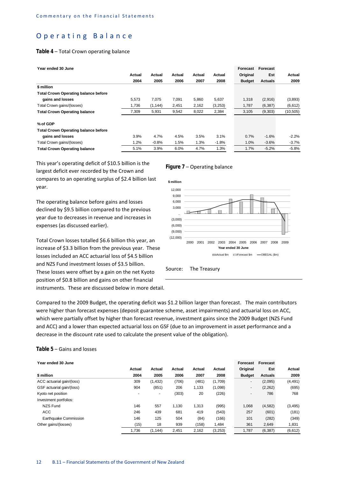#### Operating Balance

#### *Table 4* – Total Crown operating balance

| Year ended 30 June                          |        |          |        |        |         | Forecast      | <b>Forecast</b> |           |
|---------------------------------------------|--------|----------|--------|--------|---------|---------------|-----------------|-----------|
|                                             | Actual | Actual   | Actual | Actual | Actual  | Original      | Est             | Actual    |
|                                             | 2004   | 2005     | 2006   | 2007   | 2008    | <b>Budget</b> | <b>Actuals</b>  | 2009      |
| \$ million                                  |        |          |        |        |         |               |                 |           |
| <b>Total Crown Operating balance before</b> |        |          |        |        |         |               |                 |           |
| gains and losses                            | 5.573  | 7.075    | 7,091  | 5,860  | 5,637   | 1,318         | (2,916)         | (3,893)   |
| Total Crown gains/(losses)                  | 1,736  | (1, 144) | 2,451  | 2,162  | (3,253) | 1,787         | (6, 387)        | (6,612)   |
| <b>Total Crown Operating balance</b>        | 7,309  | 5,931    | 9,542  | 8,022  | 2,384   | 3,105         | (9,303)         | (10, 505) |
| % of GDP                                    |        |          |        |        |         |               |                 |           |
| <b>Total Crown Operating balance before</b> |        |          |        |        |         |               |                 |           |
| gains and losses                            | 3.9%   | 4.7%     | 4.5%   | 3.5%   | 3.1%    | 0.7%          | $-1.6%$         | $-2.2\%$  |
| Total Crown gains/(losses)                  | 1.2%   | $-0.8%$  | 1.5%   | 1.3%   | $-1.8%$ | 1.0%          | $-3.6%$         | $-3.7%$   |
| <b>Total Crown Operating balance</b>        | 5.1%   | 3.9%     | 6.0%   | 4.7%   | 1.3%    | 1.7%          | $-5.2%$         | $-5.8%$   |

This year's operating deficit of \$10.5 billion is the largest deficit ever recorded by the Crown and compares to an operating surplus of \$2.4 billion last year.

The operating balance before gains and losses declined by \$9.5 billion compared to the previous year due to decreases in revenue and increases in expenses (as discussed earlier).

Total Crown losses totalled \$6.6 billion this year, an increase of \$3.3 billion from the previous year. These losses included an ACC actuarial loss of \$4.5 billion and NZS Fund investment losses of \$3.5 billion. These losses were offset by a gain on the net Kyoto position of \$0.8 billion and gains on other financial instruments. These are discussed below in more detail.

#### *Figure 7* – Operating balance



Source: The Treasury

Compared to the 2009 Budget, the operating deficit was \$1.2 billion larger than forecast. The main contributors were higher than forecast expenses (deposit guarantee scheme, asset impairments) and actuarial loss on ACC, which were partially offset by higher than forecast revenue, investment gains since the 2009 Budget (NZS Fund and ACC) and a lower than expected actuarial loss on GSF (due to an improvement in asset performance and a decrease in the discount rate used to calculate the present value of the obligation).

#### *Table 5* – Gains and losses

| Year ended 30 June        |        |          |        |        |         | Forecast                 | Forecast       |          |
|---------------------------|--------|----------|--------|--------|---------|--------------------------|----------------|----------|
|                           | Actual | Actual   | Actual | Actual | Actual  | Original                 | Est            | Actua    |
| \$ million                | 2004   | 2005     | 2006   | 2007   | 2008    | <b>Budget</b>            | <b>Actuals</b> | 2009     |
| ACC actuarial gain/(loss) | 309    | (1, 432) | (706)  | (481)  | (1,709) | ۰                        | (2,095)        | (4, 491) |
| GSF actuarial gain/(loss) | 904    | (851)    | 206    | 1,133  | (1,098) | ۰                        | (2, 262)       | (695)    |
| Kyoto net position        |        | -        | (303)  | 20     | (226)   | $\overline{\phantom{a}}$ | 786            | 768      |
| Investment portfolios:    |        |          |        |        |         |                          |                |          |
| <b>NZS Fund</b>           | 146    | 557      | 1.130  | 1,313  | (995)   | 1,068                    | (4,582)        | (3, 495) |
| ACC                       | 246    | 439      | 681    | 419    | (543)   | 257                      | (601)          | (181)    |
| Earthquake Commission     | 146    | 125      | 504    | (84)   | (166)   | 101                      | (282)          | (349)    |
| Other gains/(losses)      | (15)   | 18       | 939    | (158)  | 1,484   | 361                      | 2,649          | 1,831    |
|                           | 1,736  | (1, 144) | 2,451  | 2,162  | (3,253) | 1,787                    | (6, 387)       | (6, 612) |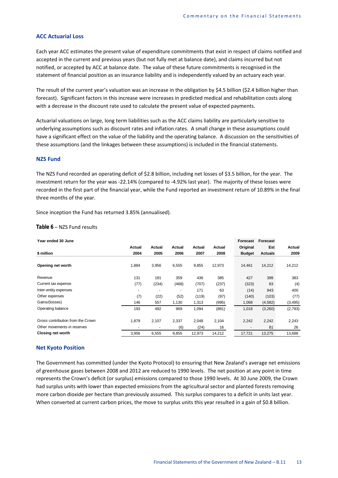#### **ACC Actuarial Loss**

Each year ACC estimates the present value of expenditure commitments that exist in respect of claims notified and accepted in the current and previous years (but not fully met at balance date), and claims incurred but not notified, or accepted by ACC at balance date. The value of these future commitments is recognised in the statement of financial position as an insurance liability and is independently valued by an actuary each year.

The result of the current year's valuation was an increase in the obligation by \$4.5 billion (\$2.4 billion higher than forecast). Significant factors in this increase were increases in predicted medical and rehabilitation costs along with a decrease in the discount rate used to calculate the present value of expected payments.

Actuarial valuations on large, long term liabilities such as the ACC claims liability are particularly sensitive to underlying assumptions such as discount rates and inflation rates. A small change in these assumptions could have a significant effect on the value of the liability and the operating balance. A discussion on the sensitivities of these assumptions (and the linkages between these assumptions) is included in the financial statements.

#### **NZS Fund**

The NZS Fund recorded an operating deficit of \$2.8 billion, including net losses of \$3.5 billion, for the year. The investment return for the year was -22.14% (compared to -4.92% last year). The majority of these losses were recorded in the first part of the financial year, while the Fund reported an investment return of 10.89% in the final three months of the year.

Since inception the Fund has returned 3.85% (annualised).

#### *Table 6* – NZS Fund results

| Year ended 30 June                |        |        |        |        |        | Forecast      | Forecast       |          |
|-----------------------------------|--------|--------|--------|--------|--------|---------------|----------------|----------|
|                                   | Actual | Actual | Actual | Actual | Actual | Original      | Est            | Actual   |
| \$ million                        | 2004   | 2005   | 2006   | 2007   | 2008   | <b>Budget</b> | <b>Actuals</b> | 2009     |
| Opening net worth                 | 1,884  | 3,956  | 6,555  | 9,855  | 12,973 | 14,461        | 14,212         | 14,212   |
| Revenue                           | 131    | 191    | 359    | 436    | 385    | 427           | 399            | 383      |
| Current tax expense               | (77)   | (234)  | (468)  | (707)  | (237)  | (323)         | 83             | (4)      |
| Inter-entity expenses             |        |        |        | 171    | 63     | (14)          | 943            | 400      |
| Other expenses                    | (7)    | (22)   | (52)   | (119)  | (97)   | (140)         | (103)          | (77)     |
| Gains/(losses)                    | 146    | 557    | 1,130  | 1,313  | (995)  | 1,068         | (4, 582)       | (3, 495) |
| Operating balance                 | 193    | 492    | 969    | 1,094  | (881)  | 1,018         | (3,260)        | (2,793)  |
| Gross contribution from the Crown | 1,879  | 2,107  | 2,337  | 2,048  | 2,104  | 2,242         | 2,242          | 2,243    |
| Other movements in reserves       |        |        | (6)    | (24)   | 16     |               | 81             | 26       |
| <b>Closing net worth</b>          | 3,956  | 6,555  | 9,855  | 12,973 | 14,212 | 17,721        | 13,275         | 13,688   |

#### **Net Kyoto Position**

The Government has committed (under the Kyoto Protocol) to ensuring that New Zealand's average net emissions of greenhouse gases between 2008 and 2012 are reduced to 1990 levels. The net position at any point in time represents the Crown's deficit (or surplus) emissions compared to those 1990 levels. At 30 June 2009, the Crown had surplus units with lower than expected emissions from the agricultural sector and planted forests removing more carbon dioxide per hectare than previously assumed. This surplus compares to a deficit in units last year. When converted at current carbon prices, the move to surplus units this year resulted in a gain of \$0.8 billion.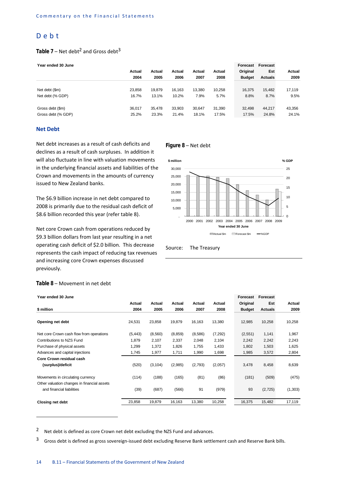#### Debt

#### Table 7 – Net debt<sup>2</sup> and Gross debt<sup>3</sup>

| Year ended 30 June |  |
|--------------------|--|
|                    |  |

| . var vriava vv variv |        |        |        |        |        | .             | .              |        |
|-----------------------|--------|--------|--------|--------|--------|---------------|----------------|--------|
|                       | Actual | Actual | Actual | Actual | Actual | Original      | Est            | Actual |
|                       | 2004   | 2005   | 2006   | 2007   | 2008   | <b>Budget</b> | <b>Actuals</b> | 2009   |
|                       |        |        |        |        |        |               |                |        |
| Net debt (\$m)        | 23,858 | 19.879 | 16.163 | 13,380 | 10,258 | 16,375        | 15.482         | 17,119 |
| Net debt (% GDP)      | 16.7%  | 13.1%  | 10.2%  | 7.9%   | 5.7%   | 8.8%          | 8.7%           | 9.5%   |
|                       |        |        |        |        |        |               |                |        |
| Gross debt (\$m)      | 36.017 | 35.478 | 33.903 | 30.647 | 31.390 | 32.498        | 44.217         | 43,356 |
| Gross debt (% GDP)    | 25.2%  | 23.3%  | 21.4%  | 18.1%  | 17.5%  | 17.5%         | 24.8%          | 24.1%  |
|                       |        |        |        |        |        |               |                |        |

#### **Net Debt**

Net debt increases as a result of cash deficits and declines as a result of cash surpluses. In addition it will also fluctuate in line with valuation movements in the underlying financial assets and liabilities of the Crown and movements in the amounts of currency issued to New Zealand banks.

The \$6.9 billion increase in net debt compared to 2008 is primarily due to the residual cash deficit of \$8.6 billion recorded this year (refer table 8).

Net core Crown cash from operations reduced by \$9.3 billion dollars from last year resulting in a net operating cash deficit of \$2.0 billion. This decrease represents the cash impact of reducing tax revenues and increasing core Crown expenses discussed previously.

#### *Figure 8* – Net debt



**Year ended 30 June Forecast Forecast**

#### Source: The Treasury

| Year ended 30 June                          |          |          |          |         |          | Forecast      | Forecast       |         |  |
|---------------------------------------------|----------|----------|----------|---------|----------|---------------|----------------|---------|--|
|                                             | Actual   | Actual   | Actual   | Actual  | Actual   | Original      | Est            | Actual  |  |
| \$ million                                  | 2004     | 2005     | 2006     | 2007    | 2008     | <b>Budget</b> | <b>Actuals</b> | 2009    |  |
|                                             |          |          |          |         |          |               |                |         |  |
| Opening net debt                            | 24,531   | 23,858   | 19,879   | 16,163  | 13,380   | 12,985        | 10,258         | 10,258  |  |
| Net core Crown cash flow from operations    | (5, 443) | (8,560)  | (8, 859) | (8,586) | (7, 292) | (2,551)       | 1,141          | 1,967   |  |
| Contributions to NZS Fund                   | 1,879    | 2,107    | 2,337    | 2,048   | 2,104    | 2,242         | 2,242          | 2,243   |  |
| Purchase of physical assets                 | 1,299    | 1,372    | 1,826    | 1,755   | 1,433    | 1,802         | 1,503          | 1,625   |  |
| Advances and capital injections             | 1,745    | 1,977    | 1,711    | 1,990   | 1,698    | 1,985         | 3,572          | 2,804   |  |
| Core Crown residual cash                    |          |          |          |         |          |               |                |         |  |
| (surplus)/deficit                           | (520)    | (3, 104) | (2,985)  | (2,793) | (2,057)  | 3,478         | 8,458          | 8,639   |  |
| Movements in circulating currency           | (114)    | (188)    | (165)    | (81)    | (86)     | (181)         | (509)          | (475)   |  |
| Other valuation changes in financial assets |          |          |          |         |          |               |                |         |  |
| and financial liabilities                   | (39)     | (687)    | (566)    | 91      | (979)    | 93            | (2, 725)       | (1,303) |  |
| <b>Closing net debt</b>                     | 23,858   | 19,879   | 16,163   | 13,380  | 10,258   | 16,375        | 15,482         | 17,119  |  |

#### *Table 8* – Movement in net debt

**.** 

2 Net debt is defined as core Crown net debt excluding the NZS Fund and advances.

 $3$  Gross debt is defined as gross sovereign-issued debt excluding Reserve Bank settlement cash and Reserve Bank bills.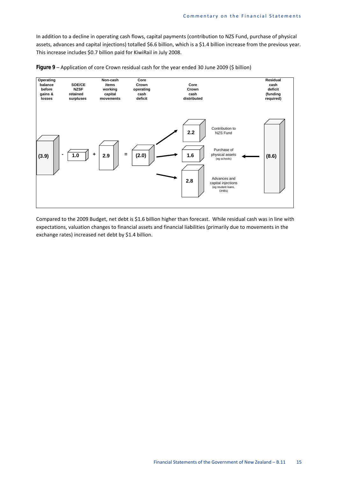In addition to a decline in operating cash flows, capital payments (contribution to NZS Fund, purchase of physical assets, advances and capital injections) totalled \$6.6 billion, which is a \$1.4 billion increase from the previous year. This increase includes \$0.7 billion paid for KiwiRail in July 2008.





Compared to the 2009 Budget, net debt is \$1.6 billion higher than forecast. While residual cash was in line with expectations, valuation changes to financial assets and financial liabilities (primarily due to movements in the exchange rates) increased net debt by \$1.4 billion.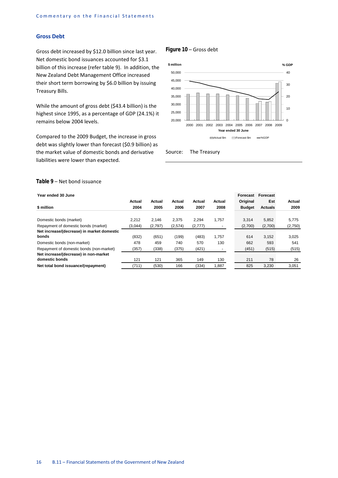#### **Gross Debt**

Gross debt increased by \$12.0 billion since last year. Net domestic bond issuances accounted for \$3.1 billion of this increase (refer table 9). In addition, the New Zealand Debt Management Office increased their short term borrowing by \$6.0 billion by issuing Treasury Bills.

While the amount of gross debt (\$43.4 billion) is the highest since 1995, as a percentage of GDP (24.1%) it remains below 2004 levels.

Compared to the 2009 Budget, the increase in gross debt was slightly lower than forecast (\$0.9 billion) as the market value of domestic bonds and derivative liabilities were lower than expected.

#### *Figure 10* – Gross debt



Source: The Treasury

#### *Table 9* – Net bond issuance

| Year ended 30 June                         |         |         |         |          |        | Forecast      | Forecast       |         |
|--------------------------------------------|---------|---------|---------|----------|--------|---------------|----------------|---------|
|                                            | Actual  | Actual  | Actual  | Actual   | Actual | Original      | Est            | Actual  |
| \$ million                                 | 2004    | 2005    | 2006    | 2007     | 2008   | <b>Budget</b> | <b>Actuals</b> | 2009    |
| Domestic bonds (market)                    | 2.212   | 2.146   | 2.375   | 2.294    | 1.757  | 3.314         | 5,852          | 5,775   |
| Repayment of domestic bonds (market)       | (3,044) | (2,797) | (2,574) | (2, 777) |        | (2,700)       | (2,700)        | (2,750) |
| Net increase/(decrease) in market domestic |         |         |         |          |        |               |                |         |
| bonds                                      | (832)   | (651)   | (199)   | (483)    | 1.757  | 614           | 3,152          | 3,025   |
| Domestic bonds (non-market)                | 478     | 459     | 740     | 570      | 130    | 662           | 593            | 541     |
| Repayment of domestic bonds (non-market)   | (357)   | (338)   | (375)   | (421)    |        | (451)         | (515)          | (515)   |
| Net increase/(decrease) in non-market      |         |         |         |          |        |               |                |         |
| domestic bonds                             | 121     | 121     | 365     | 149      | 130    | 211           | 78             | 26      |
| Net total bond issuance/(repayment)        | (711)   | (530)   | 166     | (334)    | 1.887  | 825           | 3.230          | 3.051   |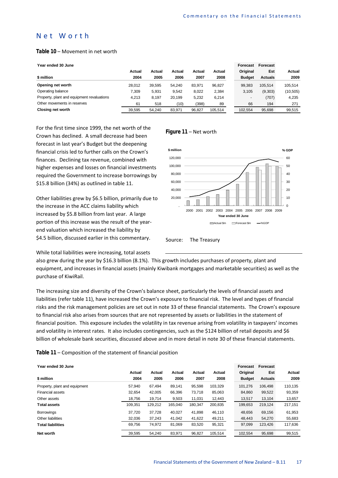#### Net Worth

#### *Table 10* – Movement in net worth

| Year ended 30 June |  |  |  |  |
|--------------------|--|--|--|--|
|--------------------|--|--|--|--|

| Year ended 30 June                         |        |        |        |        |         | Forecast      | <b>Forecast</b> |           |
|--------------------------------------------|--------|--------|--------|--------|---------|---------------|-----------------|-----------|
|                                            | Actual | Actual | Actual | Actual | Actual  | Original      | Est             | Actual    |
| \$ million                                 | 2004   | 2005   | 2006   | 2007   | 2008    | <b>Budget</b> | <b>Actuals</b>  | 2009      |
| Opening net worth                          | 28.012 | 39.595 | 54.240 | 83.971 | 96.827  | 99.383        | 105.514         | 105.514   |
| Operating balance                          | 7.309  | 5.931  | 9.542  | 8.022  | 2.384   | 3.105         | (9,303)         | (10, 505) |
| Property, plant and equipment revaluations | 4.213  | 8.197  | 20.199 | 5,232  | 6.214   | ٠             | (707)           | 4,235     |
| Other movements in reserves                | 61     | 518    | (10)   | (398)  | 89      | 66            | 194             | 271       |
| Closing net worth                          | 39.595 | 54.240 | 83.971 | 96.827 | 105.514 | 102.554       | 95.698          | 99,515    |

For the first time since 1999, the net worth of the Crown has declined. A small decrease had been forecast in last year's Budget but the deepening financial crisis led to further calls on the Crown's finances. Declining tax revenue, combined with higher expenses and losses on financial investments required the Government to increase borrowings by \$15.8 billion (34%) as outlined in table 11.

Other liabilities grew by \$6.5 billion, primarily due to the increase in the ACC claims liability which increased by \$5.8 billion from last year. A large portion of this increase was the result of the yearend valuation which increased the liability by \$4.5 billion, discussed earlier in this commentary.

#### *Figure 11* – Net worth



While total liabilities were increasing, total assets

also grew during the year by \$16.3 billion (8.1%). This growth includes purchases of property, plant and equipment, and increases in financial assets (mainly Kiwibank mortgages and marketable securities) as well as the purchase of KiwiRail.

The increasing size and diversity of the Crown's balance sheet, particularly the levels of financial assets and liabilities (refer table 11), have increased the Crown's exposure to financial risk. The level and types of financial risks and the risk management policies are set out in note 33 of these financial statements. The Crown's exposure to financial risk also arises from sources that are not represented by assets or liabilities in the statement of financial position. This exposure includes the volatility in tax revenue arising from volatility in taxpayers' incomes and volatility in interest rates. It also includes contingencies, such as the \$124 billion of retail deposits and \$6 billion of wholesale bank securities, discussed above and in more detail in note 30 of these financial statements.

#### *Table 11* – Composition of the statement of financial position

|  | Year ended 30 June |  |  |
|--|--------------------|--|--|
|--|--------------------|--|--|

| Year ended 30 June            |         |         |         |         |         | Forecast      | Forecast       |         |
|-------------------------------|---------|---------|---------|---------|---------|---------------|----------------|---------|
|                               | Actual  | Actual  | Actual  | Actual  | Actual  | Original      | Est            | Actual  |
| \$ million                    | 2004    | 2005    | 2006    | 2007    | 2008    | <b>Budget</b> | <b>Actuals</b> | 2009    |
| Property, plant and equipment | 57.940  | 67.494  | 89.141  | 95.598  | 103.329 | 101.276       | 106.498        | 110,135 |
| Financial assets              | 32.654  | 42.005  | 66.396  | 73.718  | 85,063  | 84.860        | 99,522         | 93,359  |
| Other assets                  | 18,756  | 19,714  | 9,503   | 11,031  | 12,443  | 13,517        | 13,104         | 13,657  |
| <b>Total assets</b>           | 109,351 | 129,212 | 165,040 | 180,347 | 200,835 | 199,653       | 219,124        | 217,151 |
| <b>Borrowings</b>             | 37.720  | 37.728  | 40.027  | 41.898  | 46.110  | 48.656        | 69.156         | 61.953  |
| Other liabilities             | 32,036  | 37.243  | 41.042  | 41,622  | 49,211  | 48,443        | 54,270         | 55,683  |
| <b>Total liabilities</b>      | 69.756  | 74.972  | 81.069  | 83.520  | 95,321  | 97.099        | 123.426        | 117,636 |
| Net worth                     | 39,595  | 54.240  | 83,971  | 96.827  | 105,514 | 102.554       | 95,698         | 99,515  |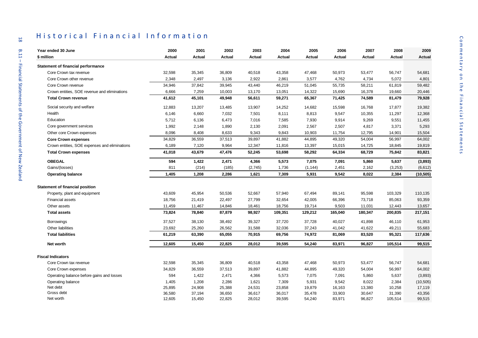| Year ended 30 June                                               | 2000            | 2001            | 2002            | 2003            | 2004            | 2005            | 2006            | 2007            | 2008            | 2009                |
|------------------------------------------------------------------|-----------------|-----------------|-----------------|-----------------|-----------------|-----------------|-----------------|-----------------|-----------------|---------------------|
| \$ million                                                       | Actual          | Actual          | Actual          | Actual          | Actual          | Actual          | Actual          | Actual          | Actual          | Actual              |
| <b>Statement of financial performance</b>                        |                 |                 |                 |                 |                 |                 |                 |                 |                 |                     |
| Core Crown tax revenue                                           | 32,598          | 35,345          | 36,809          | 40,518          | 43,358          | 47,468          | 50,973          | 53,477          | 56,747          | 54,681              |
| Core Crown other revenue                                         | 2,348           | 2,497           | 3,136           | 2,922           | 2,861           | 3,577           | 4,762           | 4,734           | 5,072           | 4,801               |
| Core Crown revenue                                               | 34,946          | 37,842          | 39,945          | 43,440          | 46,219          | 51,045          | 55,735          | 58,211          | 61,819          | 59,482              |
| Crown entities, SOE revenue and eliminations                     | 6,666           | 7,259           | 10,003          | 13,170          | 13,051          | 14,322          | 15,690          | 16,378          | 19,660          | 20,446              |
| <b>Total Crown revenue</b>                                       | 41,612          | 45,101          | 49,948          | 56,611          | 59,271          | 65,367          | 71,425          | 74,589          | 81,479          | 79,928              |
| Social security and welfare                                      | 12,883          | 13,207          | 13,485          | 13,907          | 14,252          | 14,682          | 15,598          | 16,768          | 17,877          | 19,382              |
| Health                                                           | 6,146           | 6,660           | 7,032           | 7,501           | 8,111           | 8,813           | 9,547           | 10,355          | 11,297          | 12,368              |
| Education                                                        | 5,712           | 6,136           | 6,473           | 7,016           | 7,585           | 7,930           | 9,914           | 9,269           | 9,551           | 11,455              |
| Core government services                                         | 1,992           | 2,148           | 1,890           | 2,130           | 2,091           | 2,567           | 2,507           | 4,817           | 3,371           | 5,293               |
| Other core Crown expenses                                        | 8,096           | 8,408           | 8,633           | 9,343           | 9,843           | 10,903          | 11,754          | 12,795          | 14,901          | 15,504              |
| <b>Core Crown expenses</b>                                       | 34,829          | 36,559          | 37,513          | 39,897          | 41,882          | 44,895          | 49,320          | 54,004          | 56,997          | 64,002              |
| Crown entities, SOE expenses and eliminations                    | 6,189           | 7,120           | 9,964           | 12,347          | 11,816          | 13,397          | 15,015          | 14,725          | 18,845          | 19,819              |
| <b>Total Crown expenses</b>                                      | 41,018          | 43,679          | 47,476          | 52,245          | 53,698          | 58,292          | 64,334          | 68,729          | 75,842          | 83,821              |
| <b>OBEGAL</b>                                                    | 594             | 1,422           | 2,471           | 4,366           | 5,573           | 7,075           | 7,091           | 5,860           | 5,637           | (3,893)             |
| Gains/(losses)                                                   | 811             | (214)           | (185)           | (2,745)         | 1,736           | (1, 144)        | 2,451           | 2,162           | (3,253)         | (6,612)             |
| <b>Operating balance</b>                                         | 1,405           | 1,208           | 2,286           | 1,621           | 7,309           | 5,931           | 9,542           | 8,022           | 2,384           | (10, 505)           |
| <b>Statement of financial position</b>                           |                 |                 |                 |                 |                 |                 |                 |                 |                 |                     |
| Property, plant and equipment                                    | 43,609          | 45,954          | 50,536          | 52,667          | 57,940          | 67,494          | 89,141          | 95,598          | 103,329         | 110,135             |
| <b>Financial assets</b>                                          | 18,756          | 21,419          | 22,497          | 27,799          | 32,654          | 42,005          | 66,396          | 73,718          | 85,063          | 93,359              |
| Other assets                                                     | 11,459          | 11,467          | 14,846          | 18,461          | 18,756          | 19,714          | 9,503           | 11,031          | 12,443          | 13,657              |
| <b>Total assets</b>                                              | 73,824          | 78,840          | 87,879          | 98,927          | 109,351         | 129,212         | 165,040         | 180,347         | 200,835         | 217,151             |
| <b>Borrowings</b>                                                | 37,527          | 38,130          | 38,492          | 39,327          | 37,720          | 37,728          | 40,027          | 41,898          | 46,110          | 61,953              |
| Other liabilities                                                | 23,692          | 25,260          | 26,562          | 31,588          | 32,036          | 37,243          | 41,042          | 41,622          | 49,211          | 55,683              |
| <b>Total liabilities</b>                                         | 61,219          | 63,390          | 65,055          | 70,915          | 69,756          | 74,972          | 81,069          | 83,520          | 95,321          | 117,636             |
| Net worth                                                        | 12,605          | 15,450          | 22,825          | 28,012          | 39,595          | 54,240          | 83,971          | 96,827          | 105,514         | 99,515              |
|                                                                  |                 |                 |                 |                 |                 |                 |                 |                 |                 |                     |
| <b>Fiscal Indicators</b><br>Core Crown tax revenue               | 32,598          |                 |                 |                 |                 |                 |                 |                 |                 |                     |
|                                                                  |                 | 35,345          | 36,809          | 40,518          | 43,358          | 47,468          | 50,973          | 53,477          | 56,747          | 54,681              |
| Core Crown expenses<br>Operating balance before gains and losses | 34,829<br>594   | 36,559<br>1,422 | 37,513<br>2,471 | 39,897<br>4,366 | 41,882<br>5,573 | 44,895<br>7,075 | 49,320<br>7,091 | 54,004<br>5,860 | 56,997<br>5,637 | 64,002<br>(3,893)   |
|                                                                  |                 |                 |                 |                 |                 |                 |                 |                 |                 |                     |
| Operating balance<br>Net debt                                    | 1,405<br>25,895 | 1,208<br>24,908 | 2,286<br>25,388 | 1,621<br>24,531 | 7,309<br>23,858 | 5,931<br>19,879 | 9,542<br>16,163 | 8,022<br>13,380 | 2,384<br>10,258 | (10, 505)<br>17,119 |
| Gross debt                                                       | 36,580          | 37,194          | 36,650          | 36,617          | 36,017          | 35,478          | 33,903          | 30,647          | 31,390          | 43,356              |
|                                                                  |                 |                 |                 |                 |                 |                 | 83,971          |                 |                 |                     |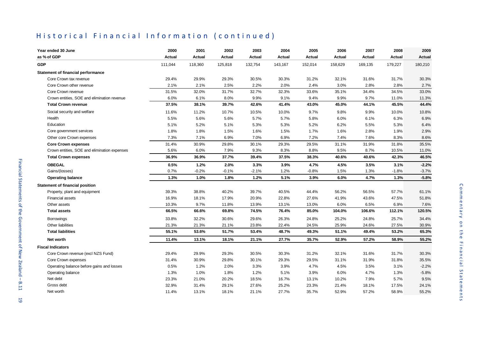# Historical Financial Information (continued)

| Year ended 30 June                           | 2000    | 2001    | 2002    | 2003    | 2004    | 2005    | 2006    | 2007    | 2008    | 2009          |
|----------------------------------------------|---------|---------|---------|---------|---------|---------|---------|---------|---------|---------------|
| as % of GDP                                  | Actual  | Actual  | Actual  | Actual  | Actual  | Actual  | Actual  | Actual  | Actual  | <b>Actual</b> |
| <b>GDP</b>                                   | 111,044 | 118,360 | 125,818 | 132,754 | 143,167 | 152,014 | 158,629 | 169,135 | 179,227 | 180,210       |
| <b>Statement of financial performance</b>    |         |         |         |         |         |         |         |         |         |               |
| Core Crown tax revenue                       | 29.4%   | 29.9%   | 29.3%   | 30.5%   | 30.3%   | 31.2%   | 32.1%   | 31.6%   | 31.7%   | 30.3%         |
| Core Crown other revenue                     | 2.1%    | 2.1%    | 2.5%    | 2.2%    | 2.0%    | 2.4%    | 3.0%    | 2.8%    | 2.8%    | 2.7%          |
| Core Crown revenue                           | 31.5%   | 32.0%   | 31.7%   | 32.7%   | 32.3%   | 33.6%   | 35.1%   | 34.4%   | 34.5%   | 33.0%         |
| Crown entities, SOE and elimination revenue  | 6.0%    | 6.1%    | 8.0%    | 9.9%    | 9.1%    | 9.4%    | 9.9%    | 9.7%    | 11.0%   | 11.3%         |
| <b>Total Crown revenue</b>                   | 37.5%   | 38.1%   | 39.7%   | 42.6%   | 41.4%   | 43.0%   | 45.0%   | 44.1%   | 45.5%   | 44.4%         |
| Social security and welfare                  | 11.6%   | 11.2%   | 10.7%   | 10.5%   | 10.0%   | 9.7%    | 9.8%    | 9.9%    | 10.0%   | 10.8%         |
| Health                                       | 5.5%    | 5.6%    | 5.6%    | 5.7%    | 5.7%    | 5.8%    | 6.0%    | 6.1%    | 6.3%    | 6.9%          |
| Education                                    | 5.1%    | 5.2%    | 5.1%    | 5.3%    | 5.3%    | 5.2%    | 6.2%    | 5.5%    | 5.3%    | 6.4%          |
| Core government services                     | 1.8%    | 1.8%    | 1.5%    | 1.6%    | 1.5%    | 1.7%    | 1.6%    | 2.8%    | 1.9%    | 2.9%          |
| Other core Crown expenses                    | 7.3%    | 7.1%    | 6.9%    | 7.0%    | 6.9%    | 7.2%    | 7.4%    | 7.6%    | 8.3%    | 8.6%          |
| <b>Core Crown expenses</b>                   | 31.4%   | 30.9%   | 29.8%   | 30.1%   | 29.3%   | 29.5%   | 31.1%   | 31.9%   | 31.8%   | 35.5%         |
| Crown entities, SOE and elimination expenses | 5.6%    | 6.0%    | 7.9%    | 9.3%    | 8.3%    | 8.8%    | 9.5%    | 8.7%    | 10.5%   | 11.0%         |
| <b>Total Crown expenses</b>                  | 36.9%   | 36.9%   | 37.7%   | 39.4%   | 37.5%   | 38.3%   | 40.6%   | 40.6%   | 42.3%   | 46.5%         |
| <b>OBEGAL</b>                                | 0.5%    | 1.2%    | 2.0%    | 3.3%    | 3.9%    | 4.7%    | 4.5%    | 3.5%    | 3.1%    | $-2.2%$       |
| Gains/(losses)                               | 0.7%    | $-0.2%$ | $-0.1%$ | $-2.1%$ | 1.2%    | $-0.8%$ | 1.5%    | 1.3%    | $-1.8%$ | $-3.7%$       |
| <b>Operating balance</b>                     | 1.3%    | 1.0%    | 1.8%    | 1.2%    | 5.1%    | 3.9%    | 6.0%    | 4.7%    | 1.3%    | $-5.8%$       |
| <b>Statement of financial position</b>       |         |         |         |         |         |         |         |         |         |               |
| Property, plant and equipment                | 39.3%   | 38.8%   | 40.2%   | 39.7%   | 40.5%   | 44.4%   | 56.2%   | 56.5%   | 57.7%   | 61.1%         |
| <b>Financial assets</b>                      | 16.9%   | 18.1%   | 17.9%   | 20.9%   | 22.8%   | 27.6%   | 41.9%   | 43.6%   | 47.5%   | 51.8%         |
| Other assets                                 | 10.3%   | 9.7%    | 11.8%   | 13.9%   | 13.1%   | 13.0%   | 6.0%    | 6.5%    | 6.9%    | 7.6%          |
| <b>Total assets</b>                          | 66.5%   | 66.6%   | 69.8%   | 74.5%   | 76.4%   | 85.0%   | 104.0%  | 106.6%  | 112.1%  | 120.5%        |
| <b>Borrowings</b>                            | 33.8%   | 32.2%   | 30.6%   | 29.6%   | 26.3%   | 24.8%   | 25.2%   | 24.8%   | 25.7%   | 34.4%         |
| Other liabilities                            | 21.3%   | 21.3%   | 21.1%   | 23.8%   | 22.4%   | 24.5%   | 25.9%   | 24.6%   | 27.5%   | 30.9%         |
| <b>Total liabilities</b>                     | 55.1%   | 53.6%   | 51.7%   | 53.4%   | 48.7%   | 49.3%   | 51.1%   | 49.4%   | 53.2%   | 65.3%         |
| Net worth                                    | 11.4%   | 13.1%   | 18.1%   | 21.1%   | 27.7%   | 35.7%   | 52.9%   | 57.2%   | 58.9%   | 55.2%         |
| <b>Fiscal Indicators</b>                     |         |         |         |         |         |         |         |         |         |               |
| Core Crown revenue (excl NZS Fund)           | 29.4%   | 29.9%   | 29.3%   | 30.5%   | 30.3%   | 31.2%   | 32.1%   | 31.6%   | 31.7%   | 30.3%         |
| Core Crown expenses                          | 31.4%   | 30.9%   | 29.8%   | 30.1%   | 29.3%   | 29.5%   | 31.1%   | 31.9%   | 31.8%   | 35.5%         |
| Operating balance before gains and losses    | 0.5%    | 1.2%    | 2.0%    | 3.3%    | 3.9%    | 4.7%    | 4.5%    | 3.5%    | 3.1%    | $-2.2%$       |
| Operating balance                            | 1.3%    | 1.0%    | 1.8%    | 1.2%    | 5.1%    | 3.9%    | 6.0%    | 4.7%    | 1.3%    | $-5.8%$       |
| Net debt                                     | 23.3%   | 21.0%   | 20.2%   | 18.5%   | 16.7%   | 13.1%   | 10.2%   | 7.9%    | 5.7%    | 9.5%          |
| Gross debt                                   | 32.9%   | 31.4%   | 29.1%   | 27.6%   | 25.2%   | 23.3%   | 21.4%   | 18.1%   | 17.5%   | 24.1%         |
| Net worth                                    | 11.4%   | 13.1%   | 18.1%   | 21.1%   | 27.7%   | 35.7%   | 52.9%   | 57.2%   | 58.9%   | 55.2%         |

 $\overline{6}$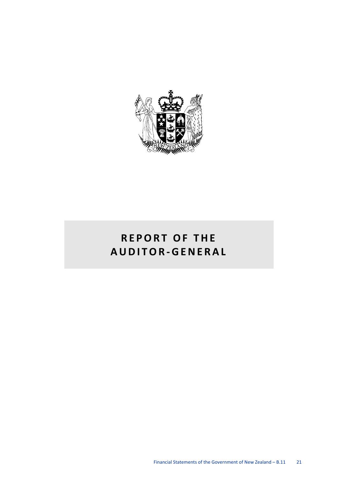

# **REPORT OF THE AUDITOR-GENERAL**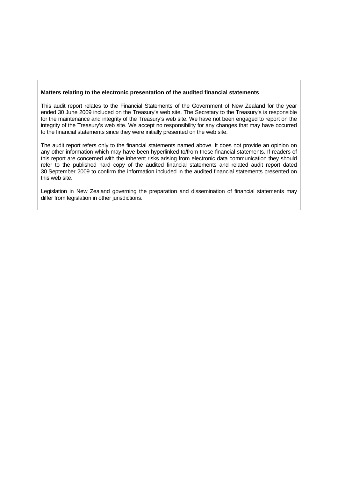#### **Matters relating to the electronic presentation of the audited financial statements**

This audit report relates to the Financial Statements of the Government of New Zealand for the year ended 30 June 2009 included on the Treasury's web site. The Secretary to the Treasury's is responsible for the maintenance and integrity of the Treasury's web site. We have not been engaged to report on the integrity of the Treasury's web site. We accept no responsibility for any changes that may have occurred to the financial statements since they were initially presented on the web site.

The audit report refers only to the financial statements named above. It does not provide an opinion on any other information which may have been hyperlinked to/from these financial statements. If readers of this report are concerned with the inherent risks arising from electronic data communication they should refer to the published hard copy of the audited financial statements and related audit report dated 30 September 2009 to confirm the information included in the audited financial statements presented on this web site.

Legislation in New Zealand governing the preparation and dissemination of financial statements may differ from legislation in other jurisdictions.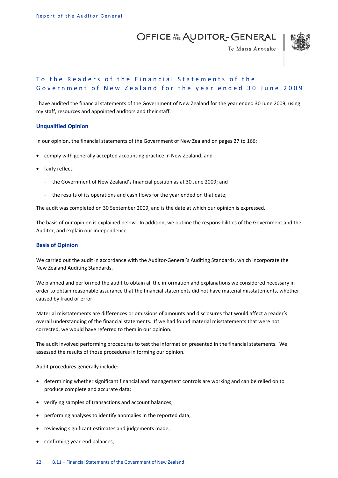OFFICE AL AUDITOR-GENERAL



Te Mana Arotake

#### To the Readers of the Financial Statements of the Government of New Zealand for the year ended 30 June 2009

I have audited the financial statements of the Government of New Zealand for the year ended 30 June 2009, using my staff, resources and appointed auditors and their staff.

#### **Unqualified Opinion**

In our opinion, the financial statements of the Government of New Zealand on pages 27 to 166:

- comply with generally accepted accounting practice in New Zealand; and
- fairly reflect:
	- the Government of New Zealand's financial position as at 30 June 2009; and
	- the results of its operations and cash flows for the year ended on that date;

The audit was completed on 30 September 2009, and is the date at which our opinion is expressed.

The basis of our opinion is explained below. In addition, we outline the responsibilities of the Government and the Auditor, and explain our independence.

#### **Basis of Opinion**

We carried out the audit in accordance with the Auditor-General's Auditing Standards, which incorporate the New Zealand Auditing Standards.

We planned and performed the audit to obtain all the information and explanations we considered necessary in order to obtain reasonable assurance that the financial statements did not have material misstatements, whether caused by fraud or error.

Material misstatements are differences or omissions of amounts and disclosures that would affect a reader's overall understanding of the financial statements. If we had found material misstatements that were not corrected, we would have referred to them in our opinion.

The audit involved performing procedures to test the information presented in the financial statements. We assessed the results of those procedures in forming our opinion.

Audit procedures generally include:

- determining whether significant financial and management controls are working and can be relied on to produce complete and accurate data;
- verifying samples of transactions and account balances;
- performing analyses to identify anomalies in the reported data;
- reviewing significant estimates and judgements made;
- confirming year-end balances;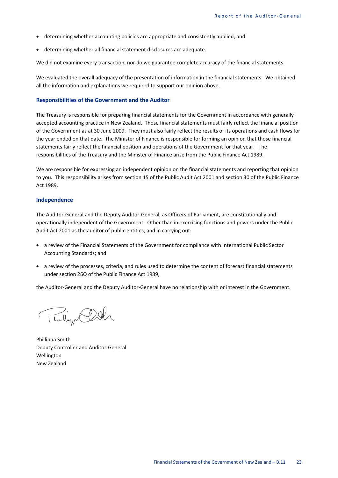- determining whether accounting policies are appropriate and consistently applied; and
- determining whether all financial statement disclosures are adequate.

We did not examine every transaction, nor do we guarantee complete accuracy of the financial statements.

We evaluated the overall adequacy of the presentation of information in the financial statements. We obtained all the information and explanations we required to support our opinion above.

#### **Responsibilities of the Government and the Auditor**

The Treasury is responsible for preparing financial statements for the Government in accordance with generally accepted accounting practice in New Zealand. Those financial statements must fairly reflect the financial position of the Government as at 30 June 2009. They must also fairly reflect the results of its operations and cash flows for the year ended on that date. The Minister of Finance is responsible for forming an opinion that those financial statements fairly reflect the financial position and operations of the Government for that year. The responsibilities of the Treasury and the Minister of Finance arise from the Public Finance Act 1989.

We are responsible for expressing an independent opinion on the financial statements and reporting that opinion to you. This responsibility arises from section 15 of the Public Audit Act 2001 and section 30 of the Public Finance Act 1989.

#### **Independence**

The Auditor-General and the Deputy Auditor-General, as Officers of Parliament, are constitutionally and operationally independent of the Government. Other than in exercising functions and powers under the Public Audit Act 2001 as the auditor of public entities, and in carrying out:

- a review of the Financial Statements of the Government for compliance with International Public Sector Accounting Standards; and
- a review of the processes, criteria, and rules used to determine the content of forecast financial statements under section 26Q of the Public Finance Act 1989,

the Auditor-General and the Deputy Auditor-General have no relationship with or interest in the Government.

The light Click

Phillippa Smith Deputy Controller and Auditor-General Wellington New Zealand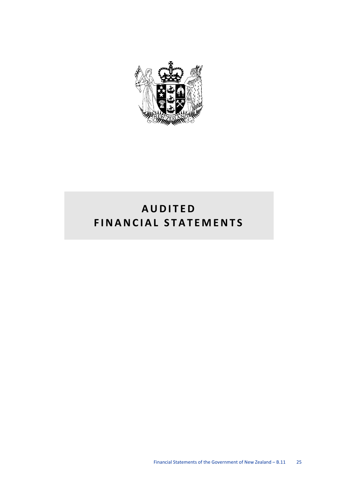

# **AUDITED FINANCIAL STATEMENTS**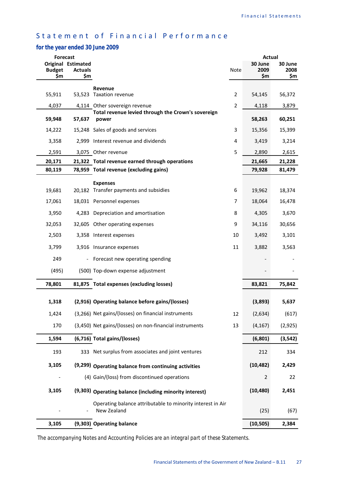# Statement of Financial Performance

#### *for the year ended 30 June 2009*

|               | <b>Forecast</b>                      |                                                                           |                | Actual          |                 |
|---------------|--------------------------------------|---------------------------------------------------------------------------|----------------|-----------------|-----------------|
| <b>Budget</b> | Original Estimated<br><b>Actuals</b> |                                                                           | <b>Note</b>    | 30 June<br>2009 | 30 June<br>2008 |
|               | \$m<br>\$m                           |                                                                           |                | \$m             | \$m             |
| 55,911        |                                      | Revenue<br>53,523 Taxation revenue                                        | $\overline{2}$ | 54,145          | 56,372          |
| 4,037         |                                      | 4,114 Other sovereign revenue                                             | $\overline{2}$ | 4,118           | 3,879           |
|               |                                      | Total revenue levied through the Crown's sovereign                        |                |                 |                 |
| 59,948        | 57,637                               | power                                                                     |                | 58,263          | 60,251          |
| 14,222        |                                      | 15,248 Sales of goods and services                                        | 3              | 15,356          | 15,399          |
| 3,358         |                                      | 2,999 Interest revenue and dividends                                      | 4              | 3,419           | 3,214           |
| 2,591         |                                      | 3,075 Other revenue                                                       | 5              | 2,890           | 2,615           |
| 20,171        |                                      | 21,322 Total revenue earned through operations                            |                | 21,665          | 21,228          |
| 80,119        |                                      | 78,959 Total revenue (excluding gains)                                    |                | 79,928          | 81,479          |
|               |                                      | <b>Expenses</b>                                                           |                |                 |                 |
| 19,681        |                                      | 20,182 Transfer payments and subsidies                                    | 6              | 19,962          | 18,374          |
| 17,061        |                                      | 18,031 Personnel expenses                                                 | 7              | 18,064          | 16,478          |
| 3,950         |                                      | 4,283 Depreciation and amortisation                                       | 8              | 4,305           | 3,670           |
| 32,053        |                                      | 32,605 Other operating expenses                                           | 9              | 34,116          | 30,656          |
| 2,503         |                                      | 3,358 Interest expenses                                                   | 10             | 3,492           | 3,101           |
| 3,799         |                                      | 3,916 Insurance expenses                                                  | 11             | 3,882           | 3,563           |
| 249           | $\blacksquare$                       | Forecast new operating spending                                           |                |                 |                 |
| (495)         |                                      | (500) Top-down expense adjustment                                         |                |                 |                 |
| 78,801        |                                      | 81,875 Total expenses (excluding losses)                                  |                | 83,821          | 75,842          |
| 1,318         |                                      | (2,916) Operating balance before gains/(losses)                           |                | (3,893)         | 5,637           |
|               |                                      | (3,266) Net gains/(losses) on financial instruments                       |                |                 |                 |
| 1,424         |                                      |                                                                           | 12             | (2,634)         | (617)           |
| 170           |                                      | (3,450) Net gains/(losses) on non-financial instruments                   | 13             | (4, 167)        | (2,925)         |
| 1,594         |                                      | (6,716) Total gains/(losses)                                              |                | (6, 801)        | (3, 542)        |
| 193           |                                      | 333 Net surplus from associates and joint ventures                        |                | 212             | 334             |
| 3,105         |                                      | (9,299) Operating balance from continuing activities                      |                | (10, 482)       | 2,429           |
|               |                                      | (4) Gain/(loss) from discontinued operations                              |                | 2               | 22              |
| 3,105         |                                      | (9,303) Operating balance (including minority interest)                   |                | (10, 480)       | 2,451           |
|               |                                      | Operating balance attributable to minority interest in Air<br>New Zealand |                | (25)            | (67)            |
| 3,105         |                                      | (9,303) Operating balance                                                 |                | (10, 505)       | 2,384           |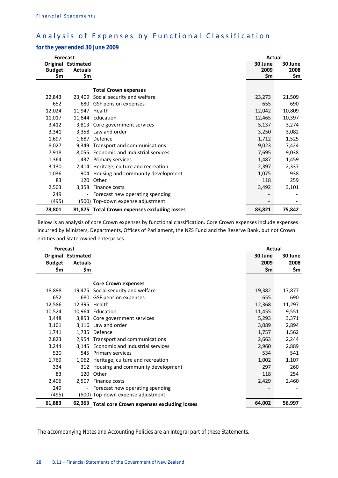# Analysis of Expenses by Functional Classification

#### *for the year ended 30 June 2009*

| <b>Forecast</b>      |                                                    |                                              | <b>Actual</b>          |                        |
|----------------------|----------------------------------------------------|----------------------------------------------|------------------------|------------------------|
| <b>Budget</b><br>\$m | <b>Original Estimated</b><br><b>Actuals</b><br>\$m |                                              | 30 June<br>2009<br>\$m | 30 June<br>2008<br>\$m |
|                      |                                                    |                                              |                        |                        |
|                      |                                                    | <b>Total Crown expenses</b>                  |                        |                        |
| 22,843               | 23.409                                             | Social security and welfare                  | 23,273                 | 21,509                 |
| 652                  | 680                                                | GSF pension expenses                         | 655                    | 690                    |
| 12,024               | 11,947                                             | Health                                       | 12,042                 | 10,809                 |
| 11,017               |                                                    | 11,844 Education                             | 12,465                 | 10,397                 |
| 3,412                | 3.813                                              | Core government services                     | 5,137                  | 3,274                  |
| 3,341                |                                                    | 3,358 Law and order                          | 3,250                  | 3,082                  |
| 1,697                | 1,687                                              | Defence                                      | 1,712                  | 1,525                  |
| 8,027                | 9,349                                              | Transport and communications                 | 9,023                  | 7,424                  |
| 7,918                |                                                    | 8,055 Economic and industrial services       | 7,695                  | 9,038                  |
| 1,364                | 1,437                                              | Primary services                             | 1,487                  | 1,459                  |
| 3,130                | 2,414                                              | Heritage, culture and recreation             | 2,397                  | 2,337                  |
| 1,036                | 904                                                | Housing and community development            | 1,075                  | 938                    |
| 83                   | 120                                                | Other                                        | 118                    | 259                    |
| 2,503                |                                                    | 3,358 Finance costs                          | 3,492                  | 3,101                  |
| 249                  |                                                    | Forecast new operating spending              |                        |                        |
| (495)                |                                                    | (500) Top-down expense adjustment            |                        |                        |
| 78,801               |                                                    | 81,875 Total Crown expenses excluding losses | 83,821                 | 75,842                 |

Below is an analysis of core Crown expenses by functional classification. Core Crown expenses include expenses incurred by Ministers, Departments, Offices of Parliament, the NZS Fund and the Reserve Bank, but not Crown entities and State-owned enterprises.

| <b>Forecast</b> |                           |                                                   | <b>Actual</b> |         |
|-----------------|---------------------------|---------------------------------------------------|---------------|---------|
|                 | <b>Original Estimated</b> |                                                   | 30 June       | 30 June |
| <b>Budget</b>   | <b>Actuals</b>            |                                                   | 2009          | 2008    |
| \$m             | \$m                       |                                                   | \$m           | \$m     |
|                 |                           |                                                   |               |         |
|                 |                           | <b>Core Crown expenses</b>                        |               |         |
| 18,898          | 19.475                    | Social security and welfare                       | 19,382        | 17,877  |
| 652             | 680                       | GSF pension expenses                              | 655           | 690     |
| 12,586          | 12,395 Health             |                                                   | 12,368        | 11,297  |
| 10,524          |                           | 10,964 Education                                  | 11,455        | 9,551   |
| 3,448           |                           | 3,853 Core government services                    | 5,293         | 3,371   |
| 3,101           |                           | 3,116 Law and order                               | 3,089         | 2,894   |
| 1,741           |                           | 1,735 Defence                                     | 1,757         | 1,562   |
| 2,823           |                           | 2,954 Transport and communications                | 2,663         | 2,244   |
| 3,244           |                           | 3,145 Economic and industrial services            | 2,960         | 2,889   |
| 520             | 545                       | Primary services                                  | 534           | 541     |
| 1,769           | 1,062                     | Heritage, culture and recreation                  | 1,002         | 1,107   |
| 334             | 312                       | Housing and community development                 | 297           | 260     |
| 83              | 120                       | Other                                             | 118           | 254     |
| 2,406           | 2.507                     | Finance costs                                     | 2,429         | 2,460   |
| 249             | $\overline{a}$            | Forecast new operating spending                   |               |         |
| (495)           |                           | (500) Top-down expense adjustment                 |               |         |
| 61,883          | 62,363                    | <b>Total core Crown expenses excluding losses</b> | 64,002        | 56,997  |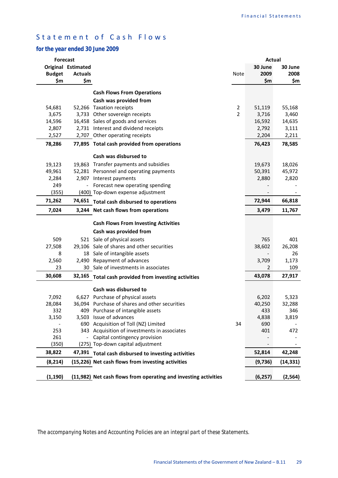# Statement of Cash Flows

#### *for the year ended 30 June 2009*

| <b>Forecast</b> |                    |                                                                 |                | <b>Actual</b> |           |
|-----------------|--------------------|-----------------------------------------------------------------|----------------|---------------|-----------|
|                 | Original Estimated |                                                                 |                | 30 June       | 30 June   |
| <b>Budget</b>   | <b>Actuals</b>     |                                                                 | Note           | 2009          | 2008      |
| \$m             | \$m                |                                                                 |                | \$m           | \$m       |
|                 |                    | <b>Cash Flows From Operations</b>                               |                |               |           |
|                 |                    | Cash was provided from                                          |                |               |           |
| 54,681          |                    | 52,266 Taxation receipts                                        | $\overline{2}$ | 51,119        | 55,168    |
| 3,675           |                    | 3,733 Other sovereign receipts                                  | $\overline{2}$ | 3,716         | 3,460     |
| 14,596          |                    | 16,458 Sales of goods and services                              |                | 16,592        | 14,635    |
| 2,807           |                    | 2,731 Interest and dividend receipts                            |                | 2,792         | 3,111     |
| 2,527           |                    | 2,707 Other operating receipts                                  |                | 2,204         | 2,211     |
| 78,286          |                    | 77,895 Total cash provided from operations                      |                | 76,423        | 78,585    |
|                 |                    | Cash was disbursed to                                           |                |               |           |
| 19,123          |                    | 19,863 Transfer payments and subsidies                          |                | 19,673        | 18,026    |
| 49,961          |                    | 52,281 Personnel and operating payments                         |                | 50,391        | 45,972    |
| 2,284           |                    | 2,907 Interest payments                                         |                | 2,880         | 2,820     |
| 249             |                    | Forecast new operating spending                                 |                |               |           |
| (355)           |                    | (400) Top-down expense adjustment                               |                |               |           |
| 71,262          |                    | 74,651 Total cash disbursed to operations                       |                | 72,944        | 66,818    |
| 7,024           |                    | 3,244 Net cash flows from operations                            |                | 3,479         | 11,767    |
|                 |                    |                                                                 |                |               |           |
|                 |                    | <b>Cash Flows From Investing Activities</b>                     |                |               |           |
|                 |                    | Cash was provided from                                          |                |               |           |
| 509             |                    | 521 Sale of physical assets                                     |                | 765           | 401       |
| 27,508          |                    | 29,106 Sale of shares and other securities                      |                | 38,602        | 26,208    |
| 8               |                    | 18 Sale of intangible assets                                    |                |               | 26        |
| 2,560           |                    | 2,490 Repayment of advances                                     |                | 3,709         | 1,173     |
| 23              |                    | 30 Sale of investments in associates                            |                | 2             | 109       |
| 30,608          |                    | 32,165 Total cash provided from investing activities            |                | 43,078        | 27,917    |
|                 |                    | Cash was disbursed to                                           |                |               |           |
| 7,092           |                    | 6,627 Purchase of physical assets                               |                | 6,202         | 5,323     |
| 28,084          |                    | 36,094 Purchase of shares and other securities                  |                | 40,250        | 32,288    |
| 332             |                    | 409 Purchase of intangible assets                               |                | 433           | 346       |
| 3,150           |                    | 3,503 Issue of advances                                         |                | 4,838         | 3,819     |
|                 |                    | 690 Acquisition of Toll (NZ) Limited                            | 34             | 690           |           |
| 253             |                    | 343 Acquisition of investments in associates                    |                | 401           | 472       |
| 261             |                    | Capital contingency provision                                   |                |               |           |
| (350)           |                    | (275) Top-down capital adjustment                               |                |               | $\sim$    |
| 38,822          |                    | 47,391 Total cash disbursed to investing activities             |                | 52,814        | 42,248    |
| (8, 214)        |                    | (15,226) Net cash flows from investing activities               |                | (9,736)       | (14, 331) |
| (1, 190)        |                    | (11,982) Net cash flows from operating and investing activities |                | (6, 257)      | (2, 564)  |
|                 |                    |                                                                 |                |               |           |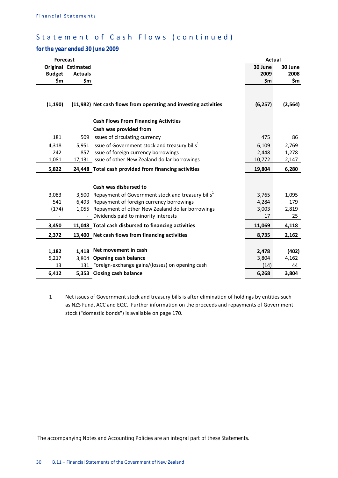# Statement of Cash Flows (continued)

#### *for the year ended 30 June 2009*

| <b>Forecast</b> |                    |                                                                     | <b>Actual</b> |          |
|-----------------|--------------------|---------------------------------------------------------------------|---------------|----------|
|                 | Original Estimated |                                                                     | 30 June       | 30 June  |
| <b>Budget</b>   | <b>Actuals</b>     |                                                                     | 2009          | 2008     |
| \$m             | \$m                |                                                                     | \$m           | \$m      |
|                 |                    |                                                                     |               |          |
| (1, 190)        |                    | (11,982) Net cash flows from operating and investing activities     | (6, 257)      | (2, 564) |
|                 |                    | <b>Cash Flows From Financing Activities</b>                         |               |          |
|                 |                    | Cash was provided from                                              |               |          |
| 181             |                    | 509 Issues of circulating currency                                  | 475           | 86       |
| 4,318           |                    | 5,951 Issue of Government stock and treasury bills <sup>1</sup>     | 6,109         | 2,769    |
| 242             |                    | 857 Issue of foreign currency borrowings                            | 2,448         | 1,278    |
| 1,081           |                    | 17,131 Issue of other New Zealand dollar borrowings                 | 10,772        | 2,147    |
| 5,822           |                    | 24,448 Total cash provided from financing activities                | 19,804        | 6,280    |
|                 |                    |                                                                     |               |          |
|                 |                    | Cash was disbursed to                                               |               |          |
| 3,083           |                    | 3,500 Repayment of Government stock and treasury bills <sup>1</sup> | 3,765         | 1,095    |
| 541             |                    | 6,493 Repayment of foreign currency borrowings                      | 4,284         | 179      |
| (174)           |                    | 1,055 Repayment of other New Zealand dollar borrowings              | 3,003         | 2,819    |
|                 |                    | - Dividends paid to minority interests                              | 17            | 25       |
| 3,450           |                    | 11,048 Total cash disbursed to financing activities                 | 11,069        | 4,118    |
| 2,372           |                    | 13,400 Net cash flows from financing activities                     | 8,735         | 2,162    |
|                 |                    |                                                                     |               |          |
| 1,182           | 1,418              | Net movement in cash                                                | 2,478         | (402)    |
| 5,217           | 3.804              | <b>Opening cash balance</b>                                         | 3,804         | 4,162    |
| 13              |                    | 131 Foreign-exchange gains/(losses) on opening cash                 | (14)          | 44       |
| 6,412           |                    | 5,353 Closing cash balance                                          | 6,268         | 3,804    |

1 Net issues of Government stock and treasury bills is after elimination of holdings by entities such as NZS Fund, ACC and EQC. Further information on the proceeds and repayments of Government stock ("domestic bonds") is available on page 170.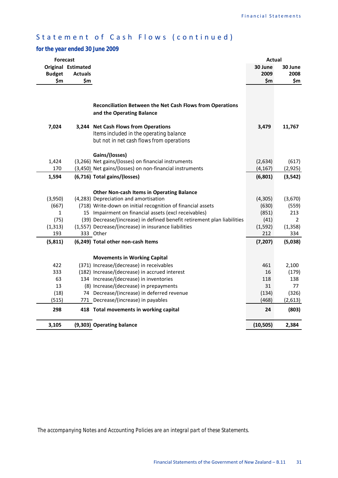# Statement of Cash Flows (continued)

### *for the year ended 30 June 2009*

| <b>Forecast</b>                                             |                                                                                                                                                                                                                                                                                                                                                                  | <b>Actual</b>                                        |                                                                     |
|-------------------------------------------------------------|------------------------------------------------------------------------------------------------------------------------------------------------------------------------------------------------------------------------------------------------------------------------------------------------------------------------------------------------------------------|------------------------------------------------------|---------------------------------------------------------------------|
| <b>Original Estimated</b>                                   |                                                                                                                                                                                                                                                                                                                                                                  | 30 June                                              | 30 June                                                             |
| <b>Budget</b><br><b>Actuals</b>                             |                                                                                                                                                                                                                                                                                                                                                                  | 2009                                                 | 2008                                                                |
| \$m<br>\$m                                                  |                                                                                                                                                                                                                                                                                                                                                                  | \$m                                                  | \$m                                                                 |
| 7,024                                                       | Reconciliation Between the Net Cash Flows from Operations<br>and the Operating Balance<br>3,244 Net Cash Flows from Operations                                                                                                                                                                                                                                   | 3,479                                                | 11,767                                                              |
|                                                             | Items included in the operating balance<br>but not in net cash flows from operations<br>Gains/(losses)                                                                                                                                                                                                                                                           |                                                      |                                                                     |
| 1,424                                                       | (3,266) Net gains/(losses) on financial instruments                                                                                                                                                                                                                                                                                                              | (2,634)                                              | (617)                                                               |
| 170                                                         | (3,450) Net gains/(losses) on non-financial instruments                                                                                                                                                                                                                                                                                                          | (4, 167)                                             | (2, 925)                                                            |
| 1,594                                                       | (6,716) Total gains/(losses)                                                                                                                                                                                                                                                                                                                                     | (6, 801)                                             | (3, 542)                                                            |
| (3,950)<br>(667)<br>$\mathbf{1}$<br>(75)<br>(1, 313)<br>193 | <b>Other Non-cash Items in Operating Balance</b><br>(4,283) Depreciation and amortisation<br>(718) Write-down on initial recognition of financial assets<br>15 Impairment on financial assets (excl receivables)<br>(39) Decrease/(increase) in defined benefit retirement plan liabilities<br>(1,557) Decrease/(increase) in insurance liabilities<br>333 Other | (4,305)<br>(630)<br>(851)<br>(41)<br>(1, 592)<br>212 | (3,670)<br>(559)<br>213<br>$\mathbf{2}^{\prime}$<br>(1, 358)<br>334 |
| (5, 811)                                                    | (6,249) Total other non-cash Items                                                                                                                                                                                                                                                                                                                               | (7, 207)                                             | (5,038)                                                             |
| 422<br>333<br>63<br>13<br>(18)<br>(515)<br>298              | <b>Movements in Working Capital</b><br>(371) Increase/(decrease) in receivables<br>(182) Increase/(decrease) in accrued interest<br>134 Increase/(decrease) in inventories<br>(8) Increase/(decrease) in prepayments<br>74 Decrease/(increase) in deferred revenue<br>771 Decrease/(increase) in payables<br>418 Total movements in working capital              | 461<br>16<br>118<br>31<br>(134)<br>(468)<br>24       | 2,100<br>(179)<br>138<br>77<br>(326)<br>(2,613)<br>(803)            |
|                                                             |                                                                                                                                                                                                                                                                                                                                                                  |                                                      |                                                                     |
| 3,105                                                       | (9,303) Operating balance                                                                                                                                                                                                                                                                                                                                        | (10, 505)                                            | 2,384                                                               |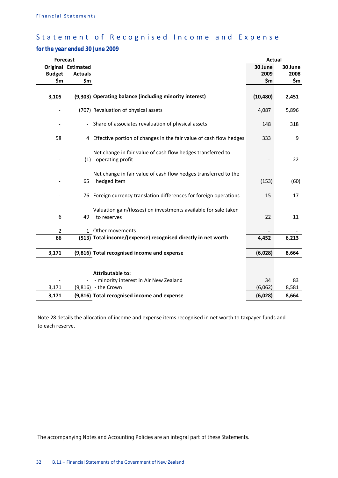# Statement of Recognised Income and Expense

# *for the year ended 30 June 2009*

| <b>Forecast</b> |                           |                                                                                 | Actual    |         |
|-----------------|---------------------------|---------------------------------------------------------------------------------|-----------|---------|
|                 | <b>Original Estimated</b> |                                                                                 | 30 June   | 30 June |
| <b>Budget</b>   | <b>Actuals</b>            |                                                                                 | 2009      | 2008    |
| \$m             | \$m                       |                                                                                 | \$m       | \$m     |
| 3,105           |                           | (9,303) Operating balance (including minority interest)                         | (10, 480) | 2,451   |
|                 |                           | (707) Revaluation of physical assets                                            | 4,087     | 5,896   |
|                 |                           | - Share of associates revaluation of physical assets                            | 148       | 318     |
| 58              |                           | 4 Effective portion of changes in the fair value of cash flow hedges            | 333       | 9       |
|                 | (1)                       | Net change in fair value of cash flow hedges transferred to<br>operating profit |           | 22      |
|                 | 65                        | Net change in fair value of cash flow hedges transferred to the<br>hedged item  | (153)     | (60)    |
|                 |                           | 76 Foreign currency translation differences for foreign operations              | 15        | 17      |
| 6               | 49                        | Valuation gain/(losses) on investments available for sale taken<br>to reserves  | 22        | 11      |
| $\overline{2}$  |                           | 1 Other movements                                                               |           |         |
| 66              |                           | (513) Total income/(expense) recognised directly in net worth                   | 4,452     | 6,213   |
| 3,171           |                           | (9,816) Total recognised income and expense                                     | (6,028)   | 8,664   |
|                 |                           | <b>Attributable to:</b>                                                         |           |         |
|                 |                           | - minority interest in Air New Zealand                                          | 34        | 83      |
| 3,171           |                           | (9,816) - the Crown                                                             | (6,062)   | 8,581   |
| 3,171           |                           | (9,816) Total recognised income and expense                                     | (6,028)   | 8,664   |

Note 28 details the allocation of income and expense items recognised in net worth to taxpayer funds and to each reserve.

*The accompanying Notes and Accounting Policies are an integral part of these Statements.*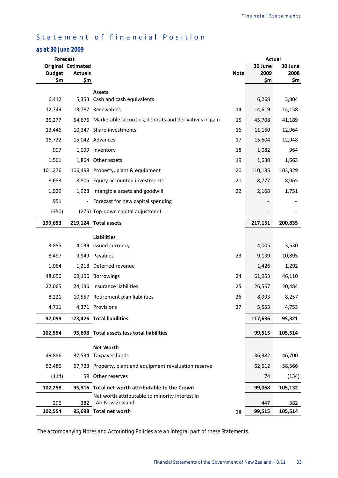# Statement of Financial Position

# *as at 30 June 2009*

| <b>Forecast</b> |                                             |                                                                | Actual      |                 |                 |
|-----------------|---------------------------------------------|----------------------------------------------------------------|-------------|-----------------|-----------------|
| <b>Budget</b>   | <b>Original Estimated</b><br><b>Actuals</b> |                                                                | <b>Note</b> | 30 June<br>2009 | 30 June<br>2008 |
| \$m             | \$m                                         |                                                                |             | \$m             | \$m             |
|                 |                                             | <b>Assets</b>                                                  |             |                 |                 |
| 6,412           |                                             | 5,353 Cash and cash equivalents                                |             | 6,268           | 3,804           |
| 12,749          |                                             | 13,787 Receivables                                             | 14          | 14,619          | 14,158          |
| 35,277          |                                             | 54,676 Marketable securities, deposits and derivatives in gain | 15          | 45,708          | 41,189          |
| 13,446          |                                             | 10,347 Share investments                                       | 16          | 11,160          | 12,964          |
| 16,722          |                                             | 15,042 Advances                                                | 17          | 15,604          | 12,948          |
| 997             | 1,099                                       | Inventory                                                      | 18          | 1,082           | 964             |
| 1,561           |                                             | 1,864 Other assets                                             | 19          | 1,630           | 1,663           |
| 101,276         |                                             | 106,498 Property, plant & equipment                            | 20          | 110,135         | 103,329         |
| 8,683           |                                             | 8,805 Equity accounted investments                             | 21          | 8,777           | 8,065           |
| 1,929           | 1,928                                       | Intangible assets and goodwill                                 | 22          | 2,168           | 1,751           |
| 951             | $\blacksquare$                              | Forecast for new capital spending                              |             |                 |                 |
| (350)           |                                             | (275) Top-down capital adjustment                              |             |                 |                 |
| 199,653         |                                             | 219,124 Total assets                                           |             | 217,151         | 200,835         |
|                 |                                             | <b>Liabilities</b>                                             |             |                 |                 |
| 3,885           | 4,039                                       | Issued currency                                                |             | 4,005           | 3,530           |
| 8,497           |                                             | 9,949 Payables                                                 | 23          | 9,139           | 10,895          |
| 1,064           |                                             | 1,218 Deferred revenue                                         |             | 1,426           | 1,292           |
| 48,656          |                                             | 69,156 Borrowings                                              | 24          | 61,953          | 46,110          |
| 22,065          |                                             | 24,136 Insurance liabilities                                   | 25          | 26,567          | 20,484          |
| 8,221           |                                             | 10,557 Retirement plan liabilities                             | 26          | 8,993           | 8,257           |
| 4,711           |                                             | 4,371 Provisions                                               | 27          | 5,553           | 4,753           |
| 97,099          |                                             | 123,426 Total liabilities                                      |             | 117,636         | 95,321          |
| 102,554         |                                             | 95,698 Total assets less total liabilities                     |             | 99,515          | 105,514         |
|                 |                                             | <b>Net Worth</b>                                               |             |                 |                 |
| 49,886          |                                             | 37,534 Taxpayer funds                                          |             | 36,382          | 46,700          |
| 52,486          |                                             | 57,723 Property, plant and equipment revaluation reserve       |             | 62,612          | 58,566          |
| (114)           |                                             | 59 Other reserves                                              |             | 74              | (134)           |
| 102,258         |                                             | 95,316 Total net worth attributable to the Crown               |             | 99,068          | 105,132         |
|                 |                                             | Net worth attributable to minority interest in                 |             |                 |                 |
| 296             | 382                                         | Air New Zealand                                                |             | 447             | 382             |
| 102,554         |                                             | 95,698 Total net worth                                         | 28          | 99,515          | 105,514         |

*The accompanying Notes and Accounting Policies are an integral part of these Statements.*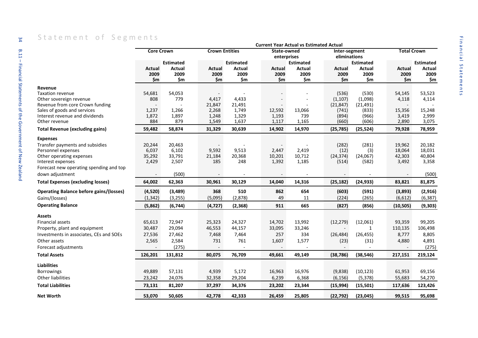|                                                | <b>Core Crown</b> |                  |          | <b>Crown Entities</b> | State-owned |                          |                               |                  |                    |                  |
|------------------------------------------------|-------------------|------------------|----------|-----------------------|-------------|--------------------------|-------------------------------|------------------|--------------------|------------------|
|                                                |                   |                  |          |                       | enterprises |                          | Inter-segment<br>eliminations |                  | <b>Total Crown</b> |                  |
|                                                |                   | <b>Estimated</b> |          | <b>Estimated</b>      |             | <b>Estimated</b>         |                               | <b>Estimated</b> |                    | <b>Estimated</b> |
|                                                | Actual            | Actual           | Actual   | Actual                | Actual      | Actual                   | Actual                        | Actual           | Actual             | Actual           |
|                                                | 2009              | 2009             | 2009     | 2009                  | 2009        | 2009                     | 2009                          | 2009             | 2009               | 2009             |
|                                                | \$m               | \$m              | \$m      | \$m                   | \$m         | \$m                      | \$m                           | \$m              | \$m                | \$m              |
| Revenue                                        |                   |                  |          |                       |             |                          |                               |                  |                    |                  |
| Taxation revenue                               | 54,681            | 54,053           |          |                       |             |                          | (536)                         | (530)            | 54,145             | 53,523           |
| Other sovereign revenue                        | 808               | 779              | 4,417    | 4,433                 |             |                          | (1, 107)                      | (1,098)          | 4,118              | 4,114            |
| Revenue from core Crown funding                |                   |                  | 21,847   | 21,491                |             |                          | (21, 847)                     | (21, 491)        |                    |                  |
| Sales of goods and services                    | 1,237             | 1,266            | 2,268    | 1,749                 | 12,592      | 13,066                   | (741)                         | (833)            | 15,356             | 15,248           |
| Interest revenue and dividends                 | 1,872             | 1,897            | 1,248    | 1,329                 | 1,193       | 739                      | (894)                         | (966)            | 3,419              | 2,999            |
| Other revenue                                  | 884               | 879              | 1,549    | 1,637                 | 1,117       | 1,165                    | (660)                         | (606)            | 2,890              | 3,075            |
| <b>Total Revenue (excluding gains)</b>         | 59,482            | 58,874           | 31,329   | 30,639                | 14,902      | 14,970                   | (25, 785)                     | (25, 524)        | 79,928             | 78,959           |
| Expenses                                       |                   |                  |          |                       |             |                          |                               |                  |                    |                  |
| Transfer payments and subsidies                | 20,244            | 20,463           |          |                       |             |                          | (282)                         | (281)            | 19,962             | 20,182           |
| Personnel expenses                             | 6,037             | 6,102            | 9,592    | 9,513                 | 2,447       | 2,419                    | (12)                          | (3)              | 18,064             | 18,031           |
| Other operating expenses                       | 35,292            | 33,791           | 21,184   | 20,368                | 10,201      | 10,712                   | (24, 374)                     | (24,067)         | 42,303             | 40,804           |
| Interest expenses                              | 2,429             | 2,507            | 185      | 248                   | 1,392       | 1,185                    | (514)                         | (582)            | 3,492              | 3,358            |
| Forecast new operating spending and top        |                   |                  |          |                       |             |                          |                               |                  |                    |                  |
| down adjustment                                |                   | (500)            |          |                       |             | $\overline{\phantom{a}}$ |                               |                  |                    | (500)            |
| <b>Total Expenses (excluding losses)</b>       | 64,002            | 62,363           | 30,961   | 30,129                | 14,040      | 14,316                   | (25, 182)                     | (24, 933)        | 83,821             | 81,875           |
| <b>Operating Balance before gains/(losses)</b> | (4,520)           | (3,489)          | 368      | 510                   | 862         | 654                      | (603)                         | (591)            | (3,893)            | (2,916)          |
| Gains/(losses)                                 | (1, 342)          | (3, 255)         | (5,095)  | (2,878)               | 49          | 11                       | (224)                         | (265)            | (6,612)            | (6, 387)         |
| <b>Operating Balance</b>                       | (5,862)           | (6, 744)         | (4, 727) | (2, 368)              | 911         | 665                      | (827)                         | (856)            | (10, 505)          | (9, 303)         |
| Assets                                         |                   |                  |          |                       |             |                          |                               |                  |                    |                  |
| Financial assets                               | 65,613            | 72,947           | 25,323   | 24,327                | 14,702      | 13,992                   | (12, 279)                     | (12,061)         | 93,359             | 99,205           |
| Property, plant and equipment                  | 30,487            | 29,094           | 46,553   | 44,157                | 33,095      | 33,246                   |                               | $\mathbf{1}$     | 110,135            | 106,498          |
| Investments in associates, CEs and SOEs        | 27,536            | 27,462           | 7,468    | 7,464                 | 257         | 334                      | (26, 484)                     | (26, 455)        | 8,777              | 8,805            |
| Other assets                                   | 2,565             | 2,584            | 731      | 761                   | 1,607       | 1,577                    | (23)                          | (31)             | 4,880              | 4,891            |
| Forecast adjustments                           |                   | (275)            |          |                       |             |                          |                               |                  |                    | (275)            |
| <b>Total Assets</b>                            | 126,201           | 131,812          | 80,075   | 76,709                | 49,661      | 49,149                   | (38, 786)                     | (38, 546)        | 217,151            | 219,124          |
|                                                |                   |                  |          |                       |             |                          |                               |                  |                    |                  |
| Liabilities                                    |                   |                  |          |                       |             |                          |                               |                  |                    |                  |
| <b>Borrowings</b>                              | 49,889            | 57,131           | 4,939    | 5,172                 | 16,963      | 16,976                   | (9,838)                       | (10, 123)        | 61,953             | 69,156           |
| <b>Other liabilities</b>                       | 23,242            | 24,076           | 32,358   | 29,204                | 6,239       | 6,368                    | (6, 156)                      | (5, 378)         | 55,683             | 54,270           |
|                                                |                   |                  |          |                       |             |                          |                               |                  |                    |                  |
| Total Liabilities                              | 73,131            | 81,207           | 37,297   | 34,376                | 23,202      | 23,344                   | (15, 994)                     | (15, 501)        | 117,636            | 123,426          |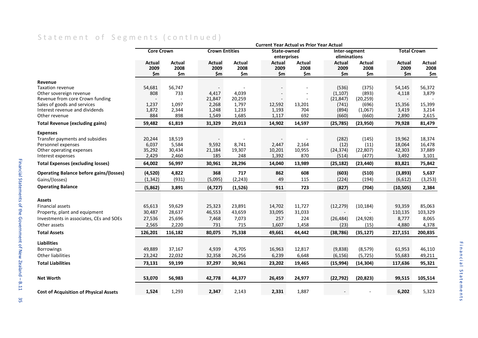# Statement of Segments (continued)

|                                                               | <b>Current Year Actual vs Prior Year Actual</b> |                |                       |                |                 |               |                          |                  |                    |                 |
|---------------------------------------------------------------|-------------------------------------------------|----------------|-----------------------|----------------|-----------------|---------------|--------------------------|------------------|--------------------|-----------------|
|                                                               | <b>Core Crown</b>                               |                | <b>Crown Entities</b> |                | State-owned     |               | Inter-segment            |                  | <b>Total Crown</b> |                 |
|                                                               |                                                 |                |                       |                | enterprises     |               | eliminations             |                  |                    |                 |
|                                                               | Actual                                          | Actual         | Actual                | Actual         | Actual          | Actual        | Actual                   | Actual           | <b>Actual</b>      | Actual          |
|                                                               | 2009                                            | 2008           | 2009                  | 2008           | 2009            | 2008          | 2009                     | 2008             | 2009               | 2008            |
|                                                               | \$m                                             | \$m            | \$m                   | \$m            | \$m\$           | \$m           | \$m                      | \$m              | \$m                | \$m             |
| Revenue                                                       |                                                 |                |                       |                |                 |               |                          |                  |                    |                 |
| <b>Taxation revenue</b>                                       | 54,681                                          | 56,747         |                       |                |                 |               | (536)                    | (375)            | 54,145             | 56,372          |
| Other sovereign revenue                                       | 808                                             | 733            | 4,417                 | 4,039          |                 |               | (1, 107)                 | (893)            | 4,118              | 3,879           |
| Revenue from core Crown funding                               |                                                 |                | 21,847                | 20,259         |                 |               | (21, 847)                | (20, 259)        | $\blacksquare$     |                 |
| Sales of goods and services<br>Interest revenue and dividends | 1,237<br>1,872                                  | 1,097<br>2,344 | 2,268<br>1,248        | 1,797          | 12,592<br>1,193 | 13,201<br>704 | (741)<br>(894)           | (696)<br>(1,067) | 15,356<br>3,419    | 15,399<br>3,214 |
| Other revenue                                                 | 884                                             | 898            | 1,549                 | 1,233<br>1,685 | 1,117           | 692           | (660)                    | (660)            | 2,890              | 2,615           |
| <b>Total Revenue (excluding gains)</b>                        | 59,482                                          | 61,819         | 31,329                | 29,013         | 14,902          | 14,597        | (25, 785)                | (23,950)         | 79,928             | 81,479          |
| <b>Expenses</b>                                               |                                                 |                |                       |                |                 |               |                          |                  |                    |                 |
| Transfer payments and subsidies                               | 20,244                                          | 18,519         |                       |                |                 |               | (282)                    | (145)            | 19,962             | 18,374          |
| Personnel expenses                                            | 6,037                                           | 5,584          | 9,592                 | 8,741          | 2,447           | 2,164         | (12)                     | (11)             | 18,064             | 16,478          |
| Other operating expenses                                      | 35,292                                          | 30,434         | 21,184                | 19,307         | 10,201          | 10,955        | (24, 374)                | (22, 807)        | 42,303             | 37,889          |
| Interest expenses                                             | 2,429                                           | 2,460          | 185                   | 248            | 1,392           | 870           | (514)                    | (477)            | 3,492              | 3,101           |
| <b>Total Expenses (excluding losses)</b>                      | 64,002                                          | 56,997         | 30,961                | 28,296         | 14,040          | 13,989        | (25, 182)                | (23, 440)        | 83,821             | 75,842          |
| <b>Operating Balance before gains/(losses)</b>                | (4,520)                                         | 4,822          | 368                   | 717            | 862             | 608           | (603)                    | (510)            | (3,893)            | 5,637           |
| Gains/(losses)                                                | (1, 342)                                        | (931)          | (5,095)               | (2, 243)       | 49              | 115           | (224)                    | (194)            | (6,612)            | (3, 253)        |
| <b>Operating Balance</b>                                      | (5,862)                                         | 3,891          | (4, 727)              | (1,526)        | 911             | 723           | (827)                    | (704)            | (10, 505)          | 2,384           |
| Assets                                                        |                                                 |                |                       |                |                 |               |                          |                  |                    |                 |
| <b>Financial assets</b>                                       | 65,613                                          | 59,629         | 25,323                | 23,891         | 14,702          | 11,727        | (12, 279)                | (10, 184)        | 93,359             | 85,063          |
| Property, plant and equipment                                 | 30,487                                          | 28,637         | 46,553                | 43,659         | 33,095          | 31,033        | $\overline{\phantom{a}}$ |                  | 110,135            | 103,329         |
| Investments in associates, CEs and SOEs                       | 27,536                                          | 25,696         | 7,468                 | 7,073          | 257             | 224           | (26, 484)                | (24, 928)        | 8,777              | 8,065           |
| Other assets                                                  | 2,565                                           | 2,220          | 731                   | 715            | 1,607           | 1,458         | (23)                     | (15)             | 4,880              | 4,378           |
| <b>Total Assets</b>                                           | 126,201                                         | 116,182        | 80,075                | 75,338         | 49,661          | 44,442        | (38, 786)                | (35, 127)        | 217,151            | 200,835         |
| <b>Liabilities</b>                                            |                                                 |                |                       |                |                 |               |                          |                  |                    |                 |
| <b>Borrowings</b>                                             | 49,889                                          | 37,167         | 4,939                 | 4,705          | 16,963          | 12,817        | (9,838)                  | (8, 579)         | 61,953             | 46,110          |
| <b>Other liabilities</b>                                      | 23,242                                          | 22,032         | 32,358                | 26,256         | 6,239           | 6,648         | (6, 156)                 | (5, 725)         | 55,683             | 49,211          |
| <b>Total Liabilities</b>                                      | 73,131                                          | 59,199         | 37,297                | 30,961         | 23,202          | 19,465        | (15, 994)                | (14, 304)        | 117,636            | 95,321          |
| <b>Net Worth</b>                                              | 53,070                                          | 56,983         | 42,778                | 44,377         | 26,459          | 24,977        | (22, 792)                | (20, 823)        | 99,515             | 105,514         |
|                                                               |                                                 |                |                       |                |                 |               |                          |                  |                    |                 |
| <b>Cost of Acquisition of Physical Assets</b>                 | 1,524                                           | 1,293          | 2,347                 | 2,143          | 2,331           | 1,887         |                          |                  | 6,202              | 5,323           |

35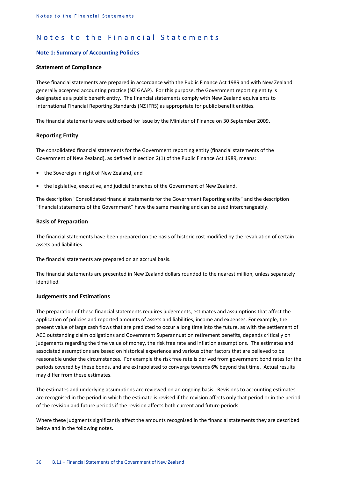#### **Note 1: Summary of Accounting Policies**

#### **Statement of Compliance**

These financial statements are prepared in accordance with the Public Finance Act 1989 and with New Zealand generally accepted accounting practice (NZ GAAP). For this purpose, the Government reporting entity is designated as a public benefit entity. The financial statements comply with New Zealand equivalents to International Financial Reporting Standards (NZ IFRS) as appropriate for public benefit entities.

The financial statements were authorised for issue by the Minister of Finance on 30 September 2009.

#### **Reporting Entity**

The consolidated financial statements for the Government reporting entity (financial statements of the Government of New Zealand), as defined in section 2(1) of the Public Finance Act 1989, means:

- the Sovereign in right of New Zealand, and
- the legislative, executive, and judicial branches of the Government of New Zealand.

The description "Consolidated financial statements for the Government Reporting entity" and the description "financial statements of the Government" have the same meaning and can be used interchangeably.

#### **Basis of Preparation**

The financial statements have been prepared on the basis of historic cost modified by the revaluation of certain assets and liabilities.

The financial statements are prepared on an accrual basis.

The financial statements are presented in New Zealand dollars rounded to the nearest million, unless separately identified.

#### **Judgements and Estimations**

The preparation of these financial statements requires judgements, estimates and assumptions that affect the application of policies and reported amounts of assets and liabilities, income and expenses. For example, the present value of large cash flows that are predicted to occur a long time into the future, as with the settlement of ACC outstanding claim obligations and Government Superannuation retirement benefits, depends critically on judgements regarding the time value of money, the risk free rate and inflation assumptions. The estimates and associated assumptions are based on historical experience and various other factors that are believed to be reasonable under the circumstances. For example the risk free rate is derived from government bond rates for the periods covered by these bonds, and are extrapolated to converge towards 6% beyond that time. Actual results may differ from these estimates.

The estimates and underlying assumptions are reviewed on an ongoing basis. Revisions to accounting estimates are recognised in the period in which the estimate is revised if the revision affects only that period or in the period of the revision and future periods if the revision affects both current and future periods.

Where these judgments significantly affect the amounts recognised in the financial statements they are described below and in the following notes.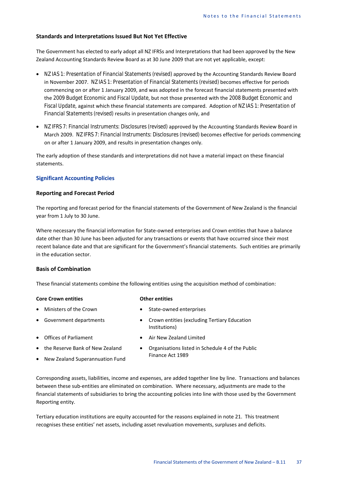#### **Standards and Interpretations Issued But Not Yet Effective**

The Government has elected to early adopt all NZ IFRSs and Interpretations that had been approved by the New Zealand Accounting Standards Review Board as at 30 June 2009 that are not yet applicable, except:

- *NZ IAS 1: Presentation of Financial Statements (revised)* approved by the Accounting Standards Review Board in November 2007. *NZ IAS 1: Presentation of Financial Statements (revised)* becomes effective for periods commencing on or after 1 January 2009, and was adopted in the forecast financial statements presented with the *2009 Budget Economic and Fiscal Update*, but not those presented with the *2008 Budget Economic and Fiscal Update*, against which these financial statements are compared. Adoption of *NZ IAS 1: Presentation of Financial Statements (revised)* results in presentation changes only, and
- *NZ IFRS 7: Financial Instruments: Disclosures (revised)* approved by the Accounting Standards Review Board in March 2009. *NZ IFRS 7: Financial Instruments: Disclosures (revised)* becomes effective for periods commencing on or after 1 January 2009, and results in presentation changes only.

The early adoption of these standards and interpretations did not have a material impact on these financial statements.

#### **Significant Accounting Policies**

#### **Reporting and Forecast Period**

The reporting and forecast period for the financial statements of the Government of New Zealand is the financial year from 1 July to 30 June.

Where necessary the financial information for State-owned enterprises and Crown entities that have a balance date other than 30 June has been adjusted for any transactions or events that have occurred since their most recent balance date and that are significant for the Government's financial statements. Such entities are primarily in the education sector.

#### **Basis of Combination**

These financial statements combine the following entities using the acquisition method of combination:

#### **Core Crown entities Core Crown entities**

- 
- Ministers of the Crown State-owned enterprises
- 
- 
- Government departments Crown entities (excluding Tertiary Education Institutions)
- Offices of Parliament Air New Zealand Limited
- the Reserve Bank of New Zealand
- New Zealand Superannuation Fund
- Organisations listed in Schedule 4 of the Public Finance Act 1989

Corresponding assets, liabilities, income and expenses, are added together line by line. Transactions and balances between these sub-entities are eliminated on combination. Where necessary, adjustments are made to the financial statements of subsidiaries to bring the accounting policies into line with those used by the Government Reporting entity.

Tertiary education institutions are equity accounted for the reasons explained in note 21. This treatment recognises these entities' net assets, including asset revaluation movements, surpluses and deficits.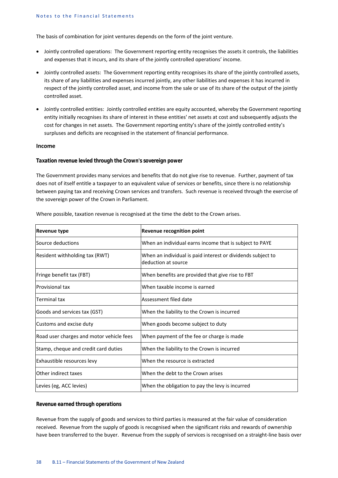The basis of combination for joint ventures depends on the form of the joint venture.

- Jointly controlled operations: The Government reporting entity recognises the assets it controls, the liabilities and expenses that it incurs, and its share of the jointly controlled operations' income.
- Jointly controlled assets: The Government reporting entity recognises its share of the jointly controlled assets, its share of any liabilities and expenses incurred jointly, any other liabilities and expenses it has incurred in respect of the jointly controlled asset, and income from the sale or use of its share of the output of the jointly controlled asset.
- Jointly controlled entities: Jointly controlled entities are equity accounted, whereby the Government reporting entity initially recognises its share of interest in these entities' net assets at cost and subsequently adjusts the cost for changes in net assets. The Government reporting entity's share of the jointly controlled entity's surpluses and deficits are recognised in the statement of financial performance.

#### **Income**

#### *Taxation revenue levied through the Crown's sovereign power*

The Government provides many services and benefits that do not give rise to revenue. Further, payment of tax does not of itself entitle a taxpayer to an equivalent value of services or benefits, since there is no relationship between paying tax and receiving Crown services and transfers. Such revenue is received through the exercise of the sovereign power of the Crown in Parliament.

| Revenue type                             | Revenue recognition point                                                          |
|------------------------------------------|------------------------------------------------------------------------------------|
| Source deductions                        | When an individual earns income that is subject to PAYE                            |
| Resident withholding tax (RWT)           | When an individual is paid interest or dividends subject to<br>deduction at source |
| Fringe benefit tax (FBT)                 | When benefits are provided that give rise to FBT                                   |
| Provisional tax                          | When taxable income is earned                                                      |
| Terminal tax                             | Assessment filed date                                                              |
| Goods and services tax (GST)             | When the liability to the Crown is incurred                                        |
| Customs and excise duty                  | When goods become subject to duty                                                  |
| Road user charges and motor vehicle fees | When payment of the fee or charge is made                                          |
| Stamp, cheque and credit card duties     | When the liability to the Crown is incurred                                        |
| Exhaustible resources levy               | When the resource is extracted                                                     |
| Other indirect taxes                     | When the debt to the Crown arises                                                  |
| Levies (eg, ACC levies)                  | When the obligation to pay the levy is incurred                                    |

Where possible, taxation revenue is recognised at the time the debt to the Crown arises.

#### *Revenue earned through operations*

Revenue from the supply of goods and services to third parties is measured at the fair value of consideration received. Revenue from the supply of goods is recognised when the significant risks and rewards of ownership have been transferred to the buyer. Revenue from the supply of services is recognised on a straight-line basis over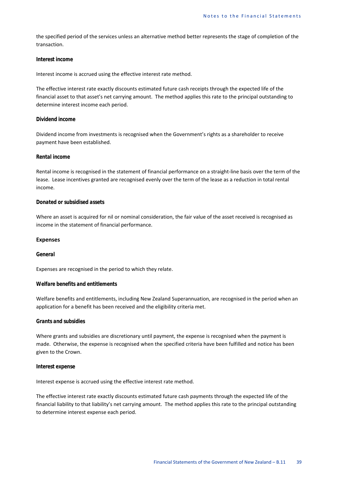the specified period of the services unless an alternative method better represents the stage of completion of the transaction.

#### *Interest income*

Interest income is accrued using the effective interest rate method.

The effective interest rate exactly discounts estimated future cash receipts through the expected life of the financial asset to that asset's net carrying amount. The method applies this rate to the principal outstanding to determine interest income each period.

#### *Dividend income*

Dividend income from investments is recognised when the Government's rights as a shareholder to receive payment have been established.

#### *Rental income*

Rental income is recognised in the statement of financial performance on a straight-line basis over the term of the lease. Lease incentives granted are recognised evenly over the term of the lease as a reduction in total rental income.

#### *Donated or subsidised assets*

Where an asset is acquired for nil or nominal consideration, the fair value of the asset received is recognised as income in the statement of financial performance.

#### **Expenses**

#### *General*

Expenses are recognised in the period to which they relate.

#### *Welfare benefits and entitlements*

Welfare benefits and entitlements, including New Zealand Superannuation, are recognised in the period when an application for a benefit has been received and the eligibility criteria met.

#### *Grants and subsidies*

Where grants and subsidies are discretionary until payment, the expense is recognised when the payment is made. Otherwise, the expense is recognised when the specified criteria have been fulfilled and notice has been given to the Crown.

#### *Interest expense*

Interest expense is accrued using the effective interest rate method.

The effective interest rate exactly discounts estimated future cash payments through the expected life of the financial liability to that liability's net carrying amount. The method applies this rate to the principal outstanding to determine interest expense each period.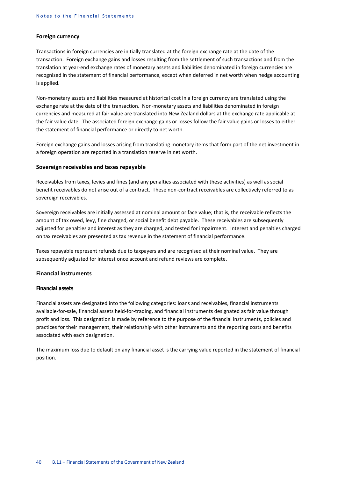#### **Foreign currency**

Transactions in foreign currencies are initially translated at the foreign exchange rate at the date of the transaction. Foreign exchange gains and losses resulting from the settlement of such transactions and from the translation at year-end exchange rates of monetary assets and liabilities denominated in foreign currencies are recognised in the statement of financial performance, except when deferred in net worth when hedge accounting is applied.

Non-monetary assets and liabilities measured at historical cost in a foreign currency are translated using the exchange rate at the date of the transaction. Non-monetary assets and liabilities denominated in foreign currencies and measured at fair value are translated into New Zealand dollars at the exchange rate applicable at the fair value date. The associated foreign exchange gains or losses follow the fair value gains or losses to either the statement of financial performance or directly to net worth.

Foreign exchange gains and losses arising from translating monetary items that form part of the net investment in a foreign operation are reported in a translation reserve in net worth.

#### **Sovereign receivables and taxes repayable**

Receivables from taxes, levies and fines (and any penalties associated with these activities) as well as social benefit receivables do not arise out of a contract. These non-contract receivables are collectively referred to as sovereign receivables.

Sovereign receivables are initially assessed at nominal amount or face value; that is, the receivable reflects the amount of tax owed, levy, fine charged, or social benefit debt payable. These receivables are subsequently adjusted for penalties and interest as they are charged, and tested for impairment. Interest and penalties charged on tax receivables are presented as tax revenue in the statement of financial performance.

Taxes repayable represent refunds due to taxpayers and are recognised at their nominal value. They are subsequently adjusted for interest once account and refund reviews are complete.

#### **Financial instruments**

#### *Financial assets*

Financial assets are designated into the following categories: loans and receivables, financial instruments available-for-sale, financial assets held-for-trading, and financial instruments designated as fair value through profit and loss. This designation is made by reference to the purpose of the financial instruments, policies and practices for their management, their relationship with other instruments and the reporting costs and benefits associated with each designation.

The maximum loss due to default on any financial asset is the carrying value reported in the statement of financial position.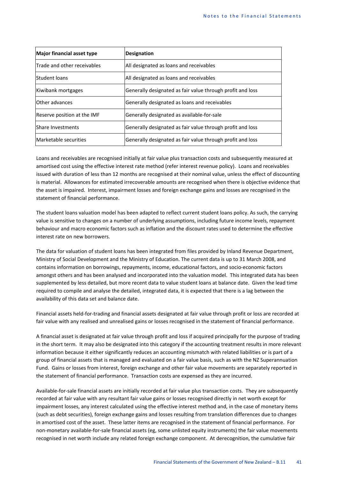| Major financial asset type  | <b>Designation</b>                                         |
|-----------------------------|------------------------------------------------------------|
| Trade and other receivables | All designated as loans and receivables                    |
| <b>Student loans</b>        | All designated as loans and receivables                    |
| Kiwibank mortgages          | Generally designated as fair value through profit and loss |
| Other advances              | Generally designated as loans and receivables              |
| Reserve position at the IMF | Generally designated as available-for-sale                 |
| <b>Share Investments</b>    | Generally designated as fair value through profit and loss |
| Marketable securities       | Generally designated as fair value through profit and loss |

Loans and receivables are recognised initially at fair value plus transaction costs and subsequently measured at amortised cost using the effective interest rate method (refer interest revenue policy). Loans and receivables issued with duration of less than 12 months are recognised at their nominal value, unless the effect of discounting is material. Allowances for estimated irrecoverable amounts are recognised when there is objective evidence that the asset is impaired. Interest, impairment losses and foreign exchange gains and losses are recognised in the statement of financial performance.

The student loans valuation model has been adapted to reflect current student loans policy. As such, the carrying value is sensitive to changes on a number of underlying assumptions, including future income levels, repayment behaviour and macro economic factors such as inflation and the discount rates used to determine the effective interest rate on new borrowers.

The data for valuation of student loans has been integrated from files provided by Inland Revenue Department, Ministry of Social Development and the Ministry of Education. The current data is up to 31 March 2008, and contains information on borrowings, repayments, income, educational factors, and socio-economic factors amongst others and has been analysed and incorporated into the valuation model. This integrated data has been supplemented by less detailed, but more recent data to value student loans at balance date. Given the lead time required to compile and analyse the detailed, integrated data, it is expected that there is a lag between the availability of this data set and balance date.

Financial assets held-for-trading and financial assets designated at fair value through profit or loss are recorded at fair value with any realised and unrealised gains or losses recognised in the statement of financial performance.

A financial asset is designated at fair value through profit and loss if acquired principally for the purpose of trading in the short term. It may also be designated into this category if the accounting treatment results in more relevant information because it either significantly reduces an accounting mismatch with related liabilities or is part of a group of financial assets that is managed and evaluated on a fair value basis, such as with the NZ Superannuation Fund. Gains or losses from interest, foreign exchange and other fair value movements are separately reported in the statement of financial performance. Transaction costs are expensed as they are incurred.

Available-for-sale financial assets are initially recorded at fair value plus transaction costs. They are subsequently recorded at fair value with any resultant fair value gains or losses recognised directly in net worth except for impairment losses, any interest calculated using the effective interest method and, in the case of monetary items (such as debt securities), foreign exchange gains and losses resulting from translation differences due to changes in amortised cost of the asset. These latter items are recognised in the statement of financial performance. For non-monetary available-for-sale financial assets (eg, some unlisted equity instruments) the fair value movements recognised in net worth include any related foreign exchange component. At derecognition, the cumulative fair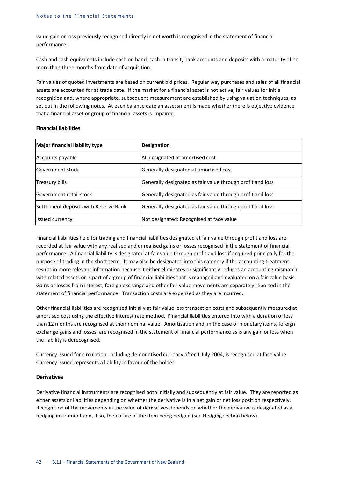value gain or loss previously recognised directly in net worth is recognised in the statement of financial performance.

Cash and cash equivalents include cash on hand, cash in transit, bank accounts and deposits with a maturity of no more than three months from date of acquisition.

Fair values of quoted investments are based on current bid prices. Regular way purchases and sales of all financial assets are accounted for at trade date. If the market for a financial asset is not active, fair values for initial recognition and, where appropriate, subsequent measurement are established by using valuation techniques, as set out in the following notes. At each balance date an assessment is made whether there is objective evidence that a financial asset or group of financial assets is impaired.

#### *Financial liabilities*

| Major financial liability type        | <b>Designation</b>                                         |
|---------------------------------------|------------------------------------------------------------|
| Accounts payable                      | All designated at amortised cost                           |
| Government stock                      | Generally designated at amortised cost                     |
| <b>Treasury bills</b>                 | Generally designated as fair value through profit and loss |
| Government retail stock               | Generally designated as fair value through profit and loss |
| Settlement deposits with Reserve Bank | Generally designated as fair value through profit and loss |
| <b>Issued currency</b>                | Not designated: Recognised at face value                   |

Financial liabilities held for trading and financial liabilities designated at fair value through profit and loss are recorded at fair value with any realised and unrealised gains or losses recognised in the statement of financial performance. A financial liability is designated at fair value through profit and loss if acquired principally for the purpose of trading in the short term. It may also be designated into this category if the accounting treatment results in more relevant information because it either eliminates or significantly reduces an accounting mismatch with related assets or is part of a group of financial liabilities that is managed and evaluated on a fair value basis. Gains or losses from interest, foreign exchange and other fair value movements are separately reported in the statement of financial performance. Transaction costs are expensed as they are incurred.

Other financial liabilities are recognised initially at fair value less transaction costs and subsequently measured at amortised cost using the effective interest rate method. Financial liabilities entered into with a duration of less than 12 months are recognised at their nominal value. Amortisation and, in the case of monetary items, foreign exchange gains and losses, are recognised in the statement of financial performance as is any gain or loss when the liability is derecognised.

Currency issued for circulation, including demonetised currency after 1 July 2004, is recognised at face value. Currency issued represents a liability in favour of the holder.

#### *Derivatives*

Derivative financial instruments are recognised both initially and subsequently at fair value. They are reported as either assets or liabilities depending on whether the derivative is in a net gain or net loss position respectively. Recognition of the movements in the value of derivatives depends on whether the derivative is designated as a hedging instrument and, if so, the nature of the item being hedged (see Hedging section below).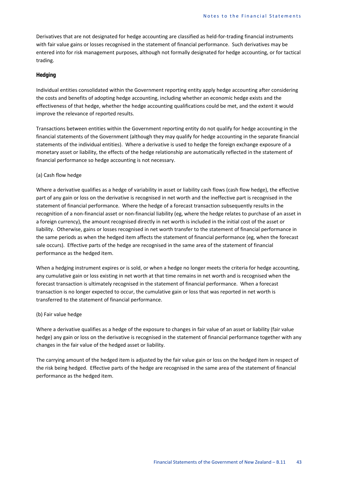Derivatives that are not designated for hedge accounting are classified as held-for-trading financial instruments with fair value gains or losses recognised in the statement of financial performance. Such derivatives may be entered into for risk management purposes, although not formally designated for hedge accounting, or for tactical trading.

#### *Hedging*

Individual entities consolidated within the Government reporting entity apply hedge accounting after considering the costs and benefits of adopting hedge accounting, including whether an economic hedge exists and the effectiveness of that hedge, whether the hedge accounting qualifications could be met, and the extent it would improve the relevance of reported results.

Transactions between entities within the Government reporting entity do not qualify for hedge accounting in the financial statements of the Government (although they may qualify for hedge accounting in the separate financial statements of the individual entities). Where a derivative is used to hedge the foreign exchange exposure of a monetary asset or liability, the effects of the hedge relationship are automatically reflected in the statement of financial performance so hedge accounting is not necessary.

#### (a) Cash flow hedge

Where a derivative qualifies as a hedge of variability in asset or liability cash flows (cash flow hedge), the effective part of any gain or loss on the derivative is recognised in net worth and the ineffective part is recognised in the statement of financial performance. Where the hedge of a forecast transaction subsequently results in the recognition of a non-financial asset or non-financial liability (eg, where the hedge relates to purchase of an asset in a foreign currency), the amount recognised directly in net worth is included in the initial cost of the asset or liability. Otherwise, gains or losses recognised in net worth transfer to the statement of financial performance in the same periods as when the hedged item affects the statement of financial performance (eg, when the forecast sale occurs). Effective parts of the hedge are recognised in the same area of the statement of financial performance as the hedged item.

When a hedging instrument expires or is sold, or when a hedge no longer meets the criteria for hedge accounting, any cumulative gain or loss existing in net worth at that time remains in net worth and is recognised when the forecast transaction is ultimately recognised in the statement of financial performance. When a forecast transaction is no longer expected to occur, the cumulative gain or loss that was reported in net worth is transferred to the statement of financial performance.

#### (b) Fair value hedge

Where a derivative qualifies as a hedge of the exposure to changes in fair value of an asset or liability (fair value hedge) any gain or loss on the derivative is recognised in the statement of financial performance together with any changes in the fair value of the hedged asset or liability.

The carrying amount of the hedged item is adjusted by the fair value gain or loss on the hedged item in respect of the risk being hedged. Effective parts of the hedge are recognised in the same area of the statement of financial performance as the hedged item.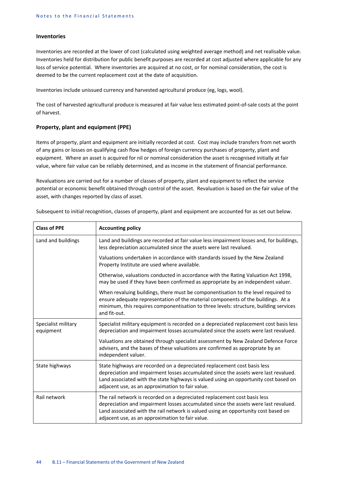#### **Inventories**

Inventories are recorded at the lower of cost (calculated using weighted average method) and net realisable value. Inventories held for distribution for public benefit purposes are recorded at cost adjusted where applicable for any loss of service potential. Where inventories are acquired at no cost, or for nominal consideration, the cost is deemed to be the current replacement cost at the date of acquisition.

Inventories include unissued currency and harvested agricultural produce (eg, logs, wool).

The cost of harvested agricultural produce is measured at fair value less estimated point-of-sale costs at the point of harvest.

#### **Property, plant and equipment (PPE)**

Items of property, plant and equipment are initially recorded at cost. Cost may include transfers from net worth of any gains or losses on qualifying cash flow hedges of foreign currency purchases of property, plant and equipment. Where an asset is acquired for nil or nominal consideration the asset is recognised initially at fair value, where fair value can be reliably determined, and as income in the statement of financial performance.

Revaluations are carried out for a number of classes of property, plant and equipment to reflect the service potential or economic benefit obtained through control of the asset. Revaluation is based on the fair value of the asset, with changes reported by class of asset.

| <b>Class of PPE</b>              | <b>Accounting policy</b>                                                                                                                                                                                                                                                                                    |
|----------------------------------|-------------------------------------------------------------------------------------------------------------------------------------------------------------------------------------------------------------------------------------------------------------------------------------------------------------|
| Land and buildings               | Land and buildings are recorded at fair value less impairment losses and, for buildings,<br>less depreciation accumulated since the assets were last revalued.                                                                                                                                              |
|                                  | Valuations undertaken in accordance with standards issued by the New Zealand<br>Property Institute are used where available.                                                                                                                                                                                |
|                                  | Otherwise, valuations conducted in accordance with the Rating Valuation Act 1998,<br>may be used if they have been confirmed as appropriate by an independent valuer.                                                                                                                                       |
|                                  | When revaluing buildings, there must be componentisation to the level required to<br>ensure adequate representation of the material components of the buildings. At a<br>minimum, this requires componentisation to three levels: structure, building services<br>and fit-out.                              |
| Specialist military<br>equipment | Specialist military equipment is recorded on a depreciated replacement cost basis less<br>depreciation and impairment losses accumulated since the assets were last revalued.                                                                                                                               |
|                                  | Valuations are obtained through specialist assessment by New Zealand Defence Force<br>advisers, and the bases of these valuations are confirmed as appropriate by an<br>independent valuer.                                                                                                                 |
| State highways                   | State highways are recorded on a depreciated replacement cost basis less<br>depreciation and impairment losses accumulated since the assets were last revalued.<br>Land associated with the state highways is valued using an opportunity cost based on<br>adjacent use, as an approximation to fair value. |
| Rail network                     | The rail network is recorded on a depreciated replacement cost basis less<br>depreciation and impairment losses accumulated since the assets were last revalued.<br>Land associated with the rail network is valued using an opportunity cost based on<br>adjacent use, as an approximation to fair value.  |

Subsequent to initial recognition, classes of property, plant and equipment are accounted for as set out below.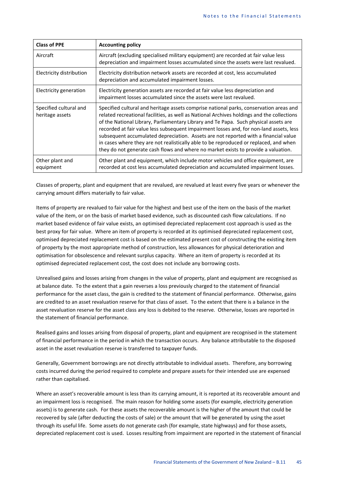| <b>Class of PPE</b>                       | <b>Accounting policy</b>                                                                                                                                                                                                                                                                                                                                                                                                                                                                                                                                                                                                                      |
|-------------------------------------------|-----------------------------------------------------------------------------------------------------------------------------------------------------------------------------------------------------------------------------------------------------------------------------------------------------------------------------------------------------------------------------------------------------------------------------------------------------------------------------------------------------------------------------------------------------------------------------------------------------------------------------------------------|
| Aircraft                                  | Aircraft (excluding specialised military equipment) are recorded at fair value less<br>depreciation and impairment losses accumulated since the assets were last revalued.                                                                                                                                                                                                                                                                                                                                                                                                                                                                    |
| Electricity distribution                  | Electricity distribution network assets are recorded at cost, less accumulated<br>depreciation and accumulated impairment losses.                                                                                                                                                                                                                                                                                                                                                                                                                                                                                                             |
| Electricity generation                    | Electricity generation assets are recorded at fair value less depreciation and<br>impairment losses accumulated since the assets were last revalued.                                                                                                                                                                                                                                                                                                                                                                                                                                                                                          |
| Specified cultural and<br>heritage assets | Specified cultural and heritage assets comprise national parks, conservation areas and<br>related recreational facilities, as well as National Archives holdings and the collections<br>of the National Library, Parliamentary Library and Te Papa. Such physical assets are<br>recorded at fair value less subsequent impairment losses and, for non-land assets, less<br>subsequent accumulated depreciation. Assets are not reported with a financial value<br>in cases where they are not realistically able to be reproduced or replaced, and when<br>they do not generate cash flows and where no market exists to provide a valuation. |
| Other plant and<br>equipment              | Other plant and equipment, which include motor vehicles and office equipment, are<br>recorded at cost less accumulated depreciation and accumulated impairment losses.                                                                                                                                                                                                                                                                                                                                                                                                                                                                        |

Classes of property, plant and equipment that are revalued, are revalued at least every five years or whenever the carrying amount differs materially to fair value.

Items of property are revalued to fair value for the highest and best use of the item on the basis of the market value of the item, or on the basis of market based evidence, such as discounted cash flow calculations. If no market based evidence of fair value exists, an optimised depreciated replacement cost approach is used as the best proxy for fair value. Where an item of property is recorded at its optimised depreciated replacement cost, optimised depreciated replacement cost is based on the estimated present cost of constructing the existing item of property by the most appropriate method of construction, less allowances for physical deterioration and optimisation for obsolescence and relevant surplus capacity. Where an item of property is recorded at its optimised depreciated replacement cost, the cost does not include any borrowing costs.

Unrealised gains and losses arising from changes in the value of property, plant and equipment are recognised as at balance date. To the extent that a gain reverses a loss previously charged to the statement of financial performance for the asset class, the gain is credited to the statement of financial performance. Otherwise, gains are credited to an asset revaluation reserve for that class of asset. To the extent that there is a balance in the asset revaluation reserve for the asset class any loss is debited to the reserve. Otherwise, losses are reported in the statement of financial performance.

Realised gains and losses arising from disposal of property, plant and equipment are recognised in the statement of financial performance in the period in which the transaction occurs. Any balance attributable to the disposed asset in the asset revaluation reserve is transferred to taxpayer funds.

Generally, Government borrowings are not directly attributable to individual assets. Therefore, any borrowing costs incurred during the period required to complete and prepare assets for their intended use are expensed rather than capitalised.

Where an asset's recoverable amount is less than its carrying amount, it is reported at its recoverable amount and an impairment loss is recognised. The main reason for holding some assets (for example, electricity generation assets) is to generate cash. For these assets the recoverable amount is the higher of the amount that could be recovered by sale (after deducting the costs of sale) or the amount that will be generated by using the asset through its useful life. Some assets do not generate cash (for example, state highways) and for those assets, depreciated replacement cost is used. Losses resulting from impairment are reported in the statement of financial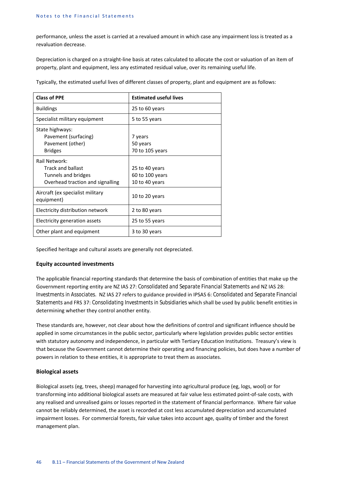performance, unless the asset is carried at a revalued amount in which case any impairment loss is treated as a revaluation decrease.

Depreciation is charged on a straight-line basis at rates calculated to allocate the cost or valuation of an item of property, plant and equipment, less any estimated residual value, over its remaining useful life.

Typically, the estimated useful lives of different classes of property, plant and equipment are as follows:

| <b>Class of PPE</b>                                                                                  | <b>Estimated useful lives</b>                       |
|------------------------------------------------------------------------------------------------------|-----------------------------------------------------|
| <b>Buildings</b>                                                                                     | 25 to 60 years                                      |
| Specialist military equipment                                                                        | 5 to 55 years                                       |
| State highways:<br>Pavement (surfacing)<br>Pavement (other)<br><b>Bridges</b>                        | 7 years<br>50 years<br>70 to 105 years              |
| Rail Network:<br><b>Track and ballast</b><br>Tunnels and bridges<br>Overhead traction and signalling | 25 to 40 years<br>60 to 100 years<br>10 to 40 years |
| Aircraft (ex specialist military<br>equipment)                                                       | 10 to 20 years                                      |
| Electricity distribution network                                                                     | 2 to 80 years                                       |
| Electricity generation assets                                                                        | 25 to 55 years                                      |
| Other plant and equipment                                                                            | 3 to 30 years                                       |

Specified heritage and cultural assets are generally not depreciated.

#### **Equity accounted investments**

The applicable financial reporting standards that determine the basis of combination of entities that make up the Government reporting entity are NZ IAS 27: *Consolidated and Separate Financial Statements* and NZ IAS 28: *Investments in Associates.* NZ IAS 27 refers to guidance provided in IPSAS 6: *Consolidated and Separate Financial Statements* and FRS 37: *Consolidating Investments in Subsidiaries* which shall be used by public benefit entities in determining whether they control another entity.

These standards are, however, not clear about how the definitions of control and significant influence should be applied in some circumstances in the public sector, particularly where legislation provides public sector entities with statutory autonomy and independence, in particular with Tertiary Education Institutions. Treasury's view is that because the Government cannot determine their operating and financing policies, but does have a number of powers in relation to these entities, it is appropriate to treat them as associates.

#### **Biological assets**

Biological assets (eg, trees, sheep) managed for harvesting into agricultural produce (eg, logs, wool) or for transforming into additional biological assets are measured at fair value less estimated point-of-sale costs, with any realised and unrealised gains or losses reported in the statement of financial performance. Where fair value cannot be reliably determined, the asset is recorded at cost less accumulated depreciation and accumulated impairment losses. For commercial forests, fair value takes into account age, quality of timber and the forest management plan.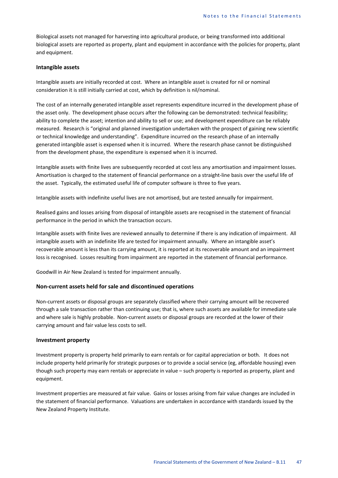Biological assets not managed for harvesting into agricultural produce, or being transformed into additional biological assets are reported as property, plant and equipment in accordance with the policies for property, plant and equipment.

#### **Intangible assets**

Intangible assets are initially recorded at cost. Where an intangible asset is created for nil or nominal consideration it is still initially carried at cost, which by definition is nil/nominal.

The cost of an internally generated intangible asset represents expenditure incurred in the development phase of the asset only. The development phase occurs after the following can be demonstrated: technical feasibility; ability to complete the asset; intention and ability to sell or use; and development expenditure can be reliably measured. Research is "original and planned investigation undertaken with the prospect of gaining new scientific or technical knowledge and understanding". Expenditure incurred on the research phase of an internally generated intangible asset is expensed when it is incurred. Where the research phase cannot be distinguished from the development phase, the expenditure is expensed when it is incurred.

Intangible assets with finite lives are subsequently recorded at cost less any amortisation and impairment losses. Amortisation is charged to the statement of financial performance on a straight-line basis over the useful life of the asset. Typically, the estimated useful life of computer software is three to five years.

Intangible assets with indefinite useful lives are not amortised, but are tested annually for impairment.

Realised gains and losses arising from disposal of intangible assets are recognised in the statement of financial performance in the period in which the transaction occurs.

Intangible assets with finite lives are reviewed annually to determine if there is any indication of impairment. All intangible assets with an indefinite life are tested for impairment annually. Where an intangible asset's recoverable amount is less than its carrying amount, it is reported at its recoverable amount and an impairment loss is recognised. Losses resulting from impairment are reported in the statement of financial performance.

Goodwill in Air New Zealand is tested for impairment annually.

#### **Non-current assets held for sale and discontinued operations**

Non-current assets or disposal groups are separately classified where their carrying amount will be recovered through a sale transaction rather than continuing use; that is, where such assets are available for immediate sale and where sale is highly probable. Non-current assets or disposal groups are recorded at the lower of their carrying amount and fair value less costs to sell.

#### **Investment property**

Investment property is property held primarily to earn rentals or for capital appreciation or both. It does not include property held primarily for strategic purposes or to provide a social service (eg, affordable housing) even though such property may earn rentals or appreciate in value – such property is reported as property, plant and equipment.

Investment properties are measured at fair value. Gains or losses arising from fair value changes are included in the statement of financial performance. Valuations are undertaken in accordance with standards issued by the New Zealand Property Institute.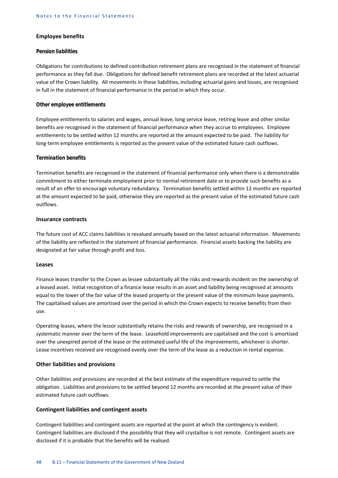#### **Employee benefits**

#### *Pension liabilities*

Obligations for contributions to defined contribution retirement plans are recognised in the statement of financial performance as they fall due. Obligations for defined benefit retirement plans are recorded at the latest actuarial value of the Crown liability. All movements in these liabilities, including actuarial gains and losses, are recognised in full in the statement of financial performance in the period in which they occur.

#### *Other employee entitlements*

Employee entitlements to salaries and wages, annual leave, long service leave, retiring leave and other similar benefits are recognised in the statement of financial performance when they accrue to employees. Employee entitlements to be settled within 12 months are reported at the amount expected to be paid. The liability for long-term employee entitlements is reported as the present value of the estimated future cash outflows.

#### *Termination benefits*

Termination benefits are recognised in the statement of financial performance only when there is a demonstrable commitment to either terminate employment prior to normal retirement date or to provide such benefits as a result of an offer to encourage voluntary redundancy. Termination benefits settled within 12 months are reported at the amount expected to be paid, otherwise they are reported as the present value of the estimated future cash outflows.

#### **Insurance contracts**

The future cost of ACC claims liabilities is revalued annually based on the latest actuarial information. Movements of the liability are reflected in the statement of financial performance. Financial assets backing the liability are designated at fair value through profit and loss.

#### **Leases**

Finance leases transfer to the Crown as lessee substantially all the risks and rewards incident on the ownership of a leased asset. Initial recognition of a finance lease results in an asset and liability being recognised at amounts equal to the lower of the fair value of the leased property or the present value of the minimum lease payments. The capitalised values are amortised over the period in which the Crown expects to receive benefits from their use.

Operating leases, where the lessor substantially retains the risks and rewards of ownership, are recognised in a systematic manner over the term of the lease. Leasehold improvements are capitalised and the cost is amortised over the unexpired period of the lease or the estimated useful life of the improvements, whichever is shorter. Lease incentives received are recognised evenly over the term of the lease as a reduction in rental expense.

#### **Other liabilities and provisions**

Other liabilities and provisions are recorded at the best estimate of the expenditure required to settle the obligation. Liabilities and provisions to be settled beyond 12 months are recorded at the present value of their estimated future cash outflows.

#### **Contingent liabilities and contingent assets**

Contingent liabilities and contingent assets are reported at the point at which the contingency is evident. Contingent liabilities are disclosed if the possibility that they will crystallise is not remote. Contingent assets are disclosed if it is probable that the benefits will be realised.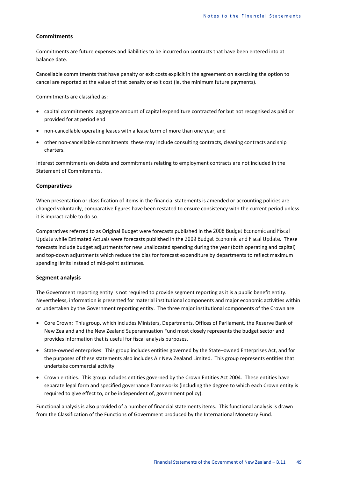#### **Commitments**

Commitments are future expenses and liabilities to be incurred on contracts that have been entered into at balance date.

Cancellable commitments that have penalty or exit costs explicit in the agreement on exercising the option to cancel are reported at the value of that penalty or exit cost (ie, the minimum future payments).

Commitments are classified as:

- capital commitments: aggregate amount of capital expenditure contracted for but not recognised as paid or provided for at period end
- non-cancellable operating leases with a lease term of more than one year, and
- other non-cancellable commitments: these may include consulting contracts, cleaning contracts and ship charters.

Interest commitments on debts and commitments relating to employment contracts are not included in the Statement of Commitments.

#### **Comparatives**

When presentation or classification of items in the financial statements is amended or accounting policies are changed voluntarily, comparative figures have been restated to ensure consistency with the current period unless it is impracticable to do so.

Comparatives referred to as Original Budget were forecasts published in the *2008 Budget Economic and Fiscal Update* while Estimated Actuals were forecasts published in the *2009 Budget Economic and Fiscal Update*. These forecasts include budget adjustments for new unallocated spending during the year (both operating and capital) and top-down adjustments which reduce the bias for forecast expenditure by departments to reflect maximum spending limits instead of mid-point estimates.

#### **Segment analysis**

The Government reporting entity is not required to provide segment reporting as it is a public benefit entity. Nevertheless, information is presented for material institutional components and major economic activities within or undertaken by the Government reporting entity. The three major institutional components of the Crown are:

- Core Crown: This group, which includes Ministers, Departments, Offices of Parliament, the Reserve Bank of New Zealand and the New Zealand Superannuation Fund most closely represents the budget sector and provides information that is useful for fiscal analysis purposes.
- State-owned enterprises: This group includes entities governed by the State–owned Enterprises Act, and for the purposes of these statements also includes Air New Zealand Limited. This group represents entities that undertake commercial activity.
- Crown entities: This group includes entities governed by the Crown Entities Act 2004. These entities have separate legal form and specified governance frameworks (including the degree to which each Crown entity is required to give effect to, or be independent of, government policy).

Functional analysis is also provided of a number of financial statements items. This functional analysis is drawn from the Classification of the Functions of Government produced by the International Monetary Fund.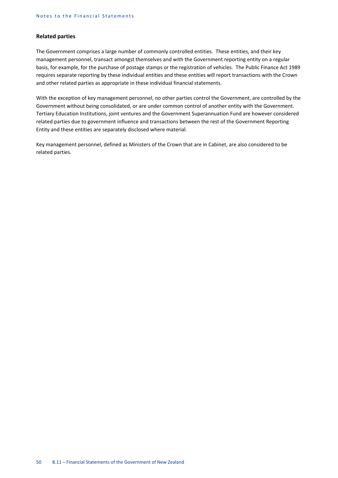#### **Related parties**

The Government comprises a large number of commonly controlled entities. These entities, and their key management personnel, transact amongst themselves and with the Government reporting entity on a regular basis, for example, for the purchase of postage stamps or the registration of vehicles. The Public Finance Act 1989 requires separate reporting by these individual entities and these entities will report transactions with the Crown and other related parties as appropriate in these individual financial statements.

With the exception of key management personnel, no other parties control the Government, are controlled by the Government without being consolidated, or are under common control of another entity with the Government. Tertiary Education Institutions, joint ventures and the Government Superannuation Fund are however considered related parties due to government influence and transactions between the rest of the Government Reporting Entity and these entities are separately disclosed where material.

Key management personnel, defined as Ministers of the Crown that are in Cabinet, are also considered to be related parties.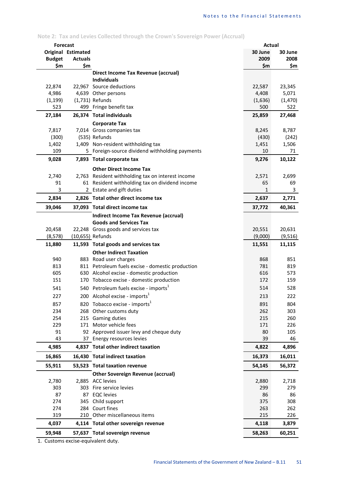# **Note 2: Tax and Levies Collected through the Crown's Sovereign Power (Accrual)**

| <b>Forecast</b> |                    |                                                              | Actual    |           |
|-----------------|--------------------|--------------------------------------------------------------|-----------|-----------|
|                 | Original Estimated |                                                              | 30 June   | 30 June   |
| <b>Budget</b>   | <b>Actuals</b>     |                                                              | 2009      | 2008      |
| \$m             | \$m                |                                                              | \$m       | \$m       |
|                 |                    | Direct Income Tax Revenue (accrual)                          |           |           |
|                 |                    | <b>Individuals</b>                                           |           |           |
| 22,874          |                    | 22,967 Source deductions                                     | 22,587    | 23,345    |
| 4,986           |                    | 4,639 Other persons                                          | 4,408     | 5,071     |
| (1, 199)        |                    | (1,731) Refunds                                              | (1,636)   | (1,470)   |
| 523             |                    | 499 Fringe benefit tax                                       | 500       | 522       |
| 27,184          |                    | 26,374 Total individuals                                     | 25,859    | 27,468    |
|                 |                    | <b>Corporate Tax</b>                                         |           |           |
| 7,817           |                    | 7,014 Gross companies tax                                    | 8,245     | 8,787     |
| (300)           |                    | (535) Refunds                                                | (430)     | (242)     |
| 1,402           |                    | 1,409 Non-resident withholding tax                           | 1,451     | 1,506     |
| 109             |                    | 5 Foreign-source dividend withholding payments               | 10        | 71        |
| 9,028           |                    | 7,893 Total corporate tax                                    | 9,276     | 10,122    |
|                 |                    |                                                              |           |           |
|                 |                    | <b>Other Direct Income Tax</b>                               |           |           |
| 2,740           |                    | 2,763 Resident withholding tax on interest income            | 2,571     | 2,699     |
| 91              |                    | 61 Resident withholding tax on dividend income               | 65        | 69        |
| 3               |                    | 2 Estate and gift duties                                     | 1         | 3         |
| 2,834           |                    | 2,826 Total other direct income tax                          | 2,637     | 2,771     |
| 39,046          |                    | 37,093 Total direct income tax                               | 37,772    | 40,361    |
|                 |                    | <b>Indirect Income Tax Revenue (accrual)</b>                 |           |           |
|                 |                    | <b>Goods and Services Tax</b>                                |           |           |
| 20,458          |                    | 22,248 Gross goods and services tax                          | 20,551    | 20,631    |
| (8, 578)        |                    | (10,655) Refunds                                             | (9,000)   | (9,516)   |
| 11,880          |                    | 11,593 Total goods and services tax                          | 11,551    | 11,115    |
|                 |                    | <b>Other Indirect Taxation</b>                               |           |           |
| 940             |                    | 883 Road user charges                                        | 868       | 851       |
| 813             |                    | 811 Petroleum fuels excise - domestic production             | 781       | 819       |
| 605             |                    | 630 Alcohol excise - domestic production                     | 616       | 573       |
| 151             |                    | 170 Tobacco excise - domestic production                     | 172       | 159       |
| 541             |                    | 540 Petroleum fuels excise - imports <sup>1</sup>            | 514       | 528       |
| 227             |                    | 200 Alcohol excise - imports <sup>1</sup>                    | 213       | 222       |
| 857             |                    | 820 Tobacco excise - imports <sup>1</sup>                    | 891       | 804       |
| 234             |                    | 268 Other customs duty                                       | 262       | 303       |
| 254             |                    | 215 Gaming duties                                            | 215       | 260       |
| 229             |                    | 171 Motor vehicle fees                                       | 171       | 226       |
| 91              |                    | 92 Approved issuer levy and cheque duty                      | 80        | 105       |
| 43              |                    | 37 Energy resources levies                                   | 39        | 46        |
| 4,985           |                    | 4,837 Total other indirect taxation                          | 4,822     | 4,896     |
| 16,865          |                    | 16,430 Total indirect taxation                               | 16,373    | 16,011    |
|                 |                    |                                                              |           |           |
| 55,911          |                    | 53,523 Total taxation revenue                                | 54,145    | 56,372    |
|                 |                    | <b>Other Sovereign Revenue (accrual)</b><br>2,885 ACC levies |           |           |
| 2,780           |                    |                                                              | 2,880     | 2,718     |
| 303<br>87       | 87                 | 303 Fire service levies                                      | 299       | 279       |
| 274             | 345                | <b>EQC</b> levies                                            | 86<br>375 | 86<br>308 |
| 274             |                    | Child support<br>284 Court fines                             | 263       | 262       |
| 319             |                    | 210 Other miscellaneous items                                | 215       | 226       |
|                 |                    |                                                              |           |           |
| 4,037           |                    | 4,114 Total other sovereign revenue                          | 4,118     | 3,879     |
| 59,948          |                    | 57,637 Total sovereign revenue                               | 58,263    | 60,251    |

1. Customs excise-equivalent duty.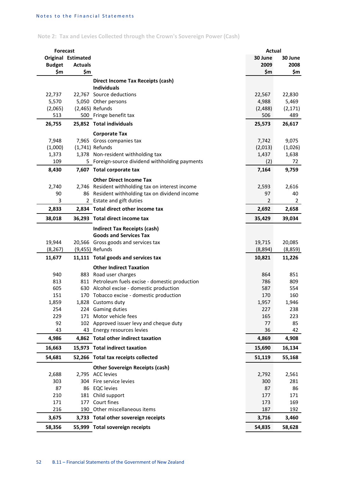# **Note 2: Tax and Levies Collected through the Crown's Sovereign Power (Cash)**

| <b>Forecast</b>    |                    |                                                        | Actual            |                   |
|--------------------|--------------------|--------------------------------------------------------|-------------------|-------------------|
|                    | Original Estimated |                                                        | 30 June           | 30 June           |
| <b>Budget</b>      | <b>Actuals</b>     |                                                        | 2009              | 2008              |
| \$m                | \$m                |                                                        | \$m               | \$m               |
|                    |                    | Direct Income Tax Receipts (cash)                      |                   |                   |
|                    |                    | <b>Individuals</b>                                     |                   |                   |
| 22,737             |                    | 22,767 Source deductions                               | 22,567            | 22,830            |
| 5,570              |                    | 5,050 Other persons                                    | 4,988             | 5,469             |
| (2,065)            |                    | (2,465) Refunds                                        | (2,488)           | (2, 171)          |
| 513                |                    | 500 Fringe benefit tax                                 | 506               | 489               |
| 26,755             |                    | 25,852 Total individuals                               | 25,573            | 26,617            |
|                    |                    | <b>Corporate Tax</b>                                   |                   |                   |
| 7,948              |                    | 7,965 Gross companies tax                              | 7,742             | 9,075             |
| (1,000)            |                    | (1,741) Refunds                                        | (2,013)           | (1,026)           |
| 1,373              |                    | 1,378 Non-resident withholding tax                     | 1,437             | 1,638             |
| 109                |                    | 5 Foreign-source dividend withholding payments         | (2)               | 72                |
| 8,430              |                    | 7,607 Total corporate tax                              | 7,164             | 9,759             |
|                    |                    | <b>Other Direct Income Tax</b>                         |                   |                   |
| 2,740              |                    | 2,746 Resident withholding tax on interest income      | 2,593             | 2,616             |
| 90                 |                    | 86 Resident withholding tax on dividend income         | 97                | 40                |
| 3                  |                    | 2 Estate and gift duties                               | 2                 | $\overline{2}$    |
| 2,833              |                    | 2,834 Total direct other income tax                    | 2,692             | 2,658             |
| 38,018             |                    | 36,293 Total direct income tax                         | 35,429            | 39,034            |
|                    |                    |                                                        |                   |                   |
|                    |                    | <b>Indirect Tax Receipts (cash)</b>                    |                   |                   |
|                    |                    | <b>Goods and Services Tax</b>                          |                   |                   |
| 19,944<br>(8, 267) |                    | 20,566 Gross goods and services tax<br>(9,455) Refunds | 19,715<br>(8,894) | 20,085<br>(8,859) |
|                    |                    |                                                        |                   |                   |
| 11,677             |                    | 11,111 Total goods and services tax                    | 10,821            | 11,226            |
|                    |                    | <b>Other Indirect Taxation</b>                         |                   |                   |
| 940                |                    | 883 Road user charges                                  | 864               | 851               |
| 813                |                    | 811 Petroleum fuels excise - domestic production       | 786               | 809               |
| 605                |                    | 630 Alcohol excise - domestic production               | 587               | 554               |
| 151                |                    | 170 Tobacco excise - domestic production               | 170               | 160               |
| 1,859<br>254       |                    | 1,828 Customs duty<br>224 Gaming duties                | 1,957<br>227      | 1,946<br>238      |
| 229                |                    | 171 Motor vehicle fees                                 | 165               | 223               |
| 92                 |                    | 102 Approved issuer levy and cheque duty               | 77                | 85                |
| 43                 |                    | 43 Energy resources levies                             | 36                | 42                |
| 4,986              |                    | 4,862 Total other indirect taxation                    | 4,869             | 4,908             |
|                    |                    |                                                        |                   |                   |
| 16,663             |                    | 15,973 Total indirect taxation                         | 15,690            | 16,134            |
| 54,681             |                    | 52,266 Total tax receipts collected                    | 51,119            | 55,168            |
|                    |                    | <b>Other Sovereign Receipts (cash)</b>                 |                   |                   |
| 2,688              |                    | 2,795 ACC levies                                       | 2,792             | 2,561             |
| 303                |                    | 304 Fire service levies                                | 300               | 281               |
| 87                 |                    | 86 EQC levies                                          | 87                | 86                |
| 210                |                    | 181 Child support                                      | 177               | 171               |
| 171                |                    | 177 Court fines                                        | 173               | 169               |
| 216                |                    | 190 Other miscellaneous items                          | 187               | 192               |
| 3,675              |                    | 3,733 Total other sovereign receipts                   | 3,716             | 3,460             |
| 58,356             |                    | 55,999 Total sovereign receipts                        | 54,835            | 58,628            |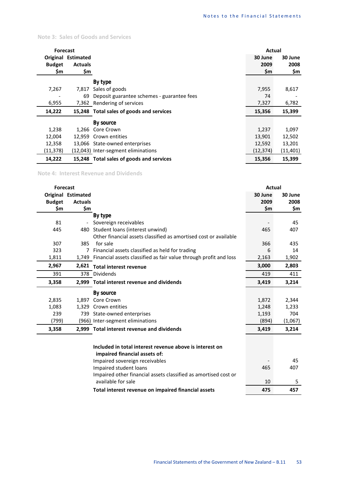#### **Note 3: Sales of Goods and Services**

| <b>Forecast</b>          |                           |                                            | Actual    |                          |
|--------------------------|---------------------------|--------------------------------------------|-----------|--------------------------|
|                          | <b>Original Estimated</b> |                                            | 30 June   | 30 June                  |
| <b>Budget</b>            | <b>Actuals</b>            |                                            | 2009      | 2008                     |
| \$m                      | \$m                       |                                            | \$m       | \$m                      |
|                          |                           | By type                                    |           |                          |
| 7,267                    | 7,817                     | Sales of goods                             | 7,955     | 8,617                    |
| $\overline{\phantom{a}}$ | 69                        | Deposit guarantee schemes - guarantee fees | 74        | $\overline{\phantom{a}}$ |
| 6,955                    |                           | 7,362 Rendering of services                | 7,327     | 6,782                    |
| 14,222                   |                           | 15,248 Total sales of goods and services   | 15,356    | 15,399                   |
|                          |                           | By source                                  |           |                          |
| 1,238                    | 1,266                     | Core Crown                                 | 1,237     | 1,097                    |
| 12,004                   | 12.959                    | Crown entities                             | 13,901    | 12,502                   |
| 12,358                   |                           | 13,066 State-owned enterprises             | 12,592    | 13,201                   |
| (11,378)                 |                           | (12,043) Inter-segment eliminations        | (12, 374) | (11, 401)                |
| 14,222                   |                           | 15,248 Total sales of goods and services   | 15,356    | 15,399                   |

**Note 4: Interest Revenue and Dividends**

| <b>Forecast</b> |                          |                                                                         | <b>Actual</b> |         |
|-----------------|--------------------------|-------------------------------------------------------------------------|---------------|---------|
|                 | Original Estimated       |                                                                         | 30 June       | 30 June |
| <b>Budget</b>   | <b>Actuals</b>           |                                                                         | 2009          | 2008    |
| \$m             | \$m                      |                                                                         | \$m           | \$m     |
|                 |                          | By type                                                                 |               |         |
| 81              | $\overline{\phantom{a}}$ | Sovereign receivables                                                   |               | 45      |
| 445             |                          | 480 Student loans (interest unwind)                                     | 465           | 407     |
|                 |                          | Other financial assets classified as amortised cost or available        |               |         |
| 307             | 385                      | for sale                                                                | 366           | 435     |
| 323             |                          | 7 Financial assets classified as held for trading                       | 6             | 14      |
| 1,811           |                          | 1,749 Financial assets classified as fair value through profit and loss | 2,163         | 1,902   |
| 2,967           | 2,621                    | <b>Total interest revenue</b>                                           | 3,000         | 2,803   |
| 391             |                          | 378 Dividends                                                           | 419           | 411     |
| 3,358           |                          | 2,999 Total interest revenue and dividends                              | 3,419         | 3,214   |
|                 |                          | <b>By source</b>                                                        |               |         |
| 2,835           |                          | 1.897 Core Crown                                                        | 1,872         | 2,344   |
| 1,083           |                          | 1.329 Crown entities                                                    | 1,248         | 1,233   |
| 239             |                          | 739 State-owned enterprises                                             | 1,193         | 704     |
| (799)           |                          | (966) Inter-segment eliminations                                        | (894)         | (1,067) |
| 3,358           |                          | 2,999 Total interest revenue and dividends                              | 3,419         | 3,214   |
|                 |                          |                                                                         |               |         |
|                 |                          | Included in total interest revenue above is interest on                 |               |         |
|                 |                          | impaired financial assets of:                                           |               |         |
|                 |                          | Impaired sovereign receivables                                          |               | 45      |
|                 |                          | Impaired student loans                                                  | 465           | 407     |
|                 |                          | Impaired other financial assets classified as amortised cost or         |               |         |
|                 |                          | available for sale                                                      | 10            | 5       |
|                 |                          | Total interest revenue on impaired financial assets                     | 475           | 457     |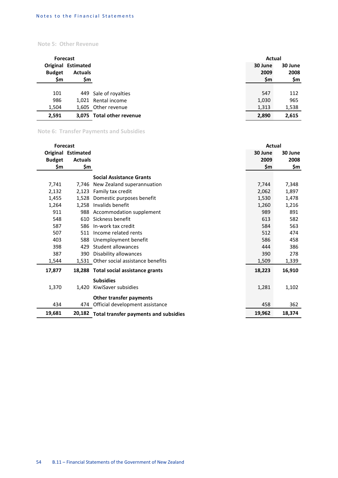### **Note 5: Other Revenue**

| Forecast      |                           |                           | Actual  |         |
|---------------|---------------------------|---------------------------|---------|---------|
|               | <b>Original Estimated</b> |                           | 30 June | 30 June |
| <b>Budget</b> | <b>Actuals</b>            |                           | 2009    | 2008    |
| \$m           | \$m                       |                           | \$m     | \$m     |
|               |                           |                           |         |         |
| 101           |                           | 449 Sale of royalties     | 547     | 112     |
| 986           |                           | 1,021 Rental income       | 1,030   | 965     |
| 1,504         |                           | 1,605 Other revenue       | 1,313   | 1,538   |
| 2,591         |                           | 3,075 Total other revenue | 2,890   | 2,615   |

# **Note 6: Transfer Payments and Subsidies**

| <b>Forecast</b> |                           |                                              | Actual  |         |  |
|-----------------|---------------------------|----------------------------------------------|---------|---------|--|
|                 | <b>Original Estimated</b> |                                              | 30 June | 30 June |  |
| <b>Budget</b>   | <b>Actuals</b>            |                                              | 2009    | 2008    |  |
| \$m             | \$m                       |                                              | \$m     | \$m     |  |
|                 |                           | <b>Social Assistance Grants</b>              |         |         |  |
| 7,741           | 7.746                     | New Zealand superannuation                   | 7,744   | 7,348   |  |
| 2,132           |                           | 2,123 Family tax credit                      | 2,062   | 1,897   |  |
| 1,455           | 1,528                     | Domestic purposes benefit                    | 1,530   | 1,478   |  |
| 1,264           |                           | 1,258 Invalids benefit                       | 1,260   | 1,216   |  |
| 911             | 988                       | Accommodation supplement                     | 989     | 891     |  |
| 548             | 610                       | Sickness benefit                             | 613     | 582     |  |
| 587             | 586                       | In-work tax credit                           | 584     | 563     |  |
| 507             | 511                       | Income related rents                         | 512     | 474     |  |
| 403             | 588                       | Unemployment benefit                         | 586     | 458     |  |
| 398             | 429                       | Student allowances                           | 444     | 386     |  |
| 387             | 390                       | Disability allowances                        | 390     | 278     |  |
| 1,544           |                           | 1,531 Other social assistance benefits       | 1,509   | 1,339   |  |
| 17,877          |                           | 18,288 Total social assistance grants        | 18,223  | 16,910  |  |
|                 |                           | <b>Subsidies</b>                             |         |         |  |
| 1,370           | 1,420                     | KiwiSaver subsidies                          | 1,281   | 1,102   |  |
|                 |                           | Other transfer payments                      |         |         |  |
| 434             |                           | 474 Official development assistance          | 458     | 362     |  |
| 19,681          | 20,182                    | <b>Total transfer payments and subsidies</b> | 19,962  | 18,374  |  |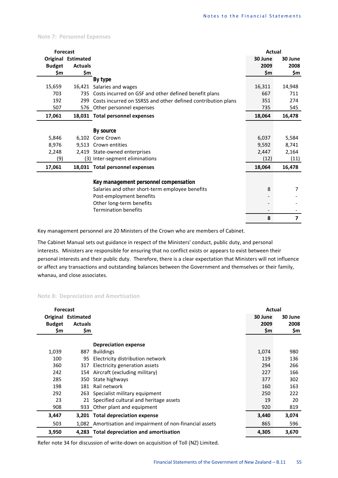#### **Note 7: Personnel Expenses**

| <b>Forecast</b> |                    |                                                              | Actual  |                |
|-----------------|--------------------|--------------------------------------------------------------|---------|----------------|
|                 | Original Estimated |                                                              | 30 June | 30 June        |
| <b>Budget</b>   | <b>Actuals</b>     |                                                              | 2009    | 2008           |
| \$m             | \$m                |                                                              | \$m     | \$m            |
|                 |                    | By type                                                      |         |                |
| 15,659          |                    | 16,421 Salaries and wages                                    | 16,311  | 14,948         |
| 703             |                    | 735 Costs incurred on GSF and other defined benefit plans    | 667     | 711            |
| 192             | 299                | Costs incurred on SSRSS and other defined contribution plans | 351     | 274            |
| 507             |                    | 576 Other personnel expenses                                 | 735     | 545            |
| 17,061          |                    | 18,031 Total personnel expenses                              | 18,064  | 16,478         |
|                 |                    |                                                              |         |                |
|                 |                    | By source                                                    |         |                |
| 5,846           |                    | 6,102 Core Crown                                             | 6,037   | 5,584          |
| 8,976           |                    | 9,513 Crown entities                                         | 9,592   | 8,741          |
| 2,248           |                    | 2,419 State-owned enterprises                                | 2,447   | 2,164          |
| (9)             |                    | (3) Inter-segment eliminations                               | (12)    | (11)           |
| 17,061          |                    | 18,031 Total personnel expenses                              | 18,064  | 16,478         |
|                 |                    |                                                              |         |                |
|                 |                    | Key management personnel compensation                        |         |                |
|                 |                    | Salaries and other short-term employee benefits              | 8       | 7              |
|                 |                    | Post-employment benefits                                     |         |                |
|                 |                    | Other long-term benefits                                     |         |                |
|                 |                    | <b>Termination benefits</b>                                  |         |                |
|                 |                    |                                                              | 8       | $\overline{7}$ |

Key management personnel are 20 Ministers of the Crown who are members of Cabinet.

The Cabinet Manual sets out guidance in respect of the Ministers' conduct, public duty, and personal interests. Ministers are responsible for ensuring that no conflict exists or appears to exist between their personal interests and their public duty. Therefore, there is a clear expectation that Ministers will not influence or affect any transactions and outstanding balances between the Government and themselves or their family, whanau, and close associates.

#### **Note 8: Depreciation and Amortisation**

| <b>Forecast</b> |                           |                                                           | Actual  |         |
|-----------------|---------------------------|-----------------------------------------------------------|---------|---------|
|                 | <b>Original Estimated</b> |                                                           | 30 June | 30 June |
| <b>Budget</b>   | <b>Actuals</b>            |                                                           | 2009    | 2008    |
| \$m             | \$m                       |                                                           | \$m     | \$m     |
|                 |                           |                                                           |         |         |
|                 |                           | <b>Depreciation expense</b>                               |         |         |
| 1,039           | 887                       | <b>Buildings</b>                                          | 1,074   | 980     |
| 100             | 95                        | Electricity distribution network                          | 119     | 136     |
| 360             | 317                       | Electricity generation assets                             | 294     | 266     |
| 242             | 154                       | Aircraft (excluding military)                             | 227     | 166     |
| 285             | 350                       | State highways                                            | 377     | 302     |
| 198             | 181                       | Rail network                                              | 160     | 163     |
| 292             | 263                       | Specialist military equipment                             | 250     | 222     |
| 23              | 21                        | Specified cultural and heritage assets                    | 19      | 20      |
| 908             | 933                       | Other plant and equipment                                 | 920     | 819     |
| 3,447           |                           | 3,201 Total depreciation expense                          | 3,440   | 3,074   |
| 503             |                           | 1,082 Amortisation and impairment of non-financial assets | 865     | 596     |
| 3,950           |                           | 4,283 Total depreciation and amortisation                 | 4,305   | 3,670   |

Refer note 34 for discussion of write-down on acquisition of Toll (NZ) Limited.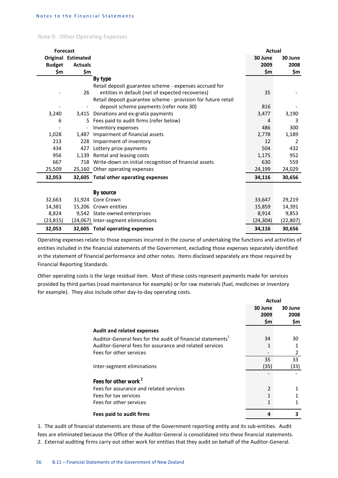**Note 9: Other Operating Expenses**

| <b>Forecast</b> |                           |                                                               | Actual    |                |
|-----------------|---------------------------|---------------------------------------------------------------|-----------|----------------|
|                 | <b>Original Estimated</b> |                                                               | 30 June   | 30 June        |
| <b>Budget</b>   | <b>Actuals</b>            |                                                               | 2009      | 2008           |
| \$m             | \$m                       |                                                               | \$m       | \$m            |
|                 |                           | By type                                                       |           |                |
|                 |                           | Retail deposit guarantee scheme - expenses accrued for        |           |                |
|                 | 26                        | entities in default (net of expected recoveries)              | 35        |                |
|                 |                           | Retail deposit guarantee scheme - provision for future retail |           |                |
|                 |                           | deposit scheme payments (refer note 30)                       | 816       |                |
| 3,240           |                           | 3,415 Donations and ex-gratia payments                        | 3,477     | 3,190          |
| 6               | 5.                        | Fees paid to audit firms (refer below)                        | 4         | 3              |
|                 | $\overline{\phantom{a}}$  | Inventory expenses                                            | 486       | 300            |
| 1,028           | 1.487                     | Impairment of financial assets                                | 2,778     | 1,189          |
| 213             | 228                       | Impairment of inventory                                       | 12        | $\overline{2}$ |
| 434             | 427                       | Lottery prize payments                                        | 504       | 432            |
| 956             | 1,139                     | Rental and leasing costs                                      | 1,175     | 952            |
| 667             | 718                       | Write-down on initial recognition of financial assets         | 630       | 559            |
| 25,509          |                           | 25,160 Other operating expenses                               | 24,199    | 24,029         |
| 32,053          |                           | 32,605 Total other operating expenses                         | 34,116    | 30,656         |
|                 |                           |                                                               |           |                |
|                 |                           | By source<br>Core Crown                                       |           |                |
| 32,663          | 31.924                    |                                                               | 33,647    | 29,219         |
| 14,381          |                           | 15,206 Crown entities                                         | 15,859    | 14,391         |
| 8,824           |                           | 9,542 State-owned enterprises                                 | 8,914     | 9,853          |
| (23, 815)       |                           | (24,067) Inter-segment eliminations                           | (24, 304) | (22, 807)      |
| 32,053          |                           | 32,605 Total operating expenses                               | 34,116    | 30,656         |

Operating expenses relate to those expenses incurred in the course of undertaking the functions and activities of entities included in the financial statements of the Government, excluding those expenses separately identified in the statement of financial performance and other notes. Items disclosed separately are those required by Financial Reporting Standards.

Other operating costs is the large residual item. Most of these costs represent payments made for services provided by third parties (road maintenance for example) or for raw materials (fuel, medicines or inventory for example). They also include other day-to-day operating costs.

|                                                                         | Actual                 |                        |
|-------------------------------------------------------------------------|------------------------|------------------------|
|                                                                         | 30 June<br>2009<br>\$m | 30 June<br>2008<br>\$m |
| <b>Audit and related expenses</b>                                       |                        |                        |
| Auditor-General fees for the audit of financial statements <sup>1</sup> | 34                     | 30                     |
| Auditor-General fees for assurance and related services                 |                        |                        |
| Fees for other services                                                 |                        | $\overline{2}$         |
|                                                                         | 35                     | 33                     |
| Inter-segment eliminations                                              | (35)                   | (33)                   |
| Fees for other work <sup>2</sup>                                        |                        |                        |
| Fees for assurance and related services                                 | $\overline{2}$         |                        |
| Fees for tax services                                                   |                        |                        |
| Fees for other services                                                 |                        |                        |
| Fees paid to audit firms                                                | 4                      | 3                      |

1. The audit of financial statements are those of the Government reporting entity and its sub-entities. Audit fees are eliminated because the Office of the Auditor-General is consolidated into these financial statements. 2. External auditing firms carry out other work for entities that they audit on behalf of the Auditor-General.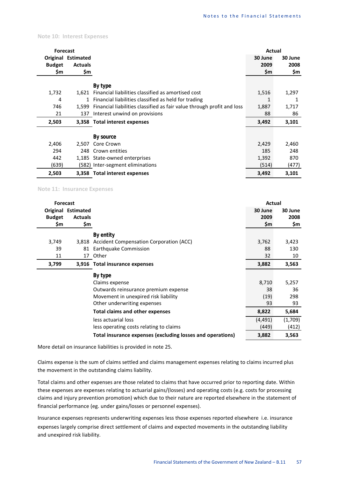**Note 10: Interest Expenses**

| <b>Forecast</b> |                    |                                                                        | Actual  |         |
|-----------------|--------------------|------------------------------------------------------------------------|---------|---------|
|                 | Original Estimated |                                                                        | 30 June | 30 June |
| <b>Budget</b>   | <b>Actuals</b>     |                                                                        | 2009    | 2008    |
| \$m             | \$m                |                                                                        | \$m     | \$m     |
|                 |                    |                                                                        |         |         |
|                 |                    | By type                                                                |         |         |
| 1,732           | 1.621              | Financial liabilities classified as amortised cost                     | 1,516   | 1,297   |
| 4               | $\mathbf{1}$       | Financial liabilities classified as held for trading                   |         | 1       |
| 746             | 1.599              | Financial liabilities classified as fair value through profit and loss | 1,887   | 1,717   |
| 21              | 137                | Interest unwind on provisions                                          | 88      | 86      |
| 2,503           |                    | 3,358 Total interest expenses                                          | 3,492   | 3,101   |
|                 |                    |                                                                        |         |         |
|                 |                    | By source                                                              |         |         |
| 2,406           | 2.507              | Core Crown                                                             | 2,429   | 2,460   |
| 294             | 248                | Crown entities                                                         | 185     | 248     |
| 442             | 1,185              | State-owned enterprises                                                | 1,392   | 870     |
| (639)           |                    | (582) Inter-segment eliminations                                       | (514)   | (477)   |
| 2,503           |                    | 3,358 Total interest expenses                                          | 3,492   | 3,101   |

**Note 11: Insurance Expenses**

| <b>Forecast</b> |                           |                                                            | Actual   |         |
|-----------------|---------------------------|------------------------------------------------------------|----------|---------|
|                 | <b>Original Estimated</b> |                                                            | 30 June  | 30 June |
| <b>Budget</b>   | <b>Actuals</b>            |                                                            | 2009     | 2008    |
| \$m             | \$m                       |                                                            | \$m      | \$m     |
|                 |                           | By entity                                                  |          |         |
| 3,749           | 3,818                     | <b>Accident Compensation Corporation (ACC)</b>             | 3,762    | 3,423   |
| 39              | 81                        | Earthquake Commission                                      | 88       | 130     |
| 11              |                           | 17 Other                                                   | 32       | 10      |
| 3,799           |                           | 3,916 Total insurance expenses                             | 3,882    | 3,563   |
|                 |                           | By type                                                    |          |         |
|                 |                           | Claims expense                                             | 8,710    | 5,257   |
|                 |                           | Outwards reinsurance premium expense                       | 38       | 36      |
|                 |                           | Movement in unexpired risk liability                       | (19)     | 298     |
|                 |                           | Other underwriting expenses                                | 93       | 93      |
|                 |                           | <b>Total claims and other expenses</b>                     | 8,822    | 5,684   |
|                 |                           | less actuarial loss                                        | (4, 491) | (1,709) |
|                 |                           | less operating costs relating to claims                    | (449)    | (412)   |
|                 |                           | Total insurance expenses (excluding losses and operations) | 3,882    | 3,563   |

More detail on insurance liabilities is provided in note 25.

Claims expense is the sum of claims settled and claims management expenses relating to claims incurred plus the movement in the outstanding claims liability.

Total claims and other expenses are those related to claims that have occurred prior to reporting date. Within these expenses are expenses relating to actuarial gains/(losses) and operating costs (e.g. costs for processing claims and injury prevention promotion) which due to their nature are reported elsewhere in the statement of financial performance (eg. under gains/losses or personnel expenses).

Insurance expenses represents underwriting expenses less those expenses reported elsewhere i.e. insurance expenses largely comprise direct settlement of claims and expected movements in the outstanding liability and unexpired risk liability.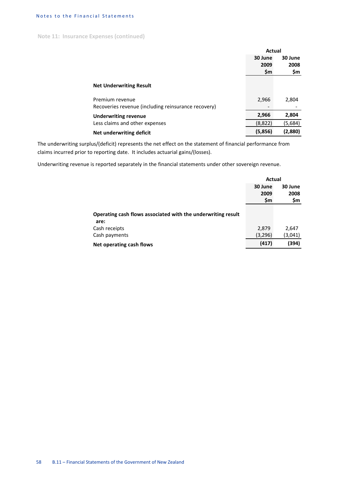**Note 11: Insurance Expenses (continued)**

|                                                     | Actual  |         |
|-----------------------------------------------------|---------|---------|
|                                                     | 30 June | 30 June |
|                                                     | 2009    | 2008    |
|                                                     | \$m     | \$m     |
| <b>Net Underwriting Result</b>                      |         |         |
| Premium revenue                                     | 2,966   | 2,804   |
| Recoveries revenue (including reinsurance recovery) |         |         |
| <b>Underwriting revenue</b>                         | 2,966   | 2,804   |
| Less claims and other expenses                      | (8,822) | (5,684) |
| Net underwriting deficit                            | (5,856) | (2,880) |

The underwriting surplus/(deficit) represents the net effect on the statement of financial performance from claims incurred prior to reporting date. It includes actuarial gains/(losses).

Underwriting revenue is reported separately in the financial statements under other sovereign revenue.

|                                                              | Actual  |         |
|--------------------------------------------------------------|---------|---------|
|                                                              | 30 June | 30 June |
|                                                              | 2009    | 2008    |
|                                                              | \$m     | \$m     |
|                                                              |         |         |
| Operating cash flows associated with the underwriting result |         |         |
| are:                                                         |         |         |
| Cash receipts                                                | 2,879   | 2,647   |
| Cash payments                                                | (3,296) | (3,041) |
| Net operating cash flows                                     | (417)   | (394)   |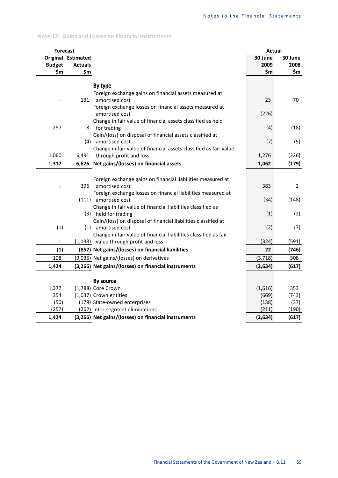#### **Note 12: Gains and Losses on Financial Instruments**

| <b>Forecast</b>          |                          |                                                                   | Actual         |                |
|--------------------------|--------------------------|-------------------------------------------------------------------|----------------|----------------|
|                          | Original Estimated       |                                                                   | 30 June        | 30 June        |
| <b>Budget</b>            | <b>Actuals</b>           |                                                                   | 2009           | 2008           |
| \$m                      | \$m                      |                                                                   | \$m            | \$m            |
|                          |                          | By type                                                           |                |                |
|                          |                          | Foreign exchange gains on financial assets measured at            |                |                |
|                          | 131                      | amortised cost                                                    | 23             | 70             |
|                          |                          | Foreign exchange losses on financial assets measured at           |                |                |
|                          | $\overline{\phantom{a}}$ | amortised cost                                                    | (226)          |                |
|                          |                          | Change in fair value of financial assets classified as held       |                |                |
| 257                      | 8                        | for trading                                                       | (4)            | (18)           |
|                          |                          | Gain/(loss) on disposal of financial assets classified at         |                |                |
|                          |                          | (4) amortised cost                                                | (7)            | (5)            |
|                          |                          | Change in fair value of financial assets classified as fair value |                |                |
| 1,060                    |                          | 6,491 through profit and loss                                     | 1,276          | (226)          |
| 1,317                    |                          | 6,626 Net gains/(losses) on financial assets                      | 1,062          | (179)          |
|                          |                          |                                                                   |                |                |
|                          |                          | Foreign exchange gains on financial liabilities measured at       |                |                |
|                          | 396                      | amortised cost                                                    | 383            | $\overline{2}$ |
|                          |                          | Foreign exchange losses on financial liabilities measured at      |                |                |
|                          |                          | (111) amortised cost                                              | (34)           | (148)          |
|                          |                          | Change in fair value of financial liabilities classified as       |                |                |
|                          |                          | (3) held for trading                                              | (1)            | (2)            |
|                          |                          | Gain/(loss) on disposal of financial liabilities classified at    |                |                |
| (1)                      |                          | (1) amortised cost                                                | (2)            | (7)            |
|                          |                          | Change in fair value of financial liabilities classified as fair  |                |                |
| $\overline{\phantom{a}}$ |                          | (1,138) value through profit and loss                             | (324)          | (591)          |
| (1)                      |                          | (857) Net gains/(losses) on financial liabilities                 | 22             | (746)          |
| 108                      |                          | (9,035) Net gains/(losses) on derivatives                         | (3, 718)       | 308            |
| 1,424                    |                          | (3,266) Net gains/(losses) on financial instruments               | (2,634)        | (617)          |
|                          |                          |                                                                   |                |                |
|                          |                          | <b>By source</b>                                                  |                |                |
| 1,377                    |                          | (1,788) Core Crown                                                | (1,616)        | 353            |
| 354                      |                          | (1,037) Crown entities                                            | (669)          | (743)          |
| (50)<br>(257)            |                          | (179) State-owned enterprises                                     | (138)<br>(211) | (37)           |
|                          |                          | (262) Inter-segment eliminations                                  |                | (190)          |
| 1,424                    |                          | (3,266) Net gains/(losses) on financial instruments               | (2,634)        | (617)          |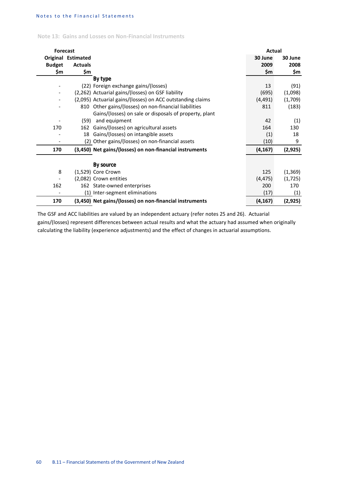| Note 13: Gains and Losses on Non-Financial Instruments |  |  |  |  |  |  |
|--------------------------------------------------------|--|--|--|--|--|--|
|--------------------------------------------------------|--|--|--|--|--|--|

| <b>Forecast</b> |                           |                                                            | Actual   |          |
|-----------------|---------------------------|------------------------------------------------------------|----------|----------|
|                 | <b>Original Estimated</b> |                                                            | 30 June  | 30 June  |
| <b>Budget</b>   | <b>Actuals</b>            |                                                            | 2009     | 2008     |
| \$m             | \$m                       |                                                            | \$m      | \$m      |
|                 |                           | By type                                                    |          |          |
|                 |                           | (22) Foreign exchange gains/(losses)                       | 13       | (91)     |
|                 |                           | (2,262) Actuarial gains/(losses) on GSF liability          | (695)    | (1,098)  |
|                 |                           | (2,095) Actuarial gains/(losses) on ACC outstanding claims | (4, 491) | (1,709)  |
|                 |                           | 810 Other gains/(losses) on non-financial liabilities      | 811      | (183)    |
|                 |                           | Gains/(losses) on sale or disposals of property, plant     |          |          |
|                 | (59)                      | and equipment                                              | 42       | (1)      |
| 170             | 162                       | Gains/(losses) on agricultural assets                      | 164      | 130      |
|                 |                           | 18 Gains/(losses) on intangible assets                     | (1)      | 18       |
|                 |                           | (2) Other gains/(losses) on non-financial assets           | (10)     | 9        |
| 170             |                           | (3,450) Net gains/(losses) on non-financial instruments    | (4, 167) | (2, 925) |
|                 |                           |                                                            |          |          |
|                 |                           | <b>By source</b>                                           |          |          |
| 8               |                           | (1,529) Core Crown                                         | 125      | (1, 369) |
|                 |                           | (2,082) Crown entities                                     | (4, 475) | (1, 725) |
| 162             |                           | 162 State-owned enterprises                                | 200      | 170      |
|                 |                           | (1) Inter-segment eliminations                             | (17)     | (1)      |
| 170             |                           | (3,450) Net gains/(losses) on non-financial instruments    | (4, 167) | (2,925)  |

The GSF and ACC liabilities are valued by an independent actuary (refer notes 25 and 26). Actuarial gains/(losses) represent differences between actual results and what the actuary had assumed when originally calculating the liability (experience adjustments) and the effect of changes in actuarial assumptions.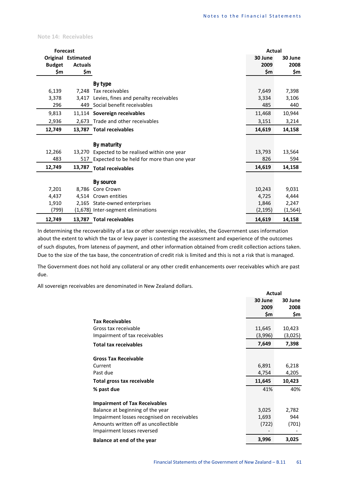**Note 14: Receivables**

| <b>Forecast</b> |                           |                                                | Actual   |          |
|-----------------|---------------------------|------------------------------------------------|----------|----------|
|                 | <b>Original Estimated</b> |                                                | 30 June  | 30 June  |
| <b>Budget</b>   | <b>Actuals</b>            |                                                | 2009     | 2008     |
| \$m             | \$m                       |                                                | \$m      | \$m      |
|                 |                           | By type                                        |          |          |
| 6,139           | 7.248                     | Tax receivables                                | 7,649    | 7,398    |
| 3,378           | 3.417                     | Levies, fines and penalty receivables          | 3,334    | 3,106    |
| 296             |                           | 449 Social benefit receivables                 | 485      | 440      |
| 9,813           |                           | 11,114 Sovereign receivables                   | 11,468   | 10,944   |
| 2,936           |                           | 2,673 Trade and other receivables              | 3,151    | 3,214    |
| 12,749          |                           | 13,787 Total receivables                       | 14,619   | 14,158   |
|                 |                           | By maturity                                    |          |          |
| 12,266          | 13,270                    | Expected to be realised within one year        | 13,793   | 13,564   |
| 483             |                           | 517 Expected to be held for more than one year | 826      | 594      |
| 12,749          | 13,787                    | <b>Total receivables</b>                       | 14,619   | 14,158   |
|                 |                           | By source                                      |          |          |
| 7,201           | 8,786                     | Core Crown                                     | 10,243   | 9,031    |
| 4,437           |                           | 4,514 Crown entities                           | 4,725    | 4,444    |
| 1,910           |                           | 2,165 State-owned enterprises                  | 1,846    | 2,247    |
| (799)           |                           | (1,678) Inter-segment eliminations             | (2, 195) | (1, 564) |
| 12,749          |                           | 13,787 Total receivables                       | 14,619   | 14,158   |

In determining the recoverability of a tax or other sovereign receivables, the Government uses information about the extent to which the tax or levy payer is contesting the assessment and experience of the outcomes of such disputes, from lateness of payment, and other information obtained from credit collection actions taken. Due to the size of the tax base, the concentration of credit risk is limited and this is not a risk that is managed.

The Government does not hold any collateral or any other credit enhancements over receivables which are past due.

All sovereign receivables are denominated in New Zealand dollars.

|                                             | Actual         |                |
|---------------------------------------------|----------------|----------------|
|                                             | 30 June        | 30 June        |
|                                             | 2009           | 2008           |
|                                             | \$m            | \$m            |
| <b>Tax Receivables</b>                      |                |                |
| Gross tax receivable                        | 11,645         | 10,423         |
| Impairment of tax receivables               | (3,996)        | (3,025)        |
| <b>Total tax receivables</b>                | 7,649          | 7,398          |
| <b>Gross Tax Receivable</b>                 |                |                |
| Current                                     |                |                |
| Past due                                    | 6,891<br>4,754 | 6,218<br>4,205 |
|                                             |                |                |
| Total gross tax receivable                  | 11,645         | 10,423         |
| % past due                                  | 41%            | 40%            |
| <b>Impairment of Tax Receivables</b>        |                |                |
| Balance at beginning of the year            | 3,025          | 2,782          |
| Impairment losses recognised on receivables | 1,693          | 944            |
| Amounts written off as uncollectible        | (722)          | (701)          |
| Impairment losses reversed                  |                |                |
| Balance at end of the year                  | 3,996          | 3,025          |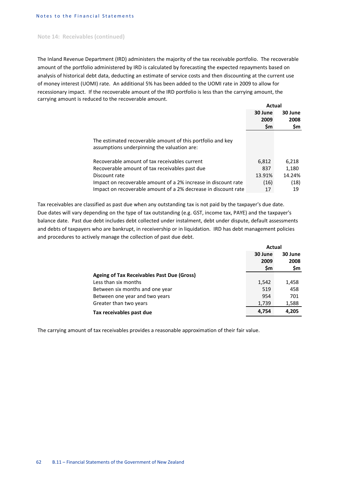#### **Note 14: Receivables (continued)**

The Inland Revenue Department (IRD) administers the majority of the tax receivable portfolio. The recoverable amount of the portfolio administered by IRD is calculated by forecasting the expected repayments based on analysis of historical debt data, deducting an estimate of service costs and then discounting at the current use of money interest (UOMI) rate. An additional 5% has been added to the UOMI rate in 2009 to allow for recessionary impact. If the recoverable amount of the IRD portfolio is less than the carrying amount, the carrying amount is reduced to the recoverable amount.

|                                                                                                           | Actual  |         |
|-----------------------------------------------------------------------------------------------------------|---------|---------|
|                                                                                                           | 30 June | 30 June |
|                                                                                                           | 2009    | 2008    |
|                                                                                                           | \$m     | \$m     |
| The estimated recoverable amount of this portfolio and key<br>assumptions underpinning the valuation are: |         |         |
| Recoverable amount of tax receivables current                                                             | 6,812   | 6,218   |
| Recoverable amount of tax receivables past due                                                            | 837     | 1,180   |
| Discount rate                                                                                             | 13.91%  | 14.24%  |
| Impact on recoverable amount of a 2% increase in discount rate                                            | (16)    | (18)    |
| Impact on recoverable amount of a 2% decrease in discount rate                                            | 17      | 19      |

Tax receivables are classified as past due when any outstanding tax is not paid by the taxpayer's due date. Due dates will vary depending on the type of tax outstanding (e.g. GST, income tax, PAYE) and the taxpayer's balance date. Past due debt includes debt collected under instalment, debt under dispute, default assessments and debts of taxpayers who are bankrupt, in receivership or in liquidation. IRD has debt management policies and procedures to actively manage the collection of past due debt.

|                                            | Actual  |         |  |
|--------------------------------------------|---------|---------|--|
|                                            | 30 June | 30 June |  |
|                                            | 2009    | 2008    |  |
|                                            | \$m     | \$m     |  |
| Ageing of Tax Receivables Past Due (Gross) |         |         |  |
| Less than six months                       | 1,542   | 1,458   |  |
| Between six months and one year            | 519     | 458     |  |
| Between one year and two years             | 954     | 701     |  |
| Greater than two years                     | 1,739   | 1,588   |  |
| Tax receivables past due                   | 4.754   | 4.205   |  |

The carrying amount of tax receivables provides a reasonable approximation of their fair value.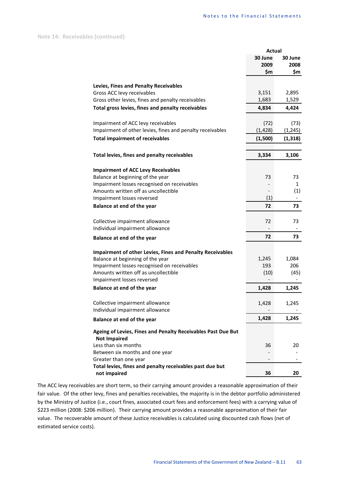|                                                                  | <b>Actual</b> |              |
|------------------------------------------------------------------|---------------|--------------|
|                                                                  | 30 June       | 30 June      |
|                                                                  | 2009          | 2008         |
|                                                                  | \$m           | \$m          |
|                                                                  |               |              |
| Levies, Fines and Penalty Receivables                            |               |              |
| Gross ACC levy receivables                                       | 3,151         | 2,895        |
| Gross other levies, fines and penalty receivables                | 1,683         | 1,529        |
| Total gross levies, fines and penalty receivables                | 4,834         | 4,424        |
| Impairment of ACC levy receivables                               | (72)          | (73)         |
| Impairment of other levies, fines and penalty receivables        |               |              |
|                                                                  | (1, 428)      | (1, 245)     |
| <b>Total impairment of receivables</b>                           | (1,500)       | (1, 318)     |
| Total levies, fines and penalty receivables                      | 3,334         | 3,106        |
|                                                                  |               |              |
| <b>Impairment of ACC Levy Receivables</b>                        |               |              |
| Balance at beginning of the year                                 | 73            | 73           |
| Impairment losses recognised on receivables                      |               | $\mathbf{1}$ |
| Amounts written off as uncollectible                             |               | (1)          |
| Impairment losses reversed                                       | (1)           |              |
| Balance at end of the year                                       | 72            | 73           |
| Collective impairment allowance                                  | 72            | 73           |
| Individual impairment allowance                                  |               |              |
|                                                                  | 72            | 73           |
| Balance at end of the year                                       |               |              |
| <b>Impairment of other Levies, Fines and Penalty Receivables</b> |               |              |
| Balance at beginning of the year                                 | 1,245         | 1,084        |
| Impairment losses recognised on receivables                      | 193           | 206          |
| Amounts written off as uncollectible                             | (10)          | (45)         |
| Impairment losses reversed                                       |               |              |
| Balance at end of the year                                       | 1,428         | 1,245        |
|                                                                  |               |              |
| Collective impairment allowance                                  | 1,428         | 1,245        |
| Individual impairment allowance                                  |               |              |
| Balance at end of the year                                       | 1,428         | 1,245        |
| Ageing of Levies, Fines and Penalty Receivables Past Due But     |               |              |
| <b>Not Impaired</b>                                              |               |              |
| Less than six months                                             | 36            | 20           |
| Between six months and one year                                  |               |              |
| Greater than one year                                            |               |              |
| Total levies, fines and penalty receivables past due but         |               |              |
| not impaired                                                     | 36            | 20           |

The ACC levy receivables are short term, so their carrying amount provides a reasonable approximation of their fair value. Of the other levy, fines and penalties receivables, the majority is in the debtor portfolio administered by the Ministry of Justice (i.e., court fines, associated court fees and enforcement fees) with a carrying value of \$223 million (2008: \$206 million). Their carrying amount provides a reasonable approximation of their fair value. The recoverable amount of these Justice receivables is calculated using discounted cash flows (net of estimated service costs).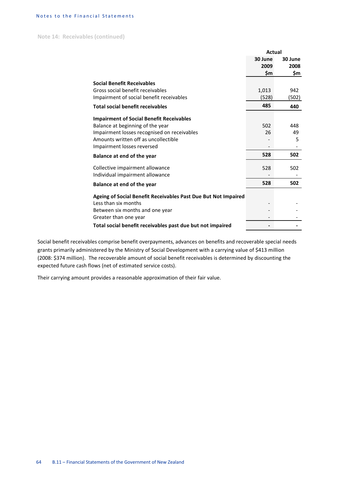**Note 14: Receivables (continued)**

|                                                                | Actual  |         |
|----------------------------------------------------------------|---------|---------|
|                                                                | 30 June | 30 June |
|                                                                | 2009    | 2008    |
|                                                                | \$m     | \$m     |
| <b>Social Benefit Receivables</b>                              |         |         |
| Gross social benefit receivables                               | 1,013   | 942     |
| Impairment of social benefit receivables                       | (528)   | (502)   |
| <b>Total social benefit receivables</b>                        | 485     | 440     |
| <b>Impairment of Social Benefit Receivables</b>                |         |         |
| Balance at beginning of the year                               | 502     | 448     |
| Impairment losses recognised on receivables                    | 26      | 49      |
| Amounts written off as uncollectible                           |         | 5       |
| Impairment losses reversed                                     |         |         |
| Balance at end of the year                                     | 528     | 502     |
| Collective impairment allowance                                | 528     | 502     |
| Individual impairment allowance                                |         |         |
| Balance at end of the year                                     | 528     | 502     |
| Ageing of Social Benefit Receivables Past Due But Not Impaired |         |         |
| Less than six months                                           |         |         |
| Between six months and one year                                |         |         |
| Greater than one year                                          |         |         |
| Total social benefit receivables past due but not impaired     |         |         |

Social benefit receivables comprise benefit overpayments, advances on benefits and recoverable special needs grants primarily administered by the Ministry of Social Development with a carrying value of \$413 million (2008: \$374 million). The recoverable amount of social benefit receivables is determined by discounting the expected future cash flows (net of estimated service costs).

Their carrying amount provides a reasonable approximation of their fair value.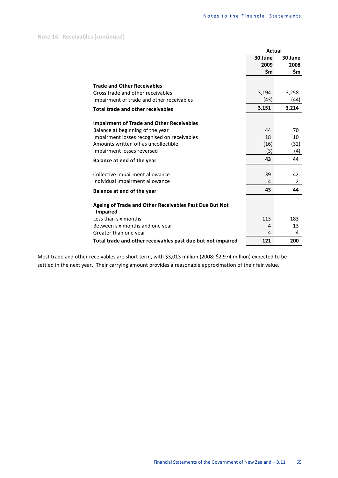|                                                                           | <b>Actual</b> |                |  |
|---------------------------------------------------------------------------|---------------|----------------|--|
|                                                                           | 30 June       | 30 June        |  |
|                                                                           | 2009          | 2008           |  |
|                                                                           | \$m           | \$m            |  |
| <b>Trade and Other Receivables</b>                                        |               |                |  |
| Gross trade and other receivables                                         | 3,194         | 3,258          |  |
| Impairment of trade and other receivables                                 | (43)          | (44)           |  |
|                                                                           | 3,151         | 3,214          |  |
| <b>Total trade and other receivables</b>                                  |               |                |  |
| <b>Impairment of Trade and Other Receivables</b>                          |               |                |  |
| Balance at beginning of the year                                          | 44            | 70             |  |
| Impairment losses recognised on receivables                               | 18            | 10             |  |
| Amounts written off as uncollectible                                      | (16)          | (32)           |  |
| Impairment losses reversed                                                | (3)           | (4)            |  |
| Balance at end of the year                                                | 43            | 44             |  |
| Collective impairment allowance                                           | 39            | 42             |  |
| Individual impairment allowance                                           | 4             | $\overline{2}$ |  |
| Balance at end of the year                                                | 43            | 44             |  |
|                                                                           |               |                |  |
| Ageing of Trade and Other Receivables Past Due But Not<br><b>Impaired</b> |               |                |  |
| Less than six months                                                      | 113           | 183            |  |
| Between six months and one year                                           | 4             | 13             |  |
| Greater than one year                                                     | 4             | 4              |  |
| Total trade and other receivables past due but not impaired               | 121           | 200            |  |

Most trade and other receivables are short term, with \$3,013 million (2008: \$2,974 million) expected to be settled in the next year. Their carrying amount provides a reasonable approximation of their fair value.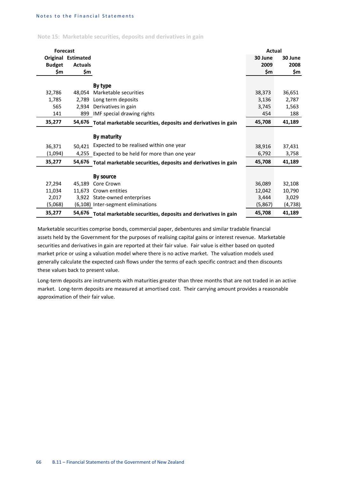**Note 15: Marketable securities, deposits and derivatives in gain**

| <b>Forecast</b> |                           |                                                               | Actual  |         |
|-----------------|---------------------------|---------------------------------------------------------------|---------|---------|
|                 | <b>Original Estimated</b> |                                                               | 30 June | 30 June |
| <b>Budget</b>   | <b>Actuals</b>            |                                                               | 2009    | 2008    |
| \$m             | \$m                       |                                                               | \$m     | \$m     |
|                 |                           | By type                                                       |         |         |
|                 | 48.054                    | Marketable securities                                         |         |         |
| 32,786          |                           |                                                               | 38,373  | 36,651  |
| 1,785           | 2,789                     | Long term deposits                                            | 3,136   | 2,787   |
| 565             | 2.934                     | Derivatives in gain                                           | 3,745   | 1,563   |
| 141             | 899                       | IMF special drawing rights                                    | 454     | 188     |
| 35,277          | 54,676                    | Total marketable securities, deposits and derivatives in gain | 45,708  | 41,189  |
|                 |                           | By maturity                                                   |         |         |
|                 |                           |                                                               |         |         |
| 36,371          | 50,421                    | Expected to be realised within one year                       | 38,916  | 37,431  |
| (1,094)         |                           | 4,255 Expected to be held for more than one year              | 6,792   | 3,758   |
| 35,277          | 54,676                    | Total marketable securities, deposits and derivatives in gain | 45,708  | 41,189  |
|                 |                           |                                                               |         |         |
|                 |                           | By source                                                     |         |         |
| 27,294          | 45.189                    | Core Crown                                                    | 36,089  | 32,108  |
| 11,034          |                           | 11,673 Crown entities                                         | 12,042  | 10,790  |
| 2,017           |                           | 3,922 State-owned enterprises                                 | 3,444   | 3,029   |
| (5,068)         |                           | (6,108) Inter-segment eliminations                            | (5,867) | (4,738) |
| 35,277          | 54,676                    | Total marketable securities, deposits and derivatives in gain | 45,708  | 41,189  |

Marketable securities comprise bonds, commercial paper, debentures and similar tradable financial assets held by the Government for the purposes of realising capital gains or interest revenue. Marketable securities and derivatives in gain are reported at their fair value. Fair value is either based on quoted market price or using a valuation model where there is no active market. The valuation models used generally calculate the expected cash flows under the terms of each specific contract and then discounts these values back to present value.

Long-term deposits are instruments with maturities greater than three months that are not traded in an active market. Long-term deposits are measured at amortised cost. Their carrying amount provides a reasonable approximation of their fair value.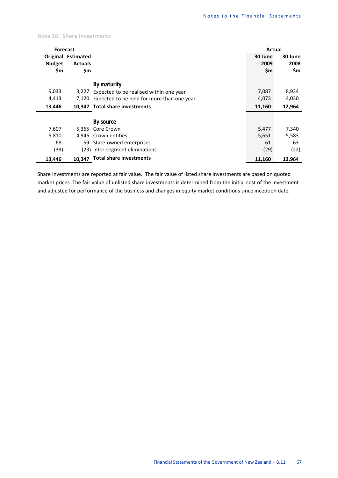#### **Note 16: Share Investments**

| <b>Forecast</b> |                           |                                            | Actual  |         |
|-----------------|---------------------------|--------------------------------------------|---------|---------|
|                 | <b>Original Estimated</b> |                                            | 30 June | 30 June |
| <b>Budget</b>   | <b>Actuals</b>            |                                            | 2009    | 2008    |
| \$m             | \$m                       |                                            | \$m     | \$m     |
|                 |                           |                                            |         |         |
|                 |                           | By maturity                                |         |         |
| 9,033           | 3,227                     | Expected to be realised within one year    | 7,087   | 8,934   |
| 4,413           | 7,120                     | Expected to be held for more than one year | 4,073   | 4,030   |
| 13,446          |                           | 10.347 Total share investments             | 11,160  | 12,964  |
|                 |                           |                                            |         |         |
|                 |                           | By source                                  |         |         |
| 7,607           | 5,365                     | Core Crown                                 | 5,477   | 7,340   |
| 5,810           | 4.946                     | Crown entities                             | 5,651   | 5,583   |
| 68              | 59                        | State-owned enterprises                    | 61      | 63      |
| (39)            |                           | (23) Inter-segment eliminations            | (29)    | (22)    |
| 13,446          | 10,347                    | <b>Total share investments</b>             | 11,160  | 12,964  |

Share investments are reported at fair value. The fair value of listed share investments are based on quoted market prices. The fair value of unlisted share investments is determined from the initial cost of the investment and adjusted for performance of the business and changes in equity market conditions since inception date.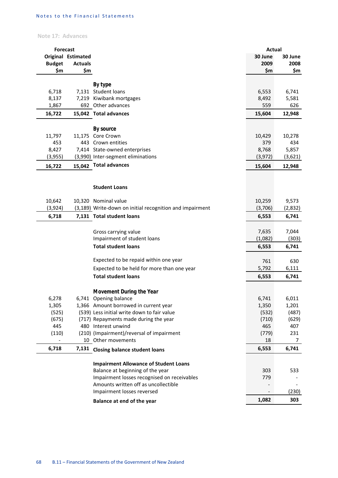# **Note 17: Advances**

|               | <b>Forecast</b>    |                                                                                     | <b>Actual</b> |         |
|---------------|--------------------|-------------------------------------------------------------------------------------|---------------|---------|
|               | Original Estimated |                                                                                     | 30 June       | 30 June |
| <b>Budget</b> | <b>Actuals</b>     |                                                                                     | 2009          | 2008    |
| \$m           | \$m                |                                                                                     | \$m           | \$m     |
|               |                    |                                                                                     |               |         |
| 6,718         |                    | By type<br>7,131 Student loans                                                      | 6,553         | 6,741   |
| 8,137         |                    | 7,219 Kiwibank mortgages                                                            | 8,492         | 5,581   |
| 1,867         |                    | 692 Other advances                                                                  | 559           | 626     |
| 16,722        |                    | 15,042 Total advances                                                               | 15,604        | 12,948  |
|               |                    |                                                                                     |               |         |
|               |                    | By source                                                                           |               |         |
| 11,797        |                    | 11,175 Core Crown                                                                   | 10,429        | 10,278  |
| 453           |                    | 443 Crown entities                                                                  | 379           | 434     |
| 8,427         |                    | 7,414 State-owned enterprises                                                       | 8,768         | 5,857   |
| (3,955)       |                    | (3,990) Inter-segment eliminations                                                  | (3, 972)      | (3,621) |
| 16,722        |                    | 15,042 Total advances                                                               | 15,604        | 12,948  |
|               |                    |                                                                                     |               |         |
|               |                    | <b>Student Loans</b>                                                                |               |         |
|               |                    |                                                                                     |               |         |
| 10,642        |                    | 10,320 Nominal value                                                                | 10,259        | 9,573   |
| (3, 924)      |                    | (3,189) Write-down on initial recognition and impairment                            | (3,706)       | (2,832) |
| 6,718         |                    | 7,131 Total student loans                                                           | 6,553         | 6,741   |
|               |                    |                                                                                     |               |         |
|               |                    | Gross carrying value                                                                | 7,635         | 7,044   |
|               |                    | Impairment of student loans                                                         | (1,082)       | (303)   |
|               |                    | <b>Total student loans</b>                                                          | 6,553         | 6,741   |
|               |                    | Expected to be repaid within one year                                               | 761           | 630     |
|               |                    | Expected to be held for more than one year                                          | 5,792         | 6,111   |
|               |                    | <b>Total student loans</b>                                                          | 6,553         | 6,741   |
|               |                    |                                                                                     |               |         |
|               |                    | Movement During the Year                                                            |               |         |
| 6,278         |                    | 6,741 Opening balance                                                               | 6,741         | 6,011   |
| 1,305         |                    | 1,366 Amount borrowed in current year                                               | 1,350         | 1,201   |
| (525)         |                    | (539) Less initial write down to fair value                                         | (532)         | (487)   |
| (675)         |                    | (717) Repayments made during the year                                               | (710)         | (629)   |
| 445           |                    | 480 Interest unwind                                                                 | 465           | 407     |
| (110)         |                    | (210) (Impairment)/reversal of impairment                                           | (779)         | 231     |
|               |                    | 10 Other movements                                                                  | 18            | 7       |
| 6,718         |                    | 7,131 Closing balance student loans                                                 | 6,553         | 6,741   |
|               |                    |                                                                                     |               |         |
|               |                    | <b>Impairment Allowance of Student Loans</b>                                        |               |         |
|               |                    | Balance at beginning of the year                                                    | 303           | 533     |
|               |                    | Impairment losses recognised on receivables<br>Amounts written off as uncollectible | 779           |         |
|               |                    | Impairment losses reversed                                                          |               | (230)   |
|               |                    |                                                                                     | 1,082         | 303     |
|               |                    | Balance at end of the year                                                          |               |         |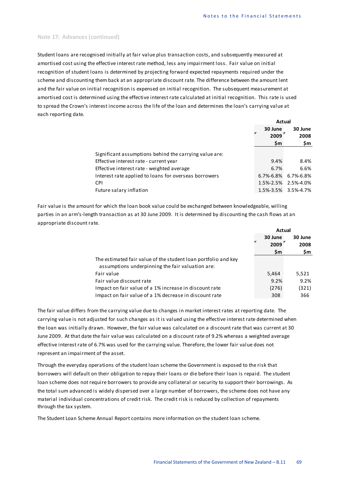### **Note 17: Advances (continued)**

Student loans are recognised initially at fair value plus transaction costs, and subsequently measured at amortised cost using the effective interest rate method, less any impairment loss. Fair value on initial recognition of student loans is determined by projecting forward expected repayments required under the scheme and discounting them back at an appropriate discount rate. The difference between the amount lent and the fair value on initial recognition is expensed on initial recognition. The subsequent measurement at amortised cost is determined using the effective interest rate calculated at initial recognition. This rate is used to spread the Crown's interest income across the life of the loan and determines the loan's carrying value at each reporting date.

|                                                        | Actual          |                     |
|--------------------------------------------------------|-----------------|---------------------|
|                                                        | 30 June<br>2009 | 30 June<br>2008     |
|                                                        | \$m             | \$m                 |
| Significant assumptions behind the carrying value are: |                 |                     |
| Effective interest rate - current year                 | 9.4%            | 8.4%                |
| Effective interest rate - weighted average             | 6.7%            | 6.6%                |
| Interest rate applied to loans for overseas borrowers  | $6.7\% - 6.8\%$ | 6.7%-6.8%           |
| <b>CPI</b>                                             | 1.5%-2.5%       | 2.5%-4.0%           |
| Future salary inflation                                |                 | 1.5%-3.5% 3.5%-4.7% |

Fair value is the amount for which the loan book value could be exchanged between knowledgeable, willing parties in an arm's-length transaction as at 30 June 2009. It is determined by discounting the cash flows at an appropriate discount rate.

|                                                                | Actual          |                 |
|----------------------------------------------------------------|-----------------|-----------------|
|                                                                | 30 June<br>2009 | 30 June<br>2008 |
|                                                                | \$m             | \$m             |
| The estimated fair value of the student loan portfolio and key |                 |                 |
| assumptions underpinning the fair valuation are:               |                 |                 |
| Fair value                                                     | 5,464           | 5,521           |
| Fair value discount rate                                       | 9.2%            | 9.2%            |
| Impact on fair value of a 1% increase in discount rate         | (276)           | (321)           |
| Impact on fair value of a 1% decrease in discount rate         | 308             | 366             |

The fair value differs from the carrying value due to changes in market interest rates at reporting date. The carrying value is not adjusted for such changes as it is valued using the effective interest rate determined when the loan was initially drawn. However, the fair value was calculated on a discount rate that was current at 30 June 2009. At that date the fair value was calculated on a discount rate of 9.2% whereas a weighted average effective interest rate of 6.7% was used for the carrying value. Therefore, the lower fair value does not represent an impairment of the asset.

Through the everyday operations of the student loan scheme the Government is exposed to the risk that borrowers will default on their obligation to repay their loans or die before their loan is repaid. The student loan scheme does not require borrowers to provide any collateral or security to support their borrowings. As the total sum advanced is widely dispersed over a large number of borrowers, the scheme does not have any material individual concentrations of credit risk. The credit risk is reduced by collection of repayments through the tax system.

The Student Loan Scheme Annual Report contains more information on the student loan scheme.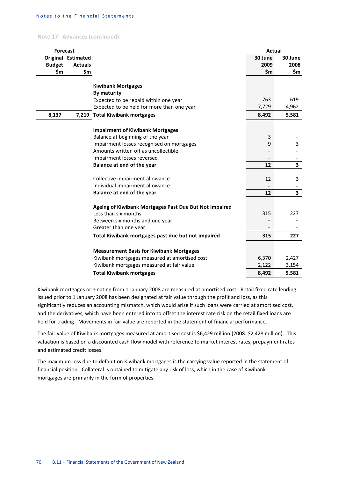**Note 17: Advances (continued)**

| Original Estimated<br>30 June<br>30 June<br>2009<br>2008<br><b>Budget</b><br><b>Actuals</b><br>\$m<br>\$m<br>\$m<br>\$m<br><b>Kiwibank Mortgages</b><br><b>By maturity</b><br>763<br>619<br>Expected to be repaid within one year<br>7,729<br>Expected to be held for more than one year<br>4,962<br>8,137<br>7,219 Total Kiwibank mortgages<br>8,492<br>5,581<br><b>Impairment of Kiwibank Mortgages</b><br>Balance at beginning of the year<br>3<br>Impairment losses recognised on mortgages<br>9<br>3<br>Amounts written off as uncollectible<br>Impairment losses reversed<br>$\overline{\mathbf{3}}$<br>Balance at end of the year<br>12<br>Collective impairment allowance<br>12<br>3<br>Individual impairment allowance<br>$\overline{\mathbf{3}}$<br>Balance at end of the year<br>12<br>Ageing of Kiwibank Mortgages Past Due But Not Impaired<br>315<br>227<br>Less than six months<br>Between six months and one year<br>Greater than one year<br>227<br>Total Kiwibank mortgages past due but not impaired<br>315<br><b>Measurement Basis for Kiwibank Mortgages</b><br>6,370<br>2,427<br>Kiwibank mortgages measured at amortised cost<br>Kiwibank mortgages measured at fair value<br>2,122<br>3,154<br>8,492<br>5,581<br><b>Total Kiwibank mortgages</b> | <b>Forecast</b> |  | <b>Actual</b> |  |
|--------------------------------------------------------------------------------------------------------------------------------------------------------------------------------------------------------------------------------------------------------------------------------------------------------------------------------------------------------------------------------------------------------------------------------------------------------------------------------------------------------------------------------------------------------------------------------------------------------------------------------------------------------------------------------------------------------------------------------------------------------------------------------------------------------------------------------------------------------------------------------------------------------------------------------------------------------------------------------------------------------------------------------------------------------------------------------------------------------------------------------------------------------------------------------------------------------------------------------------------------------------------------|-----------------|--|---------------|--|
|                                                                                                                                                                                                                                                                                                                                                                                                                                                                                                                                                                                                                                                                                                                                                                                                                                                                                                                                                                                                                                                                                                                                                                                                                                                                          |                 |  |               |  |
|                                                                                                                                                                                                                                                                                                                                                                                                                                                                                                                                                                                                                                                                                                                                                                                                                                                                                                                                                                                                                                                                                                                                                                                                                                                                          |                 |  |               |  |
|                                                                                                                                                                                                                                                                                                                                                                                                                                                                                                                                                                                                                                                                                                                                                                                                                                                                                                                                                                                                                                                                                                                                                                                                                                                                          |                 |  |               |  |
|                                                                                                                                                                                                                                                                                                                                                                                                                                                                                                                                                                                                                                                                                                                                                                                                                                                                                                                                                                                                                                                                                                                                                                                                                                                                          |                 |  |               |  |
|                                                                                                                                                                                                                                                                                                                                                                                                                                                                                                                                                                                                                                                                                                                                                                                                                                                                                                                                                                                                                                                                                                                                                                                                                                                                          |                 |  |               |  |
|                                                                                                                                                                                                                                                                                                                                                                                                                                                                                                                                                                                                                                                                                                                                                                                                                                                                                                                                                                                                                                                                                                                                                                                                                                                                          |                 |  |               |  |
|                                                                                                                                                                                                                                                                                                                                                                                                                                                                                                                                                                                                                                                                                                                                                                                                                                                                                                                                                                                                                                                                                                                                                                                                                                                                          |                 |  |               |  |
|                                                                                                                                                                                                                                                                                                                                                                                                                                                                                                                                                                                                                                                                                                                                                                                                                                                                                                                                                                                                                                                                                                                                                                                                                                                                          |                 |  |               |  |
|                                                                                                                                                                                                                                                                                                                                                                                                                                                                                                                                                                                                                                                                                                                                                                                                                                                                                                                                                                                                                                                                                                                                                                                                                                                                          |                 |  |               |  |
|                                                                                                                                                                                                                                                                                                                                                                                                                                                                                                                                                                                                                                                                                                                                                                                                                                                                                                                                                                                                                                                                                                                                                                                                                                                                          |                 |  |               |  |
|                                                                                                                                                                                                                                                                                                                                                                                                                                                                                                                                                                                                                                                                                                                                                                                                                                                                                                                                                                                                                                                                                                                                                                                                                                                                          |                 |  |               |  |
|                                                                                                                                                                                                                                                                                                                                                                                                                                                                                                                                                                                                                                                                                                                                                                                                                                                                                                                                                                                                                                                                                                                                                                                                                                                                          |                 |  |               |  |
|                                                                                                                                                                                                                                                                                                                                                                                                                                                                                                                                                                                                                                                                                                                                                                                                                                                                                                                                                                                                                                                                                                                                                                                                                                                                          |                 |  |               |  |
|                                                                                                                                                                                                                                                                                                                                                                                                                                                                                                                                                                                                                                                                                                                                                                                                                                                                                                                                                                                                                                                                                                                                                                                                                                                                          |                 |  |               |  |
|                                                                                                                                                                                                                                                                                                                                                                                                                                                                                                                                                                                                                                                                                                                                                                                                                                                                                                                                                                                                                                                                                                                                                                                                                                                                          |                 |  |               |  |
|                                                                                                                                                                                                                                                                                                                                                                                                                                                                                                                                                                                                                                                                                                                                                                                                                                                                                                                                                                                                                                                                                                                                                                                                                                                                          |                 |  |               |  |
|                                                                                                                                                                                                                                                                                                                                                                                                                                                                                                                                                                                                                                                                                                                                                                                                                                                                                                                                                                                                                                                                                                                                                                                                                                                                          |                 |  |               |  |
|                                                                                                                                                                                                                                                                                                                                                                                                                                                                                                                                                                                                                                                                                                                                                                                                                                                                                                                                                                                                                                                                                                                                                                                                                                                                          |                 |  |               |  |
|                                                                                                                                                                                                                                                                                                                                                                                                                                                                                                                                                                                                                                                                                                                                                                                                                                                                                                                                                                                                                                                                                                                                                                                                                                                                          |                 |  |               |  |
|                                                                                                                                                                                                                                                                                                                                                                                                                                                                                                                                                                                                                                                                                                                                                                                                                                                                                                                                                                                                                                                                                                                                                                                                                                                                          |                 |  |               |  |
|                                                                                                                                                                                                                                                                                                                                                                                                                                                                                                                                                                                                                                                                                                                                                                                                                                                                                                                                                                                                                                                                                                                                                                                                                                                                          |                 |  |               |  |
|                                                                                                                                                                                                                                                                                                                                                                                                                                                                                                                                                                                                                                                                                                                                                                                                                                                                                                                                                                                                                                                                                                                                                                                                                                                                          |                 |  |               |  |
|                                                                                                                                                                                                                                                                                                                                                                                                                                                                                                                                                                                                                                                                                                                                                                                                                                                                                                                                                                                                                                                                                                                                                                                                                                                                          |                 |  |               |  |
|                                                                                                                                                                                                                                                                                                                                                                                                                                                                                                                                                                                                                                                                                                                                                                                                                                                                                                                                                                                                                                                                                                                                                                                                                                                                          |                 |  |               |  |
|                                                                                                                                                                                                                                                                                                                                                                                                                                                                                                                                                                                                                                                                                                                                                                                                                                                                                                                                                                                                                                                                                                                                                                                                                                                                          |                 |  |               |  |
|                                                                                                                                                                                                                                                                                                                                                                                                                                                                                                                                                                                                                                                                                                                                                                                                                                                                                                                                                                                                                                                                                                                                                                                                                                                                          |                 |  |               |  |
|                                                                                                                                                                                                                                                                                                                                                                                                                                                                                                                                                                                                                                                                                                                                                                                                                                                                                                                                                                                                                                                                                                                                                                                                                                                                          |                 |  |               |  |
|                                                                                                                                                                                                                                                                                                                                                                                                                                                                                                                                                                                                                                                                                                                                                                                                                                                                                                                                                                                                                                                                                                                                                                                                                                                                          |                 |  |               |  |
|                                                                                                                                                                                                                                                                                                                                                                                                                                                                                                                                                                                                                                                                                                                                                                                                                                                                                                                                                                                                                                                                                                                                                                                                                                                                          |                 |  |               |  |

Kiwibank mortgages originating from 1 January 2008 are measured at amortised cost. Retail fixed rate lending issued prior to 1 January 2008 has been designated at fair value through the profit and loss, as this significantly reduces an accounting mismatch, which would arise if such loans were carried at amortised cost, and the derivatives, which have been entered into to offset the interest rate risk on the retail fixed loans are held for trading. Movements in fair value are reported in the statement of financial performance.

The fair value of Kiwibank mortgages measured at amortised cost is \$6,429 million (2008: \$2,428 million). This valuation is based on a discounted cash flow model with reference to market interest rates, prepayment rates and estimated credit losses.

The maximum loss due to default on Kiwibank mortgages is the carrying value reported in the statement of financial position. Collateral is obtained to mitigate any risk of loss, which in the case of Kiwibank mortgages are primarily in the form of properties.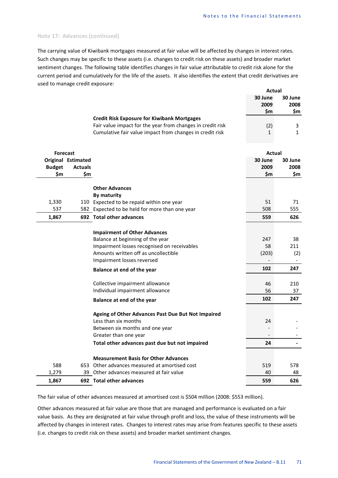# **Note 17: Advances (continued)**

The carrying value of Kiwibank mortgages measured at fair value will be affected by changes in interest rates. Such changes may be specific to these assets (i.e. changes to credit risk on these assets) and broader market sentiment changes. The following table identifies changes in fair value attributable to credit risk alone for the current period and cumulatively for the life of the assets. It also identifies the extent that credit derivatives are used to manage credit exposure:

|                 |                           |                                                            | <b>Actual</b>  |                          |
|-----------------|---------------------------|------------------------------------------------------------|----------------|--------------------------|
|                 |                           |                                                            | 30 June        | 30 June                  |
|                 |                           |                                                            | 2009           | 2008                     |
|                 |                           |                                                            | \$m            | \$m                      |
|                 |                           | <b>Credit Risk Exposure for Kiwibank Mortgages</b>         |                |                          |
|                 |                           | Fair value impact for the year from changes in credit risk | (2)            | 3                        |
|                 |                           | Cumulative fair value impact from changes in credit risk   | 1              | $\mathbf{1}$             |
|                 |                           |                                                            |                |                          |
|                 |                           |                                                            |                |                          |
| <b>Forecast</b> |                           |                                                            | Actual         |                          |
|                 | <b>Original Estimated</b> |                                                            | 30 June        | 30 June                  |
| <b>Budget</b>   | <b>Actuals</b>            |                                                            | 2009           | 2008                     |
| \$m             | \$m                       |                                                            | \$m            | \$m                      |
|                 |                           |                                                            |                |                          |
|                 |                           | <b>Other Advances</b>                                      |                |                          |
|                 |                           | <b>By maturity</b>                                         |                |                          |
| 1,330           |                           | 110 Expected to be repaid within one year                  | 51             | 71                       |
| 537             |                           | 582 Expected to be held for more than one year             | 508            | 555                      |
| 1,867           |                           | 692 Total other advances                                   | 559            | 626                      |
|                 |                           |                                                            |                |                          |
|                 |                           | <b>Impairment of Other Advances</b>                        |                |                          |
|                 |                           | Balance at beginning of the year                           | 247            | 38                       |
|                 |                           | Impairment losses recognised on receivables                | 58             | 211                      |
|                 |                           | Amounts written off as uncollectible                       | (203)          | (2)                      |
|                 |                           | Impairment losses reversed                                 | $\overline{a}$ | $\overline{\phantom{0}}$ |
|                 |                           |                                                            | 102            | 247                      |
|                 |                           | Balance at end of the year                                 |                |                          |
|                 |                           | Collective impairment allowance                            | 46             | 210                      |
|                 |                           | Individual impairment allowance                            | 56             | 37                       |
|                 |                           |                                                            |                |                          |
|                 |                           | Balance at end of the year                                 | 102            | 247                      |
|                 |                           |                                                            |                |                          |
|                 |                           | Ageing of Other Advances Past Due But Not Impaired         |                |                          |
|                 |                           | Less than six months                                       | 24             |                          |
|                 |                           | Between six months and one year                            |                |                          |
|                 |                           | Greater than one year                                      |                |                          |
|                 |                           | Total other advances past due but not impaired             | 24             |                          |
|                 |                           | <b>Measurement Basis for Other Advances</b>                |                |                          |
| 588             |                           | 653 Other advances measured at amortised cost              | 519            | 578                      |
| 1,279           |                           | 39 Other advances measured at fair value                   | 40             | 48                       |
|                 |                           | 692 Total other advances                                   |                |                          |
| 1,867           |                           |                                                            | 559            | 626                      |

The fair value of other advances measured at amortised cost is \$504 million (2008: \$553 million).

Other advances measured at fair value are those that are managed and performance is evaluated on a fair value basis. As they are designated at fair value through profit and loss, the value of these instruments will be affected by changes in interest rates. Changes to interest rates may arise from features specific to these assets (i.e. changes to credit risk on these assets) and broader market sentiment changes.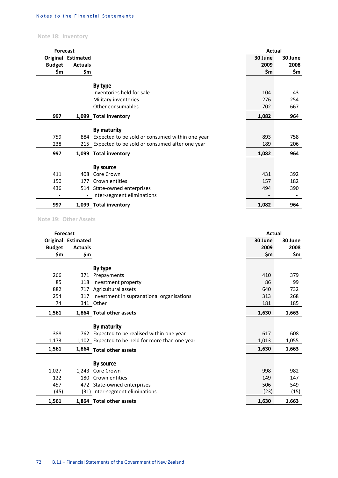# **Note 18: Inventory**

| <b>Forecast</b> |                           |                                                     | Actual  |         |
|-----------------|---------------------------|-----------------------------------------------------|---------|---------|
|                 | <b>Original Estimated</b> |                                                     | 30 June | 30 June |
| <b>Budget</b>   | <b>Actuals</b>            |                                                     | 2009    | 2008    |
| \$m             | \$m                       |                                                     | \$m     | \$m     |
|                 |                           |                                                     |         |         |
|                 |                           | By type                                             |         |         |
|                 |                           | Inventories held for sale                           | 104     | 43      |
|                 |                           | Military inventories                                | 276     | 254     |
|                 |                           | Other consumables                                   | 702     | 667     |
| 997             |                           | 1,099 Total inventory                               | 1,082   | 964     |
|                 |                           |                                                     |         |         |
|                 |                           | By maturity                                         |         |         |
| 759             |                           | 884 Expected to be sold or consumed within one year | 893     | 758     |
| 238             |                           | 215 Expected to be sold or consumed after one year  | 189     | 206     |
| 997             |                           | 1,099 Total inventory                               | 1,082   | 964     |
|                 |                           |                                                     |         |         |
|                 |                           | By source                                           |         |         |
| 411             | 408                       | Core Crown                                          | 431     | 392     |
| 150             | 177                       | Crown entities                                      | 157     | 182     |
| 436             |                           | 514 State-owned enterprises                         | 494     | 390     |
|                 | $\overline{\phantom{a}}$  | Inter-segment eliminations                          |         |         |
| 997             |                           | 1,099 Total inventory                               | 1,082   | 964     |

**Note 19: Other Assets**

| <b>Forecast</b> |                           |                                                  | Actual  |         |
|-----------------|---------------------------|--------------------------------------------------|---------|---------|
|                 | <b>Original Estimated</b> |                                                  | 30 June | 30 June |
| <b>Budget</b>   | <b>Actuals</b>            |                                                  | 2009    | 2008    |
| \$m             | \$m                       |                                                  | \$m     | \$m     |
|                 |                           |                                                  |         |         |
|                 |                           | By type                                          |         |         |
| 266             | 371                       | Prepayments                                      | 410     | 379     |
| 85              | 118                       | Investment property                              | 86      | 99      |
| 882             | 717                       | Agricultural assets                              | 640     | 732     |
| 254             | 317                       | Investment in supranational organisations        | 313     | 268     |
| 74              |                           | 341 Other                                        | 181     | 185     |
| 1,561           |                           | 1,864 Total other assets                         | 1,630   | 1,663   |
|                 |                           | By maturity                                      |         |         |
| 388             |                           | 762 Expected to be realised within one year      | 617     | 608     |
| 1,173           |                           | 1,102 Expected to be held for more than one year | 1,013   | 1,055   |
| 1,561           | 1,864                     | <b>Total other assets</b>                        | 1,630   | 1,663   |
|                 |                           | <b>By source</b>                                 |         |         |
| 1,027           | 1.243                     | Core Crown                                       | 998     | 982     |
| 122             | 180                       | Crown entities                                   | 149     | 147     |
| 457             |                           | 472 State-owned enterprises                      | 506     | 549     |
|                 |                           |                                                  |         |         |
| (45)            |                           | (31) Inter-segment eliminations                  | (23)    | (15)    |
| 1,561           |                           | 1,864 Total other assets                         | 1,630   | 1,663   |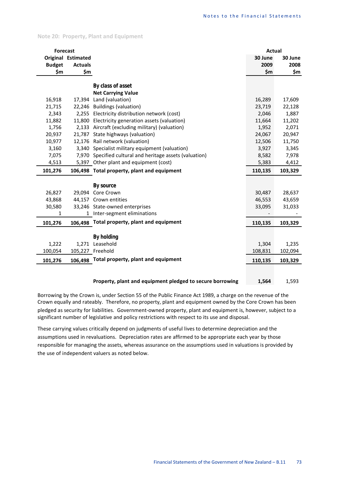|  |  |  | <b>Note 20: Property, Plant and Equipment</b> |
|--|--|--|-----------------------------------------------|
|--|--|--|-----------------------------------------------|

| <b>Forecast</b> |                    |                                                          | <b>Actual</b> |         |
|-----------------|--------------------|----------------------------------------------------------|---------------|---------|
|                 | Original Estimated |                                                          | 30 June       | 30 June |
| <b>Budget</b>   | <b>Actuals</b>     |                                                          | 2009          | 2008    |
| \$m             | \$m                |                                                          | \$m           | \$m     |
|                 |                    |                                                          |               |         |
|                 |                    | By class of asset                                        |               |         |
|                 |                    | <b>Net Carrying Value</b>                                |               |         |
| 16,918          |                    | 17,394 Land (valuation)                                  | 16,289        | 17,609  |
| 21,715          |                    | 22,246 Buildings (valuation)                             | 23,719        | 22,128  |
| 2,343           |                    | 2,255 Electricity distribution network (cost)            | 2,046         | 1,887   |
| 11,882          |                    | 11,800 Electricity generation assets (valuation)         | 11,664        | 11,202  |
| 1,756           |                    | 2,133 Aircraft (excluding military) (valuation)          | 1,952         | 2,071   |
| 20,937          |                    | 21,787 State highways (valuation)                        | 24,067        | 20,947  |
| 10,977          |                    | 12,176 Rail network (valuation)                          | 12,506        | 11,750  |
| 3,160           |                    | 3,340 Specialist military equipment (valuation)          | 3,927         | 3,345   |
| 7,075           |                    | 7,970 Specified cultural and heritage assets (valuation) | 8,582         | 7,978   |
| 4,513           |                    | 5,397 Other plant and equipment (cost)                   | 5,383         | 4,412   |
| 101,276         |                    | 106,498 Total property, plant and equipment              | 110,135       | 103,329 |
|                 |                    |                                                          |               |         |
|                 |                    | By source                                                |               |         |
| 26,827          |                    | 29,094 Core Crown                                        | 30,487        | 28,637  |
| 43,868          |                    | 44,157 Crown entities                                    | 46,553        | 43,659  |
| 30,580          |                    | 33,246 State-owned enterprises                           | 33,095        | 31,033  |
| 1               |                    | 1 Inter-segment eliminations                             |               |         |
| 101,276         | 106,498            | Total property, plant and equipment                      | 110,135       | 103,329 |
|                 |                    |                                                          |               |         |
|                 |                    | <b>By holding</b>                                        |               |         |
| 1,222           |                    | 1,271 Leasehold                                          | 1,304         | 1,235   |
| 100,054         |                    | 105,227 Freehold                                         | 108,831       | 102,094 |
| 101,276         |                    | 106,498 Total property, plant and equipment              | 110,135       | 103,329 |
|                 |                    |                                                          |               |         |
|                 |                    | Dronoutu, plant and conjument pladead to convert horrori | 1.501         | 1.502   |

**Property, plant and equipment pledged to secure borrowing 1,564** 1,593

Borrowing by the Crown is, under Section 55 of the Public Finance Act 1989, a charge on the revenue of the Crown equally and rateably. Therefore, no property, plant and equipment owned by the Core Crown has been pledged as security for liabilities. Government-owned property, plant and equipment is, however, subject to a significant number of legislative and policy restrictions with respect to its use and disposal.

These carrying values critically depend on judgments of useful lives to determine depreciation and the assumptions used in revaluations. Depreciation rates are affirmed to be appropriate each year by those responsible for managing the assets, whereas assurance on the assumptions used in valuations is provided by the use of independent valuers as noted below.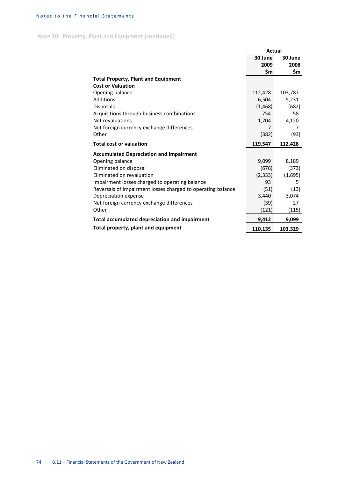**Note 20: Property, Plant and Equipment (continued)**

|                                                             | Actual   |         |  |
|-------------------------------------------------------------|----------|---------|--|
|                                                             | 30 June  | 30 June |  |
|                                                             | 2009     | 2008    |  |
|                                                             | \$m      | \$m     |  |
| <b>Total Property, Plant and Equipment</b>                  |          |         |  |
| <b>Cost or Valuation</b>                                    |          |         |  |
| Opening balance                                             | 112,428  | 103,787 |  |
| Additions                                                   | 6,504    | 5,231   |  |
| <b>Disposals</b>                                            | (1, 468) | (682)   |  |
| Acquisitions through business combinations                  | 754      | 58      |  |
| Net revaluations                                            | 1,704    | 4,120   |  |
| Net foreign currency exchange differences                   | 7        | 7       |  |
| Other                                                       | (382)    | (93)    |  |
| <b>Total cost or valuation</b>                              | 119,547  | 112,428 |  |
| <b>Accumulated Depreciation and Impairment</b>              |          |         |  |
| Opening balance                                             | 9,099    | 8,189   |  |
| Eliminated on disposal                                      | (676)    | (373)   |  |
| Eliminated on revaluation                                   | (2, 333) | (1,695) |  |
| Impairment losses charged to operating balance              | 93       | 5       |  |
| Reversals of impairment losses charged to operating balance | (51)     | (13)    |  |
| Depreciation expense                                        | 3,440    | 3,074   |  |
| Net foreign currency exchange differences                   | (39)     | 27      |  |
| Other                                                       | (121)    | (115)   |  |
| Total accumulated depreciation and impairment               | 9,412    | 9,099   |  |
|                                                             |          |         |  |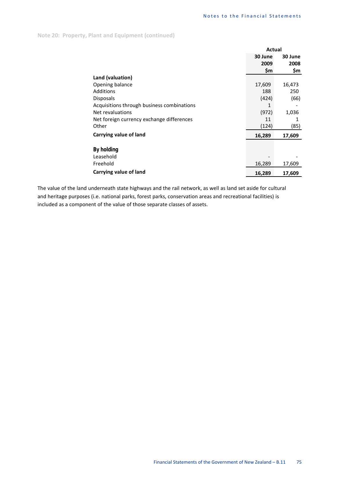|                                            | <b>Actual</b> |         |  |
|--------------------------------------------|---------------|---------|--|
|                                            | 30 June       | 30 June |  |
|                                            | 2009          | 2008    |  |
|                                            | \$m           | \$m     |  |
| Land (valuation)                           |               |         |  |
| Opening balance                            | 17,609        | 16,473  |  |
| <b>Additions</b>                           | 188           | 250     |  |
| <b>Disposals</b>                           | (424)         | (66)    |  |
| Acquisitions through business combinations | 1             |         |  |
| Net revaluations                           | (972)         | 1,036   |  |
| Net foreign currency exchange differences  | 11            | 1       |  |
| Other                                      | (124)         | (85)    |  |
| Carrying value of land                     | 16,289        | 17,609  |  |
| By holding                                 |               |         |  |
| Leasehold                                  |               |         |  |
| Freehold                                   | 16,289        | 17,609  |  |
| Carrying value of land                     | 16,289        | 17,609  |  |

The value of the land underneath state highways and the rail network, as well as land set aside for cultural and heritage purposes (i.e. national parks, forest parks, conservation areas and recreational facilities) is included as a component of the value of those separate classes of assets.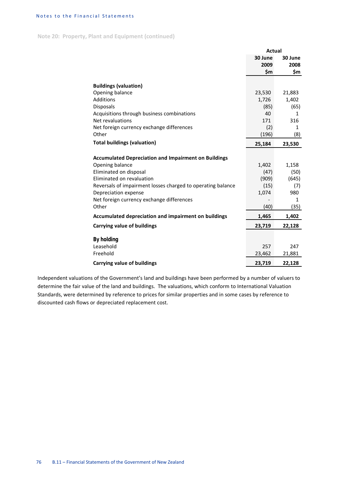**Note 20: Property, Plant and Equipment (continued)**

|                                                             | <b>Actual</b> |         |  |
|-------------------------------------------------------------|---------------|---------|--|
|                                                             | 30 June       | 30 June |  |
|                                                             | 2009          | 2008    |  |
|                                                             | \$m           | \$m     |  |
|                                                             |               |         |  |
| <b>Buildings (valuation)</b>                                |               |         |  |
| Opening balance                                             | 23,530        | 21,883  |  |
| <b>Additions</b>                                            | 1,726         | 1,402   |  |
| Disposals                                                   | (85)          | (65)    |  |
| Acquisitions through business combinations                  | 40            | 1       |  |
| Net revaluations                                            | 171           | 316     |  |
| Net foreign currency exchange differences                   | (2)           | 1       |  |
| Other                                                       | (196)         | (8)     |  |
| <b>Total buildings (valuation)</b>                          | 25,184        | 23,530  |  |
| <b>Accumulated Depreciation and Impairment on Buildings</b> |               |         |  |
| Opening balance                                             | 1,402         | 1,158   |  |
| Eliminated on disposal                                      | (47)          | (50)    |  |
| Eliminated on revaluation                                   | (909)         | (645)   |  |
| Reversals of impairment losses charged to operating balance | (15)          | (7)     |  |
| Depreciation expense                                        | 1,074         | 980     |  |
| Net foreign currency exchange differences                   |               | 1       |  |
| Other                                                       | (40)          | (35)    |  |
| Accumulated depreciation and impairment on buildings        | 1,465         | 1,402   |  |
| Carrying value of buildings                                 | 23,719        | 22,128  |  |
| <b>By holding</b>                                           |               |         |  |
| Leasehold                                                   | 257           | 247     |  |
| Freehold                                                    | 23,462        | 21,881  |  |
| <b>Carrying value of buildings</b>                          | 23,719        | 22,128  |  |

Independent valuations of the Government's land and buildings have been performed by a number of valuers to determine the fair value of the land and buildings. The valuations, which conform to International Valuation Standards, were determined by reference to prices for similar properties and in some cases by reference to discounted cash flows or depreciated replacement cost.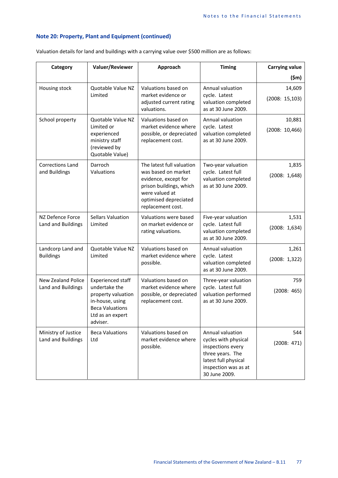Valuation details for land and buildings with a carrying value over \$500 million are as follows:

| Category                                        | Valuer/Reviewer                                                                                                                       | Approach                                                                                                                                                            | <b>Timing</b>                                                                                                                                      | <b>Carrying value</b>    |
|-------------------------------------------------|---------------------------------------------------------------------------------------------------------------------------------------|---------------------------------------------------------------------------------------------------------------------------------------------------------------------|----------------------------------------------------------------------------------------------------------------------------------------------------|--------------------------|
|                                                 |                                                                                                                                       |                                                                                                                                                                     |                                                                                                                                                    | $(\mathsf{5m})$          |
| Housing stock                                   | Quotable Value NZ<br>Limited                                                                                                          | Valuations based on<br>market evidence or<br>adjusted current rating<br>valuations.                                                                                 | Annual valuation<br>cycle. Latest<br>valuation completed<br>as at 30 June 2009.                                                                    | 14,609<br>(2008: 15,103) |
| School property                                 | Quotable Value NZ<br>Limited or<br>experienced<br>ministry staff<br>(reviewed by<br>Quotable Value)                                   | Valuations based on<br>market evidence where<br>possible, or depreciated<br>replacement cost.                                                                       | Annual valuation<br>cycle. Latest<br>valuation completed<br>as at 30 June 2009.                                                                    | 10,881<br>(2008: 10,466) |
| <b>Corrections Land</b><br>and Buildings        | Darroch<br>Valuations                                                                                                                 | The latest full valuation<br>was based on market<br>evidence, except for<br>prison buildings, which<br>were valued at<br>optimised depreciated<br>replacement cost. | Two-year valuation<br>cycle. Latest full<br>valuation completed<br>as at 30 June 2009.                                                             | 1,835<br>(2008: 1,648)   |
| NZ Defence Force<br>Land and Buildings          | <b>Sellars Valuation</b><br>Limited                                                                                                   | Valuations were based<br>on market evidence or<br>rating valuations.                                                                                                | Five-year valuation<br>cycle. Latest full<br>valuation completed<br>as at 30 June 2009.                                                            | 1,531<br>(2008: 1,634)   |
| Landcorp Land and<br><b>Buildings</b>           | Quotable Value NZ<br>Limited                                                                                                          | Valuations based on<br>market evidence where<br>possible.                                                                                                           | Annual valuation<br>cycle. Latest<br>valuation completed<br>as at 30 June 2009.                                                                    | 1,261<br>(2008: 1,322)   |
| <b>New Zealand Police</b><br>Land and Buildings | Experienced staff<br>undertake the<br>property valuation<br>in-house, using<br><b>Beca Valuations</b><br>Ltd as an expert<br>adviser. | Valuations based on<br>market evidence where<br>possible, or depreciated<br>replacement cost.                                                                       | Three-year valuation<br>cycle. Latest full<br>valuation performed<br>as at 30 June 2009.                                                           | 759<br>(2008: 465)       |
| Ministry of Justice<br>Land and Buildings       | <b>Beca Valuations</b><br>Ltd                                                                                                         | Valuations based on<br>market evidence where<br>possible.                                                                                                           | Annual valuation<br>cycles with physical<br>inspections every<br>three years. The<br>latest full physical<br>inspection was as at<br>30 June 2009. | 544<br>(2008: 471)       |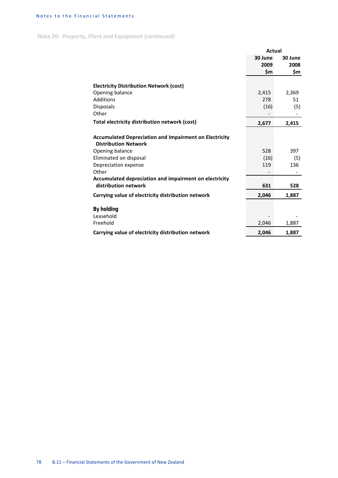**Note 20: Property, Plant and Equipment (continued)**

|                                                                                              | Actual  |         |  |
|----------------------------------------------------------------------------------------------|---------|---------|--|
|                                                                                              | 30 June | 30 June |  |
|                                                                                              | 2009    | 2008    |  |
|                                                                                              | \$m     | \$m     |  |
| <b>Electricity Distribution Network (cost)</b>                                               |         |         |  |
| Opening balance                                                                              | 2,415   | 2,369   |  |
| Additions                                                                                    | 278     | 51      |  |
| <b>Disposals</b>                                                                             | (16)    | (5)     |  |
| Other                                                                                        |         |         |  |
| Total electricity distribution network (cost)                                                | 2,677   | 2,415   |  |
|                                                                                              |         |         |  |
| <b>Accumulated Depreciation and Impairment on Electricity</b><br><b>Distribution Network</b> |         |         |  |
| Opening balance                                                                              | 528     | 397     |  |
| Eliminated on disposal                                                                       | (16)    | (5)     |  |
| Depreciation expense                                                                         | 119     | 136     |  |
| Other                                                                                        |         |         |  |
| Accumulated depreciation and impairment on electricity                                       |         |         |  |
| distribution network                                                                         | 631     | 528     |  |
| Carrying value of electricity distribution network                                           | 2,046   | 1,887   |  |
| <b>By holding</b>                                                                            |         |         |  |
| Leasehold                                                                                    |         |         |  |
| Freehold                                                                                     | 2,046   | 1,887   |  |
| Carrying value of electricity distribution network                                           | 2,046   | 1,887   |  |
|                                                                                              |         |         |  |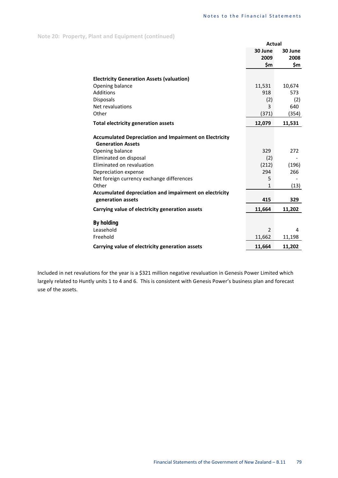|                                                                                           | Actual         |         |
|-------------------------------------------------------------------------------------------|----------------|---------|
|                                                                                           | 30 June        | 30 June |
|                                                                                           | 2009           | 2008    |
|                                                                                           | \$m            | \$m     |
| <b>Electricity Generation Assets (valuation)</b>                                          |                |         |
| Opening balance                                                                           | 11,531         | 10,674  |
| Additions                                                                                 | 918            | 573     |
| Disposals                                                                                 | (2)            | (2)     |
| Net revaluations                                                                          | 3              | 640     |
| Other                                                                                     | (371)          | (354)   |
| <b>Total electricity generation assets</b>                                                | 12,079         | 11,531  |
|                                                                                           |                |         |
| <b>Accumulated Depreciation and Impairment on Electricity</b><br><b>Generation Assets</b> |                |         |
| Opening balance                                                                           | 329            | 272     |
| Eliminated on disposal                                                                    | (2)            |         |
| Eliminated on revaluation                                                                 | (212)          | (196)   |
| Depreciation expense                                                                      | 294            | 266     |
| Net foreign currency exchange differences                                                 | 5              |         |
| Other                                                                                     | $\mathbf{1}$   | (13)    |
| Accumulated depreciation and impairment on electricity                                    |                |         |
| generation assets                                                                         | 415            | 329     |
| Carrying value of electricity generation assets                                           | 11,664         | 11,202  |
| <b>By holding</b>                                                                         |                |         |
| Leasehold                                                                                 | $\overline{2}$ | 4       |
| Freehold                                                                                  | 11,662         | 11,198  |
| Carrying value of electricity generation assets                                           | 11,664         | 11,202  |

Included in net revalutions for the year is a \$321 million negative revaluation in Genesis Power Limited which largely related to Huntly units 1 to 4 and 6. This is consistent with Genesis Power's business plan and forecast use of the assets.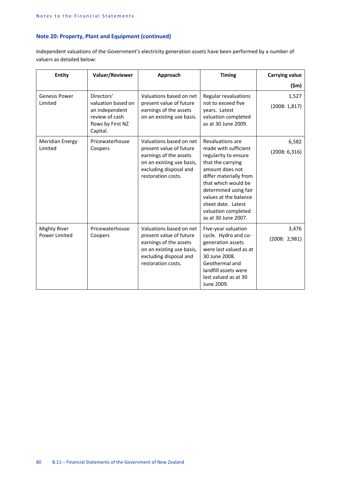Independent valuations of the Government's electricity generation assets have been performed by a number of valuers as detailed below:

| Entity                               | Valuer/Reviewer                                                                                       | Approach                                                                                                                                                  | <b>Timing</b>                                                                                                                                                                                                                                                                   | <b>Carrying value</b>   |
|--------------------------------------|-------------------------------------------------------------------------------------------------------|-----------------------------------------------------------------------------------------------------------------------------------------------------------|---------------------------------------------------------------------------------------------------------------------------------------------------------------------------------------------------------------------------------------------------------------------------------|-------------------------|
|                                      |                                                                                                       |                                                                                                                                                           |                                                                                                                                                                                                                                                                                 | (\$m)                   |
| <b>Genesis Power</b><br>Limited      | Directors'<br>valuation based on<br>an independent<br>review of cash<br>flows by First NZ<br>Capital. | Valuations based on net<br>present value of future<br>earnings of the assets<br>on an existing use basis.                                                 | Regular revaluations<br>not to exceed five<br>years. Latest<br>valuation completed<br>as at 30 June 2009.                                                                                                                                                                       | 1,527<br>(2008:1,817)   |
| <b>Meridian Energy</b><br>Limited    | Pricewaterhouse<br>Coopers                                                                            | Valuations based on net<br>present value of future<br>earnings of the assets<br>on an existing use basis,<br>excluding disposal and<br>restoration costs. | Revaluations are<br>made with sufficient<br>regularity to ensure<br>that the carrying<br>amount does not<br>differ materially from<br>that which would be<br>determined using fair<br>values at the balance<br>sheet date. Latest<br>valuation completed<br>as at 30 June 2007. | 6,582<br>(2008: 6, 316) |
| <b>Mighty River</b><br>Power Limited | Pricewaterhouse<br>Coopers                                                                            | Valuations based on net<br>present value of future<br>earnings of the assets<br>on an existing use basis,<br>excluding disposal and<br>restoration costs. | Five-year valuation<br>cycle. Hydro and co-<br>generation assets<br>were last valued as at<br>30 June 2008.<br>Geothermal and<br>landfill assets were<br>last valued as at 30<br>June 2009.                                                                                     | 3,476<br>(2008: 2,981)  |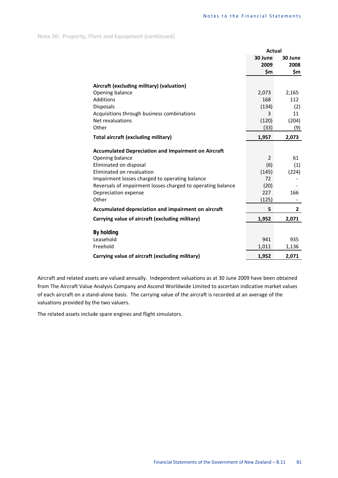|                                                             | <b>Actual</b> |              |  |
|-------------------------------------------------------------|---------------|--------------|--|
|                                                             | 30 June       | 30 June      |  |
|                                                             | 2009          | 2008         |  |
|                                                             | \$m           | \$m          |  |
| Aircraft (excluding military) (valuation)                   |               |              |  |
| Opening balance                                             | 2,073         | 2,165        |  |
| Additions                                                   | 168           | 112          |  |
| <b>Disposals</b>                                            | (134)         | (2)          |  |
| Acquisitions through business combinations                  | 3             | 11           |  |
| Net revaluations                                            | (120)         | (204)        |  |
| Other                                                       | (33)          | (9)          |  |
| Total aircraft (excluding military)                         | 1,957         | 2,073        |  |
| <b>Accumulated Depreciation and Impairment on Aircraft</b>  |               |              |  |
| Opening balance                                             | 2             | 61           |  |
| Eliminated on disposal                                      | (6)           | (1)          |  |
| Eliminated on revaluation                                   | (145)         | (224)        |  |
| Impairment losses charged to operating balance              | 72            |              |  |
| Reversals of impairment losses charged to operating balance | (20)          |              |  |
| Depreciation expense                                        | 227           | 166          |  |
| Other                                                       | (125)         |              |  |
| Accumulated depreciation and impairment on aircraft         | 5             | $\mathbf{2}$ |  |
| Carrying value of aircraft (excluding military)             | 1,952         | 2,071        |  |
| <b>By holding</b>                                           |               |              |  |
| Leasehold                                                   | 941           | 935          |  |
| Freehold                                                    | 1,011         | 1,136        |  |
| Carrying value of aircraft (excluding military)             | 1,952         | 2,071        |  |

Aircraft and related assets are valued annually. Independent valuations as at 30 June 2009 have been obtained from The Aircraft Value Analysis Company and Ascend Worldwide Limited to ascertain indicative market values of each aircraft on a stand-alone basis. The carrying value of the aircraft is recorded at an average of the valuations provided by the two valuers.

The related assets include spare engines and flight simulators.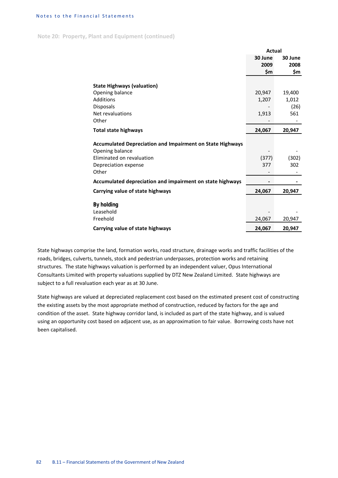**Note 20: Property, Plant and Equipment (continued)**

|                                                                                                                                          | <b>Actual</b> |              |
|------------------------------------------------------------------------------------------------------------------------------------------|---------------|--------------|
|                                                                                                                                          | 30 June       | 30 June      |
|                                                                                                                                          | 2009          | 2008         |
|                                                                                                                                          | \$m           | \$m          |
| <b>State Highways (valuation)</b>                                                                                                        |               |              |
| Opening balance                                                                                                                          | 20,947        | 19,400       |
| Additions                                                                                                                                | 1,207         | 1,012        |
| Disposals                                                                                                                                |               | (26)         |
| Net revaluations                                                                                                                         | 1,913         | 561          |
| Other                                                                                                                                    |               |              |
| <b>Total state highways</b>                                                                                                              | 24,067        | 20,947       |
| <b>Accumulated Depreciation and Impairment on State Highways</b><br>Opening balance<br>Eliminated on revaluation<br>Depreciation expense | (377)<br>377  | (302)<br>302 |
| Other                                                                                                                                    |               |              |
| Accumulated depreciation and impairment on state highways                                                                                |               |              |
| Carrying value of state highways                                                                                                         | 24,067        | 20,947       |
| <b>By holding</b><br>Leasehold<br>Freehold                                                                                               | 24,067        | 20,947       |
| Carrying value of state highways                                                                                                         | 24,067        | 20,947       |
|                                                                                                                                          |               |              |

State highways comprise the land, formation works, road structure, drainage works and traffic facilities of the roads, bridges, culverts, tunnels, stock and pedestrian underpasses, protection works and retaining structures. The state highways valuation is performed by an independent valuer, Opus International Consultants Limited with property valuations supplied by DTZ New Zealand Limited. State highways are subject to a full revaluation each year as at 30 June.

State highways are valued at depreciated replacement cost based on the estimated present cost of constructing the existing assets by the most appropriate method of construction, reduced by factors for the age and condition of the asset. State highway corridor land, is included as part of the state highway, and is valued using an opportunity cost based on adjacent use, as an approximation to fair value. Borrowing costs have not been capitalised.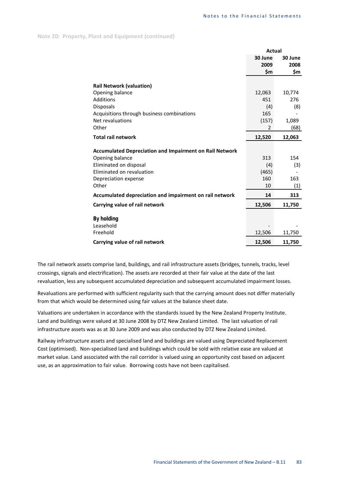|                                                                                                                                          | Actual              |            |  |
|------------------------------------------------------------------------------------------------------------------------------------------|---------------------|------------|--|
|                                                                                                                                          | 30 June             | 30 June    |  |
|                                                                                                                                          | 2009                | 2008       |  |
|                                                                                                                                          | Śm                  | \$m        |  |
| <b>Rail Network (valuation)</b>                                                                                                          |                     |            |  |
| Opening balance                                                                                                                          | 12,063              | 10,774     |  |
| Additions                                                                                                                                | 451                 | 276        |  |
| Disposals                                                                                                                                | (4)                 | (8)        |  |
| Acquisitions through business combinations                                                                                               | 165                 |            |  |
| Net revaluations                                                                                                                         | (157)               | 1,089      |  |
| Other                                                                                                                                    | $\overline{2}$      | (68)       |  |
| <b>Total rail network</b>                                                                                                                | 12,520              | 12,063     |  |
| <b>Accumulated Depreciation and Impairment on Rail Network</b><br>Opening balance<br>Eliminated on disposal<br>Eliminated on revaluation | 313<br>(4)<br>(465) | 154<br>(3) |  |
| Depreciation expense                                                                                                                     | 160                 | 163        |  |
| Other                                                                                                                                    | 10                  | (1)        |  |
| Accumulated depreciation and impairment on rail network                                                                                  | 14                  | 313        |  |
| Carrying value of rail network                                                                                                           | 12,506              | 11,750     |  |
| By holding<br>Leasehold<br>Freehold                                                                                                      | 12,506              | 11,750     |  |
| Carrying value of rail network                                                                                                           | 12,506              | 11,750     |  |

The rail network assets comprise land, buildings, and rail infrastructure assets (bridges, tunnels, tracks, level crossings, signals and electrification). The assets are recorded at their fair value at the date of the last revaluation, less any subsequent accumulated depreciation and subsequent accumulated impairment losses.

Revaluations are performed with sufficient regularity such that the carrying amount does not differ materially from that which would be determined using fair values at the balance sheet date.

Valuations are undertaken in accordance with the standards issued by the New Zealand Property Institute. Land and buildings were valued at 30 June 2008 by DTZ New Zealand Limited. The last valuation of rail infrastructure assets was as at 30 June 2009 and was also conducted by DTZ New Zealand Limited.

Railway infrastructure assets and specialised land and buildings are valued using Depreciated Replacement Cost (optimised). Non-specialised land and buildings which could be sold with relative ease are valued at market value. Land associated with the rail corridor is valued using an opportunity cost based on adjacent use, as an approximation to fair value. Borrowing costs have not been capitalised.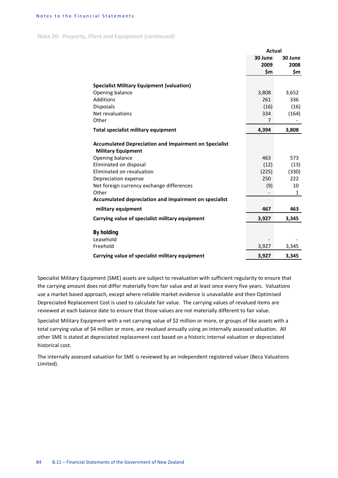**Note 20: Property, Plant and Equipment (continued)**

|                                                                                           | Actual         |              |  |  |
|-------------------------------------------------------------------------------------------|----------------|--------------|--|--|
|                                                                                           | 30 June        | 30 June      |  |  |
|                                                                                           | 2009           | 2008         |  |  |
|                                                                                           | \$m            | \$m          |  |  |
| <b>Specialist Military Equipment (valuation)</b>                                          |                |              |  |  |
| Opening balance                                                                           | 3,808          | 3,652        |  |  |
| Additions                                                                                 | 261            | 336          |  |  |
| <b>Disposals</b>                                                                          | (16)           | (16)         |  |  |
| Net revaluations                                                                          | 334            | (164)        |  |  |
| Other                                                                                     | $\overline{7}$ |              |  |  |
| Total specialist military equipment                                                       | 4,394          | 3,808        |  |  |
|                                                                                           |                |              |  |  |
| <b>Accumulated Depreciation and Impairment on Specialist</b><br><b>Military Equipment</b> |                |              |  |  |
| Opening balance                                                                           | 463            | 573          |  |  |
| Eliminated on disposal                                                                    | (12)           | (13)         |  |  |
| Eliminated on revaluation                                                                 | (225)          | (330)        |  |  |
| Depreciation expense                                                                      | 250            | 222          |  |  |
| Net foreign currency exchange differences                                                 | (9)            | 10           |  |  |
| Other                                                                                     |                | $\mathbf{1}$ |  |  |
| Accumulated depreciation and impairment on specialist                                     |                |              |  |  |
| military equipment                                                                        | 467            | 463          |  |  |
| Carrying value of specialist military equipment                                           | 3,927          | 3,345        |  |  |
| <b>By holding</b>                                                                         |                |              |  |  |
| Leasehold                                                                                 |                |              |  |  |
| Freehold                                                                                  | 3,927          | 3,345        |  |  |
| Carrying value of specialist military equipment                                           | 3,927          | 3,345        |  |  |

Specialist Military Equipment (SME) assets are subject to revaluation with sufficient regularity to ensure that the carrying amount does not differ materially from fair value and at least once every five years. Valuations use a market based approach, except where reliable market evidence is unavailable and then Optimised Depreciated Replacement Cost is used to calculate fair value. The carrying values of revalued items are reviewed at each balance date to ensure that those values are not materially different to fair value.

Specialist Military Equipment with a net carrying value of \$2 million or more, or groups of like assets with a total carrying value of \$4 million or more, are revalued annually using an internally assessed valuation. All other SME is stated at depreciated replacement cost based on a historic internal valuation or depreciated historical cost.

The internally assessed valuation for SME is reviewed by an independent registered valuer (Beca Valuations Limited).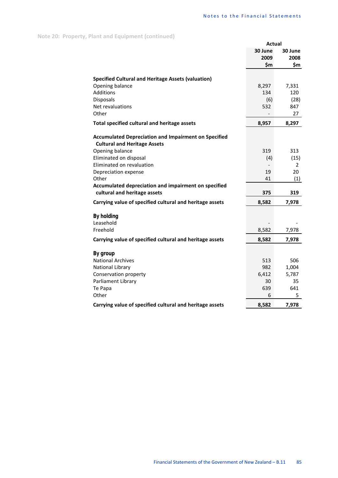|                                                             | <b>Actual</b>            |             |
|-------------------------------------------------------------|--------------------------|-------------|
|                                                             | 30 June                  | 30 June     |
|                                                             | 2009                     | 2008        |
|                                                             | \$m                      | \$m         |
|                                                             |                          |             |
| <b>Specified Cultural and Heritage Assets (valuation)</b>   |                          |             |
| Opening balance<br><b>Additions</b>                         | 8,297                    | 7,331       |
| <b>Disposals</b>                                            | 134<br>(6)               | 120<br>(28) |
| Net revaluations                                            | 532                      | 847         |
| Other                                                       | $\overline{\phantom{0}}$ | 27          |
|                                                             |                          |             |
| Total specified cultural and heritage assets                | 8,957                    | 8,297       |
| <b>Accumulated Depreciation and Impairment on Specified</b> |                          |             |
| <b>Cultural and Heritage Assets</b>                         |                          |             |
| Opening balance                                             | 319                      | 313         |
| Eliminated on disposal                                      | (4)                      | (15)        |
| Eliminated on revaluation                                   |                          | 2           |
| Depreciation expense                                        | 19                       | 20          |
| Other                                                       | 41                       | (1)         |
| Accumulated depreciation and impairment on specified        |                          |             |
| cultural and heritage assets                                | 375                      | 319         |
| Carrying value of specified cultural and heritage assets    | 8,582                    | 7,978       |
| <b>By holding</b>                                           |                          |             |
| Leasehold                                                   |                          |             |
| Freehold                                                    | 8,582                    | 7,978       |
|                                                             |                          |             |
| Carrying value of specified cultural and heritage assets    | 8,582                    | 7,978       |
| By group                                                    |                          |             |
| <b>National Archives</b>                                    | 513                      | 506         |
| National Library                                            | 982                      | 1,004       |
| Conservation property                                       | 6,412                    | 5,787       |
| Parliament Library                                          | 30                       | 35          |
| Te Papa                                                     | 639                      | 641         |
| Other                                                       | 6                        | 5           |
| Carrying value of specified cultural and heritage assets    | 8,582                    | 7,978       |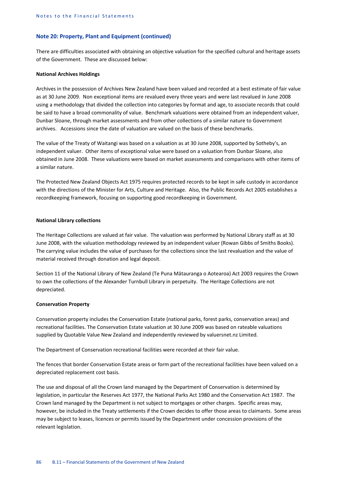There are difficulties associated with obtaining an objective valuation for the specified cultural and heritage assets of the Government. These are discussed below:

#### **National Archives Holdings**

Archives in the possession of Archives New Zealand have been valued and recorded at a best estimate of fair value as at 30 June 2009. Non exceptional items are revalued every three years and were last revalued in June 2008 using a methodology that divided the collection into categories by format and age, to associate records that could be said to have a broad commonality of value. Benchmark valuations were obtained from an independent valuer, Dunbar Sloane, through market assessments and from other collections of a similar nature to Government archives. Accessions since the date of valuation are valued on the basis of these benchmarks.

The value of the Treaty of Waitangi was based on a valuation as at 30 June 2008, supported by Sotheby's, an independent valuer. Other items of exceptional value were based on a valuation from Dunbar Sloane, also obtained in June 2008. These valuations were based on market assessments and comparisons with other items of a similar nature.

The Protected New Zealand Objects Act 1975 requires protected records to be kept in safe custody in accordance with the directions of the Minister for Arts, Culture and Heritage. Also, the Public Records Act 2005 establishes a recordkeeping framework, focusing on supporting good recordkeeping in Government.

# **National Library collections**

The Heritage Collections are valued at fair value. The valuation was performed by National Library staff as at 30 June 2008, with the valuation methodology reviewed by an independent valuer (Rowan Gibbs of Smiths Books). The carrying value includes the value of purchases for the collections since the last revaluation and the value of material received through donation and legal deposit.

Section 11 of the National Library of New Zealand (Te Puna Mātauranga o Aotearoa) Act 2003 requires the Crown to own the collections of the Alexander Turnbull Library in perpetuity. The Heritage Collections are not depreciated.

### **Conservation Property**

Conservation property includes the Conservation Estate (national parks, forest parks, conservation areas) and recreational facilities. The Conservation Estate valuation at 30 June 2009 was based on rateable valuations supplied by Quotable Value New Zealand and independently reviewed by valuersnet.nz Limited.

The Department of Conservation recreational facilities were recorded at their fair value.

The fences that border Conservation Estate areas or form part of the recreational facilities have been valued on a depreciated replacement cost basis.

The use and disposal of all the Crown land managed by the Department of Conservation is determined by legislation, in particular the Reserves Act 1977, the National Parks Act 1980 and the Conservation Act 1987. The Crown land managed by the Department is not subject to mortgages or other charges. Specific areas may, however, be included in the Treaty settlements if the Crown decides to offer those areas to claimants. Some areas may be subject to leases, licences or permits issued by the Department under concession provisions of the relevant legislation.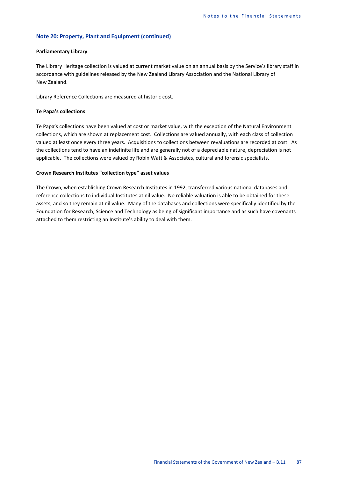### **Parliamentary Library**

The Library Heritage collection is valued at current market value on an annual basis by the Service's library staff in accordance with guidelines released by the New Zealand Library Association and the National Library of New Zealand.

Library Reference Collections are measured at historic cost.

### **Te Papa's collections**

Te Papa's collections have been valued at cost or market value, with the exception of the Natural Environment collections, which are shown at replacement cost. Collections are valued annually, with each class of collection valued at least once every three years. Acquisitions to collections between revaluations are recorded at cost. As the collections tend to have an indefinite life and are generally not of a depreciable nature, depreciation is not applicable. The collections were valued by Robin Watt & Associates, cultural and forensic specialists.

### **Crown Research Institutes "collection type" asset values**

The Crown, when establishing Crown Research Institutes in 1992, transferred various national databases and reference collections to individual Institutes at nil value. No reliable valuation is able to be obtained for these assets, and so they remain at nil value. Many of the databases and collections were specifically identified by the Foundation for Research, Science and Technology as being of significant importance and as such have covenants attached to them restricting an Institute's ability to deal with them.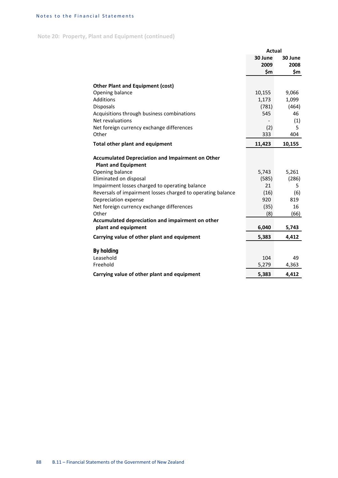**Note 20: Property, Plant and Equipment (continued)**

|                                                             | <b>Actual</b> |         |
|-------------------------------------------------------------|---------------|---------|
|                                                             | 30 June       | 30 June |
|                                                             | 2009          | 2008    |
|                                                             | \$m           | \$m     |
|                                                             |               |         |
| <b>Other Plant and Equipment (cost)</b>                     |               |         |
| Opening balance                                             | 10,155        | 9,066   |
| Additions                                                   | 1,173         | 1,099   |
| <b>Disposals</b>                                            | (781)         | (464)   |
| Acquisitions through business combinations                  | 545           | 46      |
| Net revaluations                                            |               | (1)     |
| Net foreign currency exchange differences                   | (2)           | 5       |
| Other                                                       | 333           | 404     |
| <b>Total other plant and equipment</b>                      | 11,423        | 10,155  |
| <b>Accumulated Depreciation and Impairment on Other</b>     |               |         |
| <b>Plant and Equipment</b>                                  |               |         |
| Opening balance                                             | 5,743         | 5,261   |
| Eliminated on disposal                                      | (585)         | (286)   |
| Impairment losses charged to operating balance              | 21            | 5       |
| Reversals of impairment losses charged to operating balance | (16)          | (6)     |
| Depreciation expense                                        | 920           | 819     |
| Net foreign currency exchange differences                   | (35)          | 16      |
| Other                                                       | (8)           | (66)    |
| Accumulated depreciation and impairment on other            |               |         |
| plant and equipment                                         | 6,040         | 5,743   |
| Carrying value of other plant and equipment                 | 5,383         | 4,412   |
| <b>By holding</b>                                           |               |         |
| Leasehold                                                   | 104           | 49      |
| Freehold                                                    | 5,279         | 4,363   |
| Carrying value of other plant and equipment                 | 5,383         | 4,412   |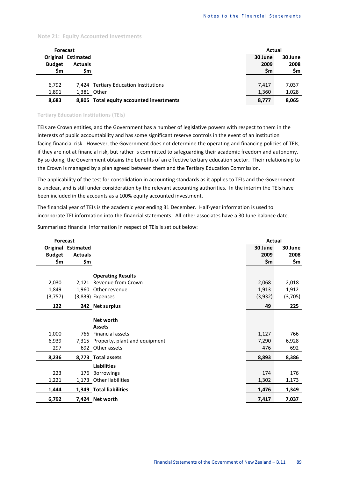### **Note 21: Equity Accounted Investments**

| <b>Forecast</b> |                  |                                          | Actual  |         |
|-----------------|------------------|------------------------------------------|---------|---------|
| Original        | <b>Estimated</b> |                                          | 30 June | 30 June |
| <b>Budget</b>   | <b>Actuals</b>   |                                          | 2009    | 2008    |
| \$m             | \$m              |                                          | \$m     | \$m     |
|                 |                  |                                          |         |         |
| 6,792           |                  | 7,424 Tertiary Education Institutions    | 7,417   | 7,037   |
| 1,891           |                  | 1,381 Other                              | 1,360   | 1,028   |
| 8,683           |                  | 8,805 Total equity accounted investments | 8,777   | 8,065   |

# **Tertiary Education Institutions (TEIs)**

TEIs are Crown entities, and the Government has a number of legislative powers with respect to them in the interests of public accountability and has some significant reserve controls in the event of an institution facing financial risk. However, the Government does not determine the operating and financing policies of TEIs, if they are not at financial risk, but rather is committed to safeguarding their academic freedom and autonomy. By so doing, the Government obtains the benefits of an effective tertiary education sector. Their relationship to the Crown is managed by a plan agreed between them and the Tertiary Education Commission.

The applicability of the test for consolidation in accounting standards as it applies to TEIs and the Government is unclear, and is still under consideration by the relevant accounting authorities. In the interim the TEIs have been included in the accounts as a 100% equity accounted investment.

The financial year of TEIs is the academic year ending 31 December. Half-year information is used to incorporate TEI information into the financial statements. All other associates have a 30 June balance date.

Summarised financial information in respect of TEIs is set out below:

| <b>Forecast</b> |                           |                               | Actual  |         |
|-----------------|---------------------------|-------------------------------|---------|---------|
|                 | <b>Original Estimated</b> |                               | 30 June | 30 June |
| <b>Budget</b>   | <b>Actuals</b>            |                               | 2009    | 2008    |
| \$m             | \$m                       |                               | \$m     | \$m     |
|                 |                           | <b>Operating Results</b>      |         |         |
|                 |                           |                               |         |         |
| 2,030           |                           | 2,121 Revenue from Crown      | 2,068   | 2,018   |
| 1,849           |                           | 1,960 Other revenue           | 1,913   | 1,912   |
| (3,757)         |                           | (3,839) Expenses              | (3,932) | (3,705) |
| 122             |                           | 242 Net surplus               | 49      | 225     |
|                 |                           |                               |         |         |
|                 |                           | Net worth                     |         |         |
|                 |                           | <b>Assets</b>                 |         |         |
| 1,000           | 766                       | Financial assets              | 1,127   | 766     |
| 6,939           | 7,315                     | Property, plant and equipment | 7,290   | 6,928   |
| 297             |                           | 692 Other assets              | 476     | 692     |
| 8,236           |                           | 8,773 Total assets            | 8,893   | 8,386   |
|                 |                           | <b>Liabilities</b>            |         |         |
| 223             | 176                       | <b>Borrowings</b>             | 174     | 176     |
| 1,221           |                           | 1,173 Other liabilities       | 1,302   | 1,173   |
| 1,444           |                           | 1,349 Total liabilities       | 1,476   | 1,349   |
| 6,792           |                           | 7,424 Net worth               | 7,417   | 7,037   |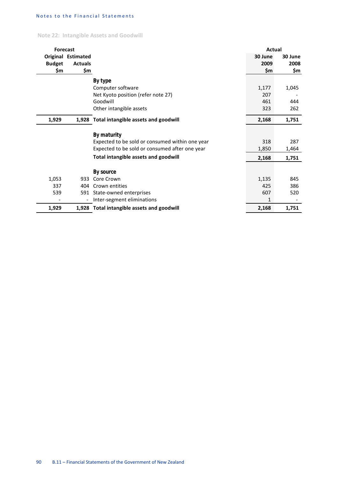**Note 22: Intangible Assets and Goodwill**

| <b>Forecast</b> |                           |                                                 | Actual  |         |
|-----------------|---------------------------|-------------------------------------------------|---------|---------|
|                 | <b>Original Estimated</b> |                                                 | 30 June | 30 June |
| <b>Budget</b>   | <b>Actuals</b>            |                                                 | 2009    | 2008    |
| \$m             | \$m                       |                                                 | \$m     | \$m     |
|                 |                           | By type                                         |         |         |
|                 |                           | Computer software                               | 1,177   | 1,045   |
|                 |                           | Net Kyoto position (refer note 27)              | 207     |         |
|                 |                           | Goodwill                                        | 461     | 444     |
|                 |                           | Other intangible assets                         | 323     | 262     |
| 1,929           |                           | 1,928 Total intangible assets and goodwill      | 2,168   | 1,751   |
|                 |                           | By maturity                                     |         |         |
|                 |                           | Expected to be sold or consumed within one year | 318     | 287     |
|                 |                           | Expected to be sold or consumed after one year  | 1,850   | 1,464   |
|                 |                           | Total intangible assets and goodwill            | 2,168   | 1,751   |
|                 |                           |                                                 |         |         |
| 1,053           | 933                       | By source<br>Core Crown                         | 1,135   | 845     |
| 337             | 404                       | Crown entities                                  | 425     | 386     |
| 539             | 591                       | State-owned enterprises                         | 607     | 520     |
|                 | $\overline{\phantom{a}}$  | Inter-segment eliminations                      | 1       |         |
| 1,929           |                           | 1,928 Total intangible assets and goodwill      | 2,168   | 1,751   |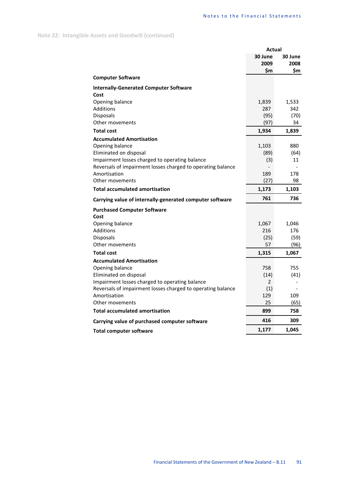**Note 22: Intangible Assets and Goodwill (continued)**

|                                                                                                               | Actual     |               |  |
|---------------------------------------------------------------------------------------------------------------|------------|---------------|--|
|                                                                                                               | 30 June    | 30 June       |  |
|                                                                                                               | 2009       | 2008          |  |
| <b>Computer Software</b>                                                                                      | \$m        | \$m           |  |
|                                                                                                               |            |               |  |
| <b>Internally-Generated Computer Software</b><br>Cost                                                         |            |               |  |
| Opening balance                                                                                               | 1,839      | 1,533         |  |
| <b>Additions</b>                                                                                              | 287        | 342           |  |
| <b>Disposals</b>                                                                                              | (95)       | (70)          |  |
| Other movements                                                                                               | (97)       | 34            |  |
| <b>Total cost</b>                                                                                             | 1,934      | 1,839         |  |
| <b>Accumulated Amortisation</b>                                                                               |            |               |  |
| Opening balance                                                                                               | 1,103      | 880           |  |
| Eliminated on disposal                                                                                        | (89)       | (64)          |  |
| Impairment losses charged to operating balance<br>Reversals of impairment losses charged to operating balance | (3)        | 11            |  |
| Amortisation                                                                                                  | 189        | 178           |  |
| Other movements                                                                                               | (27)       | 98            |  |
| <b>Total accumulated amortisation</b>                                                                         | 1,173      | 1,103         |  |
| Carrying value of internally-generated computer software                                                      | 761        | 736           |  |
| <b>Purchased Computer Software</b>                                                                            |            |               |  |
| Cost                                                                                                          |            |               |  |
| Opening balance                                                                                               | 1,067      | 1,046         |  |
| Additions                                                                                                     | 216        | 176           |  |
| Disposals<br>Other movements                                                                                  | (25)<br>57 | (59)          |  |
| <b>Total cost</b>                                                                                             | 1,315      | (96)<br>1,067 |  |
| <b>Accumulated Amortisation</b>                                                                               |            |               |  |
| Opening balance                                                                                               | 758        | 755           |  |
| Eliminated on disposal                                                                                        | (14)       | (41)          |  |
| Impairment losses charged to operating balance                                                                | 2          |               |  |
| Reversals of impairment losses charged to operating balance                                                   | (1)        |               |  |
| Amortisation                                                                                                  | 129        | 109           |  |
| Other movements                                                                                               | 25         | (65)          |  |
| <b>Total accumulated amortisation</b>                                                                         | 899        | 758           |  |
| Carrying value of purchased computer software                                                                 | 416        | 309           |  |
| <b>Total computer software</b>                                                                                | 1,177      | 1,045         |  |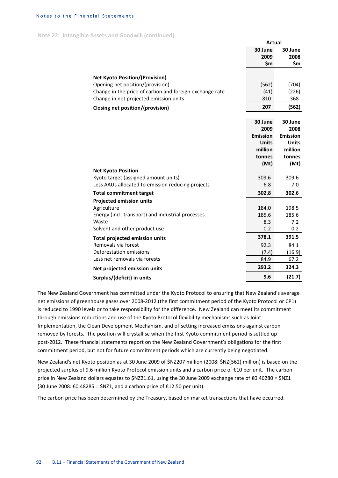**Note 22: Intangible Assets and Goodwill (continued)**

|                                                         | <b>Actual</b>   |                 |
|---------------------------------------------------------|-----------------|-----------------|
|                                                         | 30 June         | 30 June         |
|                                                         | 2009            | 2008            |
|                                                         | \$m             | \$m             |
|                                                         |                 |                 |
| <b>Net Kyoto Position/(Provision)</b>                   |                 |                 |
| Opening net position/(provision)                        | (562)           | (704)           |
| Change in the price of carbon and foreign exchange rate | (41)<br>810     | (226)           |
| Change in net projected emission units                  |                 | 368             |
| <b>Closing net position/(provision)</b>                 | 207             | (562)           |
|                                                         |                 |                 |
|                                                         | 30 June<br>2009 | 30 June<br>2008 |
|                                                         | <b>Emission</b> | <b>Emission</b> |
|                                                         | <b>Units</b>    | <b>Units</b>    |
|                                                         | million         | million         |
|                                                         | tonnes          | tonnes          |
|                                                         | (Mt)            | (Mt)            |
| <b>Net Kyoto Position</b>                               |                 |                 |
| Kyoto target (assigned amount units)                    | 309.6           | 309.6           |
| Less AAUs allocated to emission reducing projects       | 6.8             | 7.0             |
| <b>Total commitment target</b>                          | 302.8           | 302.6           |
| <b>Projected emission units</b>                         |                 |                 |
| Agriculture                                             | 184.0           | 198.5           |
| Energy (incl. transport) and industrial processes       | 185.6           | 185.6           |
| Waste                                                   | 8.3             | 7.2             |
| Solvent and other product use                           | 0.2             | 0.2             |
| Total projected emission units                          | 378.1           | 391.5           |
| Removals via forest                                     | 92.3            | 84.1            |
| Deforestation emissions                                 | (7.4)           | (16.9)          |
| Less net removals via forests                           |                 |                 |
|                                                         | 84.9            | 67.2            |
| Net projected emission units                            | 293.2           | 324.3           |

The New Zealand Government has committed under the Kyoto Protocol to ensuring that New Zealand's average net emissions of greenhouse gases over 2008-2012 (the first commitment period of the Kyoto Protocol or CP1) is reduced to 1990 levels or to take responsibility for the difference. New Zealand can meet its commitment through emissions reductions and use of the Kyoto Protocol flexibility mechanisms such as Joint Implementation, the Clean Development Mechanism, and offsetting increased emissions against carbon removed by forests. The position will crystallise when the first Kyoto commitment period is settled up post-2012. These financial statements report on the New Zealand Government's obligations for the first commitment period, but not for future commitment periods which are currently being negotiated.

New Zealand's net Kyoto position as at 30 June 2009 of \$NZ207 million (2008: \$NZ(562) million) is based on the projected surplus of 9.6 million Kyoto Protocol emission units and a carbon price of €10 per unit. The carbon price in New Zealand dollars equates to \$NZ21.61, using the 30 June 2009 exchange rate of €0.46280 = \$NZ1 (30 June 2008: €0.48285 = \$NZ1, and a carbon price of €12.50 per unit).

The carbon price has been determined by the Treasury, based on market transactions that have occurred.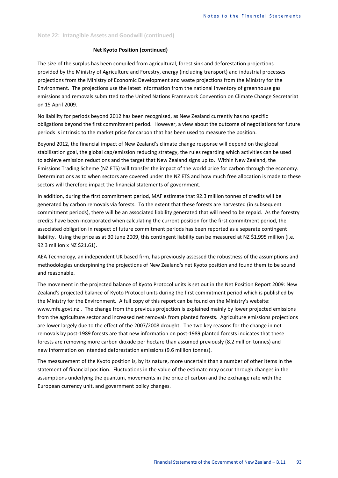### **Note 22: Intangible Assets and Goodwill (continued)**

# **Net Kyoto Position (continued)**

The size of the surplus has been compiled from agricultural, forest sink and deforestation projections provided by the Ministry of Agriculture and Forestry, energy (including transport) and industrial processes projections from the Ministry of Economic Development and waste projections from the Ministry for the Environment. The projections use the latest information from the national inventory of greenhouse gas emissions and removals submitted to the United Nations Framework Convention on Climate Change Secretariat on 15 April 2009.

No liability for periods beyond 2012 has been recognised, as New Zealand currently has no specific obligations beyond the first commitment period. However, a view about the outcome of negotiations for future periods is intrinsic to the market price for carbon that has been used to measure the position.

Beyond 2012, the financial impact of New Zealand's climate change response will depend on the global stabilisation goal, the global cap/emission reducing strategy, the rules regarding which activities can be used to achieve emission reductions and the target that New Zealand signs up to. Within New Zealand, the Emissions Trading Scheme (NZ ETS) will transfer the impact of the world price for carbon through the economy. Determinations as to when sectors are covered under the NZ ETS and how much free allocation is made to these sectors will therefore impact the financial statements of government.

In addition, during the first commitment period, MAF estimate that 92.3 million tonnes of credits will be generated by carbon removals via forests. To the extent that these forests are harvested (in subsequent commitment periods), there will be an associated liability generated that will need to be repaid. As the forestry credits have been incorporated when calculating the current position for the first commitment period, the associated obligation in respect of future commitment periods has been reported as a separate contingent liability. Using the price as at 30 June 2009, this contingent liability can be measured at NZ \$1,995 million (i.e. 92.3 million x NZ \$21.61).

AEA Technology, an independent UK based firm, has previously assessed the robustness of the assumptions and methodologies underpinning the projections of New Zealand's net Kyoto position and found them to be sound and reasonable.

The movement in the projected balance of Kyoto Protocol units is set out in the Net Position Report 2009: New Zealand's projected balance of Kyoto Protocol units during the first commitment period which is published by the Ministry for the Environment. A full copy of this report can be found on the Ministry's website: www.mfe.govt.nz . The change from the previous projection is explained mainly by lower projected emissions from the agriculture sector and increased net removals from planted forests. Agriculture emissions projections are lower largely due to the effect of the 2007/2008 drought. The two key reasons for the change in net removals by post-1989 forests are that new information on post-1989 planted forests indicates that these forests are removing more carbon dioxide per hectare than assumed previously (8.2 million tonnes) and new information on intended deforestation emissions (9.6 million tonnes).

The measurement of the Kyoto position is, by its nature, more uncertain than a number of other items in the statement of financial position. Fluctuations in the value of the estimate may occur through changes in the assumptions underlying the quantum, movements in the price of carbon and the exchange rate with the European currency unit, and government policy changes.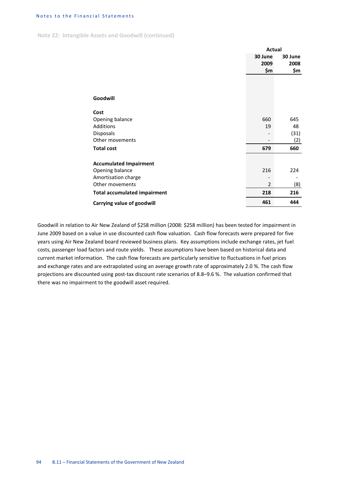**Note 22: Intangible Assets and Goodwill (continued)**

|                                     | Actual         |         |
|-------------------------------------|----------------|---------|
|                                     | 30 June        | 30 June |
|                                     | 2009           | 2008    |
|                                     | \$m            | \$m     |
|                                     |                |         |
|                                     |                |         |
| Goodwill                            |                |         |
|                                     |                |         |
| Cost                                |                |         |
| Opening balance                     | 660            | 645     |
| Additions                           | 19             | 48      |
| Disposals                           |                | (31)    |
| Other movements                     |                | (2)     |
| <b>Total cost</b>                   | 679            | 660     |
| <b>Accumulated Impairment</b>       |                |         |
| Opening balance                     | 216            | 224     |
| Amortisation charge                 |                |         |
| Other movements                     | $\overline{2}$ | (8)     |
| <b>Total accumulated impairment</b> | 218            | 216     |
| Carrying value of goodwill          | 461            | 444     |

Goodwill in relation to Air New Zealand of \$258 million (2008: \$258 million) has been tested for impairment in June 2009 based on a value in use discounted cash flow valuation. Cash flow forecasts were prepared for five years using Air New Zealand board reviewed business plans. Key assumptions include exchange rates, jet fuel costs, passenger load factors and route yields. These assumptions have been based on historical data and current market information. The cash flow forecasts are particularly sensitive to fluctuations in fuel prices and exchange rates and are extrapolated using an average growth rate of approximately 2.0 %. The cash flow projections are discounted using post-tax discount rate scenarios of 8.8–9.6 %. The valuation confirmed that there was no impairment to the goodwill asset required.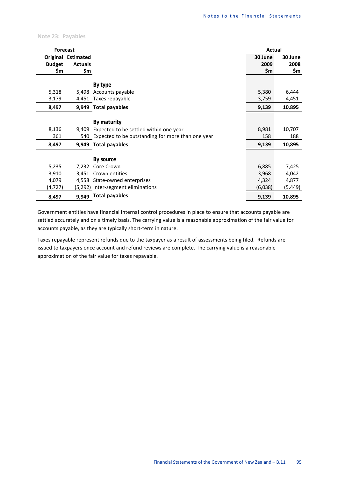**Note 23: Payables**

| <b>Forecast</b> |                           |                                                       | Actual  |         |
|-----------------|---------------------------|-------------------------------------------------------|---------|---------|
|                 | <b>Original Estimated</b> |                                                       | 30 June | 30 June |
| <b>Budget</b>   | <b>Actuals</b>            |                                                       | 2009    | 2008    |
| \$m             | \$m                       |                                                       | \$m     | \$m     |
|                 |                           |                                                       |         |         |
|                 |                           | By type                                               |         |         |
| 5,318           | 5,498                     | Accounts payable                                      | 5,380   | 6,444   |
| 3,179           |                           | 4,451 Taxes repayable                                 | 3,759   | 4,451   |
| 8,497           |                           | 9,949 Total payables                                  | 9,139   | 10,895  |
|                 |                           |                                                       |         |         |
|                 |                           | By maturity                                           |         |         |
| 8,136           | 9,409                     | Expected to be settled within one year                | 8,981   | 10,707  |
| 361             |                           | 540 Expected to be outstanding for more than one year | 158     | 188     |
| 8,497           |                           | 9,949 Total payables                                  | 9,139   | 10,895  |
|                 |                           |                                                       |         |         |
|                 |                           | By source                                             |         |         |
| 5,235           | 7,232                     | Core Crown                                            | 6,885   | 7,425   |
| 3,910           | 3,451                     | Crown entities                                        | 3,968   | 4,042   |
| 4,079           |                           | 4,558 State-owned enterprises                         | 4,324   | 4,877   |
| (4,727)         |                           | (5,292) Inter-segment eliminations                    | (6,038) | (5,449) |
| 8,497           |                           | 9,949 Total payables                                  | 9,139   | 10,895  |

Government entities have financial internal control procedures in place to ensure that accounts payable are settled accurately and on a timely basis. The carrying value is a reasonable approximation of the fair value for accounts payable, as they are typically short-term in nature.

Taxes repayable represent refunds due to the taxpayer as a result of assessments being filed. Refunds are issued to taxpayers once account and refund reviews are complete. The carrying value is a reasonable approximation of the fair value for taxes repayable.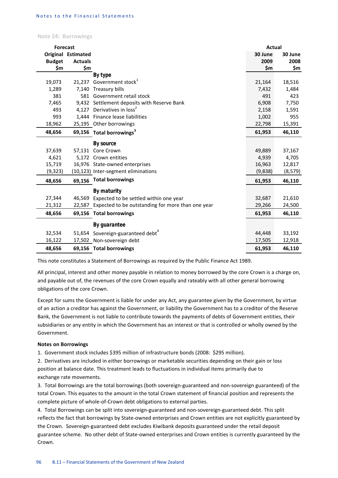**Note 24: Borrowings**

| <b>Forecast</b> |                           |                                                          | <b>Actual</b> |          |
|-----------------|---------------------------|----------------------------------------------------------|---------------|----------|
|                 | <b>Original Estimated</b> |                                                          | 30 June       | 30 June  |
| <b>Budget</b>   | <b>Actuals</b>            |                                                          | 2009          | 2008     |
| \$m             | \$m                       |                                                          | \$m           | \$m      |
|                 |                           | By type                                                  |               |          |
| 19,073          | 21.237                    | Government stock <sup>1</sup>                            | 21,164        | 18,516   |
| 1,289           |                           | 7,140 Treasury bills                                     | 7,432         | 1,484    |
| 381             |                           | 581 Government retail stock                              | 491           | 423      |
| 7,465           |                           | 9,432 Settlement deposits with Reserve Bank              | 6,908         | 7,750    |
| 493             |                           | 4,127 Derivatives in loss <sup>2</sup>                   | 2,158         | 1,591    |
| 993             |                           | 1,444 Finance lease liabilities                          | 1,002         | 955      |
| 18,962          |                           | 25,195 Other borrowings                                  | 22,798        | 15,391   |
| 48,656          |                           | 69,156 Total borrowings <sup>3</sup>                     | 61,953        | 46,110   |
|                 |                           | <b>By source</b>                                         |               |          |
| 37,639          |                           | 57,131 Core Crown                                        | 49,889        | 37,167   |
| 4,621           |                           | 5,172 Crown entities                                     | 4,939         | 4,705    |
| 15,719          |                           | 16,976 State-owned enterprises                           | 16,963        | 12,817   |
| (9, 323)        |                           | (10,123) Inter-segment eliminations                      | (9,838)       | (8, 579) |
| 48,656          | 69,156                    | <b>Total borrowings</b>                                  | 61,953        | 46,110   |
|                 |                           | By maturity                                              |               |          |
| 27,344          | 46,569                    | Expected to be settled within one year                   | 32,687        | 21,610   |
| 21,312          |                           | 22,587 Expected to be outstanding for more than one year | 29,266        | 24,500   |
| 48,656          |                           | 69,156 Total borrowings                                  | 61,953        | 46,110   |
|                 |                           | By guarantee                                             |               |          |
| 32,534          |                           | 51,654 Sovereign-guaranteed debt <sup>4</sup>            | 44,448        | 33,192   |
| 16,122          |                           | 17,502 Non-sovereign debt                                | 17,505        | 12,918   |
| 48,656          |                           | 69,156 Total borrowings                                  | 61,953        | 46,110   |

This note constitutes a Statement of Borrowings as required by the Public Finance Act 1989.

All principal, interest and other money payable in relation to money borrowed by the core Crown is a charge on, and payable out of, the revenues of the core Crown equally and rateably with all other general borrowing obligations of the core Crown.

Except for sums the Government is liable for under any Act, any guarantee given by the Government, by virtue of an action a creditor has against the Government, or liability the Government has to a creditor of the Reserve Bank, the Government is not liable to contribute towards the payments of debts of Government entities, their subsidiaries or any entity in which the Government has an interest or that is controlled or wholly owned by the Government.

# **Notes on Borrowings**

1. Government stock includes \$395 million of infrastructure bonds (2008: \$295 million).

2. Derivatives are included in either borrowings or marketable securities depending on their gain or loss position at balance date. This treatment leads to fluctuations in individual items primarily due to exchange rate movements.

3. Total Borrowings are the total borrowings (both sovereign-guaranteed and non-sovereign guaranteed) of the total Crown. This equates to the amount in the total Crown statement of financial position and represents the complete picture of whole-of-Crown debt obligations to external parties.

4. Total Borrowings can be split into sovereign-guaranteed and non-sovereign-guaranteed debt. This split reflects the fact that borrowings by State-owned enterprises and Crown entities are not explicitly guaranteed by the Crown. Sovereign-guaranteed debt excludes Kiwibank deposits guaranteed under the retail deposit guarantee scheme. No other debt of State-owned enterprises and Crown entities is currently guaranteed by the Crown.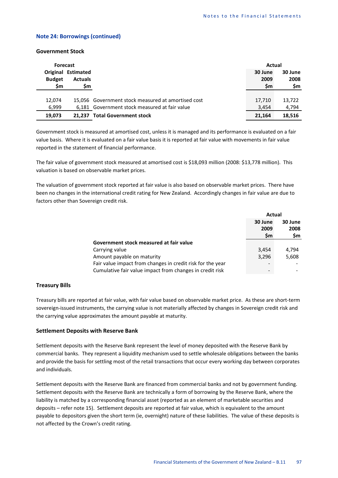### **Note 24: Borrowings (continued)**

### **Government Stock**

| <b>Forecast</b> |                           |                                                    | Actual  |         |
|-----------------|---------------------------|----------------------------------------------------|---------|---------|
|                 | <b>Original Estimated</b> |                                                    | 30 June | 30 June |
| <b>Budget</b>   | <b>Actuals</b>            |                                                    | 2009    | 2008    |
| \$m             | Şm                        |                                                    | Sm      | \$m     |
|                 |                           |                                                    |         |         |
| 12.074          |                           | 15,056 Government stock measured at amortised cost | 17.710  | 13.722  |
| 6,999           |                           | 6,181 Government stock measured at fair value      | 3,454   | 4,794   |
| 19,073          |                           | 21,237 Total Government stock                      | 21,164  | 18,516  |

Government stock is measured at amortised cost, unless it is managed and its performance is evaluated on a fair value basis. Where it is evaluated on a fair value basis it is reported at fair value with movements in fair value reported in the statement of financial performance.

The fair value of government stock measured at amortised cost is \$18,093 million (2008: \$13,778 million). This valuation is based on observable market prices.

The valuation of government stock reported at fair value is also based on observable market prices. There have been no changes in the international credit rating for New Zealand. Accordingly changes in fair value are due to factors other than Sovereign credit risk.

|                                                            | Actual    |         |
|------------------------------------------------------------|-----------|---------|
|                                                            | 30 June   | 30 June |
|                                                            | 2009      | 2008    |
|                                                            | <b>Sm</b> | \$m     |
| Government stock measured at fair value                    |           |         |
| Carrying value                                             | 3,454     | 4,794   |
| Amount payable on maturity                                 | 3.296     | 5,608   |
| Fair value impact from changes in credit risk for the year |           |         |
| Cumulative fair value impact from changes in credit risk   |           |         |

### **Treasury Bills**

Treasury bills are reported at fair value, with fair value based on observable market price. As these are short-term sovereign-issued instruments, the carrying value is not materially affected by changes in Sovereign credit risk and the carrying value approximates the amount payable at maturity.

### **Settlement Deposits with Reserve Bank**

Settlement deposits with the Reserve Bank represent the level of money deposited with the Reserve Bank by commercial banks. They represent a liquidity mechanism used to settle wholesale obligations between the banks and provide the basis for settling most of the retail transactions that occur every working day between corporates and individuals.

Settlement deposits with the Reserve Bank are financed from commercial banks and not by government funding. Settlement deposits with the Reserve Bank are technically a form of borrowing by the Reserve Bank, where the liability is matched by a corresponding financial asset (reported as an element of marketable securities and deposits – refer note 15). Settlement deposits are reported at fair value, which is equivalent to the amount payable to depositors given the short term (ie, overnight) nature of these liabilities. The value of these deposits is not affected by the Crown's credit rating.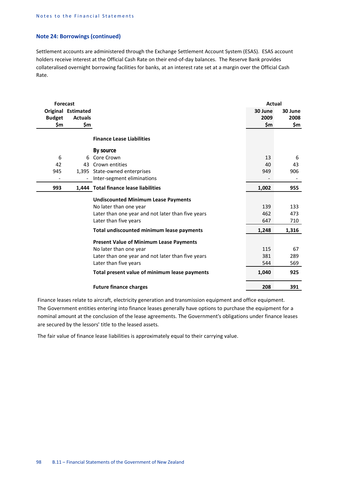# **Note 24: Borrowings (continued)**

Settlement accounts are administered through the Exchange Settlement Account System (ESAS). ESAS account holders receive interest at the Official Cash Rate on their end-of-day balances. The Reserve Bank provides collateralised overnight borrowing facilities for banks, at an interest rate set at a margin over the Official Cash Rate.

| <b>Forecast</b> |                    |                                                                                                                                                                                                         | Actual                     |                         |
|-----------------|--------------------|---------------------------------------------------------------------------------------------------------------------------------------------------------------------------------------------------------|----------------------------|-------------------------|
|                 | Original Estimated |                                                                                                                                                                                                         | 30 June                    | 30 June                 |
| <b>Budget</b>   | <b>Actuals</b>     |                                                                                                                                                                                                         | 2009                       | 2008                    |
| \$m             | \$m                |                                                                                                                                                                                                         | \$m                        | \$m                     |
|                 |                    | <b>Finance Lease Liabilities</b>                                                                                                                                                                        |                            |                         |
|                 |                    | By source                                                                                                                                                                                               |                            |                         |
| 6               | 6                  | Core Crown                                                                                                                                                                                              | 13                         | 6                       |
| 42              |                    | 43 Crown entities                                                                                                                                                                                       | 40                         | 43                      |
| 945             |                    | 1,395 State-owned enterprises                                                                                                                                                                           | 949                        | 906                     |
|                 |                    | Inter-segment eliminations                                                                                                                                                                              |                            |                         |
| 993             |                    | 1,444 Total finance lease liabilities                                                                                                                                                                   | 1,002                      | 955                     |
|                 |                    | <b>Undiscounted Minimum Lease Payments</b><br>No later than one year<br>Later than one year and not later than five years<br>Later than five years                                                      | 139<br>462<br>647          | 133<br>473<br>710       |
|                 |                    | Total undiscounted minimum lease payments                                                                                                                                                               | 1,248                      | 1,316                   |
|                 |                    | <b>Present Value of Minimum Lease Payments</b><br>No later than one year<br>Later than one year and not later than five years<br>Later than five years<br>Total present value of minimum lease payments | 115<br>381<br>544<br>1,040 | 67<br>289<br>569<br>925 |
|                 |                    |                                                                                                                                                                                                         |                            |                         |
|                 |                    | <b>Future finance charges</b>                                                                                                                                                                           | 208                        | 391                     |

Finance leases relate to aircraft, electricity generation and transmission equipment and office equipment. The Government entities entering into finance leases generally have options to purchase the equipment for a nominal amount at the conclusion of the lease agreements. The Government's obligations under finance leases are secured by the lessors' title to the leased assets.

The fair value of finance lease liabilities is approximately equal to their carrying value.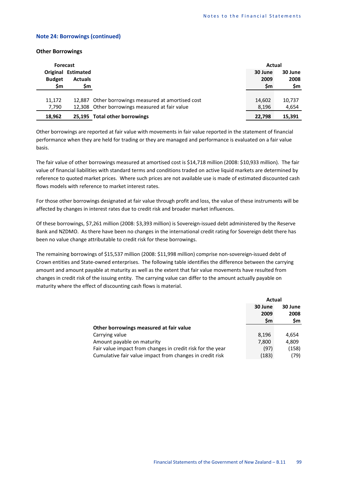### **Note 24: Borrowings (continued)**

### **Other Borrowings**

| <b>Forecast</b> |                                             |                                                    |                 | Actual          |  |
|-----------------|---------------------------------------------|----------------------------------------------------|-----------------|-----------------|--|
| <b>Budget</b>   | <b>Original Estimated</b><br><b>Actuals</b> |                                                    | 30 June<br>2009 | 30 June<br>2008 |  |
| \$m             | Şm                                          |                                                    | \$m             | \$m             |  |
|                 |                                             |                                                    |                 |                 |  |
| 11,172          |                                             | 12,887 Other borrowings measured at amortised cost | 14,602          | 10,737          |  |
| 7,790           |                                             | 12,308 Other borrowings measured at fair value     | 8,196           | 4,654           |  |
| 18,962          |                                             | 25,195 Total other borrowings                      | 22,798          | 15,391          |  |

Other borrowings are reported at fair value with movements in fair value reported in the statement of financial performance when they are held for trading or they are managed and performance is evaluated on a fair value basis.

The fair value of other borrowings measured at amortised cost is \$14,718 million (2008: \$10,933 million). The fair value of financial liabilities with standard terms and conditions traded on active liquid markets are determined by reference to quoted market prices. Where such prices are not available use is made of estimated discounted cash flows models with reference to market interest rates.

For those other borrowings designated at fair value through profit and loss, the value of these instruments will be affected by changes in interest rates due to credit risk and broader market influences.

Of these borrowings, \$7,261 million (2008: \$3,393 million) is Sovereign-issued debt administered by the Reserve Bank and NZDMO. As there have been no changes in the international credit rating for Sovereign debt there has been no value change attributable to credit risk for these borrowings.

The remaining borrowings of \$15,537 million (2008: \$11,998 million) comprise non-sovereign-issued debt of Crown entities and State-owned enterprises. The following table identifies the difference between the carrying amount and amount payable at maturity as well as the extent that fair value movements have resulted from changes in credit risk of the issuing entity. The carrying value can differ to the amount actually payable on maturity where the effect of discounting cash flows is material.

|                                                            | Actual          |                 |
|------------------------------------------------------------|-----------------|-----------------|
|                                                            | 30 June<br>2009 | 30 June<br>2008 |
|                                                            | \$m             | \$m             |
| Other borrowings measured at fair value                    |                 |                 |
| Carrying value                                             | 8,196           | 4,654           |
| Amount payable on maturity                                 | 7,800           | 4,809           |
| Fair value impact from changes in credit risk for the year | (97)            | (158)           |
| Cumulative fair value impact from changes in credit risk   | (183)           | (79)            |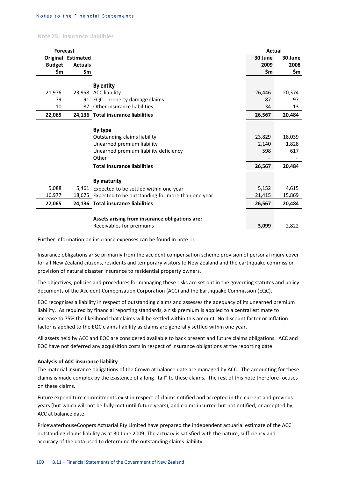**Note 25: Insurance Liabilities**

| <b>Forecast</b> |                    |                                                          | Actual  |         |
|-----------------|--------------------|----------------------------------------------------------|---------|---------|
|                 | Original Estimated |                                                          | 30 June | 30 June |
| <b>Budget</b>   | <b>Actuals</b>     |                                                          | 2009    | 2008    |
| \$m             | \$m                |                                                          | \$m     | \$m     |
|                 |                    |                                                          |         |         |
|                 |                    | By entity                                                |         |         |
| 21,976          |                    | 23,958 ACC liability                                     | 26,446  | 20,374  |
| 79              |                    | 91 EQC - property damage claims                          | 87      | 97      |
| 10              | 87                 | Other insurance liabilities                              | 34      | 13      |
| 22,065          |                    | 24,136 Total insurance liabilities                       | 26,567  | 20,484  |
|                 |                    |                                                          |         |         |
|                 |                    | By type                                                  |         |         |
|                 |                    | Outstanding claims liability                             | 23,829  | 18,039  |
|                 |                    | Unearned premium liability                               | 2,140   | 1,828   |
|                 |                    | Unearned premium liability deficiency                    | 598     | 617     |
|                 |                    | Other                                                    |         |         |
|                 |                    | <b>Total insurance liabilities</b>                       | 26,567  | 20,484  |
|                 |                    |                                                          |         |         |
|                 |                    | By maturity                                              |         |         |
| 5,088           |                    | 5,461 Expected to be settled within one year             | 5,152   | 4,615   |
| 16,977          |                    | 18,675 Expected to be outstanding for more than one year | 21,415  | 15,869  |
| 22,065          |                    | 24,136 Total insurance liabilities                       | 26,567  | 20,484  |
|                 |                    |                                                          |         |         |
|                 |                    | Assets arising from insurance obligations are:           |         |         |
|                 |                    | Receivables for premiums                                 | 3,099   | 2,822   |

Further information on insurance expenses can be found in note 11.

Insurance obligations arise primarily from the accident compensation scheme provision of personal injury cover for all New Zealand citizens, residents and temporary visitors to New Zealand and the earthquake commission provision of natural disaster insurance to residential property owners.

The objectives, policies and procedures for managing these risks are set out in the governing statutes and policy documents of the Accident Compensation Corporation (ACC) and the Earthquake Commission (EQC).

EQC recognises a liability in respect of outstanding claims and assesses the adequacy of its unearned premium liability. As required by financial reporting standards, a risk premium is applied to a central estimate to increase to 75% the likelihood that claims will be settled within this amount. No discount factor or inflation factor is applied to the EQC claims liability as claims are generally settled within one year.

All assets held by ACC and EQC are considered available to back present and future claims obligations. ACC and EQC have not deferred any acquisition costs in respect of insurance obligations at the reporting date.

### **Analysis of ACC insurance liability**

The material insurance obligations of the Crown at balance date are managed by ACC. The accounting for these claims is made complex by the existence of a long "tail" to these claims. The rest of this note therefore focuses on these claims.

Future expenditure commitments exist in respect of claims notified and accepted in the current and previous years (but which will not be fully met until future years), and claims incurred but not notified, or accepted by, ACC at balance date.

PricewaterhouseCoopers Actuarial Pty Limited have prepared the independent actuarial estimate of the ACC outstanding claims liability as at 30 June 2009. The actuary is satisfied with the nature, sufficiency and accuracy of the data used to determine the outstanding claims liability.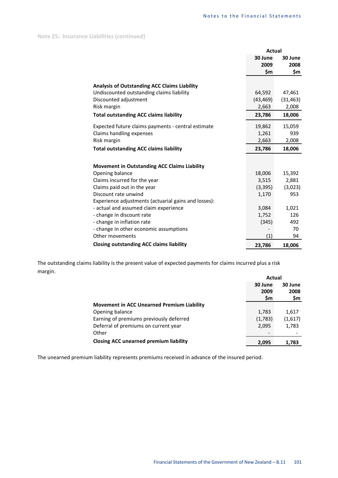**Note 25: Insurance Liabilities (continued)**

|                                                      | Actual    |           |
|------------------------------------------------------|-----------|-----------|
|                                                      | 30 June   | 30 June   |
|                                                      | 2009      | 2008      |
|                                                      | \$m       | \$m       |
| <b>Analysis of Outstanding ACC Claims Liability</b>  |           |           |
| Undiscounted outstanding claims liability            | 64,592    | 47,461    |
| Discounted adjustment                                | (43, 469) | (31, 463) |
| Risk margin                                          | 2,663     | 2,008     |
| <b>Total outstanding ACC claims liability</b>        | 23,786    | 18,006    |
| Expected future claims payments - central estimate   | 19,862    | 15,059    |
| Claims handling expenses                             | 1,261     | 939       |
| Risk margin                                          | 2,663     | 2,008     |
| <b>Total outstanding ACC claims liability</b>        | 23,786    | 18,006    |
|                                                      |           |           |
| <b>Movement in Outstanding ACC Claims Liability</b>  |           |           |
| Opening balance                                      | 18,006    | 15,392    |
| Claims incurred for the year                         | 3,515     | 2,881     |
| Claims paid out in the year                          | (3, 395)  | (3,023)   |
| Discount rate unwind                                 | 1,170     | 953       |
| Experience adjustments (actuarial gains and losses): |           |           |
| - actual and assumed claim experience                | 3,084     | 1,021     |
| - change in discount rate                            | 1,752     | 126       |
| - change in inflation rate                           | (345)     | 492       |
| - change in other economic assumptions               |           | 70        |
| Other movements                                      | (1)       | 94        |
| <b>Closing outstanding ACC claims liability</b>      | 23,786    | 18,006    |

The outstanding claims liability is the present value of expected payments for claims incurred plus a risk margin.

|                                                   | Actual  |         |  |
|---------------------------------------------------|---------|---------|--|
|                                                   | 30 June | 30 June |  |
|                                                   | 2009    | 2008    |  |
|                                                   | \$m     | \$m     |  |
| <b>Movement in ACC Unearned Premium Liability</b> |         |         |  |
| Opening balance                                   | 1,783   | 1,617   |  |
| Earning of premiums previously deferred           | (1,783) | (1,617) |  |
| Deferral of premiums on current year              | 2,095   | 1,783   |  |
| Other                                             |         |         |  |
| <b>Closing ACC unearned premium liability</b>     | 2,095   | 1,783   |  |

The unearned premium liability represents premiums received in advance of the insured period.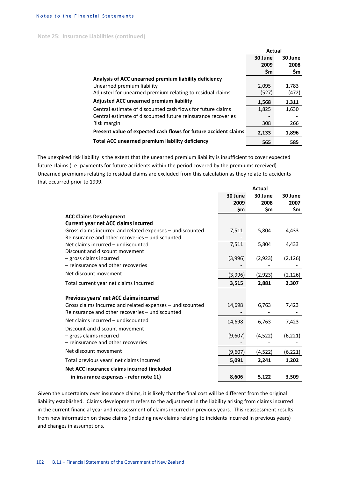**Note 25: Insurance Liabilities (continued)**

|                                                                 | Actual    |         |
|-----------------------------------------------------------------|-----------|---------|
|                                                                 | 30 June   | 30 June |
|                                                                 | 2009      | 2008    |
|                                                                 | <b>Sm</b> | \$m     |
| Analysis of ACC unearned premium liability deficiency           |           |         |
| Unearned premium liability                                      | 2,095     | 1,783   |
| Adjusted for unearned premium relating to residual claims       | (527)     | (472)   |
| <b>Adjusted ACC unearned premium liability</b>                  | 1,568     | 1,311   |
| Central estimate of discounted cash flows for future claims     | 1,825     | 1,630   |
| Central estimate of discounted future reinsurance recoveries    |           |         |
| Risk margin                                                     | 308       | 266     |
| Present value of expected cash flows for future accident claims | 2,133     | 1,896   |
| Total ACC unearned premium liability deficiency                 | 565       | 585     |

The unexpired risk liability is the extent that the unearned premium liability is insufficient to cover expected future claims (i.e. payments for future accidents within the period covered by the premiums received).

Unearned premiums relating to residual claims are excluded from this calculation as they relate to accidents that occurred prior to 1999. **Actual**

|                                                           |                 | Actual          |                 |  |
|-----------------------------------------------------------|-----------------|-----------------|-----------------|--|
|                                                           | 30 June<br>2009 | 30 June<br>2008 | 30 June<br>2007 |  |
|                                                           | \$m             | \$m             | \$m             |  |
| <b>ACC Claims Development</b>                             |                 |                 |                 |  |
| Current year net ACC claims incurred                      |                 |                 |                 |  |
| Gross claims incurred and related expenses - undiscounted | 7,511           | 5,804           | 4,433           |  |
| Reinsurance and other recoveries - undiscounted           |                 |                 |                 |  |
| Net claims incurred - undiscounted                        | 7,511           | 5,804           | 4,433           |  |
| Discount and discount movement                            |                 |                 |                 |  |
| - gross claims incurred                                   | (3,996)         | (2,923)         | (2, 126)        |  |
| - reinsurance and other recoveries                        |                 |                 |                 |  |
| Net discount movement                                     | (3,996)         | (2,923)         | (2, 126)        |  |
| Total current year net claims incurred                    | 3,515           | 2,881           | 2,307           |  |
| Previous years' net ACC claims incurred                   |                 |                 |                 |  |
| Gross claims incurred and related expenses - undiscounted | 14,698          | 6,763           | 7,423           |  |
| Reinsurance and other recoveries - undiscounted           |                 |                 |                 |  |
| Net claims incurred - undiscounted                        | 14,698          | 6,763           | 7,423           |  |
| Discount and discount movement                            |                 |                 |                 |  |
| - gross claims incurred                                   | (9,607)         | (4, 522)        | (6, 221)        |  |
| - reinsurance and other recoveries                        |                 |                 |                 |  |
| Net discount movement                                     | (9,607)         | (4, 522)        | (6, 221)        |  |
| Total previous years' net claims incurred                 | 5,091           | 2,241           | 1,202           |  |
| Net ACC insurance claims incurred (included               |                 |                 |                 |  |
| in insurance expenses - refer note 11)                    | 8,606           | 5,122           | 3,509           |  |
|                                                           |                 |                 |                 |  |

Given the uncertainty over insurance claims, it is likely that the final cost will be different from the original liability established. Claims development refers to the adjustment in the liability arising from claims incurred in the current financial year and reassessment of claims incurred in previous years. This reassessment results from new information on these claims (including new claims relating to incidents incurred in previous years) and changes in assumptions.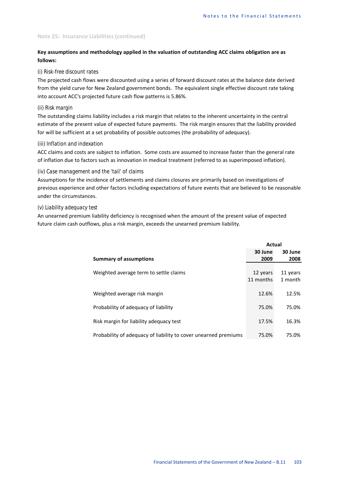## **Note 25: Insurance Liabilities (continued)**

# **Key assumptions and methodology applied in the valuation of outstanding ACC claims obligation are as follows:**

### *(i) Risk-free discount rates*

The projected cash flows were discounted using a series of forward discount rates at the balance date derived from the yield curve for New Zealand government bonds. The equivalent single effective discount rate taking into account ACC's projected future cash flow patterns is 5.86%.

# *(ii) Risk margin*

The outstanding claims liability includes a risk margin that relates to the inherent uncertainty in the central estimate of the present value of expected future payments. The risk margin ensures that the liability provided for will be sufficient at a set probability of possible outcomes (the probability of adequacy).

### *(iii) Inflation and indexation*

ACC claims and costs are subject to inflation. Some costs are assumed to increase faster than the general rate of inflation due to factors such as innovation in medical treatment (referred to as superimposed inflation).

### *(iv) Case management and the 'tail' of claims*

Assumptions for the incidence of settlements and claims closures are primarily based on investigations of previous experience and other factors including expectations of future events that are believed to be reasonable under the circumstances.

# *(v) Liability adequacy test*

An unearned premium liability deficiency is recognised when the amount of the present value of expected future claim cash outflows, plus a risk margin, exceeds the unearned premium liability.

|                                                                 | Actual    |          |
|-----------------------------------------------------------------|-----------|----------|
|                                                                 | 30 June   | 30 June  |
| <b>Summary of assumptions</b>                                   | 2009      | 2008     |
|                                                                 |           |          |
| Weighted average term to settle claims                          | 12 years  | 11 years |
|                                                                 | 11 months | 1 month  |
|                                                                 |           |          |
| Weighted average risk margin                                    | 12.6%     | 12.5%    |
|                                                                 |           |          |
| Probability of adequacy of liability                            | 75.0%     | 75.0%    |
| Risk margin for liability adequacy test                         | 17.5%     | 16.3%    |
|                                                                 |           |          |
| Probability of adequacy of liability to cover unearned premiums | 75.0%     | 75.0%    |
|                                                                 |           |          |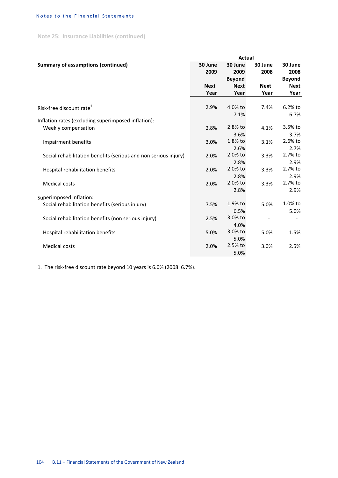## Notes to the Financial Statements

**Note 25: Insurance Liabilities (continued)**

|                                                                 | <b>Actual</b> |               |             |               |
|-----------------------------------------------------------------|---------------|---------------|-------------|---------------|
| <b>Summary of assumptions (continued)</b>                       | 30 June       | 30 June       | 30 June     | 30 June       |
|                                                                 | 2009          | 2009          | 2008        | 2008          |
|                                                                 |               | <b>Beyond</b> |             | <b>Beyond</b> |
|                                                                 | <b>Next</b>   | <b>Next</b>   | <b>Next</b> | <b>Next</b>   |
|                                                                 | Year          | Year          | Year        | Year          |
|                                                                 |               |               |             |               |
| Risk-free discount rate <sup>1</sup>                            | 2.9%          | 4.0% to       | 7.4%        | 6.2% to       |
|                                                                 |               | 7.1%          |             | 6.7%          |
| Inflation rates (excluding superimposed inflation):             |               |               |             |               |
| Weekly compensation                                             | 2.8%          | 2.8% to       | 4.1%        | 3.5% to       |
|                                                                 |               | 3.6%          |             | 3.7%          |
| Impairment benefits                                             | 3.0%          | 1.8% to       | 3.1%        | 2.6% to       |
|                                                                 |               | 2.6%          |             | 2.7%          |
| Social rehabilitation benefits (serious and non serious injury) | 2.0%          | 2.0% to       | 3.3%        | 2.7% to       |
|                                                                 |               | 2.8%          |             | 2.9%          |
| Hospital rehabilitation benefits                                | 2.0%          | 2.0% to       | 3.3%        | 2.7% to       |
|                                                                 |               | 2.8%          |             | 2.9%          |
| <b>Medical costs</b>                                            | 2.0%          | 2.0% to       | 3.3%        | 2.7% to       |
|                                                                 |               | 2.8%          |             | 2.9%          |
| Superimposed inflation:                                         |               |               |             |               |
| Social rehabilitation benefits (serious injury)                 | 7.5%          | 1.9% to       | 5.0%        | 1.0% to       |
|                                                                 |               | 6.5%          |             | 5.0%          |
| Social rehabilitation benefits (non serious injury)             | 2.5%          | 3.0% to       |             |               |
|                                                                 |               | 4.0%          |             |               |
| Hospital rehabilitation benefits                                | 5.0%          | 3.0% to       | 5.0%        | 1.5%          |
|                                                                 |               | 5.0%          |             |               |
| <b>Medical costs</b>                                            | 2.0%          | 2.5% to       | 3.0%        | 2.5%          |
|                                                                 |               | 5.0%          |             |               |

1. The risk-free discount rate beyond 10 years is 6.0% (2008: 6.7%).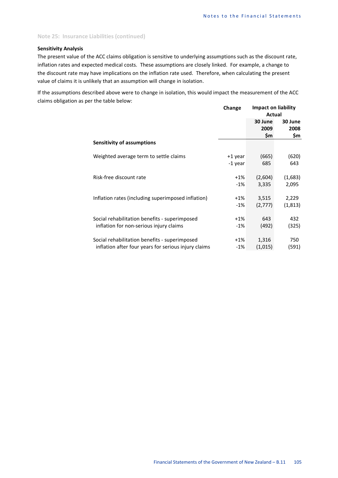#### **Note 25: Insurance Liabilities (continued)**

## **Sensitivity Analysis**

The present value of the ACC claims obligation is sensitive to underlying assumptions such as the discount rate, inflation rates and expected medical costs. These assumptions are closely linked. For example, a change to the discount rate may have implications on the inflation rate used. Therefore, when calculating the present value of claims it is unlikely that an assumption will change in isolation.

If the assumptions described above were to change in isolation, this would impact the measurement of the ACC claims obligation as per the table below:

|                                                      | Change  | <b>Impact on liability</b><br>Actual |                        |
|------------------------------------------------------|---------|--------------------------------------|------------------------|
|                                                      |         | 30 June<br>2009<br>\$m               | 30 June<br>2008<br>\$m |
| Sensitivity of assumptions                           |         |                                      |                        |
| Weighted average term to settle claims               | +1 year | (665)                                | (620)                  |
|                                                      | -1 year | 685                                  | 643                    |
| Risk-free discount rate                              | $+1%$   | (2,604)                              | (1,683)                |
|                                                      | $-1%$   | 3,335                                | 2,095                  |
| Inflation rates (including superimposed inflation)   | $+1\%$  | 3,515                                | 2,229                  |
|                                                      | $-1%$   | (2,777)                              | (1, 813)               |
| Social rehabilitation benefits - superimposed        | $+1\%$  | 643                                  | 432                    |
| inflation for non-serious injury claims              | $-1%$   | (492)                                | (325)                  |
| Social rehabilitation benefits - superimposed        | $+1\%$  | 1,316                                | 750                    |
| inflation after four years for serious injury claims | $-1\%$  | (1,015)                              | (591)                  |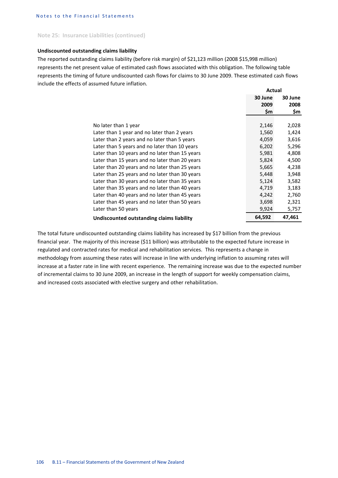### **Note 25: Insurance Liabilities (continued)**

#### **Undiscounted outstanding claims liability**

The reported outstanding claims liability (before risk margin) of \$21,123 million (2008 \$15,998 million) represents the net present value of estimated cash flows associated with this obligation. The following table represents the timing of future undiscounted cash flows for claims to 30 June 2009. These estimated cash flows include the effects of assumed future inflation.

|                                                | Actual  |         |
|------------------------------------------------|---------|---------|
|                                                | 30 June | 30 June |
|                                                | 2009    | 2008    |
|                                                | \$m     | \$m     |
|                                                |         |         |
| No later than 1 year                           | 2,146   | 2,028   |
| Later than 1 year and no later than 2 years    | 1,560   | 1,424   |
| Later than 2 years and no later than 5 years   | 4,059   | 3,616   |
| Later than 5 years and no later than 10 years  | 6,202   | 5,296   |
| Later than 10 years and no later than 15 years | 5,981   | 4,808   |
| Later than 15 years and no later than 20 years | 5,824   | 4,500   |
| Later than 20 years and no later than 25 years | 5,665   | 4,238   |
| Later than 25 years and no later than 30 years | 5,448   | 3,948   |
| Later than 30 years and no later than 35 years | 5,124   | 3,582   |
| Later than 35 years and no later than 40 years | 4,719   | 3,183   |
| Later than 40 years and no later than 45 years | 4,242   | 2,760   |
| Later than 45 years and no later than 50 years | 3,698   | 2,321   |
| Later than 50 years                            | 9,924   | 5,757   |
| Undiscounted outstanding claims liability      | 64,592  | 47,461  |

The total future undiscounted outstanding claims liability has increased by \$17 billion from the previous financial year. The majority of this increase (\$11 billion) was attributable to the expected future increase in regulated and contracted rates for medical and rehabilitation services. This represents a change in methodology from assuming these rates will increase in line with underlying inflation to assuming rates will increase at a faster rate in line with recent experience. The remaining increase was due to the expected number of incremental claims to 30 June 2009, an increase in the length of support for weekly compensation claims, and increased costs associated with elective surgery and other rehabilitation.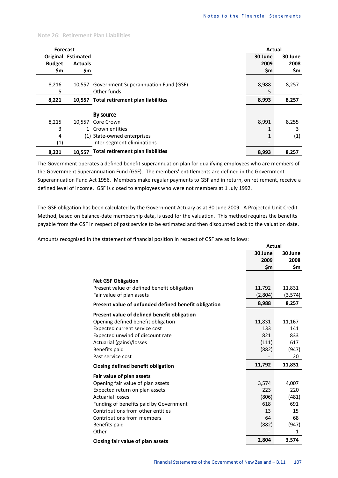## **Note 26: Retirement Plan Liabilities**

| <b>Forecast</b>                 |                                                            | <b>Actual</b> |         |
|---------------------------------|------------------------------------------------------------|---------------|---------|
| <b>Original Estimated</b>       |                                                            | 30 June       | 30 June |
| <b>Actuals</b><br><b>Budget</b> |                                                            | 2009          | 2008    |
| \$m                             | \$m                                                        | \$m           | \$m     |
|                                 |                                                            |               |         |
| 8,216<br>10,557                 | Government Superannuation Fund (GSF)                       | 8,988         | 8,257   |
| 5                               | Other funds<br>$\overline{\phantom{a}}$                    | 5             |         |
| 8,221                           | 10,557 Total retirement plan liabilities                   | 8,993         | 8,257   |
|                                 |                                                            |               |         |
|                                 | By source                                                  |               |         |
| 8,215<br>10.557                 | Core Crown                                                 | 8,991         | 8,255   |
| 3                               | 1 Crown entities                                           |               | 3       |
| 4                               | (1) State-owned enterprises                                |               | (1)     |
| $\left( 1\right)$               | Inter-segment eliminations<br>$\qquad \qquad \blacksquare$ |               |         |
| 8,221<br>10.557                 | <b>Total retirement plan liabilities</b>                   | 8,993         | 8,257   |

The Government operates a defined benefit superannuation plan for qualifying employees who are members of the Government Superannuation Fund (GSF). The members' entitlements are defined in the Government Superannuation Fund Act 1956. Members make regular payments to GSF and in return, on retirement, receive a defined level of income. GSF is closed to employees who were not members at 1 July 1992.

The GSF obligation has been calculated by the Government Actuary as at 30 June 2009. A Projected Unit Credit Method, based on balance-date membership data, is used for the valuation. This method requires the benefits payable from the GSF in respect of past service to be estimated and then discounted back to the valuation date.

Amounts recognised in the statement of financial position in respect of GSF are as follows:

|                                                      | <b>Actual</b> |         |
|------------------------------------------------------|---------------|---------|
|                                                      | 30 June       | 30 June |
|                                                      | 2009          | 2008    |
|                                                      | \$m           | \$m     |
| <b>Net GSF Obligation</b>                            |               |         |
| Present value of defined benefit obligation          | 11,792        | 11,831  |
| Fair value of plan assets                            | (2,804)       | (3,574) |
| Present value of unfunded defined benefit obligation | 8,988         | 8,257   |
| Present value of defined benefit obligation          |               |         |
| Opening defined benefit obligation                   | 11,831        | 11,167  |
| Expected current service cost                        | 133           | 141     |
| Expected unwind of discount rate                     | 821           | 833     |
| Actuarial (gains)/losses                             | (111)         | 617     |
| Benefits paid                                        | (882)         | (947)   |
| Past service cost                                    |               | 20      |
| Closing defined benefit obligation                   | 11,792        | 11,831  |
| Fair value of plan assets                            |               |         |
| Opening fair value of plan assets                    | 3,574         | 4,007   |
| Expected return on plan assets                       | 223           | 220     |
| <b>Actuarial losses</b>                              | (806)         | (481)   |
| Funding of benefits paid by Government               | 618           | 691     |
| Contributions from other entities                    | 13            | 15      |
| Contributions from members                           | 64            | 68      |
| Benefits paid                                        | (882)         | (947)   |
| Other                                                |               | 1       |
| Closing fair value of plan assets                    | 2,804         | 3,574   |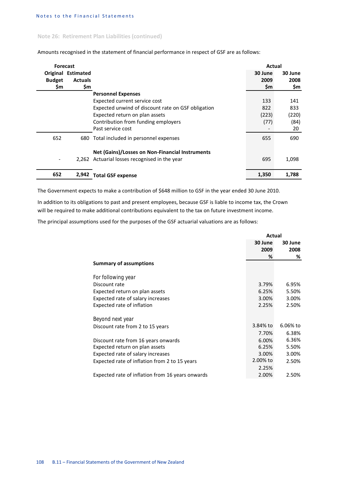## **Note 26: Retirement Plan Liabilities (continued)**

| <b>Forecast</b> |                    |                                                    | Actual  |         |
|-----------------|--------------------|----------------------------------------------------|---------|---------|
|                 | Original Estimated |                                                    | 30 June | 30 June |
| <b>Budget</b>   | <b>Actuals</b>     |                                                    | 2009    | 2008    |
| \$m             | \$m                |                                                    | \$m     | \$m     |
|                 |                    | <b>Personnel Expenses</b>                          |         |         |
|                 |                    | Expected current service cost                      | 133     | 141     |
|                 |                    | Expected unwind of discount rate on GSF obligation | 822     | 833     |
|                 |                    | Expected return on plan assets                     | (223)   | (220)   |
|                 |                    | Contribution from funding employers                | (77)    | (84)    |
|                 |                    | Past service cost                                  |         | 20      |
| 652             |                    | 680 Total included in personnel expenses           | 655     | 690     |
|                 |                    | Net (Gains)/Losses on Non-Financial Instruments    |         |         |
|                 |                    | 2,262 Actuarial losses recognised in the year      | 695     | 1,098   |
| 652             | 2.942              | <b>Total GSF expense</b>                           | 1,350   | 1.788   |

Amounts recognised in the statement of financial performance in respect of GSF are as follows:

The Government expects to make a contribution of \$648 million to GSF in the year ended 30 June 2010.

In addition to its obligations to past and present employees, because GSF is liable to income tax, the Crown will be required to make additional contributions equivalent to the tax on future investment income.

The principal assumptions used for the purposes of the GSF actuarial valuations are as follows:

|                                                  | Actual   |          |
|--------------------------------------------------|----------|----------|
|                                                  | 30 June  | 30 June  |
|                                                  | 2009     | 2008     |
|                                                  | %        | %        |
| <b>Summary of assumptions</b>                    |          |          |
| For following year                               |          |          |
| Discount rate                                    | 3.79%    | 6.95%    |
| Expected return on plan assets                   | 6.25%    | 5.50%    |
| Expected rate of salary increases                | 3.00%    | 3.00%    |
| Expected rate of inflation                       | 2.25%    | 2.50%    |
| Beyond next year                                 |          |          |
| Discount rate from 2 to 15 years                 | 3.84% to | 6.06% to |
|                                                  | 7.70%    | 6.38%    |
| Discount rate from 16 years onwards              | 6.00%    | 6.36%    |
| Expected return on plan assets                   | 6.25%    | 5.50%    |
| Expected rate of salary increases                | 3.00%    | 3.00%    |
| Expected rate of inflation from 2 to 15 years    | 2.00% to | 2.50%    |
|                                                  | 2.25%    |          |
| Expected rate of inflation from 16 years onwards | 2.00%    | 2.50%    |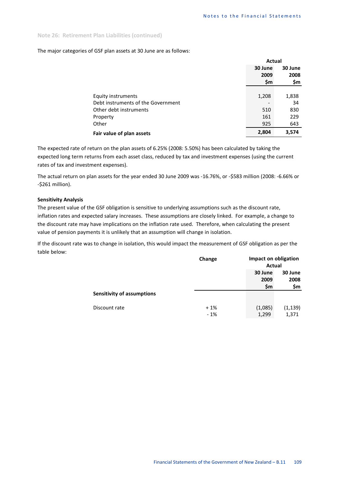#### **Note 26: Retirement Plan Liabilities (continued)**

#### The major categories of GSF plan assets at 30 June are as follows:

|                                    | Actual  |         |
|------------------------------------|---------|---------|
|                                    | 30 June | 30 June |
|                                    | 2009    | 2008    |
|                                    | \$m     | \$m     |
|                                    |         |         |
| Equity instruments                 | 1,208   | 1,838   |
| Debt instruments of the Government |         | 34      |
| Other debt instruments             | 510     | 830     |
| Property                           | 161     | 229     |
| Other                              | 925     | 643     |
| Fair value of plan assets          | 2,804   | 3,574   |

The expected rate of return on the plan assets of 6.25% (2008: 5.50%) has been calculated by taking the expected long term returns from each asset class, reduced by tax and investment expenses (using the current rates of tax and investment expenses).

The actual return on plan assets for the year ended 30 June 2009 was -16.76%, or -\$583 million (2008: -6.66% or -\$261 million).

#### **Sensitivity Analysis**

The present value of the GSF obligation is sensitive to underlying assumptions such as the discount rate, inflation rates and expected salary increases. These assumptions are closely linked. For example, a change to the discount rate may have implications on the inflation rate used. Therefore, when calculating the present value of pension payments it is unlikely that an assumption will change in isolation.

If the discount rate was to change in isolation, this would impact the measurement of GSF obligation as per the table below:

|                                   | Change |                        | Impact on obligation<br>Actual |  |
|-----------------------------------|--------|------------------------|--------------------------------|--|
|                                   |        | 30 June<br>2009<br>\$m | 30 June<br>2008<br>\$m         |  |
| <b>Sensitivity of assumptions</b> |        |                        |                                |  |
| Discount rate                     | $+1%$  | (1,085)                | (1, 139)                       |  |
|                                   | $-1%$  | 1,299                  | 1,371                          |  |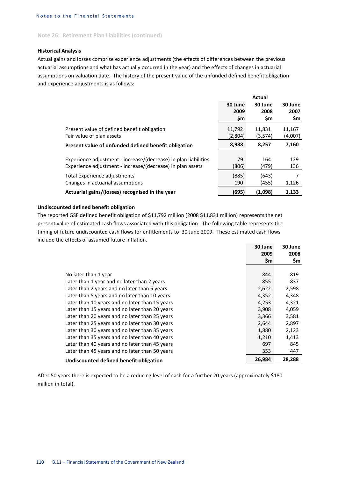## **Note 26: Retirement Plan Liabilities (continued)**

#### **Historical Analysis**

Actual gains and losses comprise experience adjustments (the effects of differences between the previous actuarial assumptions and what has actually occurred in the year) and the effects of changes in actuarial assumptions on valuation date. The history of the present value of the unfunded defined benefit obligation and experience adjustments is as follows:

|                                                                 |         | Actual    |         |
|-----------------------------------------------------------------|---------|-----------|---------|
|                                                                 | 30 June | 30 June   | 30 June |
|                                                                 | 2009    | 2008      | 2007    |
|                                                                 | \$m     | <b>Sm</b> | \$m     |
| Present value of defined benefit obligation                     | 11,792  | 11,831    | 11,167  |
| Fair value of plan assets                                       | (2,804) | (3,574)   | (4,007) |
| Present value of unfunded defined benefit obligation            | 8,988   | 8,257     | 7,160   |
|                                                                 |         |           |         |
| Experience adjustment - increase/(decrease) in plan liabilities | 79      | 164       | 129     |
| Experience adjustment - increase/(decrease) in plan assets      | (806)   | (479)     | 136     |
| Total experience adjustments                                    | (885)   | (643)     | 7       |
| Changes in actuarial assumptions                                | 190     | (455)     | 1,126   |
| Actuarial gains/(losses) recognised in the year                 | (695)   | (1,098)   | 1,133   |

### **Undiscounted defined benefit obligation**

The reported GSF defined benefit obligation of \$11,792 million (2008 \$11,831 million) represents the net present value of estimated cash flows associated with this obligation. The following table represents the timing of future undiscounted cash flows for entitlements to 30 June 2009. These estimated cash flows include the effects of assumed future inflation.

|                                                | 30 June | 30 June |
|------------------------------------------------|---------|---------|
|                                                | 2009    | 2008    |
|                                                | \$m     | \$m     |
|                                                |         |         |
| No later than 1 year                           | 844     | 819     |
| Later than 1 year and no later than 2 years    | 855     | 837     |
| Later than 2 years and no later than 5 years   | 2,622   | 2,598   |
| Later than 5 years and no later than 10 years  | 4,352   | 4,348   |
| Later than 10 years and no later than 15 years | 4,253   | 4,321   |
| Later than 15 years and no later than 20 years | 3,908   | 4,059   |
| Later than 20 years and no later than 25 years | 3,366   | 3,581   |
| Later than 25 years and no later than 30 years | 2,644   | 2,897   |
| Later than 30 years and no later than 35 years | 1,880   | 2,123   |
| Later than 35 years and no later than 40 years | 1,210   | 1,413   |
| Later than 40 years and no later than 45 years | 697     | 845     |
| Later than 45 years and no later than 50 years | 353     | 447     |
| Undiscounted defined benefit obligation        | 26,984  | 28,288  |

After 50 years there is expected to be a reducing level of cash for a further 20 years (approximately \$180 million in total).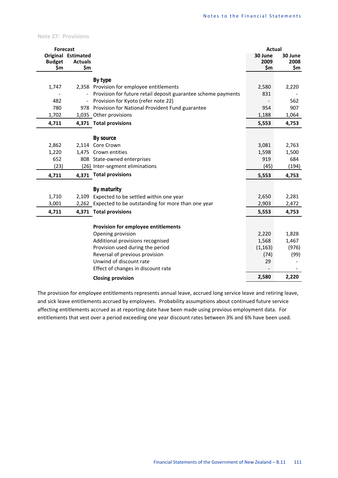**Note 27: Provisions**

| <b>Forecast</b>      |                           |                                                               | <b>Actual</b> |             |
|----------------------|---------------------------|---------------------------------------------------------------|---------------|-------------|
|                      | <b>Original Estimated</b> |                                                               | 30 June       | 30 June     |
| <b>Budget</b><br>\$m | <b>Actuals</b><br>\$m     |                                                               | 2009<br>\$m   | 2008<br>\$m |
|                      |                           |                                                               |               |             |
|                      |                           | By type                                                       |               |             |
| 1,747                |                           | 2,358 Provision for employee entitlements                     | 2,580         | 2,220       |
|                      |                           | Provision for future retail deposit guarantee scheme payments | 831           |             |
| 482                  |                           | Provision for Kyoto (refer note 22)                           |               | 562         |
| 780                  |                           | 978 Provision for National Provident Fund guarantee           | 954           | 907         |
| 1,702                |                           | 1,035 Other provisions                                        | 1,188         | 1,064       |
| 4,711                |                           | 4,371 Total provisions                                        | 5,553         | 4,753       |
|                      |                           |                                                               |               |             |
|                      |                           | <b>By source</b>                                              |               |             |
| 2,862                |                           | 2,114 Core Crown                                              | 3,081         | 2,763       |
| 1,220                |                           | 1,475 Crown entities                                          | 1,598         | 1,500       |
| 652                  |                           | 808 State-owned enterprises                                   | 919           | 684         |
| (23)                 |                           | (26) Inter-segment eliminations                               | (45)          | (194)       |
| 4,711                |                           | 4,371 Total provisions                                        | 5,553         | 4,753       |
|                      |                           | By maturity                                                   |               |             |
| 1,710                |                           | 2,109 Expected to be settled within one year                  | 2,650         | 2,281       |
| 3,001                |                           | 2,262 Expected to be outstanding for more than one year       | 2,903         | 2,472       |
| 4,711                |                           | 4,371 Total provisions                                        | 5,553         | 4,753       |
|                      |                           |                                                               |               |             |
|                      |                           | Provision for employee entitlements                           |               |             |
|                      |                           | Opening provision                                             | 2,220         | 1,828       |
|                      |                           | Additional provisions recognised                              | 1,568         | 1,467       |
|                      |                           | Provision used during the period                              | (1, 163)      | (976)       |
|                      |                           | Reversal of previous provision                                | (74)          | (99)        |
|                      |                           | Unwind of discount rate                                       | 29            |             |
|                      |                           | Effect of changes in discount rate                            |               |             |
|                      |                           | <b>Closing provision</b>                                      | 2,580         | 2,220       |

The provision for employee entitlements represents annual leave, accrued long service leave and retiring leave, and sick leave entitlements accrued by employees. Probability assumptions about continued future service affecting entitlements accrued as at reporting date have been made using previous employment data. For entitlements that vest over a period exceeding one year discount rates between 3% and 6% have been used.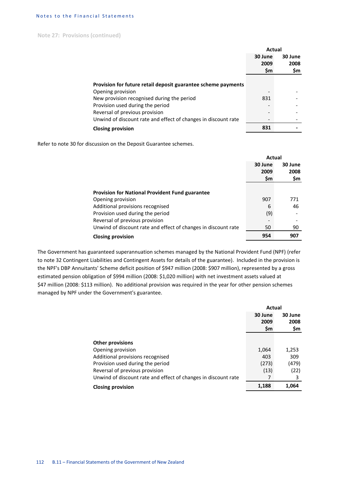## Notes to the Financial Statements

**Note 27: Provisions (continued)**

|                                                                | Actual  |         |
|----------------------------------------------------------------|---------|---------|
|                                                                | 30 June | 30 June |
|                                                                | 2009    | 2008    |
|                                                                | \$m     | \$m     |
|                                                                |         |         |
| Provision for future retail deposit guarantee scheme payments  |         |         |
| Opening provision                                              |         |         |
| New provision recognised during the period                     | 831     |         |
| Provision used during the period                               |         |         |
| Reversal of previous provision                                 |         |         |
| Unwind of discount rate and effect of changes in discount rate |         |         |
| <b>Closing provision</b>                                       | 831     |         |

Refer to note 30 for discussion on the Deposit Guarantee schemes.

|                                                                | Actual  |         |
|----------------------------------------------------------------|---------|---------|
|                                                                | 30 June | 30 June |
|                                                                | 2009    | 2008    |
|                                                                | \$m     | \$m     |
|                                                                |         |         |
| <b>Provision for National Provident Fund guarantee</b>         |         |         |
| Opening provision                                              | 907     | 771     |
| Additional provisions recognised                               | 6       | 46      |
| Provision used during the period                               | (9)     |         |
| Reversal of previous provision                                 |         |         |
| Unwind of discount rate and effect of changes in discount rate | 50      | 90      |
| <b>Closing provision</b>                                       | 954     | 907     |

The Government has guaranteed superannuation schemes managed by the National Provident Fund (NPF) (refer to note 32 Contingent Liabilities and Contingent Assets for details of the guarantee). Included in the provision is the NPF's DBP Annuitants' Scheme deficit position of \$947 million (2008: \$907 million), represented by a gross estimated pension obligation of \$994 million (2008: \$1,020 million) with net investment assets valued at \$47 million (2008: \$113 million). No additional provision was required in the year for other pension schemes managed by NPF under the Government's guarantee.

|                                                                | Actual  |         |
|----------------------------------------------------------------|---------|---------|
|                                                                | 30 June | 30 June |
|                                                                | 2009    | 2008    |
|                                                                | \$m     | \$m     |
|                                                                |         |         |
| <b>Other provisions</b>                                        |         |         |
| Opening provision                                              | 1,064   | 1,253   |
| Additional provisions recognised                               | 403     | 309     |
| Provision used during the period                               | (273)   | (479)   |
| Reversal of previous provision                                 | (13)    | (22)    |
| Unwind of discount rate and effect of changes in discount rate |         | 3       |
| <b>Closing provision</b>                                       | 1,188   | 1,064   |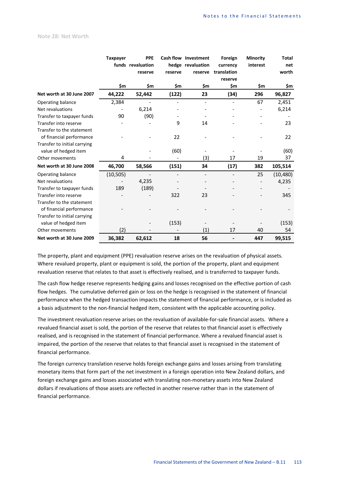### **Note 28: Net Worth**

|                                                       | <b>Taxpayer</b> | <b>PPE</b><br>funds revaluation<br>reserve | reserve | Cash flow Investment<br>hedge revaluation<br>reserve | Foreign<br>currency<br>translation<br>reserve | Minority<br>interest | <b>Total</b><br>net<br>worth |
|-------------------------------------------------------|-----------------|--------------------------------------------|---------|------------------------------------------------------|-----------------------------------------------|----------------------|------------------------------|
|                                                       | \$m             | \$m                                        | \$m     | \$m                                                  | \$m                                           | \$m                  | \$m                          |
| Net worth at 30 June 2007                             | 44,222          | 52,442                                     | (122)   | 23                                                   | (34)                                          | 296                  | 96,827                       |
| Operating balance                                     | 2,384           |                                            |         |                                                      |                                               | 67                   | 2,451                        |
| Net revaluations                                      |                 | 6,214                                      |         |                                                      |                                               |                      | 6,214                        |
| Transfer to taxpayer funds                            | 90              | (90)                                       |         |                                                      |                                               |                      |                              |
| Transfer into reserve                                 |                 |                                            | 9       | 14                                                   |                                               |                      | 23                           |
| Transfer to the statement<br>of financial performance |                 |                                            | 22      |                                                      |                                               |                      | 22                           |
| Transfer to initial carrying<br>value of hedged item  |                 |                                            | (60)    |                                                      |                                               |                      | (60)                         |
| Other movements                                       | 4               |                                            |         | (3)                                                  | 17                                            | 19                   | 37                           |
| Net worth at 30 June 2008                             | 46,700          | 58,566                                     | (151)   | 34                                                   | (17)                                          | 382                  | 105,514                      |
| Operating balance                                     | (10, 505)       |                                            |         |                                                      |                                               | 25                   | (10, 480)                    |
| Net revaluations                                      |                 | 4,235                                      |         |                                                      |                                               |                      | 4,235                        |
| Transfer to taxpayer funds                            | 189             | (189)                                      |         |                                                      |                                               |                      |                              |
| <b>Transfer into reserve</b>                          |                 |                                            | 322     | 23                                                   |                                               |                      | 345                          |
| Transfer to the statement                             |                 |                                            |         |                                                      |                                               |                      |                              |
| of financial performance                              |                 |                                            |         |                                                      |                                               |                      |                              |
| Transfer to initial carrying                          |                 |                                            |         |                                                      |                                               |                      |                              |
| value of hedged item                                  |                 |                                            | (153)   |                                                      |                                               |                      | (153)                        |
| Other movements                                       | (2)             |                                            |         | (1)                                                  | 17                                            | 40                   | 54                           |
| Net worth at 30 June 2009                             | 36,382          | 62,612                                     | 18      | 56                                                   |                                               | 447                  | 99,515                       |

The property, plant and equipment (PPE) revaluation reserve arises on the revaluation of physical assets. Where revalued property, plant or equipment is sold, the portion of the property, plant and equipment revaluation reserve that relates to that asset is effectively realised, and is transferred to taxpayer funds.

The cash flow hedge reserve represents hedging gains and losses recognised on the effective portion of cash flow hedges. The cumulative deferred gain or loss on the hedge is recognised in the statement of financial performance when the hedged transaction impacts the statement of financial performance, or is included as a basis adjustment to the non-financial hedged item, consistent with the applicable accounting policy.

The investment revaluation reserve arises on the revaluation of available-for-sale financial assets. Where a revalued financial asset is sold, the portion of the reserve that relates to that financial asset is effectively realised, and is recognised in the statement of financial performance. Where a revalued financial asset is impaired, the portion of the reserve that relates to that financial asset is recognised in the statement of financial performance.

The foreign currency translation reserve holds foreign exchange gains and losses arising from translating monetary items that form part of the net investment in a foreign operation into New Zealand dollars, and foreign exchange gains and losses associated with translating non-monetary assets into New Zealand dollars if revaluations of those assets are reflected in another reserve rather than in the statement of financial performance.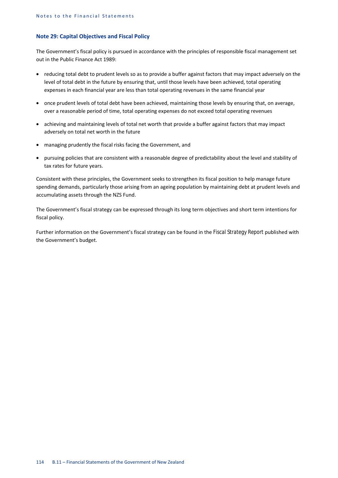## **Note 29: Capital Objectives and Fiscal Policy**

The Government's fiscal policy is pursued in accordance with the principles of responsible fiscal management set out in the Public Finance Act 1989:

- reducing total debt to prudent levels so as to provide a buffer against factors that may impact adversely on the level of total debt in the future by ensuring that, until those levels have been achieved, total operating expenses in each financial year are less than total operating revenues in the same financial year
- once prudent levels of total debt have been achieved, maintaining those levels by ensuring that, on average, over a reasonable period of time, total operating expenses do not exceed total operating revenues
- achieving and maintaining levels of total net worth that provide a buffer against factors that may impact adversely on total net worth in the future
- managing prudently the fiscal risks facing the Government, and
- pursuing policies that are consistent with a reasonable degree of predictability about the level and stability of tax rates for future years.

Consistent with these principles, the Government seeks to strengthen its fiscal position to help manage future spending demands, particularly those arising from an ageing population by maintaining debt at prudent levels and accumulating assets through the NZS Fund.

The Government's fiscal strategy can be expressed through its long term objectives and short term intentions for fiscal policy.

Further information on the Government's fiscal strategy can be found in the *Fiscal Strategy Report* published with the Government's budget.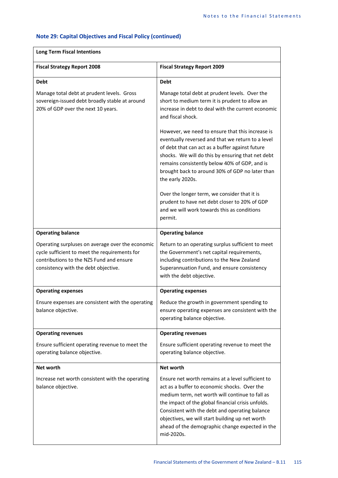# **Note 29: Capital Objectives and Fiscal Policy (continued)**

| <b>Fiscal Strategy Report 2008</b>                                                                                                                                                    | <b>Fiscal Strategy Report 2009</b>                                                                                                                                                                                                                                                                                                                                               |
|---------------------------------------------------------------------------------------------------------------------------------------------------------------------------------------|----------------------------------------------------------------------------------------------------------------------------------------------------------------------------------------------------------------------------------------------------------------------------------------------------------------------------------------------------------------------------------|
| <b>Debt</b>                                                                                                                                                                           | <b>Debt</b>                                                                                                                                                                                                                                                                                                                                                                      |
| Manage total debt at prudent levels. Gross<br>sovereign-issued debt broadly stable at around<br>20% of GDP over the next 10 years.                                                    | Manage total debt at prudent levels. Over the<br>short to medium term it is prudent to allow an<br>increase in debt to deal with the current economic<br>and fiscal shock.                                                                                                                                                                                                       |
|                                                                                                                                                                                       | However, we need to ensure that this increase is<br>eventually reversed and that we return to a level<br>of debt that can act as a buffer against future<br>shocks. We will do this by ensuring that net debt<br>remains consistently below 40% of GDP, and is<br>brought back to around 30% of GDP no later than<br>the early 2020s.                                            |
|                                                                                                                                                                                       | Over the longer term, we consider that it is<br>prudent to have net debt closer to 20% of GDP<br>and we will work towards this as conditions<br>permit.                                                                                                                                                                                                                          |
| <b>Operating balance</b>                                                                                                                                                              | <b>Operating balance</b>                                                                                                                                                                                                                                                                                                                                                         |
| Operating surpluses on average over the economic<br>cycle sufficient to meet the requirements for<br>contributions to the NZS Fund and ensure<br>consistency with the debt objective. | Return to an operating surplus sufficient to meet<br>the Government's net capital requirements,<br>including contributions to the New Zealand<br>Superannuation Fund, and ensure consistency<br>with the debt objective.                                                                                                                                                         |
| <b>Operating expenses</b>                                                                                                                                                             | <b>Operating expenses</b>                                                                                                                                                                                                                                                                                                                                                        |
| Ensure expenses are consistent with the operating<br>balance objective.                                                                                                               | Reduce the growth in government spending to<br>ensure operating expenses are consistent with the<br>operating balance objective.                                                                                                                                                                                                                                                 |
| <b>Operating revenues</b>                                                                                                                                                             | <b>Operating revenues</b>                                                                                                                                                                                                                                                                                                                                                        |
| Ensure sufficient operating revenue to meet the<br>operating balance objective.                                                                                                       | Ensure sufficient operating revenue to meet the<br>operating balance objective.                                                                                                                                                                                                                                                                                                  |
| Net worth                                                                                                                                                                             | <b>Net worth</b>                                                                                                                                                                                                                                                                                                                                                                 |
| Increase net worth consistent with the operating<br>balance objective.                                                                                                                | Ensure net worth remains at a level sufficient to<br>act as a buffer to economic shocks. Over the<br>medium term, net worth will continue to fall as<br>the impact of the global financial crisis unfolds.<br>Consistent with the debt and operating balance<br>objectives, we will start building up net worth<br>ahead of the demographic change expected in the<br>mid-2020s. |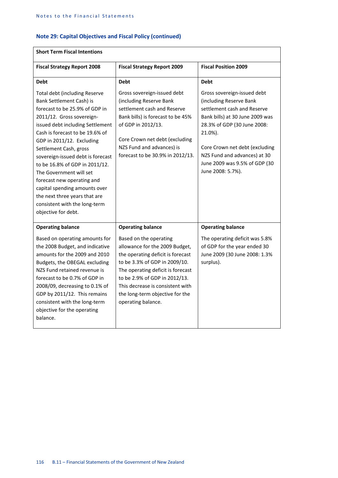# **Note 29: Capital Objectives and Fiscal Policy (continued)**

| <b>Short Term Fiscal Intentions</b>                                                                                                                                                                                                                                                                                                                                                                                                                                                                                     |                                                                                                                                                                                                                                                                                                   |                                                                                                                                                                                                                                                                                            |  |  |  |  |  |
|-------------------------------------------------------------------------------------------------------------------------------------------------------------------------------------------------------------------------------------------------------------------------------------------------------------------------------------------------------------------------------------------------------------------------------------------------------------------------------------------------------------------------|---------------------------------------------------------------------------------------------------------------------------------------------------------------------------------------------------------------------------------------------------------------------------------------------------|--------------------------------------------------------------------------------------------------------------------------------------------------------------------------------------------------------------------------------------------------------------------------------------------|--|--|--|--|--|
| <b>Fiscal Strategy Report 2008</b>                                                                                                                                                                                                                                                                                                                                                                                                                                                                                      | <b>Fiscal Strategy Report 2009</b>                                                                                                                                                                                                                                                                | <b>Fiscal Position 2009</b>                                                                                                                                                                                                                                                                |  |  |  |  |  |
| <b>Debt</b>                                                                                                                                                                                                                                                                                                                                                                                                                                                                                                             | <b>Debt</b>                                                                                                                                                                                                                                                                                       | <b>Debt</b>                                                                                                                                                                                                                                                                                |  |  |  |  |  |
| <b>Total debt (including Reserve</b><br>Bank Settlement Cash) is<br>forecast to be 25.9% of GDP in<br>2011/12. Gross sovereign-<br>issued debt including Settlement<br>Cash is forecast to be 19.6% of<br>GDP in 2011/12. Excluding<br>Settlement Cash, gross<br>sovereign-issued debt is forecast<br>to be 16.8% of GDP in 2011/12.<br>The Government will set<br>forecast new operating and<br>capital spending amounts over<br>the next three years that are<br>consistent with the long-term<br>objective for debt. | Gross sovereign-issued debt<br>(including Reserve Bank<br>settlement cash and Reserve<br>Bank bills) is forecast to be 45%<br>of GDP in 2012/13.<br>Core Crown net debt (excluding<br>NZS Fund and advances) is<br>forecast to be 30.9% in 2012/13.                                               | Gross sovereign-issued debt<br>(including Reserve Bank<br>settlement cash and Reserve<br>Bank bills) at 30 June 2009 was<br>28.3% of GDP (30 June 2008:<br>21.0%).<br>Core Crown net debt (excluding<br>NZS Fund and advances) at 30<br>June 2009 was 9.5% of GDP (30<br>June 2008: 5.7%). |  |  |  |  |  |
| <b>Operating balance</b>                                                                                                                                                                                                                                                                                                                                                                                                                                                                                                | <b>Operating balance</b>                                                                                                                                                                                                                                                                          | <b>Operating balance</b>                                                                                                                                                                                                                                                                   |  |  |  |  |  |
| Based on operating amounts for<br>the 2008 Budget, and indicative<br>amounts for the 2009 and 2010<br>Budgets, the OBEGAL excluding<br>NZS Fund retained revenue is<br>forecast to be 0.7% of GDP in<br>2008/09, decreasing to 0.1% of<br>GDP by 2011/12. This remains<br>consistent with the long-term<br>objective for the operating<br>balance.                                                                                                                                                                      | Based on the operating<br>allowance for the 2009 Budget,<br>the operating deficit is forecast<br>to be 3.3% of GDP in 2009/10.<br>The operating deficit is forecast<br>to be 2.9% of GDP in 2012/13.<br>This decrease is consistent with<br>the long-term objective for the<br>operating balance. | The operating deficit was 5.8%<br>of GDP for the year ended 30<br>June 2009 (30 June 2008: 1.3%<br>surplus).                                                                                                                                                                               |  |  |  |  |  |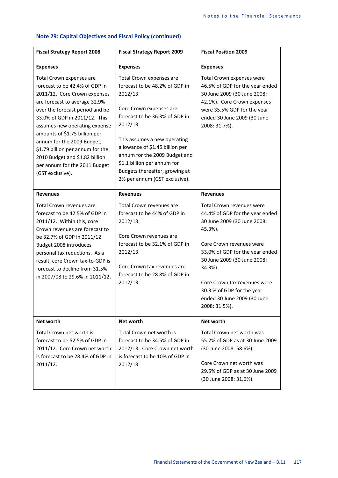| <b>Fiscal Strategy Report 2008</b>                                                                                                                                                                                                                                                                                                                                                                                         | <b>Fiscal Strategy Report 2009</b>                                                                                                                                                                                                                                                                                                                    | <b>Fiscal Position 2009</b>                                                                                                                                                                                                                                                                                                   |
|----------------------------------------------------------------------------------------------------------------------------------------------------------------------------------------------------------------------------------------------------------------------------------------------------------------------------------------------------------------------------------------------------------------------------|-------------------------------------------------------------------------------------------------------------------------------------------------------------------------------------------------------------------------------------------------------------------------------------------------------------------------------------------------------|-------------------------------------------------------------------------------------------------------------------------------------------------------------------------------------------------------------------------------------------------------------------------------------------------------------------------------|
| <b>Expenses</b>                                                                                                                                                                                                                                                                                                                                                                                                            | <b>Expenses</b>                                                                                                                                                                                                                                                                                                                                       | <b>Expenses</b>                                                                                                                                                                                                                                                                                                               |
| Total Crown expenses are<br>forecast to be 42.4% of GDP in<br>2011/12. Core Crown expenses<br>are forecast to average 32.9%<br>over the forecast period and be<br>33.0% of GDP in 2011/12. This<br>assumes new operating expense<br>amounts of \$1.75 billion per<br>annum for the 2009 Budget,<br>\$1.79 billion per annum for the<br>2010 Budget and \$1.82 billion<br>per annum for the 2011 Budget<br>(GST exclusive). | Total Crown expenses are<br>forecast to be 48.2% of GDP in<br>2012/13.<br>Core Crown expenses are<br>forecast to be 36.3% of GDP in<br>2012/13.<br>This assumes a new operating<br>allowance of \$1.45 billion per<br>annum for the 2009 Budget and<br>\$1.1 billion per annum for<br>Budgets thereafter, growing at<br>2% per annum (GST exclusive). | Total Crown expenses were<br>46.5% of GDP for the year ended<br>30 June 2009 (30 June 2008:<br>42.1%). Core Crown expenses<br>were 35.5% GDP for the year<br>ended 30 June 2009 (30 June<br>2008: 31.7%).                                                                                                                     |
| <b>Revenues</b>                                                                                                                                                                                                                                                                                                                                                                                                            | <b>Revenues</b>                                                                                                                                                                                                                                                                                                                                       | <b>Revenues</b>                                                                                                                                                                                                                                                                                                               |
| Total Crown revenues are<br>forecast to be 42.5% of GDP in<br>2011/12. Within this, core<br>Crown revenues are forecast to<br>be 32.7% of GDP in 2011/12.<br>Budget 2008 introduces<br>personal tax reductions. As a<br>result, core Crown tax-to-GDP is<br>forecast to decline from 31.5%<br>in 2007/08 to 29.6% in 2011/12.                                                                                              | Total Crown revenues are<br>forecast to be 44% of GDP in<br>2012/13.<br>Core Crown revenues are<br>forecast to be 32.1% of GDP in<br>2012/13.<br>Core Crown tax revenues are<br>forecast to be 28.8% of GDP in<br>2012/13.                                                                                                                            | Total Crown revenues were<br>44.4% of GDP for the year ended<br>30 June 2009 (30 June 2008:<br>45.3%).<br>Core Crown revenues were<br>33.0% of GDP for the year ended<br>30 June 2009 (30 June 2008:<br>34.3%).<br>Core Crown tax revenues were<br>30.3 % of GDP for the year<br>ended 30 June 2009 (30 June<br>2008: 31.5%). |
| Net worth                                                                                                                                                                                                                                                                                                                                                                                                                  | <b>Net worth</b>                                                                                                                                                                                                                                                                                                                                      | <b>Net worth</b>                                                                                                                                                                                                                                                                                                              |
| Total Crown net worth is<br>forecast to be 52.5% of GDP in<br>2011/12. Core Crown net worth<br>is forecast to be 28.4% of GDP in<br>2011/12.                                                                                                                                                                                                                                                                               | Total Crown net worth is<br>forecast to be 34.5% of GDP in<br>2012/13. Core Crown net worth<br>is forecast to be 10% of GDP in<br>2012/13.                                                                                                                                                                                                            | Total Crown net worth was<br>55.2% of GDP as at 30 June 2009<br>(30 June 2008: 58.6%).<br>Core Crown net worth was<br>29.5% of GDP as at 30 June 2009<br>(30 June 2008: 31.6%).                                                                                                                                               |

# **Note 29: Capital Objectives and Fiscal Policy (continued)**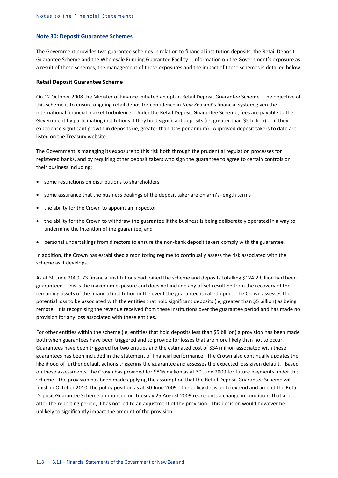#### **Note 30: Deposit Guarantee Schemes**

The Government provides two guarantee schemes in relation to financial institution deposits: the Retail Deposit Guarantee Scheme and the Wholesale Funding Guarantee Facility. Information on the Government's exposure as a result of these schemes, the management of these exposures and the impact of these schemes is detailed below.

#### **Retail Deposit Guarantee Scheme**

On 12 October 2008 the Minister of Finance initiated an opt-in Retail Deposit Guarantee Scheme. The objective of this scheme is to ensure ongoing retail depositor confidence in New Zealand's financial system given the international financial market turbulence. Under the Retail Deposit Guarantee Scheme, fees are payable to the Government by participating institutions if they hold significant deposits (ie, greater than \$5 billion) or if they experience significant growth in deposits (ie, greater than 10% per annum). Approved deposit takers to date are listed on the Treasury website.

The Government is managing its exposure to this risk both through the prudential regulation processes for registered banks, and by requiring other deposit takers who sign the guarantee to agree to certain controls on their business including:

- some restrictions on distributions to shareholders
- some assurance that the business dealings of the deposit taker are on arm's-length terms
- the ability for the Crown to appoint an inspector
- the ability for the Crown to withdraw the guarantee if the business is being deliberately operated in a way to undermine the intention of the guarantee, and
- personal undertakings from directors to ensure the non-bank deposit takers comply with the guarantee.

In addition, the Crown has established a monitoring regime to continually assess the risk associated with the scheme as it develops.

As at 30 June 2009, 73 financial institutions had joined the scheme and deposits totalling \$124.2 billion had been guaranteed. This is the maximum exposure and does not include any offset resulting from the recovery of the remaining assets of the financial institution in the event the guarantee is called upon. The Crown assesses the potential loss to be associated with the entities that hold significant deposits (ie, greater than \$5 billion) as being remote. It is recognising the revenue received from these institutions over the guarantee period and has made no provision for any loss associated with these entities.

For other entities within the scheme (ie, entities that hold deposits less than \$5 billion) a provision has been made both when guarantees have been triggered and to provide for losses that are more likely than not to occur. Guarantees have been triggered for two entities and the estimated cost of \$34 million associated with these guarantees has been included in the statement of financial performance. The Crown also continually updates the likelihood of further default actions triggering the guarantee and assesses the expected loss given default. Based on these assessments, the Crown has provided for \$816 million as at 30 June 2009 for future payments under this scheme. The provision has been made applying the assumption that the Retail Deposit Guarantee Scheme will finish in October 2010, the policy position as at 30 June 2009. The policy decision to extend and amend the Retail Deposit Guarantee Scheme announced on Tuesday 25 August 2009 represents a change in conditions that arose after the reporting period, it has not led to an adjustment of the provision. This decision would however be unlikely to significantly impact the amount of the provision.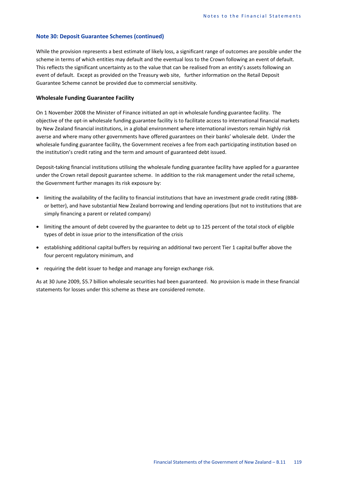## **Note 30: Deposit Guarantee Schemes (continued)**

While the provision represents a best estimate of likely loss, a significant range of outcomes are possible under the scheme in terms of which entities may default and the eventual loss to the Crown following an event of default. This reflects the significant uncertainty as to the value that can be realised from an entity's assets following an event of default. Except as provided on the Treasury web site, further information on the Retail Deposit Guarantee Scheme cannot be provided due to commercial sensitivity.

## **Wholesale Funding Guarantee Facility**

On 1 November 2008 the Minister of Finance initiated an opt-in wholesale funding guarantee facility. The objective of the opt-in wholesale funding guarantee facility is to facilitate access to international financial markets by New Zealand financial institutions, in a global environment where international investors remain highly risk averse and where many other governments have offered guarantees on their banks' wholesale debt. Under the wholesale funding guarantee facility, the Government receives a fee from each participating institution based on the institution's credit rating and the term and amount of guaranteed debt issued.

Deposit-taking financial institutions utilising the wholesale funding guarantee facility have applied for a guarantee under the Crown retail deposit guarantee scheme. In addition to the risk management under the retail scheme, the Government further manages its risk exposure by:

- limiting the availability of the facility to financial institutions that have an investment grade credit rating (BBBor better), and have substantial New Zealand borrowing and lending operations (but not to institutions that are simply financing a parent or related company)
- limiting the amount of debt covered by the guarantee to debt up to 125 percent of the total stock of eligible types of debt in issue prior to the intensification of the crisis
- establishing additional capital buffers by requiring an additional two percent Tier 1 capital buffer above the four percent regulatory minimum, and
- requiring the debt issuer to hedge and manage any foreign exchange risk.

As at 30 June 2009, \$5.7 billion wholesale securities had been guaranteed. No provision is made in these financial statements for losses under this scheme as these are considered remote.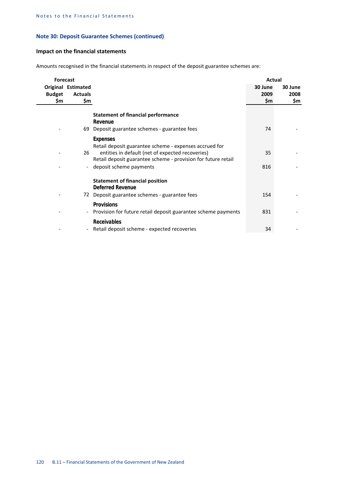## **Note 30: Deposit Guarantee Schemes (continued)**

## **Impact on the financial statements**

Amounts recognised in the financial statements in respect of the deposit guarantee schemes are:

| <b>Forecast</b>      |                                                    |                                                                                                                                                                             | Actual                 |                        |
|----------------------|----------------------------------------------------|-----------------------------------------------------------------------------------------------------------------------------------------------------------------------------|------------------------|------------------------|
| <b>Budget</b><br>\$m | <b>Original Estimated</b><br><b>Actuals</b><br>\$m |                                                                                                                                                                             | 30 June<br>2009<br>\$m | 30 June<br>2008<br>\$m |
|                      |                                                    | <b>Statement of financial performance</b><br>Revenue<br>69 Deposit guarantee schemes - guarantee fees                                                                       | 74                     |                        |
|                      |                                                    | <b>Expenses</b>                                                                                                                                                             |                        |                        |
|                      | 26                                                 | Retail deposit guarantee scheme - expenses accrued for<br>entities in default (net of expected recoveries)<br>Retail deposit guarantee scheme - provision for future retail | 35                     |                        |
|                      |                                                    | deposit scheme payments                                                                                                                                                     | 816                    |                        |
|                      |                                                    | <b>Statement of financial position</b><br><b>Deferred Revenue</b>                                                                                                           |                        |                        |
|                      |                                                    | 72 Deposit guarantee schemes - guarantee fees                                                                                                                               | 154                    |                        |
|                      | $\overline{\phantom{a}}$                           | <b>Provisions</b><br>Provision for future retail deposit guarantee scheme payments                                                                                          | 831                    |                        |
|                      | $\overline{a}$                                     | Receivables<br>Retail deposit scheme - expected recoveries                                                                                                                  | 34                     |                        |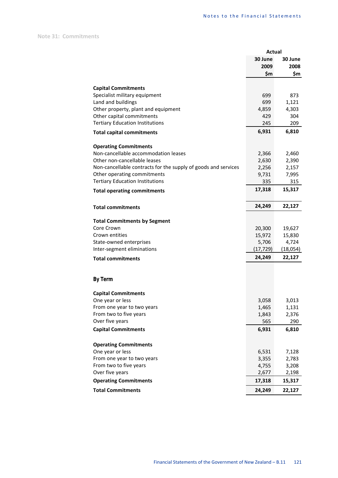**Note 31: Commitments**

|                                                                | Actual         |                |
|----------------------------------------------------------------|----------------|----------------|
|                                                                | 30 June        | 30 June        |
|                                                                | 2009           | 2008           |
|                                                                | \$m            | \$m            |
|                                                                |                |                |
| <b>Capital Commitments</b><br>Specialist military equipment    | 699            | 873            |
| Land and buildings                                             | 699            | 1,121          |
| Other property, plant and equipment                            | 4,859          | 4,303          |
| Other capital commitments                                      | 429            | 304            |
| <b>Tertiary Education Institutions</b>                         | 245            | 209            |
| <b>Total capital commitments</b>                               | 6,931          | 6,810          |
|                                                                |                |                |
| <b>Operating Commitments</b>                                   |                |                |
| Non-cancellable accommodation leases                           | 2,366          | 2,460          |
| Other non-cancellable leases                                   | 2,630          | 2,390          |
| Non-cancellable contracts for the supply of goods and services | 2,256          | 2,157          |
| Other operating commitments                                    | 9,731          | 7,995          |
| <b>Tertiary Education Institutions</b>                         | 335            | 315            |
| <b>Total operating commitments</b>                             | 17,318         | 15,317         |
|                                                                |                |                |
| <b>Total commitments</b>                                       | 24,249         | 22,127         |
|                                                                |                |                |
| <b>Total Commitments by Segment</b>                            |                |                |
| Core Crown                                                     | 20,300         | 19,627         |
| Crown entities                                                 | 15,972         | 15,830         |
| State-owned enterprises                                        | 5,706          | 4,724          |
| Inter-segment eliminations                                     | (17, 729)      | (18,054)       |
| <b>Total commitments</b>                                       | 24,249         | 22,127         |
|                                                                |                |                |
| <b>By Term</b>                                                 |                |                |
|                                                                |                |                |
| <b>Capital Commitments</b>                                     |                |                |
| One year or less                                               | 3,058          | 3,013          |
| From one year to two years                                     | 1,465          | 1,131          |
| From two to five years                                         | 1,843          | 2,376          |
| Over five years                                                | 565            | 290            |
| <b>Capital Commitments</b>                                     | 6,931          | 6,810          |
|                                                                |                |                |
| <b>Operating Commitments</b>                                   |                |                |
| One year or less                                               | 6,531          | 7,128          |
| From one year to two years<br>From two to five years           | 3,355          | 2,783          |
| Over five years                                                | 4,755<br>2,677 | 3,208<br>2,198 |
| <b>Operating Commitments</b>                                   | 17,318         | 15,317         |
|                                                                |                |                |
| <b>Total Commitments</b>                                       | 24,249         | 22,127         |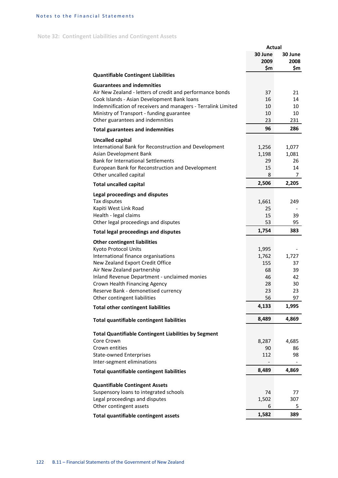## Notes to the Financial Statements

# **Note 32: Contingent Liabilities and Contingent Assets**

|                                                               | <b>Actual</b> |         |
|---------------------------------------------------------------|---------------|---------|
|                                                               | 30 June       | 30 June |
|                                                               | 2009          | 2008    |
|                                                               | \$m           | \$m     |
| <b>Quantifiable Contingent Liabilities</b>                    |               |         |
| <b>Guarantees and indemnities</b>                             |               |         |
| Air New Zealand - letters of credit and performance bonds     | 37            | 21      |
| Cook Islands - Asian Development Bank loans                   | 16            | 14      |
|                                                               |               |         |
| Indemnification of receivers and managers - Terralink Limited | 10            | 10      |
| Ministry of Transport - funding guarantee                     | 10            | 10      |
| Other guarantees and indemnities                              | 23            | 231     |
| <b>Total guarantees and indemnities</b>                       | 96            | 286     |
| <b>Uncalled capital</b>                                       |               |         |
| International Bank for Reconstruction and Development         | 1,256         | 1,077   |
| Asian Development Bank                                        | 1,198         | 1,081   |
| <b>Bank for International Settlements</b>                     |               | 26      |
|                                                               | 29            |         |
| European Bank for Reconstruction and Development              | 15            | 14      |
| Other uncalled capital                                        | 8             | 7       |
| <b>Total uncalled capital</b>                                 | 2,506         | 2,205   |
| Legal proceedings and disputes                                |               |         |
| Tax disputes                                                  | 1,661         | 249     |
|                                                               |               |         |
| Kapiti West Link Road                                         | 25            |         |
| Health - legal claims                                         | 15            | 39      |
| Other legal proceedings and disputes                          | 53            | 95      |
| <b>Total legal proceedings and disputes</b>                   | 1,754         | 383     |
| <b>Other contingent liabilities</b>                           |               |         |
| Kyoto Protocol Units                                          | 1,995         |         |
| International finance organisations                           | 1,762         | 1,727   |
| New Zealand Export Credit Office                              |               |         |
|                                                               | 155           | 37      |
| Air New Zealand partnership                                   | 68            | 39      |
| Inland Revenue Department - unclaimed monies                  | 46            | 42      |
| Crown Health Financing Agency                                 | 28            | 30      |
| Reserve Bank - demonetised currency                           | 23            | 23      |
| Other contingent liabilities                                  | 56            | 97      |
| <b>Total other contingent liabilities</b>                     | 4,133         | 1,995   |
| Total quantifiable contingent liabilities                     | 8,489         | 4,869   |
|                                                               |               |         |
| <b>Total Quantifiable Contingent Liabilities by Segment</b>   |               |         |
| Core Crown                                                    | 8,287         | 4,685   |
| Crown entities                                                | 90            | 86      |
| <b>State-owned Enterprises</b>                                | 112           | 98      |
| Inter-segment eliminations                                    |               |         |
| <b>Total quantifiable contingent liabilities</b>              | 8,489         | 4,869   |
|                                                               |               |         |
| <b>Quantifiable Contingent Assets</b>                         |               |         |
| Suspensory loans to integrated schools                        | 74            | 77      |
| Legal proceedings and disputes                                | 1,502         | 307     |
| Other contingent assets                                       | 6             | 5.      |
|                                                               | 1,582         | 389     |
| Total quantifiable contingent assets                          |               |         |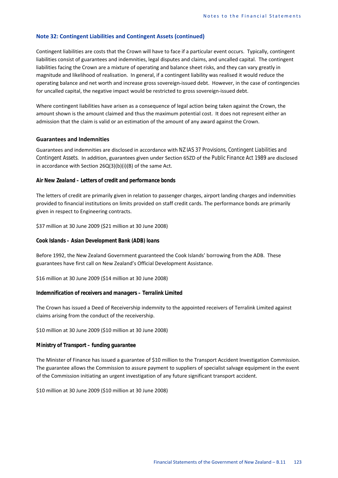Contingent liabilities are costs that the Crown will have to face if a particular event occurs. Typically, contingent liabilities consist of guarantees and indemnities, legal disputes and claims, and uncalled capital. The contingent liabilities facing the Crown are a mixture of operating and balance sheet risks, and they can vary greatly in magnitude and likelihood of realisation. In general, if a contingent liability was realised it would reduce the operating balance and net worth and increase gross sovereign-issued debt. However, in the case of contingencies for uncalled capital, the negative impact would be restricted to gross sovereign-issued debt.

Where contingent liabilities have arisen as a consequence of legal action being taken against the Crown, the amount shown is the amount claimed and thus the maximum potential cost. It does not represent either an admission that the claim is valid or an estimation of the amount of any award against the Crown.

#### **Guarantees and Indemnities**

Guarantees and indemnities are disclosed in accordance with *NZ IAS 37 Provisions, Contingent Liabilities and Contingent Assets*. In addition, guarantees given under Section 65ZD of the *Public Finance Act 1989* are disclosed in accordance with Section 26Q(3)(b)(i)(B) of the same Act.

#### *Air New Zealand – Letters of credit and performance bonds*

The letters of credit are primarily given in relation to passenger charges, airport landing charges and indemnities provided to financial institutions on limits provided on staff credit cards. The performance bonds are primarily given in respect to Engineering contracts.

\$37 million at 30 June 2009 (\$21 million at 30 June 2008)

## *Cook Islands – Asian Development Bank (ADB) loans*

Before 1992, the New Zealand Government guaranteed the Cook Islands' borrowing from the ADB. These guarantees have first call on New Zealand's Official Development Assistance.

\$16 million at 30 June 2009 (\$14 million at 30 June 2008)

#### *Indemnification of receivers and managers – Terralink Limited*

The Crown has issued a Deed of Receivership indemnity to the appointed receivers of Terralink Limited against claims arising from the conduct of the receivership.

\$10 million at 30 June 2009 (\$10 million at 30 June 2008)

## *Ministry of Transport – funding guarantee*

The Minister of Finance has issued a guarantee of \$10 million to the Transport Accident Investigation Commission. The guarantee allows the Commission to assure payment to suppliers of specialist salvage equipment in the event of the Commission initiating an urgent investigation of any future significant transport accident.

\$10 million at 30 June 2009 (\$10 million at 30 June 2008)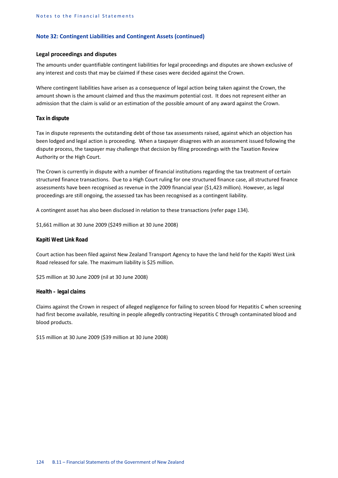### **Legal proceedings and disputes**

The amounts under quantifiable contingent liabilities for legal proceedings and disputes are shown exclusive of any interest and costs that may be claimed if these cases were decided against the Crown.

Where contingent liabilities have arisen as a consequence of legal action being taken against the Crown, the amount shown is the amount claimed and thus the maximum potential cost. It does not represent either an admission that the claim is valid or an estimation of the possible amount of any award against the Crown.

#### *Tax in dispute*

Tax in dispute represents the outstanding debt of those tax assessments raised, against which an objection has been lodged and legal action is proceeding. When a taxpayer disagrees with an assessment issued following the dispute process, the taxpayer may challenge that decision by filing proceedings with the Taxation Review Authority or the High Court.

The Crown is currently in dispute with a number of financial institutions regarding the tax treatment of certain structured finance transactions. Due to a High Court ruling for one structured finance case, all structured finance assessments have been recognised as revenue in the 2009 financial year (\$1,423 million). However, as legal proceedings are still ongoing, the assessed tax has been recognised as a contingent liability.

A contingent asset has also been disclosed in relation to these transactions (refer page 134).

\$1,661 million at 30 June 2009 (\$249 million at 30 June 2008)

#### *Kapiti West Link Road*

Court action has been filed against New Zealand Transport Agency to have the land held for the Kapiti West Link Road released for sale. The maximum liability is \$25 million.

\$25 million at 30 June 2009 (nil at 30 June 2008)

#### *Health – legal claims*

Claims against the Crown in respect of alleged negligence for failing to screen blood for Hepatitis C when screening had first become available, resulting in people allegedly contracting Hepatitis C through contaminated blood and blood products.

\$15 million at 30 June 2009 (\$39 million at 30 June 2008)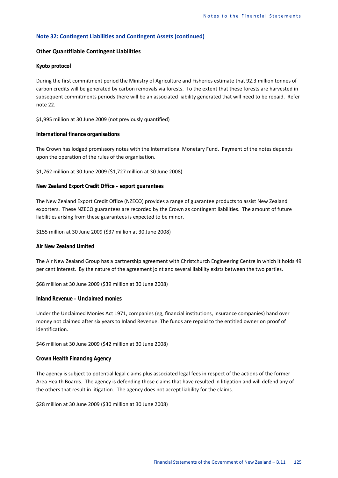## **Other Quantifiable Contingent Liabilities**

#### *Kyoto protocol*

During the first commitment period the Ministry of Agriculture and Fisheries estimate that 92.3 million tonnes of carbon credits will be generated by carbon removals via forests. To the extent that these forests are harvested in subsequent commitments periods there will be an associated liability generated that will need to be repaid. Refer note 22.

\$1,995 million at 30 June 2009 (not previously quantified)

### *International finance organisations*

The Crown has lodged promissory notes with the International Monetary Fund. Payment of the notes depends upon the operation of the rules of the organisation.

\$1,762 million at 30 June 2009 (\$1,727 million at 30 June 2008)

#### *New Zealand Export Credit Office – export guarantees*

The New Zealand Export Credit Office (NZECO) provides a range of guarantee products to assist New Zealand exporters. These NZECO guarantees are recorded by the Crown as contingent liabilities. The amount of future liabilities arising from these guarantees is expected to be minor.

\$155 million at 30 June 2009 (\$37 million at 30 June 2008)

#### *Air New Zealand Limited*

The Air New Zealand Group has a partnership agreement with Christchurch Engineering Centre in which it holds 49 per cent interest. By the nature of the agreement joint and several liability exists between the two parties.

\$68 million at 30 June 2009 (\$39 million at 30 June 2008)

#### *Inland Revenue – Unclaimed monies*

Under the Unclaimed Monies Act 1971, companies (eg, financial institutions, insurance companies) hand over money not claimed after six years to Inland Revenue. The funds are repaid to the entitled owner on proof of identification.

\$46 million at 30 June 2009 (\$42 million at 30 June 2008)

## *Crown Health Financing Agency*

The agency is subject to potential legal claims plus associated legal fees in respect of the actions of the former Area Health Boards. The agency is defending those claims that have resulted in litigation and will defend any of the others that result in litigation. The agency does not accept liability for the claims.

\$28 million at 30 June 2009 (\$30 million at 30 June 2008)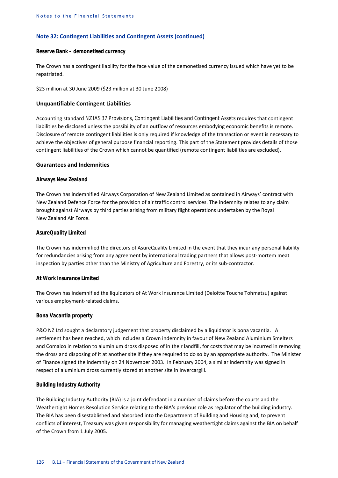#### *Reserve Bank – demonetised currency*

The Crown has a contingent liability for the face value of the demonetised currency issued which have yet to be repatriated.

\$23 million at 30 June 2009 (\$23 million at 30 June 2008)

## **Unquantifiable Contingent Liabilities**

Accounting standard *NZ IAS 37 Provisions, Contingent Liabilities and Contingent Assets* requires that contingent liabilities be disclosed unless the possibility of an outflow of resources embodying economic benefits is remote. Disclosure of remote contingent liabilities is only required if knowledge of the transaction or event is necessary to achieve the objectives of general purpose financial reporting. This part of the Statement provides details of those contingent liabilities of the Crown which cannot be quantified (remote contingent liabilities are excluded).

## **Guarantees and Indemnities**

## *Airways New Zealand*

The Crown has indemnified Airways Corporation of New Zealand Limited as contained in Airways' contract with New Zealand Defence Force for the provision of air traffic control services. The indemnity relates to any claim brought against Airways by third parties arising from military flight operations undertaken by the Royal New Zealand Air Force.

## *AsureQuality Limited*

The Crown has indemnified the directors of AsureQuality Limited in the event that they incur any personal liability for redundancies arising from any agreement by international trading partners that allows post-mortem meat inspection by parties other than the Ministry of Agriculture and Forestry, or its sub-contractor.

#### *At Work Insurance Limited*

The Crown has indemnified the liquidators of At Work Insurance Limited (Deloitte Touche Tohmatsu) against various employment-related claims.

#### *Bona Vacantia property*

P&O NZ Ltd sought a declaratory judgement that property disclaimed by a liquidator is bona vacantia. A settlement has been reached, which includes a Crown indemnity in favour of New Zealand Aluminium Smelters and Comalco in relation to aluminium dross disposed of in their landfill, for costs that may be incurred in removing the dross and disposing of it at another site if they are required to do so by an appropriate authority. The Minister of Finance signed the indemnity on 24 November 2003. In February 2004, a similar indemnity was signed in respect of aluminium dross currently stored at another site in Invercargill.

## *Building Industry Authority*

The Building Industry Authority (BIA) is a joint defendant in a number of claims before the courts and the Weathertight Homes Resolution Service relating to the BIA's previous role as regulator of the building industry. The BIA has been disestablished and absorbed into the Department of Building and Housing and, to prevent conflicts of interest, Treasury was given responsibility for managing weathertight claims against the BIA on behalf of the Crown from 1 July 2005.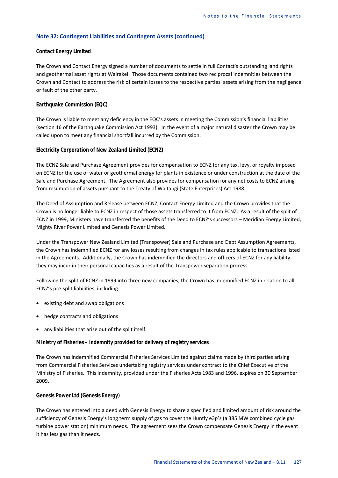#### *Contact Energy Limited*

The Crown and Contact Energy signed a number of documents to settle in full Contact's outstanding land rights and geothermal asset rights at Wairakei. Those documents contained two reciprocal indemnities between the Crown and Contact to address the risk of certain losses to the respective parties' assets arising from the negligence or fault of the other party.

#### *Earthquake Commission (EQC)*

The Crown is liable to meet any deficiency in the EQC's assets in meeting the Commission's financial liabilities (section 16 of the Earthquake Commission Act 1993). In the event of a major natural disaster the Crown may be called upon to meet any financial shortfall incurred by the Commission.

#### *Electricity Corporation of New Zealand Limited (ECNZ)*

The ECNZ Sale and Purchase Agreement provides for compensation to ECNZ for any tax, levy, or royalty imposed on ECNZ for the use of water or geothermal energy for plants in existence or under construction at the date of the Sale and Purchase Agreement. The Agreement also provides for compensation for any net costs to ECNZ arising from resumption of assets pursuant to the Treaty of Waitangi (State Enterprises) Act 1988.

The Deed of Assumption and Release between ECNZ, Contact Energy Limited and the Crown provides that the Crown is no longer liable to ECNZ in respect of those assets transferred to it from ECNZ. As a result of the split of ECNZ in 1999, Ministers have transferred the benefits of the Deed to ECNZ's successors – Meridian Energy Limited, Mighty River Power Limited and Genesis Power Limited.

Under the Transpower New Zealand Limited (Transpower) Sale and Purchase and Debt Assumption Agreements, the Crown has indemnified ECNZ for any losses resulting from changes in tax rules applicable to transactions listed in the Agreements. Additionally, the Crown has indemnified the directors and officers of ECNZ for any liability they may incur in their personal capacities as a result of the Transpower separation process.

Following the split of ECNZ in 1999 into three new companies, the Crown has indemnified ECNZ in relation to all ECNZ's pre-split liabilities, including:

- existing debt and swap obligations
- hedge contracts and obligations
- any liabilities that arise out of the split itself.

#### *Ministry of Fisheries – indemnity provided for delivery of registry services*

The Crown has indemnified Commercial Fisheries Services Limited against claims made by third parties arising from Commercial Fisheries Services undertaking registry services under contract to the Chief Executive of the Ministry of Fisheries. This indemnity, provided under the Fisheries Acts 1983 and 1996, expires on 30 September 2009.

## *Genesis Power Ltd (Genesis Energy)*

The Crown has entered into a deed with Genesis Energy to share a specified and limited amount of risk around the sufficiency of Genesis Energy's long term supply of gas to cover the Huntly e3p's (a 385 MW combined cycle gas turbine power station) minimum needs. The agreement sees the Crown compensate Genesis Energy in the event it has less gas than it needs.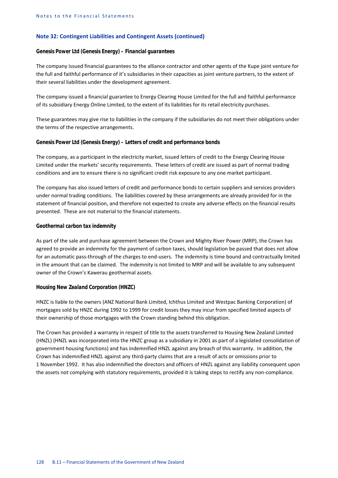#### *Genesis Power Ltd (Genesis Energy) – Financial guarantees*

The company issued financial guarantees to the alliance contractor and other agents of the Kupe joint venture for the full and faithful performance of it's subsidiaries in their capacities as joint venture partners, to the extent of their several liabilities under the development agreement.

The company issued a financial guarantee to Energy Clearing House Limited for the full and faithful performance of its subsidiary Energy Online Limited, to the extent of its liabilities for its retail electricity purchases.

These guarantees may give rise to liabilities in the company if the subsidiaries do not meet their obligations under the terms of the respective arrangements.

#### *Genesis Power Ltd (Genesis Energy) – Letters of credit and performance bonds*

The company, as a participant in the electricity market, issued letters of credit to the Energy Clearing House Limited under the markets' security requirements. These letters of credit are issued as part of normal trading conditions and are to ensure there is no significant credit risk exposure to any one market participant.

The company has also issued letters of credit and performance bonds to certain suppliers and services providers under normal trading conditions. The liabilities covered by these arrangements are already provided for in the statement of financial position, and therefore not expected to create any adverse effects on the financial results presented. These are not material to the financial statements.

## *Geothermal carbon tax indemnity*

As part of the sale and purchase agreement between the Crown and Mighty River Power (MRP), the Crown has agreed to provide an indemnity for the payment of carbon taxes, should legislation be passed that does not allow for an automatic pass-through of the charges to end-users. The indemnity is time bound and contractually limited in the amount that can be claimed. The indemnity is not limited to MRP and will be available to any subsequent owner of the Crown's Kawerau geothermal assets.

#### *Housing New Zealand Corporation (HNZC)*

HNZC is liable to the owners (ANZ National Bank Limited, Ichthus Limited and Westpac Banking Corporation) of mortgages sold by HNZC during 1992 to 1999 for credit losses they may incur from specified limited aspects of their ownership of those mortgages with the Crown standing behind this obligation.

The Crown has provided a warranty in respect of title to the assets transferred to Housing New Zealand Limited (HNZL) (HNZL was incorporated into the HNZC group as a subsidiary in 2001 as part of a legislated consolidation of government housing functions) and has indemnified HNZL against any breach of this warranty. In addition, the Crown has indemnified HNZL against any third-party claims that are a result of acts or omissions prior to 1 November 1992. It has also indemnified the directors and officers of HNZL against any liability consequent upon the assets not complying with statutory requirements, provided it is taking steps to rectify any non-compliance.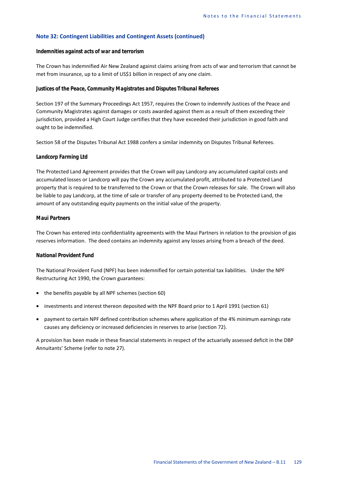#### *Indemnities against acts of war and terrorism*

The Crown has indemnified Air New Zealand against claims arising from acts of war and terrorism that cannot be met from insurance, up to a limit of US\$1 billion in respect of any one claim.

#### *Justices of the Peace, Community Magistrates and Disputes Tribunal Referees*

Section 197 of the Summary Proceedings Act 1957, requires the Crown to indemnify Justices of the Peace and Community Magistrates against damages or costs awarded against them as a result of them exceeding their jurisdiction, provided a High Court Judge certifies that they have exceeded their jurisdiction in good faith and ought to be indemnified.

Section 58 of the Disputes Tribunal Act 1988 confers a similar indemnity on Disputes Tribunal Referees.

#### *Landcorp Farming Ltd*

The Protected Land Agreement provides that the Crown will pay Landcorp any accumulated capital costs and accumulated losses or Landcorp will pay the Crown any accumulated profit, attributed to a Protected Land property that is required to be transferred to the Crown or that the Crown releases for sale. The Crown will also be liable to pay Landcorp, at the time of sale or transfer of any property deemed to be Protected Land, the amount of any outstanding equity payments on the initial value of the property.

#### *Maui Partners*

The Crown has entered into confidentiality agreements with the Maui Partners in relation to the provision of gas reserves information. The deed contains an indemnity against any losses arising from a breach of the deed.

### *National Provident Fund*

The National Provident Fund (NPF) has been indemnified for certain potential tax liabilities. Under the NPF Restructuring Act 1990, the Crown guarantees:

- the benefits payable by all NPF schemes (section 60)
- investments and interest thereon deposited with the NPF Board prior to 1 April 1991 (section 61)
- payment to certain NPF defined contribution schemes where application of the 4% minimum earnings rate causes any deficiency or increased deficiencies in reserves to arise (section 72).

A provision has been made in these financial statements in respect of the actuarially assessed deficit in the DBP Annuitants' Scheme (refer to note 27).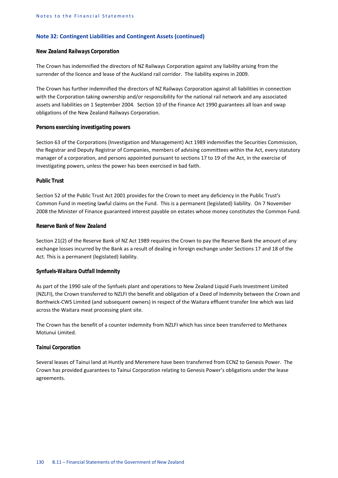#### *New Zealand Railways Corporation*

The Crown has indemnified the directors of NZ Railways Corporation against any liability arising from the surrender of the licence and lease of the Auckland rail corridor. The liability expires in 2009.

The Crown has further indemnified the directors of NZ Railways Corporation against all liabilities in connection with the Corporation taking ownership and/or responsibility for the national rail network and any associated assets and liabilities on 1 September 2004. Section 10 of the Finance Act 1990 guarantees all loan and swap obligations of the New Zealand Railways Corporation.

## *Persons exercising investigating powers*

Section 63 of the Corporations (Investigation and Management) Act 1989 indemnifies the Securities Commission, the Registrar and Deputy Registrar of Companies, members of advising committees within the Act, every statutory manager of a corporation, and persons appointed pursuant to sections 17 to 19 of the Act, in the exercise of investigating powers, unless the power has been exercised in bad faith.

## *Public Trust*

Section 52 of the Public Trust Act 2001 provides for the Crown to meet any deficiency in the Public Trust's Common Fund in meeting lawful claims on the Fund. This is a permanent (legislated) liability. On 7 November 2008 the Minister of Finance guaranteed interest payable on estates whose money constitutes the Common Fund.

## *Reserve Bank of New Zealand*

Section 21(2) of the Reserve Bank of NZ Act 1989 requires the Crown to pay the Reserve Bank the amount of any exchange losses incurred by the Bank as a result of dealing in foreign exchange under Sections 17 and 18 of the Act. This is a permanent (legislated) liability.

## *Synfuels-Waitara Outfall Indemnity*

As part of the 1990 sale of the Synfuels plant and operations to New Zealand Liquid Fuels Investment Limited (NZLFI), the Crown transferred to NZLFI the benefit and obligation of a Deed of Indemnity between the Crown and Borthwick-CWS Limited (and subsequent owners) in respect of the Waitara effluent transfer line which was laid across the Waitara meat processing plant site.

The Crown has the benefit of a counter indemnity from NZLFI which has since been transferred to Methanex Motunui Limited.

#### *Tainui Corporation*

Several leases of Tainui land at Huntly and Meremere have been transferred from ECNZ to Genesis Power. The Crown has provided guarantees to Tainui Corporation relating to Genesis Power's obligations under the lease agreements.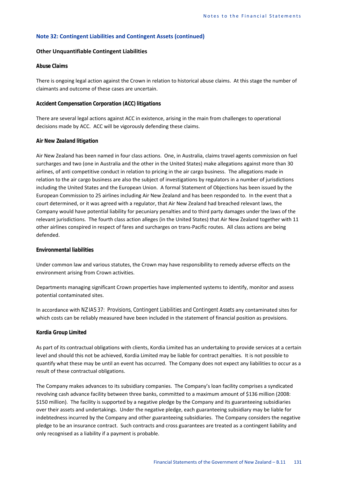## **Other Unquantifiable Contingent Liabilities**

## *Abuse Claims*

There is ongoing legal action against the Crown in relation to historical abuse claims. At this stage the number of claimants and outcome of these cases are uncertain.

## *Accident Compensation Corporation (ACC) litigations*

There are several legal actions against ACC in existence, arising in the main from challenges to operational decisions made by ACC. ACC will be vigorously defending these claims.

#### *Air New Zealand litigation*

Air New Zealand has been named in four class actions. One, in Australia, claims travel agents commission on fuel surcharges and two (one in Australia and the other in the United States) make allegations against more than 30 airlines, of anti competitive conduct in relation to pricing in the air cargo business. The allegations made in relation to the air cargo business are also the subject of investigations by regulators in a number of jurisdictions including the United States and the European Union. A formal Statement of Objections has been issued by the European Commission to 25 airlines including Air New Zealand and has been responded to. In the event that a court determined, or it was agreed with a regulator, that Air New Zealand had breached relevant laws, the Company would have potential liability for pecuniary penalties and to third party damages under the laws of the relevant jurisdictions. The fourth class action alleges (in the United States) that Air New Zealand together with 11 other airlines conspired in respect of fares and surcharges on trans-Pacific routes. All class actions are being defended.

#### *Environmental liabilities*

Under common law and various statutes, the Crown may have responsibility to remedy adverse effects on the environment arising from Crown activities.

Departments managing significant Crown properties have implemented systems to identify, monitor and assess potential contaminated sites.

In accordance with *NZ IAS 37: Provisions, Contingent Liabilities and Contingent Assets* any contaminated sites for which costs can be reliably measured have been included in the statement of financial position as provisions.

#### *Kordia Group Limited*

As part of its contractual obligations with clients, Kordia Limited has an undertaking to provide services at a certain level and should this not be achieved, Kordia Limited may be liable for contract penalties. It is not possible to quantify what these may be until an event has occurred. The Company does not expect any liabilities to occur as a result of these contractual obligations.

The Company makes advances to its subsidiary companies. The Company's loan facility comprises a syndicated revolving cash advance facility between three banks, committed to a maximum amount of \$136 million (2008: \$150 million). The facility is supported by a negative pledge by the Company and its guaranteeing subsidiaries over their assets and undertakings. Under the negative pledge, each guaranteeing subsidiary may be liable for indebtedness incurred by the Company and other guaranteeing subsidiaries. The Company considers the negative pledge to be an insurance contract. Such contracts and cross guarantees are treated as a contingent liability and only recognised as a liability if a payment is probable.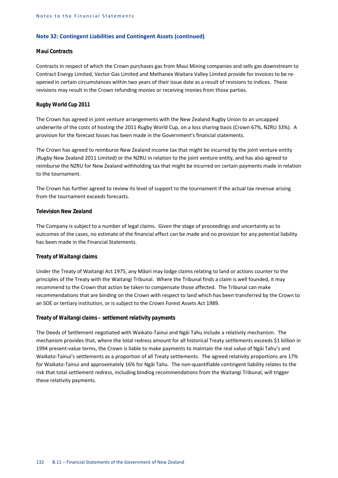#### *Maui Contracts*

Contracts in respect of which the Crown purchases gas from Maui Mining companies and sells gas downstream to Contract Energy Limited, Vector Gas Limited and Methanex Waitara Valley Limited provide for invoices to be reopened in certain circumstances within two years of their issue date as a result of revisions to indices. These revisions may result in the Crown refunding monies or receiving monies from those parties.

#### *Rugby World Cup 2011*

The Crown has agreed in joint venture arrangements with the New Zealand Rugby Union to an uncapped underwrite of the costs of hosting the 2011 Rugby World Cup, on a loss sharing basis (Crown 67%, NZRU 33%). A provision for the forecast losses has been made in the Government's financial statements.

The Crown has agreed to reimburse New Zealand income tax that might be incurred by the joint venture entity (Rugby New Zealand 2011 Limited) or the NZRU in relation to the joint venture entity, and has also agreed to reimburse the NZRU for New Zealand withholding tax that might be incurred on certain payments made in relation to the tournament.

The Crown has further agreed to review its level of support to the tournament if the actual tax revenue arising from the tournament exceeds forecasts.

## *Television New Zealand*

The Company is subject to a number of legal claims. Given the stage of proceedings and uncertainty as to outcomes of the cases, no estimate of the financial effect can be made and no provision for any potential liability has been made in the Financial Statements.

## *Treaty of Waitangi claims*

Under the Treaty of Waitangi Act 1975, any Māori may lodge claims relating to land or actions counter to the principles of the Treaty with the Waitangi Tribunal. Where the Tribunal finds a claim is well founded, it may recommend to the Crown that action be taken to compensate those affected. The Tribunal can make recommendations that are binding on the Crown with respect to land which has been transferred by the Crown to an SOE or tertiary institution, or is subject to the Crown Forest Assets Act 1989.

#### *Treaty of Waitangi claims – settlement relativity payments*

The Deeds of Settlement negotiated with Waikato-Tainui and Ngāi Tahu include a relativity mechanism. The mechanism provides that, where the total redress amount for all historical Treaty settlements exceeds \$1 billion in 1994 present-value terms, the Crown is liable to make payments to maintain the real value of Ngāi Tahu's and Waikato-Tainui's settlements as a proportion of all Treaty settlements. The agreed relativity proportions are 17% for Waikato-Tainui and approximately 16% for Ngāi Tahu. The non-quantifiable contingent liability relates to the risk that total settlement redress, including binding recommendations from the Waitangi Tribunal, will trigger these relativity payments.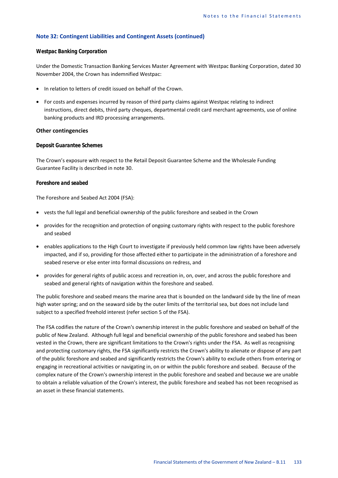#### *Westpac Banking Corporation*

Under the Domestic Transaction Banking Services Master Agreement with Westpac Banking Corporation, dated 30 November 2004, the Crown has indemnified Westpac:

- In relation to letters of credit issued on behalf of the Crown.
- For costs and expenses incurred by reason of third party claims against Westpac relating to indirect instructions, direct debits, third party cheques, departmental credit card merchant agreements, use of online banking products and IRD processing arrangements.

## **Other contingencies**

## *Deposit Guarantee Schemes*

The Crown's exposure with respect to the Retail Deposit Guarantee Scheme and the Wholesale Funding Guarantee Facility is described in note 30.

## *Foreshore and seabed*

The Foreshore and Seabed Act 2004 (FSA):

- vests the full legal and beneficial ownership of the public foreshore and seabed in the Crown
- provides for the recognition and protection of ongoing customary rights with respect to the public foreshore and seabed
- enables applications to the High Court to investigate if previously held common law rights have been adversely impacted, and if so, providing for those affected either to participate in the administration of a foreshore and seabed reserve or else enter into formal discussions on redress, and
- provides for general rights of public access and recreation in, on, over, and across the public foreshore and seabed and general rights of navigation within the foreshore and seabed.

The public foreshore and seabed means the marine area that is bounded on the landward side by the line of mean high water spring; and on the seaward side by the outer limits of the territorial sea, but does not include land subject to a specified freehold interest (refer section 5 of the FSA).

The FSA codifies the nature of the Crown's ownership interest in the public foreshore and seabed on behalf of the public of New Zealand. Although full legal and beneficial ownership of the public foreshore and seabed has been vested in the Crown, there are significant limitations to the Crown's rights under the FSA. As well as recognising and protecting customary rights, the FSA significantly restricts the Crown's ability to alienate or dispose of any part of the public foreshore and seabed and significantly restricts the Crown's ability to exclude others from entering or engaging in recreational activities or navigating in, on or within the public foreshore and seabed. Because of the complex nature of the Crown's ownership interest in the public foreshore and seabed and because we are unable to obtain a reliable valuation of the Crown's interest, the public foreshore and seabed has not been recognised as an asset in these financial statements.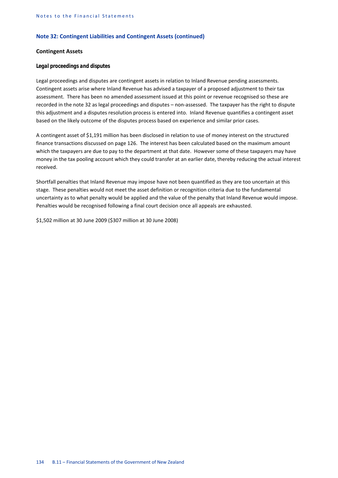## **Contingent Assets**

## *Legal proceedings and disputes*

Legal proceedings and disputes are contingent assets in relation to Inland Revenue pending assessments. Contingent assets arise where Inland Revenue has advised a taxpayer of a proposed adjustment to their tax assessment. There has been no amended assessment issued at this point or revenue recognised so these are recorded in the note 32 as legal proceedings and disputes – non-assessed*.* The taxpayer has the right to dispute this adjustment and a disputes resolution process is entered into. Inland Revenue quantifies a contingent asset based on the likely outcome of the disputes process based on experience and similar prior cases.

A contingent asset of \$1,191 million has been disclosed in relation to use of money interest on the structured finance transactions discussed on page 126. The interest has been calculated based on the maximum amount which the taxpayers are due to pay to the department at that date. However some of these taxpayers may have money in the tax pooling account which they could transfer at an earlier date, thereby reducing the actual interest received.

Shortfall penalties that Inland Revenue may impose have not been quantified as they are too uncertain at this stage. These penalties would not meet the asset definition or recognition criteria due to the fundamental uncertainty as to what penalty would be applied and the value of the penalty that Inland Revenue would impose. Penalties would be recognised following a final court decision once all appeals are exhausted.

\$1,502 million at 30 June 2009 (\$307 million at 30 June 2008)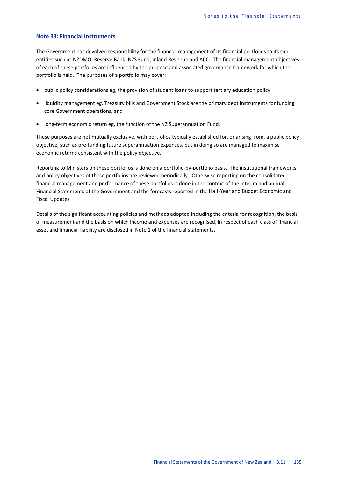## **Note 33: Financial Instruments**

The Government has devolved responsibility for the financial management of its financial portfolios to its subentities such as NZDMO, Reserve Bank, NZS Fund, Inland Revenue and ACC. The financial management objectives of each of these portfolios are influenced by the purpose and associated governance framework for which the portfolio is held. The purposes of a portfolio may cover:

- public policy considerations eg, the provision of student loans to support tertiary education policy
- liquidity management eg, Treasury bills and Government Stock are the primary debt instruments for funding core Government operations, and
- long-term economic return eg, the function of the NZ Superannuation Fund.

These purposes are not mutually exclusive, with portfolios typically established for, or arising from, a public policy objective, such as pre-funding future superannuation expenses, but in doing so are managed to maximise economic returns consistent with the policy objective.

Reporting to Ministers on these portfolios is done on a portfolio-by-portfolio basis. The institutional frameworks and policy objectives of these portfolios are reviewed periodically. Otherwise reporting on the consolidated financial management and performance of these portfolios is done in the context of the interim and annual Financial Statements of the Government and the forecasts reported in the *Half-Year and Budget Economic and Fiscal Updates.* 

Details of the significant accounting policies and methods adopted including the criteria for recognition, the basis of measurement and the basis on which income and expenses are recognised, in respect of each class of financial asset and financial liability are disclosed in Note 1 of the financial statements.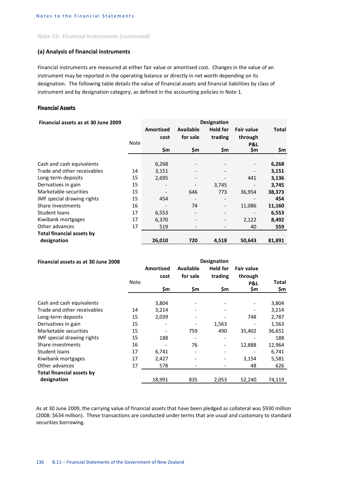#### **Note 33: Financial Instruments (continued)**

## **(a) Analysis of financial instruments**

Financial instruments are measured at either fair value or amortised cost. Changes in the value of an instrument may be reported in the operating balance or directly in net worth depending on its designation. The following table details the value of financial assets and financial liabilities by class of instrument and by designation category, as defined in the accounting policies in Note 1.

## *Financial Assets*

| Financial assets as at 30 June 2009 |             | <b>Designation</b>       |                          |                 |                   |              |
|-------------------------------------|-------------|--------------------------|--------------------------|-----------------|-------------------|--------------|
|                                     |             | Amortised                | <b>Available</b>         | <b>Held for</b> | <b>Fair value</b> | <b>Total</b> |
|                                     |             | cost                     | for sale                 | trading         | through           |              |
|                                     | <b>Note</b> |                          |                          |                 | P&L               |              |
|                                     |             | \$m                      | \$m                      | \$m             | \$m               | \$m          |
|                                     |             |                          |                          |                 |                   |              |
| Cash and cash equivalents           |             | 6,268                    |                          |                 |                   | 6,268        |
| Trade and other receivables         | 14          | 3,151                    |                          |                 |                   | 3,151        |
| Long-term deposits                  | 15          | 2,695                    |                          |                 | 441               | 3,136        |
| Derivatives in gain                 | 15          | $\overline{\phantom{a}}$ |                          | 3,745           |                   | 3,745        |
| Marketable securities               | 15          |                          | 646                      | 773             | 36,954            | 38,373       |
| IMF special drawing rights          | 15          | 454                      |                          |                 |                   | 454          |
| Share investments                   | 16          |                          | 74                       | -               | 11,086            | 11,160       |
| Student loans                       | 17          | 6,553                    |                          | -               |                   | 6,553        |
| Kiwibank mortgages                  | 17          | 6,370                    | $\overline{\phantom{a}}$ | -               | 2,122             | 8,492        |
| Other advances                      | 17          | 519                      |                          |                 | 40                | 559          |
| <b>Total financial assets by</b>    |             |                          |                          |                 |                   |              |
| designation                         |             | 26,010                   | 720                      | 4,518           | 50,643            | 81,891       |

| Financial assets as at 30 June 2008 |             | <b>Designation</b> |           |                          |                   |        |
|-------------------------------------|-------------|--------------------|-----------|--------------------------|-------------------|--------|
|                                     |             | <b>Amortised</b>   | Available | <b>Held for</b>          | <b>Fair value</b> |        |
|                                     |             | cost               | for sale  | trading                  | through           |        |
|                                     | <b>Note</b> |                    |           |                          | P&L               | Total  |
|                                     |             | \$m                | \$m       | \$m                      | \$m               | \$m    |
| Cash and cash equivalents           |             | 3,804              |           |                          |                   | 3,804  |
| Trade and other receivables         | 14          |                    |           |                          |                   |        |
|                                     |             | 3,214              |           |                          |                   | 3,214  |
| Long-term deposits                  | 15          | 2,039              |           |                          | 748               | 2,787  |
| Derivatives in gain                 | 15          |                    |           | 1,563                    |                   | 1,563  |
| Marketable securities               | 15          |                    | 759       | 490                      | 35,402            | 36,651 |
| IMF special drawing rights          | 15          | 188                |           | $\overline{\phantom{a}}$ |                   | 188    |
| Share investments                   | 16          |                    | 76        | $\overline{\phantom{0}}$ | 12,888            | 12,964 |
| Student loans                       | 17          | 6,741              |           |                          |                   | 6,741  |
| Kiwibank mortgages                  | 17          | 2,427              |           |                          | 3,154             | 5,581  |
| Other advances                      | 17          | 578                |           |                          | 48                | 626    |
| <b>Total financial assets by</b>    |             |                    |           |                          |                   |        |
| designation                         |             | 18,991             | 835       | 2,053                    | 52,240            | 74,119 |

As at 30 June 2009, the carrying value of financial assets that have been pledged as collateral was \$930 million (2008: \$634 million). These transactions are conducted under terms that are usual and customary to standard securities borrowing.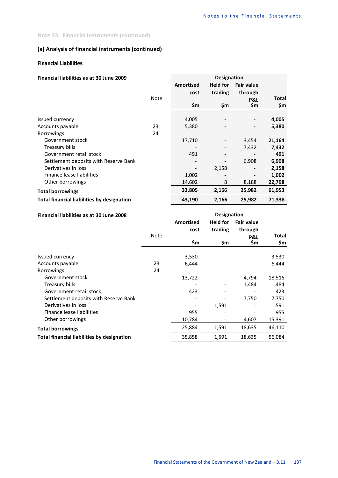## **Note 33: Financial Instruments (continued)**

# **(a) Analysis of financial instruments (continued)**

## *Financial Liabilities*

## **Financial liabilities as at 30 June 2009 Designation**

|                                                   |             | <b>Amortised</b><br>cost | <b>Held for</b><br>trading | <b>Fair value</b><br>through |                     |
|---------------------------------------------------|-------------|--------------------------|----------------------------|------------------------------|---------------------|
|                                                   | <b>Note</b> | \$m                      | \$m                        | P&L<br>\$m                   | <b>Total</b><br>\$m |
|                                                   |             |                          |                            |                              |                     |
| Issued currency                                   |             | 4,005                    |                            |                              | 4,005               |
| Accounts payable                                  | 23          | 5,380                    |                            |                              | 5,380               |
| Borrowings:                                       | 24          |                          |                            |                              |                     |
| Government stock                                  |             | 17,710                   |                            | 3,454                        | 21,164              |
| Treasury bills                                    |             |                          |                            | 7,432                        | 7,432               |
| Government retail stock                           |             | 491                      |                            |                              | 491                 |
| Settlement deposits with Reserve Bank             |             |                          |                            | 6,908                        | 6,908               |
| Derivatives in loss                               |             |                          | 2,158                      |                              | 2,158               |
| Finance lease liabilities                         |             | 1,002                    |                            |                              | 1,002               |
| Other borrowings                                  |             | 14,602                   | 8                          | 8,188                        | 22,798              |
| <b>Total borrowings</b>                           |             | 33,805                   | 2,166                      | 25,982                       | 61,953              |
| <b>Total financial liabilities by designation</b> |             | 43,190                   | 2,166                      | 25,982                       | 71,338              |

## **Financial liabilities as at 30 June 2008 Designation**

|                                                   |             | <b>Amortised</b><br>cost | <b>Held for</b><br>trading | <b>Fair value</b><br>through |              |
|---------------------------------------------------|-------------|--------------------------|----------------------------|------------------------------|--------------|
|                                                   | <b>Note</b> | \$m                      | \$m                        | P&L<br>\$m                   | Total<br>\$m |
| Issued currency                                   |             | 3,530                    |                            |                              | 3,530        |
| Accounts payable                                  | 23          | 6,444                    |                            |                              | 6,444        |
| Borrowings:                                       | 24          |                          |                            |                              |              |
| Government stock                                  |             | 13,722                   |                            | 4,794                        | 18,516       |
| Treasury bills                                    |             |                          |                            | 1,484                        | 1,484        |
| Government retail stock                           |             | 423                      |                            |                              | 423          |
| Settlement deposits with Reserve Bank             |             |                          |                            | 7,750                        | 7,750        |
| Derivatives in loss                               |             |                          | 1,591                      |                              | 1,591        |
| Finance lease liabilities                         |             | 955                      |                            |                              | 955          |
| Other borrowings                                  |             | 10,784                   |                            | 4,607                        | 15,391       |
| <b>Total borrowings</b>                           |             | 25,884                   | 1,591                      | 18,635                       | 46,110       |
| <b>Total financial liabilities by designation</b> |             | 35,858                   | 1,591                      | 18,635                       | 56,084       |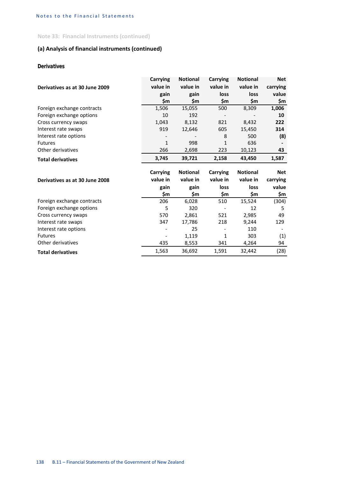**Note 33: Financial Instruments (continued)**

# **(a) Analysis of financial instruments (continued)**

## *Derivatives*

|                                | Carrying        | <b>Notional</b> | Carrying     | <b>Notional</b> | <b>Net</b>   |
|--------------------------------|-----------------|-----------------|--------------|-----------------|--------------|
| Derivatives as at 30 June 2009 | value in        | value in        | value in     | value in        | carrying     |
|                                | gain            | gain            | loss         | loss            | value        |
|                                | \$m             | \$m             | \$m          | \$m             | \$m          |
| Foreign exchange contracts     | 1,506           | 15,055          | 500          | 8,309           | 1,006        |
| Foreign exchange options       | 10              | 192             |              |                 | 10           |
| Cross currency swaps           | 1,043           | 8,132           | 821          | 8,432           | 222          |
| Interest rate swaps            | 919             | 12,646          | 605          | 15,450          | 314          |
| Interest rate options          |                 |                 | 8            | 500             | (8)          |
| <b>Futures</b>                 | $\mathbf{1}$    | 998             | $\mathbf{1}$ | 636             |              |
| Other derivatives              | 266             | 2,698           | 223          | 10,123          | 43           |
| <b>Total derivatives</b>       | 3,745           | 39,721          | 2,158        | 43,450          | 1,587        |
|                                |                 |                 |              |                 |              |
|                                | <b>Carrying</b> | <b>Notional</b> | Carrying     | <b>Notional</b> | <b>Net</b>   |
| Derivatives as at 30 June 2008 | value in        | value in        | value in     | value in        | carrying     |
|                                | gain<br>\$m     | gain<br>\$m     | loss<br>\$m  | loss<br>\$m     | value<br>\$m |
| Foreign exchange contracts     | 206             | 6,028           | 510          | 15,524          | (304)        |
| Foreign exchange options       | 5               | 320             |              | 12              | 5            |
| Cross currency swaps           | 570             | 2,861           | 521          | 2,985           | 49           |
| Interest rate swaps            | 347             | 17,786          | 218          | 9,244           | 129          |
| Interest rate options          |                 | 25              |              | 110             |              |
| <b>Futures</b>                 |                 | 1,119           | $\mathbf{1}$ | 303             | (1)          |
| Other derivatives              | 435             | 8,553           | 341          | 4,264           | 94           |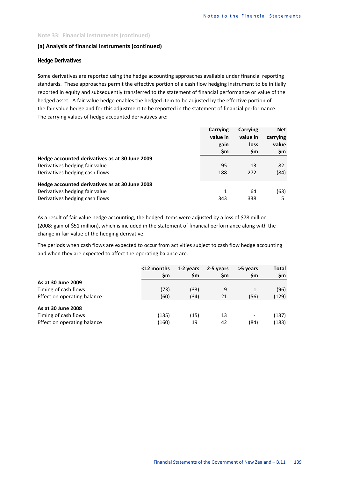## **(a) Analysis of financial instruments (continued)**

## *Hedge Derivatives*

Some derivatives are reported using the hedge accounting approaches available under financial reporting standards. These approaches permit the effective portion of a cash flow hedging instrument to be initially reported in equity and subsequently transferred to the statement of financial performance or value of the hedged asset. A fair value hedge enables the hedged item to be adjusted by the effective portion of the fair value hedge and for this adjustment to be reported in the statement of financial performance. The carrying values of hedge accounted derivatives are:

|                                                | Carrying<br>value in<br>gain<br>\$m | Carrying<br>value in<br>loss<br>\$m | <b>Net</b><br>carrying<br>value<br>\$m |
|------------------------------------------------|-------------------------------------|-------------------------------------|----------------------------------------|
| Hedge accounted derivatives as at 30 June 2009 |                                     |                                     |                                        |
| Derivatives hedging fair value                 | 95                                  | 13                                  | 82                                     |
| Derivatives hedging cash flows                 | 188                                 | 272                                 | (84)                                   |
| Hedge accounted derivatives as at 30 June 2008 |                                     |                                     |                                        |
| Derivatives hedging fair value                 | 1                                   | 64                                  | (63)                                   |
| Derivatives hedging cash flows                 | 343                                 | 338                                 | 5                                      |

As a result of fair value hedge accounting, the hedged items were adjusted by a loss of \$78 million (2008: gain of \$51 million), which is included in the statement of financial performance along with the change in fair value of the hedging derivative.

The periods when cash flows are expected to occur from activities subject to cash flow hedge accounting and when they are expected to affect the operating balance are:

| <12 months<br>\$m | 1-2 years<br>\$m | 2-5 years<br>\$m | >5 years<br>\$m | <b>Total</b><br>\$m |
|-------------------|------------------|------------------|-----------------|---------------------|
|                   |                  |                  |                 |                     |
| (73)              | (33)             | 9                |                 | (96)                |
| (60)              | (34)             | 21               | (56)            | (129)               |
| (135)             | (15)             | 13               |                 | (137)<br>(183)      |
|                   | (160)            | 19               | 42              | (84)                |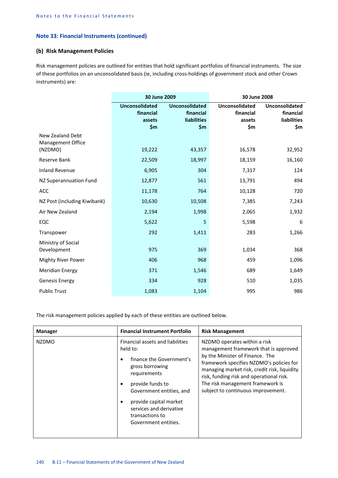#### **(b) Risk Management Policies**

Risk management policies are outlined for entities that hold significant portfolios of financial instruments. The size of these portfolios on an unconsolidated basis (ie, including cross-holdings of government stock and other Crown instruments) are:

|                                              | 30 June 2009                                        |                                                                   | 30 June 2008                                 |                                                                 |  |  |
|----------------------------------------------|-----------------------------------------------------|-------------------------------------------------------------------|----------------------------------------------|-----------------------------------------------------------------|--|--|
|                                              | <b>Unconsolidated</b><br>financial<br>assets<br>\$m | <b>Unconsolidated</b><br>financial<br><b>liabilities</b><br>\$m\$ | Unconsolidated<br>financial<br>assets<br>\$m | <b>Unconsolidated</b><br>financial<br><b>liabilities</b><br>\$m |  |  |
| New Zealand Debt<br><b>Management Office</b> |                                                     |                                                                   |                                              |                                                                 |  |  |
| (NZDMO)                                      | 19,222                                              | 43,357                                                            | 16,578                                       | 32,952                                                          |  |  |
| Reserve Bank                                 | 22,509                                              | 18,997                                                            | 18,159                                       | 16,160                                                          |  |  |
| <b>Inland Revenue</b>                        | 6,905                                               | 304                                                               | 7,317                                        | 124                                                             |  |  |
| NZ Superannuation Fund                       | 12,877                                              | 561                                                               | 13,791                                       | 494                                                             |  |  |
| ACC                                          | 11,178                                              | 764                                                               | 10,128                                       | 720                                                             |  |  |
| NZ Post (including Kiwibank)                 | 10,630                                              | 10,508                                                            | 7,385                                        | 7,243                                                           |  |  |
| Air New Zealand                              | 2,194                                               | 1,998                                                             | 2,065                                        | 1,932                                                           |  |  |
| EQC                                          | 5,622                                               | 5                                                                 | 5,598                                        | 6                                                               |  |  |
| Transpower                                   | 292                                                 | 1,411                                                             | 283                                          | 1,266                                                           |  |  |
| Ministry of Social                           |                                                     |                                                                   |                                              |                                                                 |  |  |
| Development                                  | 975                                                 | 369                                                               | 1,034                                        | 368                                                             |  |  |
| <b>Mighty River Power</b>                    | 406                                                 | 968                                                               | 459                                          | 1,096                                                           |  |  |
| <b>Meridian Energy</b>                       | 371                                                 | 1,546                                                             | 689                                          | 1,649                                                           |  |  |
| <b>Genesis Energy</b>                        | 334                                                 | 928                                                               | 510                                          | 1,035                                                           |  |  |
| <b>Public Trust</b>                          | 1,083                                               | 1,104                                                             | 995                                          | 986                                                             |  |  |

The risk management policies applied by each of these entities are outlined below.

| <b>Manager</b> | <b>Financial Instrument Portfolio</b>                                                                                                                                                                                                                       | <b>Risk Management</b>                                                                                                                                                                                                                                                                                                     |
|----------------|-------------------------------------------------------------------------------------------------------------------------------------------------------------------------------------------------------------------------------------------------------------|----------------------------------------------------------------------------------------------------------------------------------------------------------------------------------------------------------------------------------------------------------------------------------------------------------------------------|
| <b>NZDMO</b>   | Financial assets and liabilities<br>held to:<br>finance the Government's<br>gross borrowing<br>requirements<br>provide funds to<br>Government entities, and<br>provide capital market<br>services and derivative<br>transactions to<br>Government entities. | NZDMO operates within a risk<br>management framework that is approved<br>by the Minister of Finance. The<br>framework specifies NZDMO's policies for<br>managing market risk, credit risk, liquidity<br>risk, funding risk and operational risk.<br>The risk management framework is<br>subject to continuous improvement. |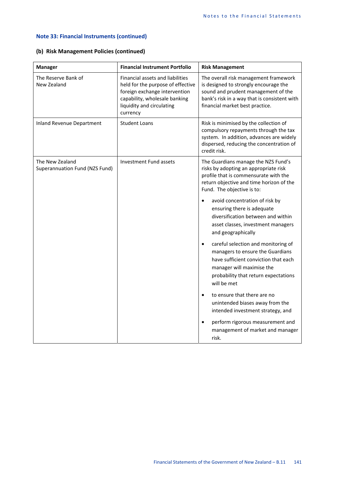## **(b) Risk Management Policies (continued)**

| <b>Manager</b>                                    | <b>Financial Instrument Portfolio</b>                                                                                                                                            | <b>Risk Management</b>                                                                                                                                                                                                                                                                                                                                                                                                                                                                                                                                                                                                                                                                                                                                                  |
|---------------------------------------------------|----------------------------------------------------------------------------------------------------------------------------------------------------------------------------------|-------------------------------------------------------------------------------------------------------------------------------------------------------------------------------------------------------------------------------------------------------------------------------------------------------------------------------------------------------------------------------------------------------------------------------------------------------------------------------------------------------------------------------------------------------------------------------------------------------------------------------------------------------------------------------------------------------------------------------------------------------------------------|
| The Reserve Bank of<br>New Zealand                | Financial assets and liabilities<br>held for the purpose of effective<br>foreign exchange intervention<br>capability, wholesale banking<br>liquidity and circulating<br>currency | The overall risk management framework<br>is designed to strongly encourage the<br>sound and prudent management of the<br>bank's risk in a way that is consistent with<br>financial market best practice.                                                                                                                                                                                                                                                                                                                                                                                                                                                                                                                                                                |
| <b>Inland Revenue Department</b>                  | <b>Student Loans</b>                                                                                                                                                             | Risk is minimised by the collection of<br>compulsory repayments through the tax<br>system. In addition, advances are widely<br>dispersed, reducing the concentration of<br>credit risk.                                                                                                                                                                                                                                                                                                                                                                                                                                                                                                                                                                                 |
| The New Zealand<br>Superannuation Fund (NZS Fund) | Investment Fund assets                                                                                                                                                           | The Guardians manage the NZS Fund's<br>risks by adopting an appropriate risk<br>profile that is commensurate with the<br>return objective and time horizon of the<br>Fund. The objective is to:<br>avoid concentration of risk by<br>$\bullet$<br>ensuring there is adequate<br>diversification between and within<br>asset classes, investment managers<br>and geographically<br>careful selection and monitoring of<br>$\bullet$<br>managers to ensure the Guardians<br>have sufficient conviction that each<br>manager will maximise the<br>probability that return expectations<br>will be met<br>to ensure that there are no<br>$\bullet$<br>unintended biases away from the<br>intended investment strategy, and<br>perform rigorous measurement and<br>$\bullet$ |
|                                                   |                                                                                                                                                                                  | management of market and manager<br>risk.                                                                                                                                                                                                                                                                                                                                                                                                                                                                                                                                                                                                                                                                                                                               |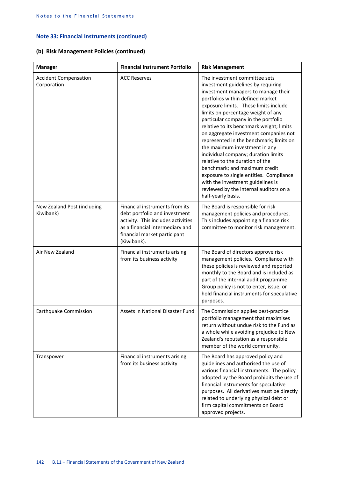## **(b) Risk Management Policies (continued)**

| <b>Manager</b>                              | <b>Financial Instrument Portfolio</b>                                                                                                                                                   | <b>Risk Management</b>                                                                                                                                                                                                                                                                                                                                                                                                                                                                                                                                                                                                                                                                           |
|---------------------------------------------|-----------------------------------------------------------------------------------------------------------------------------------------------------------------------------------------|--------------------------------------------------------------------------------------------------------------------------------------------------------------------------------------------------------------------------------------------------------------------------------------------------------------------------------------------------------------------------------------------------------------------------------------------------------------------------------------------------------------------------------------------------------------------------------------------------------------------------------------------------------------------------------------------------|
| <b>Accident Compensation</b><br>Corporation | <b>ACC Reserves</b>                                                                                                                                                                     | The investment committee sets<br>investment guidelines by requiring<br>investment managers to manage their<br>portfolios within defined market<br>exposure limits. These limits include<br>limits on percentage weight of any<br>particular company in the portfolio<br>relative to its benchmark weight; limits<br>on aggregate investment companies not<br>represented in the benchmark; limits on<br>the maximum investment in any<br>individual company; duration limits<br>relative to the duration of the<br>benchmark; and maximum credit<br>exposure to single entities. Compliance<br>with the investment guidelines is<br>reviewed by the internal auditors on a<br>half-yearly basis. |
| New Zealand Post (including<br>Kiwibank)    | Financial instruments from its<br>debt portfolio and investment<br>activity. This includes activities<br>as a financial intermediary and<br>financial market participant<br>(Kiwibank). | The Board is responsible for risk<br>management policies and procedures.<br>This includes appointing a finance risk<br>committee to monitor risk management.                                                                                                                                                                                                                                                                                                                                                                                                                                                                                                                                     |
| Air New Zealand                             | Financial instruments arising<br>from its business activity                                                                                                                             | The Board of directors approve risk<br>management policies. Compliance with<br>these policies is reviewed and reported<br>monthly to the Board and is included as<br>part of the internal audit programme.<br>Group policy is not to enter, issue, or<br>hold financial instruments for speculative<br>purposes.                                                                                                                                                                                                                                                                                                                                                                                 |
| Earthquake Commission                       | Assets in National Disaster Fund                                                                                                                                                        | The Commission applies best-practice<br>portfolio management that maximises<br>return without undue risk to the Fund as<br>a whole while avoiding prejudice to New<br>Zealand's reputation as a responsible<br>member of the world community.                                                                                                                                                                                                                                                                                                                                                                                                                                                    |
| Transpower                                  | Financial instruments arising<br>from its business activity                                                                                                                             | The Board has approved policy and<br>guidelines and authorised the use of<br>various financial instruments. The policy<br>adopted by the Board prohibits the use of<br>financial instruments for speculative<br>purposes. All derivatives must be directly<br>related to underlying physical debt or<br>firm capital commitments on Board<br>approved projects.                                                                                                                                                                                                                                                                                                                                  |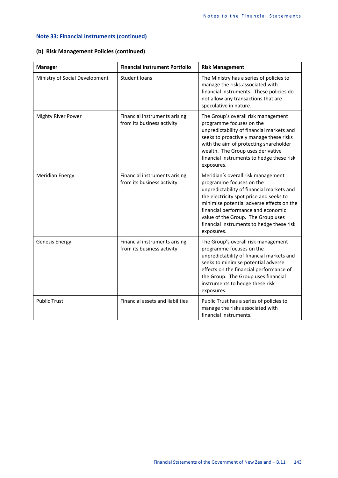## **(b) Risk Management Policies (continued)**

| <b>Manager</b>                 | <b>Financial Instrument Portfolio</b>                       | <b>Risk Management</b>                                                                                                                                                                                                                                                                                                                     |
|--------------------------------|-------------------------------------------------------------|--------------------------------------------------------------------------------------------------------------------------------------------------------------------------------------------------------------------------------------------------------------------------------------------------------------------------------------------|
| Ministry of Social Development | <b>Student loans</b>                                        | The Ministry has a series of policies to<br>manage the risks associated with<br>financial instruments. These policies do<br>not allow any transactions that are<br>speculative in nature.                                                                                                                                                  |
| <b>Mighty River Power</b>      | Financial instruments arising<br>from its business activity | The Group's overall risk management<br>programme focuses on the<br>unpredictability of financial markets and<br>seeks to proactively manage these risks<br>with the aim of protecting shareholder<br>wealth. The Group uses derivative<br>financial instruments to hedge these risk<br>exposures.                                          |
| <b>Meridian Energy</b>         | Financial instruments arising<br>from its business activity | Meridian's overall risk management<br>programme focuses on the<br>unpredictability of financial markets and<br>the electricity spot price and seeks to<br>minimise potential adverse effects on the<br>financial performance and economic<br>value of the Group. The Group uses<br>financial instruments to hedge these risk<br>exposures. |
| Genesis Energy                 | Financial instruments arising<br>from its business activity | The Group's overall risk management<br>programme focuses on the<br>unpredictability of financial markets and<br>seeks to minimise potential adverse<br>effects on the financial performance of<br>the Group. The Group uses financial<br>instruments to hedge these risk<br>exposures.                                                     |
| <b>Public Trust</b>            | <b>Financial assets and liabilities</b>                     | Public Trust has a series of policies to<br>manage the risks associated with<br>financial instruments.                                                                                                                                                                                                                                     |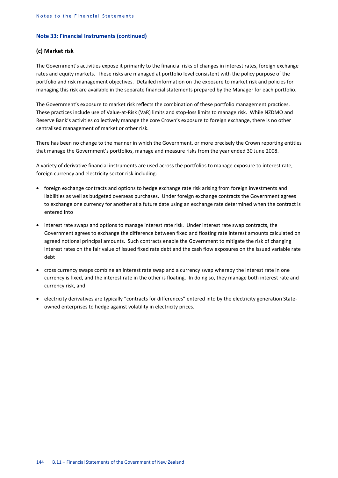#### **(c) Market risk**

The Government's activities expose it primarily to the financial risks of changes in interest rates, foreign exchange rates and equity markets. These risks are managed at portfolio level consistent with the policy purpose of the portfolio and risk management objectives. Detailed information on the exposure to market risk and policies for managing this risk are available in the separate financial statements prepared by the Manager for each portfolio.

The Government's exposure to market risk reflects the combination of these portfolio management practices. These practices include use of Value-at-Risk (VaR) limits and stop-loss limits to manage risk. While NZDMO and Reserve Bank's activities collectively manage the core Crown's exposure to foreign exchange, there is no other centralised management of market or other risk.

There has been no change to the manner in which the Government, or more precisely the Crown reporting entities that manage the Government's portfolios, manage and measure risks from the year ended 30 June 2008.

A variety of derivative financial instruments are used across the portfolios to manage exposure to interest rate, foreign currency and electricity sector risk including:

- foreign exchange contracts and options to hedge exchange rate risk arising from foreign investments and liabilities as well as budgeted overseas purchases. Under foreign exchange contracts the Government agrees to exchange one currency for another at a future date using an exchange rate determined when the contract is entered into
- interest rate swaps and options to manage interest rate risk. Under interest rate swap contracts, the Government agrees to exchange the difference between fixed and floating rate interest amounts calculated on agreed notional principal amounts. Such contracts enable the Government to mitigate the risk of changing interest rates on the fair value of issued fixed rate debt and the cash flow exposures on the issued variable rate debt
- cross currency swaps combine an interest rate swap and a currency swap whereby the interest rate in one currency is fixed, and the interest rate in the other is floating. In doing so, they manage both interest rate and currency risk, and
- electricity derivatives are typically "contracts for differences" entered into by the electricity generation Stateowned enterprises to hedge against volatility in electricity prices.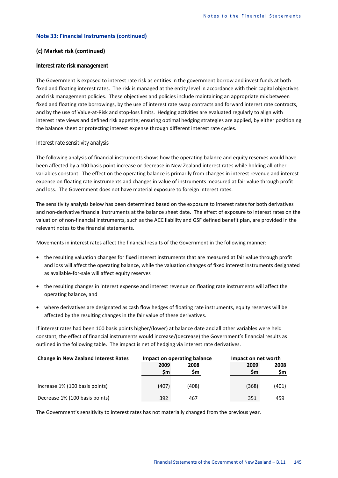#### **(c) Market risk (continued)**

#### *Interest rate risk management*

The Government is exposed to interest rate risk as entities in the government borrow and invest funds at both fixed and floating interest rates. The risk is managed at the entity level in accordance with their capital objectives and risk management policies. These objectives and policies include maintaining an appropriate mix between fixed and floating rate borrowings, by the use of interest rate swap contracts and forward interest rate contracts, and by the use of Value-at-Risk and stop-loss limits. Hedging activities are evaluated regularly to align with interest rate views and defined risk appetite; ensuring optimal hedging strategies are applied, by either positioning the balance sheet or protecting interest expense through different interest rate cycles.

#### *Interest rate sensitivity analysis*

The following analysis of financial instruments shows how the operating balance and equity reserves would have been affected by a 100 basis point increase or decrease in New Zealand interest rates while holding all other variables constant. The effect on the operating balance is primarily from changes in interest revenue and interest expense on floating rate instruments and changes in value of instruments measured at fair value through profit and loss. The Government does not have material exposure to foreign interest rates.

The sensitivity analysis below has been determined based on the exposure to interest rates for both derivatives and non-derivative financial instruments at the balance sheet date. The effect of exposure to interest rates on the valuation of non-financial instruments, such as the ACC liability and GSF defined benefit plan, are provided in the relevant notes to the financial statements.

Movements in interest rates affect the financial results of the Government in the following manner:

- the resulting valuation changes for fixed interest instruments that are measured at fair value through profit and loss will affect the operating balance, while the valuation changes of fixed interest instruments designated as available-for-sale will affect equity reserves
- the resulting changes in interest expense and interest revenue on floating rate instruments will affect the operating balance, and
- where derivatives are designated as cash flow hedges of floating rate instruments, equity reserves will be affected by the resulting changes in the fair value of these derivatives.

If interest rates had been 100 basis points higher/(lower) at balance date and all other variables were held constant, the effect of financial instruments would increase/(decrease) the Government's financial results as outlined in the following table. The impact is net of hedging via interest rate derivatives.

| <b>Change in New Zealand Interest Rates</b> |       | Impact on operating balance | Impact on net worth |       |  |
|---------------------------------------------|-------|-----------------------------|---------------------|-------|--|
|                                             | 2009  | 2008                        | 2009                | 2008  |  |
|                                             | Sm    | Sm                          | <b>Sm</b>           | Sm    |  |
| Increase 1% (100 basis points)              | (407) | (408)                       | (368)               | (401) |  |
| Decrease 1% (100 basis points)              | 392   | 467                         | 351                 | 459   |  |

The Government's sensitivity to interest rates has not materially changed from the previous year.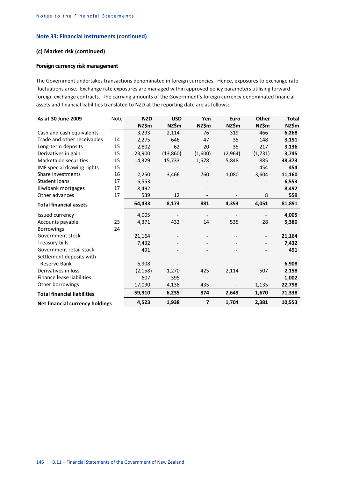## **(c) Market risk (continued)**

## *Foreign currency risk management*

The Government undertakes transactions denominated in foreign currencies. Hence, exposures to exchange rate fluctuations arise. Exchange rate exposures are managed within approved policy parameters utilising forward foreign exchange contracts. The carrying amounts of the Government's foreign currency denominated financial assets and financial liabilities translated to NZD at the reporting date are as follows:

| As at 30 June 2009                 | Note | <b>NZD</b> | <b>USD</b> | Yen                      | Euro    | Other   | <b>Total</b> |
|------------------------------------|------|------------|------------|--------------------------|---------|---------|--------------|
|                                    |      | NZ\$m      | NZ\$m      | NZ\$m                    | NZ\$m   | NZ\$m   | NZ\$m        |
| Cash and cash equivalents          |      | 3,293      | 2,114      | 76                       | 319     | 466     | 6,268        |
| Trade and other receivables        | 14   | 2,275      | 646        | 47                       | 35      | 148     | 3,151        |
| Long-term deposits                 | 15   | 2,802      | 62         | 20                       | 35      | 217     | 3,136        |
| Derivatives in gain                | 15   | 23,900     | (13,860)   | (1,600)                  | (2,964) | (1,731) | 3,745        |
| Marketable securities              | 15   | 14,329     | 15,733     | 1,578                    | 5,848   | 885     | 38,373       |
| IMF special drawing rights         | 15   |            |            |                          |         | 454     | 454          |
| Share investments                  | 16   | 2,250      | 3,466      | 760                      | 1,080   | 3,604   | 11,160       |
| Student loans                      | 17   | 6,553      |            |                          |         |         | 6,553        |
| Kiwibank mortgages                 | 17   | 8,492      |            |                          |         |         | 8,492        |
| Other advances                     | 17   | 539        | 12         |                          |         | 8       | 559          |
| <b>Total financial assets</b>      |      | 64,433     | 8,173      | 881                      | 4,353   | 4,051   | 81,891       |
| Issued currency                    |      | 4,005      |            |                          |         |         | 4,005        |
| Accounts payable                   | 23   | 4,371      | 432        | 14                       | 535     | 28      | 5,380        |
| Borrowings:                        | 24   |            |            |                          |         |         |              |
| Government stock                   |      | 21,164     |            |                          |         |         | 21,164       |
| Treasury bills                     |      | 7,432      |            |                          |         |         | 7,432        |
| Government retail stock            |      | 491        |            |                          |         |         | 491          |
| Settlement deposits with           |      |            |            |                          |         |         |              |
| Reserve Bank                       |      | 6,908      |            |                          |         |         | 6,908        |
| Derivatives in loss                |      | (2, 158)   | 1,270      | 425                      | 2,114   | 507     | 2,158        |
| Finance lease liabilities          |      | 607        | 395        | $\overline{\phantom{a}}$ |         |         | 1,002        |
| Other borrowings                   |      | 17,090     | 4,138      | 435                      |         | 1,135   | 22,798       |
| <b>Total financial liabilities</b> |      | 59,910     | 6,235      | 874                      | 2,649   | 1,670   | 71,338       |
| Net financial currency holdings    |      | 4,523      | 1,938      | $\overline{7}$           | 1,704   | 2,381   | 10,553       |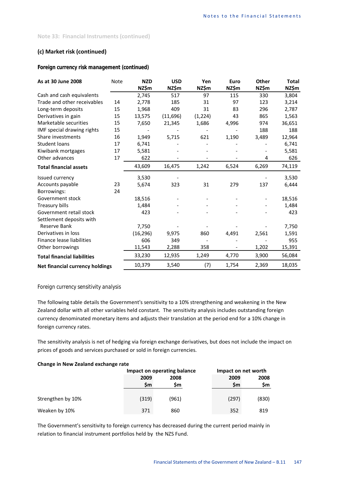## **(c) Market risk (continued)**

## *Foreign currency risk management (continued)*

| As at 30 June 2008                     | Note | <b>NZD</b><br>NZ\$m | <b>USD</b><br>NZ\$m | Yen<br>NZ\$m | Euro<br>NZ\$m | <b>Other</b><br>NZ\$m | <b>Total</b><br>NZ\$m |
|----------------------------------------|------|---------------------|---------------------|--------------|---------------|-----------------------|-----------------------|
| Cash and cash equivalents              |      | 2,745               | 517                 | 97           | 115           | 330                   | 3,804                 |
| Trade and other receivables            | 14   | 2,778               | 185                 | 31           | 97            | 123                   | 3,214                 |
| Long-term deposits                     | 15   | 1,968               | 409                 | 31           | 83            | 296                   | 2,787                 |
| Derivatives in gain                    | 15   | 13,575              | (11,696)            | (1, 224)     | 43            | 865                   | 1,563                 |
| Marketable securities                  | 15   | 7,650               | 21,345              | 1,686        | 4,996         | 974                   | 36,651                |
| IMF special drawing rights             | 15   |                     |                     |              |               | 188                   | 188                   |
| Share investments                      | 16   | 1,949               | 5,715               | 621          | 1,190         | 3,489                 | 12,964                |
| <b>Student loans</b>                   | 17   | 6,741               |                     |              |               |                       | 6,741                 |
| Kiwibank mortgages                     | 17   | 5,581               |                     |              |               |                       | 5,581                 |
| Other advances                         | 17   | 622                 |                     |              |               | 4                     | 626                   |
| <b>Total financial assets</b>          |      | 43,609              | 16,475              | 1,242        | 6,524         | 6,269                 | 74,119                |
| Issued currency                        |      | 3,530               |                     |              |               |                       | 3,530                 |
| Accounts payable                       | 23   | 5,674               | 323                 | 31           | 279           | 137                   | 6,444                 |
| Borrowings:                            | 24   |                     |                     |              |               |                       |                       |
| Government stock                       |      | 18,516              |                     |              |               |                       | 18,516                |
| Treasury bills                         |      | 1,484               |                     |              |               |                       | 1,484                 |
| Government retail stock                |      | 423                 |                     |              |               |                       | 423                   |
| Settlement deposits with               |      |                     |                     |              |               |                       |                       |
| Reserve Bank                           |      | 7,750               |                     |              |               |                       | 7,750                 |
| Derivatives in loss                    |      | (16, 296)           | 9,975               | 860          | 4,491         | 2,561                 | 1,591                 |
| Finance lease liabilities              |      | 606                 | 349                 |              |               |                       | 955                   |
| Other borrowings                       |      | 11,543              | 2,288               | 358          |               | 1,202                 | 15,391                |
| <b>Total financial liabilities</b>     |      | 33,230              | 12,935              | 1,249        | 4,770         | 3,900                 | 56,084                |
| <b>Net financial currency holdings</b> |      | 10,379              | 3,540               | (7)          | 1,754         | 2,369                 | 18,035                |

#### *Foreign currency sensitivity analysis*

The following table details the Government's sensitivity to a 10% strengthening and weakening in the New Zealand dollar with all other variables held constant. The sensitivity analysis includes outstanding foreign currency denominated monetary items and adjusts their translation at the period end for a 10% change in foreign currency rates.

The sensitivity analysis is net of hedging via foreign exchange derivatives, but does not include the impact on prices of goods and services purchased or sold in foreign currencies.

## **Change in New Zealand exchange rate**

|                   |                   | Impact on operating balance | Impact on net worth |            |  |
|-------------------|-------------------|-----------------------------|---------------------|------------|--|
|                   | 2009<br><b>Sm</b> | 2008<br>Sm                  | 2009<br>Sm          | 2008<br>Sm |  |
| Strengthen by 10% | (319)             | (961)                       | (297)               | (830)      |  |
| Weaken by 10%     | 371               | 860                         | 352                 | 819        |  |

The Government's sensitivity to foreign currency has decreased during the current period mainly in relation to financial instrument portfolios held by the NZS Fund.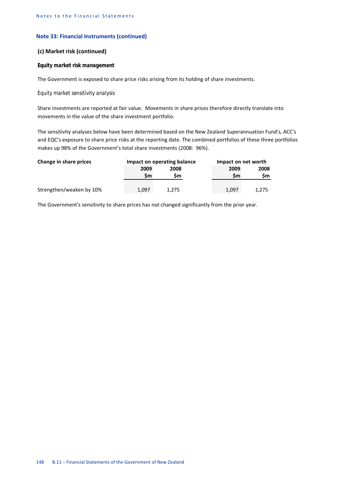#### **(c) Market risk (continued)**

#### *Equity market risk management*

The Government is exposed to share price risks arising from its holding of share investments.

#### *Equity market sensitivity analysis*

Share investments are reported at fair value. Movements in share prices therefore directly translate into movements in the value of the share investment portfolio.

The sensitivity analyses below have been determined based on the New Zealand Superannuation Fund's, ACC's and EQC's exposure to share price risks at the reporting date. The combined portfolios of these three portfolios makes up 98% of the Government's total share investments (2008: 96%).

| Change in share prices   |       | Impact on operating balance |       | Impact on net worth |  |  |
|--------------------------|-------|-----------------------------|-------|---------------------|--|--|
|                          | 2009  | 2008                        | 2009  | 2008                |  |  |
|                          | Sm    | Sm                          | Sm    | Sm                  |  |  |
| Strengthen/weaken by 10% | 1,097 | 1.275                       | 1,097 | 1,275               |  |  |

The Government's sensitivity to share prices has not changed significantly from the prior year.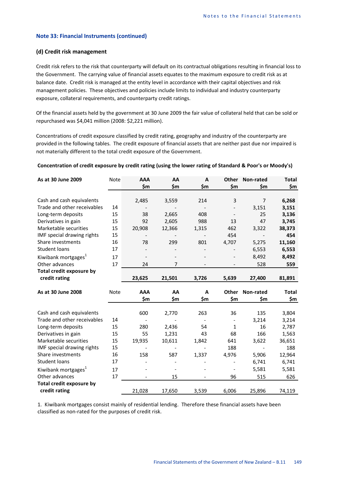#### **(d) Credit risk management**

Credit risk refers to the risk that counterparty will default on its contractual obligations resulting in financial loss to the Government. The carrying value of financial assets equates to the maximum exposure to credit risk as at balance date. Credit risk is managed at the entity level in accordance with their capital objectives and risk management policies. These objectives and policies include limits to individual and industry counterparty exposure, collateral requirements, and counterparty credit ratings.

Of the financial assets held by the government at 30 June 2009 the fair value of collateral held that can be sold or repurchased was \$4,041 million (2008: \$2,221 million).

Concentrations of credit exposure classified by credit rating, geography and industry of the counterparty are provided in the following tables. The credit exposure of financial assets that are neither past due nor impaired is not materially different to the total credit exposure of the Government.

#### **Concentration of credit exposure by credit rating (using the lower rating of Standard & Poor's or Moody's)**

| As at 30 June 2009              | Note | <b>AAA</b><br>\$m        | AA<br>\$m | $\mathbf{A}$<br>\$m | Other<br>\$m             | Non-rated<br>\$m | <b>Total</b><br>\$m |
|---------------------------------|------|--------------------------|-----------|---------------------|--------------------------|------------------|---------------------|
|                                 |      |                          |           |                     |                          |                  |                     |
| Cash and cash equivalents       |      | 2,485                    | 3,559     | 214                 | 3                        | $\overline{7}$   | 6,268               |
| Trade and other receivables     | 14   |                          |           |                     |                          | 3,151            | 3,151               |
| Long-term deposits              | 15   | 38                       | 2,665     | 408                 |                          | 25               | 3,136               |
| Derivatives in gain             | 15   | 92                       | 2,605     | 988                 | 13                       | 47               | 3,745               |
| Marketable securities           | 15   | 20,908                   | 12,366    | 1,315               | 462                      | 3,322            | 38,373              |
| IMF special drawing rights      | 15   | $\overline{\phantom{a}}$ |           |                     | 454                      | $\overline{a}$   | 454                 |
| Share investments               | 16   | 78                       | 299       | 801                 | 4,707                    | 5,275            | 11,160              |
| <b>Student loans</b>            | 17   |                          |           |                     |                          | 6,553            | 6,553               |
| Kiwibank mortgages <sup>1</sup> | 17   | $\overline{\phantom{a}}$ |           |                     |                          | 8,492            | 8,492               |
| Other advances                  | 17   | 24                       | 7         |                     |                          | 528              | 559                 |
| <b>Total credit exposure by</b> |      |                          |           |                     |                          |                  |                     |
| credit rating                   |      | 23,625                   | 21,501    | 3,726               | 5,639                    | 27,400           | 81,891              |
|                                 |      |                          |           |                     |                          |                  |                     |
|                                 |      |                          |           |                     |                          |                  |                     |
| As at 30 June 2008              | Note | <b>AAA</b>               | AA        | A                   | <b>Other</b>             | Non-rated        | <b>Total</b>        |
|                                 |      | \$m                      | \$m       | \$m                 | \$m                      | \$m              | \$m                 |
| Cash and cash equivalents       |      | 600                      | 2,770     | 263                 | 36                       | 135              | 3,804               |
| Trade and other receivables     | 14   |                          |           |                     | $\overline{\phantom{a}}$ | 3,214            | 3,214               |
| Long-term deposits              | 15   | 280                      | 2,436     | 54                  | $\mathbf{1}$             | 16               | 2,787               |
| Derivatives in gain             | 15   | 55                       | 1,231     | 43                  | 68                       | 166              | 1,563               |
| Marketable securities           | 15   | 19,935                   | 10,611    | 1,842               | 641                      | 3,622            | 36,651              |
| IMF special drawing rights      | 15   | $\overline{\phantom{a}}$ |           |                     | 188                      | $\overline{a}$   | 188                 |
| Share investments               | 16   | 158                      | 587       | 1,337               | 4,976                    | 5,906            | 12,964              |
| <b>Student loans</b>            | 17   |                          |           |                     |                          | 6,741            | 6,741               |
| Kiwibank mortgages <sup>1</sup> | 17   |                          |           |                     |                          | 5,581            | 5,581               |
| Other advances                  | 17   | $\overline{\phantom{a}}$ | 15        |                     | 96                       | 515              | 626                 |
| Total credit exposure by        |      |                          |           |                     |                          |                  |                     |

1. Kiwibank mortgages consist mainly of residential lending. Therefore these financial assets have been classified as non-rated for the purposes of credit risk.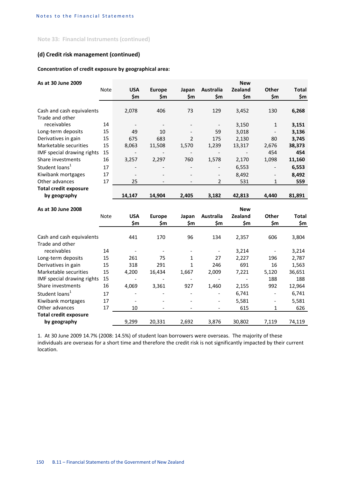## **(d) Credit risk management (continued)**

## **Concentration of credit exposure by geographical area:**

| As at 30 June 2009           |      |                          |                          |                              |                          | <b>New</b>     |                          |              |
|------------------------------|------|--------------------------|--------------------------|------------------------------|--------------------------|----------------|--------------------------|--------------|
|                              | Note | <b>USA</b>               | <b>Europe</b>            | Japan                        | Australia                | <b>Zealand</b> | <b>Other</b>             | <b>Total</b> |
|                              |      | \$m\$                    | \$m                      | \$m                          | \$m                      | \$m            | \$m                      | \$m          |
|                              |      |                          |                          |                              |                          |                |                          |              |
| Cash and cash equivalents    |      | 2,078                    | 406                      | 73                           | 129                      | 3,452          | 130                      | 6,268        |
| Trade and other              |      |                          |                          |                              |                          |                |                          |              |
| receivables                  | 14   | $\overline{\phantom{a}}$ | $\overline{\phantom{a}}$ | $\qquad \qquad -$            | $\overline{\phantom{a}}$ | 3,150          | $\mathbf{1}$             | 3,151        |
| Long-term deposits           | 15   | 49                       | 10                       |                              | 59                       | 3,018          |                          | 3,136        |
| Derivatives in gain          | 15   | 675                      | 683                      | 2                            | 175                      | 2,130          | 80                       | 3,745        |
| Marketable securities        | 15   | 8,063                    | 11,508                   | 1,570                        | 1,239                    | 13,317         | 2,676                    | 38,373       |
| IMF special drawing rights   | 15   | $\blacksquare$           |                          |                              | $\blacksquare$           |                | 454                      | 454          |
| Share investments            | 16   | 3,257                    | 2,297                    | 760                          | 1,578                    | 2,170          | 1,098                    | 11,160       |
| Student loans <sup>1</sup>   | 17   |                          |                          |                              |                          | 6,553          | $\overline{\phantom{a}}$ | 6,553        |
| Kiwibank mortgages           | 17   | $\overline{\phantom{a}}$ |                          |                              | $\overline{\phantom{a}}$ | 8,492          | $\overline{\phantom{a}}$ | 8,492        |
| Other advances               | 17   | 25                       | $\overline{\phantom{a}}$ | $\overline{\phantom{a}}$     | 2                        | 531            | 1                        | 559          |
| <b>Total credit exposure</b> |      |                          |                          |                              |                          |                |                          |              |
| by geography                 |      | 14,147                   | 14,904                   | 2,405                        | 3,182                    | 42,813         | 4,440                    | 81,891       |
| As at 30 June 2008           |      |                          |                          |                              |                          | <b>New</b>     |                          |              |
|                              | Note | <b>USA</b>               | <b>Europe</b>            | Japan                        | <b>Australia</b>         | <b>Zealand</b> | Other                    | <b>Total</b> |
|                              |      | \$m                      | \$m                      | \$m                          | \$m                      | \$m            | \$m                      | \$m          |
|                              |      |                          |                          |                              |                          |                |                          |              |
| Cash and cash equivalents    |      | 441                      | 170                      | 96                           | 134                      | 2,357          | 606                      | 3,804        |
| Trade and other              |      |                          |                          |                              |                          |                |                          |              |
| receivables                  | 14   | $\overline{\phantom{a}}$ | $\overline{\phantom{a}}$ | $\overline{\phantom{a}}$     | $\overline{\phantom{a}}$ | 3,214          | $\overline{\phantom{a}}$ | 3,214        |
| Long-term deposits           | 15   | 261                      | 75                       | 1                            | 27                       | 2,227          | 196                      | 2,787        |
| Derivatives in gain          | 15   | 318                      | 291                      | 1                            | 246                      | 691            | 16                       | 1,563        |
| Marketable securities        | 15   | 4,200                    | 16,434                   | 1,667                        | 2,009                    | 7,221          | 5,120                    | 36,651       |
| IMF special drawing rights   | 15   |                          |                          |                              |                          |                | 188                      | 188          |
| Share investments            | 16   | 4,069                    | 3,361                    | 927                          | 1,460                    | 2,155          | 992                      | 12,964       |
| Student loans <sup>1</sup>   | 17   |                          |                          |                              |                          | 6,741          | $\overline{\phantom{a}}$ | 6,741        |
| Kiwibank mortgages           | 17   | $\overline{\phantom{a}}$ | $\overline{\phantom{a}}$ |                              | $\overline{\phantom{a}}$ | 5,581          | $\overline{\phantom{a}}$ | 5,581        |
| Other advances               | 17   | 10                       | $\overline{a}$           | $\qquad \qquad \blacksquare$ | $\overline{\phantom{a}}$ | 615            | 1                        | 626          |
| <b>Total credit exposure</b> |      |                          |                          |                              |                          |                |                          |              |
| by geography                 |      | 9,299                    | 20,331                   | 2,692                        | 3,876                    | 30,802         | 7,119                    | 74,119       |

1. At 30 June 2009 14.7% (2008: 14.5%) of student loan borrowers were overseas. The majority of these individuals are overseas for a short time and therefore the credit risk is not significantly impacted by their current location.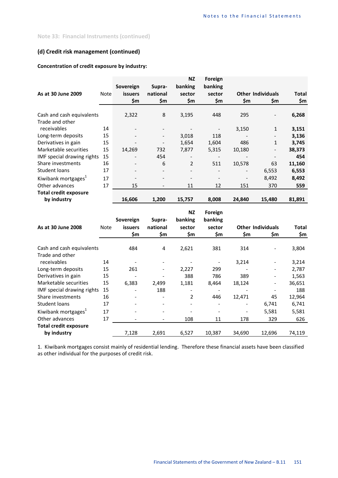## **(d) Credit risk management (continued)**

## **Concentration of credit exposure by industry:**

|                                 |      |                              |                          | <b>NZ</b>                | Foreign |        |                              |        |
|---------------------------------|------|------------------------------|--------------------------|--------------------------|---------|--------|------------------------------|--------|
|                                 |      | Sovereign                    | Supra-                   | banking                  | banking |        |                              |        |
| As at 30 June 2009              | Note | <b>issuers</b>               | national                 | sector                   | sector  |        | <b>Other Individuals</b>     | Total  |
|                                 |      | \$m                          | \$m                      | \$m                      | \$m     | \$m    | \$m                          | \$m    |
|                                 |      |                              |                          |                          |         |        |                              |        |
| Cash and cash equivalents       |      | 2,322                        | 8                        | 3,195                    | 448     | 295    | $\qquad \qquad -$            | 6,268  |
| Trade and other                 |      |                              |                          |                          |         |        |                              |        |
| receivables                     | 14   |                              |                          |                          |         | 3,150  | $\mathbf{1}$                 | 3,151  |
| Long-term deposits              | 15   | $\qquad \qquad \blacksquare$ |                          | 3,018                    | 118     |        | $\qquad \qquad -$            | 3,136  |
| Derivatives in gain             | 15   |                              |                          | 1,654                    | 1,604   | 486    | $\mathbf{1}$                 | 3,745  |
| Marketable securities           | 15   | 14,269                       | 732                      | 7,877                    | 5,315   | 10,180 | $\qquad \qquad \blacksquare$ | 38,373 |
| IMF special drawing rights      | 15   |                              | 454                      |                          |         |        |                              | 454    |
| Share investments               | 16   | $\overline{\phantom{a}}$     | 6                        | 2                        | 511     | 10,578 | 63                           | 11,160 |
| Student loans                   | 17   |                              |                          | $\overline{\phantom{a}}$ |         |        | 6,553                        | 6,553  |
| Kiwibank mortgages <sup>1</sup> | 17   | $\overline{\phantom{a}}$     | $\overline{\phantom{0}}$ | $\overline{\phantom{a}}$ |         |        | 8,492                        | 8,492  |
| Other advances                  | 17   | 15                           |                          | 11                       | 12      | 151    | 370                          | 559    |
| <b>Total credit exposure</b>    |      |                              |                          |                          |         |        |                              |        |
| by industry                     |      | 16,606                       | 1,200                    | 15,757                   | 8,008   | 24,840 | 15,480                       | 81,891 |

| As at 30 June 2008              | <b>Note</b> | Sovereign<br><b>issuers</b><br>\$m | Supra-<br>national<br>\$m | <b>NZ</b><br>banking<br>sector<br>\$m | Foreign<br>banking<br>sector<br>\$m | \$m    | <b>Other Individuals</b><br>\$m | <b>Total</b><br>\$m |
|---------------------------------|-------------|------------------------------------|---------------------------|---------------------------------------|-------------------------------------|--------|---------------------------------|---------------------|
|                                 |             |                                    |                           |                                       |                                     |        |                                 |                     |
| Cash and cash equivalents       |             | 484                                | 4                         | 2,621                                 | 381                                 | 314    |                                 | 3,804               |
| Trade and other                 |             |                                    |                           |                                       |                                     |        |                                 |                     |
| receivables                     | 14          |                                    |                           |                                       |                                     | 3,214  |                                 | 3,214               |
| Long-term deposits              | 15          | 261                                |                           | 2,227                                 | 299                                 |        | -                               | 2,787               |
| Derivatives in gain             | 15          |                                    |                           | 388                                   | 786                                 | 389    | $\qquad \qquad -$               | 1,563               |
| Marketable securities           | 15          | 6,383                              | 2,499                     | 1,181                                 | 8,464                               | 18,124 | $\qquad \qquad -$               | 36,651              |
| IMF special drawing rights      | 15          |                                    | 188                       |                                       |                                     |        |                                 | 188                 |
| Share investments               | 16          |                                    |                           | 2                                     | 446                                 | 12,471 | 45                              | 12,964              |
| Student loans                   | 17          |                                    |                           | $\overline{\phantom{a}}$              |                                     |        | 6,741                           | 6,741               |
| Kiwibank mortgages <sup>1</sup> | 17          |                                    |                           |                                       |                                     |        | 5,581                           | 5,581               |
| Other advances                  | 17          |                                    |                           | 108                                   | 11                                  | 178    | 329                             | 626                 |
| <b>Total credit exposure</b>    |             |                                    |                           |                                       |                                     |        |                                 |                     |
| by industry                     |             | 7,128                              | 2,691                     | 6,527                                 | 10,387                              | 34,690 | 12,696                          | 74,119              |

1. Kiwibank mortgages consist mainly of residential lending. Therefore these financial assets have been classified as other individual for the purposes of credit risk.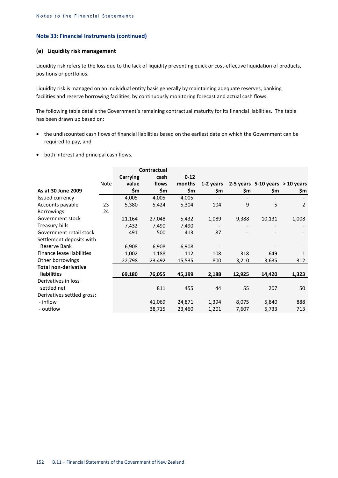#### **(e) Liquidity risk management**

Liquidity risk refers to the loss due to the lack of liquidity preventing quick or cost-effective liquidation of products, positions or portfolios.

Liquidity risk is managed on an individual entity basis generally by maintaining adequate reserves, banking facilities and reserve borrowing facilities, by continuously monitoring forecast and actual cash flows.

The following table details the Government's remaining contractual maturity for its financial liabilities. The table has been drawn up based on:

- the undiscounted cash flows of financial liabilities based on the earliest date on which the Government can be required to pay, and
- both interest and principal cash flows.

|                             |      |          | Contractual |          |           |        |                                     |                |
|-----------------------------|------|----------|-------------|----------|-----------|--------|-------------------------------------|----------------|
|                             |      | Carrying | cash        | $0 - 12$ |           |        |                                     |                |
|                             | Note | value    | flows       | months   | 1-2 years |        | 2-5 years $5-10$ years $> 10$ years |                |
| As at 30 June 2009          |      | \$m      | \$m         | \$m      | \$m       | \$m    | \$m                                 | \$m            |
| Issued currency             |      | 4,005    | 4,005       | 4,005    |           |        |                                     |                |
| Accounts payable            | 23   | 5,380    | 5,424       | 5,304    | 104       | 9      | 5                                   | $\overline{2}$ |
| Borrowings:                 | 24   |          |             |          |           |        |                                     |                |
| Government stock            |      | 21,164   | 27,048      | 5,432    | 1,089     | 9,388  | 10,131                              | 1,008          |
| Treasury bills              |      | 7,432    | 7,490       | 7,490    |           |        |                                     |                |
| Government retail stock     |      | 491      | 500         | 413      | 87        |        |                                     |                |
| Settlement deposits with    |      |          |             |          |           |        |                                     |                |
| Reserve Bank                |      | 6,908    | 6,908       | 6,908    |           |        |                                     |                |
| Finance lease liabilities   |      | 1,002    | 1,188       | 112      | 108       | 318    | 649                                 | 1              |
| Other borrowings            |      | 22,798   | 23,492      | 15,535   | 800       | 3,210  | 3,635                               | 312            |
| <b>Total non-derivative</b> |      |          |             |          |           |        |                                     |                |
| <b>liabilities</b>          |      | 69,180   | 76,055      | 45,199   | 2,188     | 12,925 | 14,420                              | 1,323          |
| Derivatives in loss         |      |          |             |          |           |        |                                     |                |
| settled net                 |      |          | 811         | 455      | 44        | 55     | 207                                 | 50             |
| Derivatives settled gross:  |      |          |             |          |           |        |                                     |                |
| - inflow                    |      |          | 41,069      | 24,871   | 1,394     | 8,075  | 5,840                               | 888            |
| - outflow                   |      |          | 38,715      | 23,460   | 1,201     | 7,607  | 5,733                               | 713            |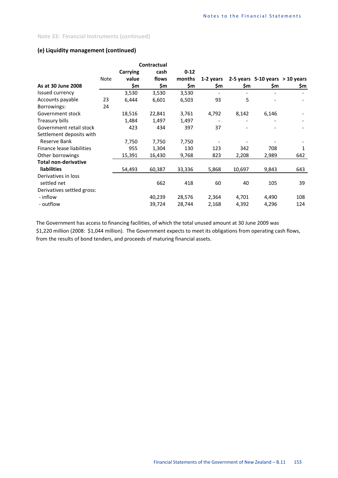## **(e) Liquidity management (continued)**

|                             | Contractual |                 |        |          |           |        |                                     |     |
|-----------------------------|-------------|-----------------|--------|----------|-----------|--------|-------------------------------------|-----|
|                             |             | <b>Carrying</b> | cash   | $0 - 12$ |           |        |                                     |     |
|                             | Note        | value           | flows  | months   | 1-2 years |        | 2-5 years $5-10$ years $> 10$ years |     |
| As at 30 June 2008          |             | \$m             | \$m    | \$m      | \$m       | \$m    | \$m                                 | \$m |
| Issued currency             |             | 3,530           | 3,530  | 3,530    |           |        |                                     |     |
| Accounts payable            | 23          | 6,444           | 6,601  | 6,503    | 93        | 5      |                                     |     |
| Borrowings:                 | 24          |                 |        |          |           |        |                                     |     |
| Government stock            |             | 18,516          | 22,841 | 3,761    | 4,792     | 8,142  | 6,146                               |     |
| Treasury bills              |             | 1,484           | 1,497  | 1,497    |           |        |                                     |     |
| Government retail stock     |             | 423             | 434    | 397      | 37        |        |                                     |     |
| Settlement deposits with    |             |                 |        |          |           |        |                                     |     |
| Reserve Bank                |             | 7,750           | 7,750  | 7,750    |           |        |                                     |     |
| Finance lease liabilities   |             | 955             | 1,304  | 130      | 123       | 342    | 708                                 | 1   |
| Other borrowings            |             | 15,391          | 16,430 | 9,768    | 823       | 2,208  | 2,989                               | 642 |
| <b>Total non-derivative</b> |             |                 |        |          |           |        |                                     |     |
| <b>liabilities</b>          |             | 54,493          | 60,387 | 33,336   | 5,868     | 10,697 | 9,843                               | 643 |
| Derivatives in loss         |             |                 |        |          |           |        |                                     |     |
| settled net                 |             |                 | 662    | 418      | 60        | 40     | 105                                 | 39  |
| Derivatives settled gross:  |             |                 |        |          |           |        |                                     |     |
| - inflow                    |             |                 | 40,239 | 28,576   | 2,364     | 4,701  | 4,490                               | 108 |
| - outflow                   |             |                 | 39,724 | 28,744   | 2,168     | 4,392  | 4,296                               | 124 |

The Government has access to financing facilities, of which the total unused amount at 30 June 2009 was \$1,220 million (2008: \$1,044 million). The Government expects to meet its obligations from operating cash flows, from the results of bond tenders, and proceeds of maturing financial assets.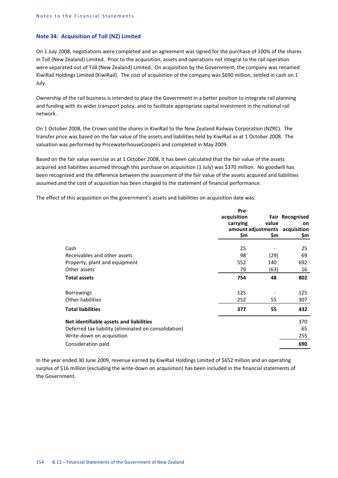### **Note 34: Acquisition of Toll (NZ) Limited**

On 1 July 2008, negotiations were completed and an agreement was signed for the purchase of 100% of the shares in Toll (New Zealand) Limited. Prior to the acquisition, assets and operations not integral to the rail operation were separated out of Toll (New Zealand) Limited. On acquisition by the Government, the company was renamed KiwiRail Holdings Limited (KiwiRail). The cost of acquisition of the company was \$690 million, settled in cash on 1 July.

Ownership of the rail business is intended to place the Government in a better position to integrate rail planning and funding with its wider transport policy, and to facilitate appropriate capital investment in the national rail network.

On 1 October 2008, the Crown sold the shares in KiwiRail to the New Zealand Railway Corporation (NZRC). The transfer price was based on the fair value of the assets and liabilities held by KiwiRail as at 1 October 2008. The valuation was performed by PricewaterhouseCoopers and completed in May 2009.

Based on the fair value exercise as at 1 October 2008, it has been calculated that the fair value of the assets acquired and liabilities assumed through this purchase on acquisition (1 July) was \$370 million. No goodwill has been recognised and the difference between the assessment of the fair value of the assets acquired and liabilities assumed and the cost of acquisition has been charged to the statement of financial performance.

The effect of this acquisition on the government's assets and liabilities on acquisition date was:

|                                                                                                                                                    | Pre-<br>acquisition<br>carrying<br>\$m | value<br>\$m        | <b>Fair Recognised</b><br><b>on</b><br>amount adjustments acquisition<br>Sm. |
|----------------------------------------------------------------------------------------------------------------------------------------------------|----------------------------------------|---------------------|------------------------------------------------------------------------------|
| Cash<br>Receivables and other assets<br>Property, plant and equipment<br>Other assets                                                              | 25<br>98<br>552<br>79                  | (29)<br>140<br>(63) | 25<br>69<br>692<br>16                                                        |
| <b>Total assets</b>                                                                                                                                | 754                                    | 48                  | 802                                                                          |
| <b>Borrowings</b><br>Other liabilities<br><b>Total liabilities</b>                                                                                 | 125<br>252<br>377                      | 55<br>55            | 125<br>307<br>432                                                            |
| Net identifiable assets and liabilities<br>Deferred tax liability (eliminated on consolidation)<br>Write-down on acquisition<br>Consideration paid |                                        |                     | 370<br>65<br>255<br>690                                                      |

In the year ended 30 June 2009, revenue earned by KiwiRail Holdings Limited of \$652 million and an operating surplus of \$16 million (excluding the write-down on acquisition) has been included in the financial statements of the Government.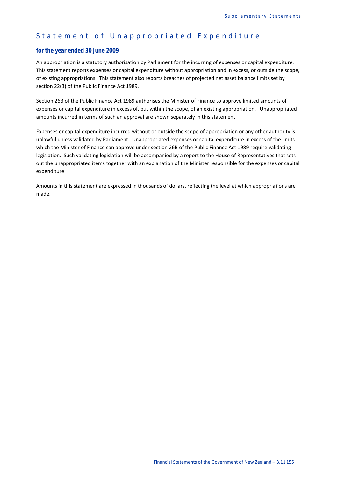## Statement of Unappropriated Expenditure

## *for the year ended 30 June 2009*

An appropriation is a statutory authorisation by Parliament for the incurring of expenses or capital expenditure. This statement reports expenses or capital expenditure without appropriation and in excess, or outside the scope, of existing appropriations. This statement also reports breaches of projected net asset balance limits set by section 22(3) of the Public Finance Act 1989.

Section 26B of the Public Finance Act 1989 authorises the Minister of Finance to approve limited amounts of expenses or capital expenditure in excess of, but within the scope, of an existing appropriation. Unappropriated amounts incurred in terms of such an approval are shown separately in this statement.

Expenses or capital expenditure incurred without or outside the scope of appropriation or any other authority is unlawful unless validated by Parliament. Unappropriated expenses or capital expenditure in excess of the limits which the Minister of Finance can approve under section 26B of the Public Finance Act 1989 require validating legislation. Such validating legislation will be accompanied by a report to the House of Representatives that sets out the unappropriated items together with an explanation of the Minister responsible for the expenses or capital expenditure.

Amounts in this statement are expressed in thousands of dollars, reflecting the level at which appropriations are made.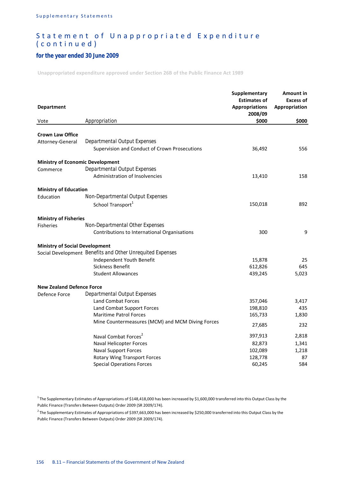## *for the year ended 30 June 2009*

**Unappropriated expenditure approved under Section 26B of the Public Finance Act 1989**

| <b>Department</b>                       |                                                           | Supplementary<br><b>Estimates of</b><br><b>Appropriations</b><br>2008/09 | Amount in<br><b>Excess of</b><br>Appropriation |
|-----------------------------------------|-----------------------------------------------------------|--------------------------------------------------------------------------|------------------------------------------------|
| Vote                                    | Appropriation                                             | \$000                                                                    | \$000                                          |
| <b>Crown Law Office</b>                 |                                                           |                                                                          |                                                |
| Attorney-General                        | Departmental Output Expenses                              |                                                                          |                                                |
|                                         | Supervision and Conduct of Crown Prosecutions             | 36,492                                                                   | 556                                            |
| <b>Ministry of Economic Development</b> |                                                           |                                                                          |                                                |
| Commerce                                | Departmental Output Expenses                              |                                                                          |                                                |
|                                         | <b>Administration of Insolvencies</b>                     | 13,410                                                                   | 158                                            |
| <b>Ministry of Education</b>            |                                                           |                                                                          |                                                |
| Education                               | Non-Departmental Output Expenses                          |                                                                          |                                                |
|                                         | School Transport <sup>1</sup>                             | 150,018                                                                  | 892                                            |
| <b>Ministry of Fisheries</b>            |                                                           |                                                                          |                                                |
| <b>Fisheries</b>                        | Non-Departmental Other Expenses                           |                                                                          |                                                |
|                                         | Contributions to International Organisations              | 300                                                                      | 9                                              |
| <b>Ministry of Social Development</b>   |                                                           |                                                                          |                                                |
|                                         | Social Development Benefits and Other Unrequited Expenses |                                                                          |                                                |
|                                         | Independent Youth Benefit                                 | 15,878                                                                   | 25                                             |
|                                         | Sickness Benefit                                          | 612,826                                                                  | 645                                            |
|                                         | <b>Student Allowances</b>                                 | 439,245                                                                  | 5,023                                          |
| <b>New Zealand Defence Force</b>        |                                                           |                                                                          |                                                |
| Defence Force                           | Departmental Output Expenses                              |                                                                          |                                                |
|                                         | <b>Land Combat Forces</b>                                 | 357,046                                                                  | 3,417                                          |
|                                         | Land Combat Support Forces                                | 198,810                                                                  | 435                                            |
|                                         | <b>Maritime Patrol Forces</b>                             | 165,733                                                                  | 1,830                                          |
|                                         | Mine Countermeasures (MCM) and MCM Diving Forces          | 27,685                                                                   | 232                                            |
|                                         | Naval Combat Forces <sup>2</sup>                          | 397,913                                                                  | 2,818                                          |
|                                         | Naval Helicopter Forces                                   | 82,873                                                                   | 1,341                                          |
|                                         | <b>Naval Support Forces</b>                               | 102,089                                                                  | 1,218                                          |
|                                         | Rotary Wing Transport Forces                              | 128,778                                                                  | 87                                             |
|                                         | <b>Special Operations Forces</b>                          | 60,245                                                                   | 584                                            |

 $1$ The Supplementary Estimates of Appropriations of \$148,418,000 has been increased by \$1,600,000 transferred into this Output Class by the Public Finance (Transfers Between Outputs) Order 2009 (SR 2009/174).

 $2$  The Supplementary Estimates of Appropriations of \$397,663,000 has been increased by \$250,000 transferred into this Output Class by the Public Finance (Transfers Between Outputs) Order 2009 (SR 2009/174).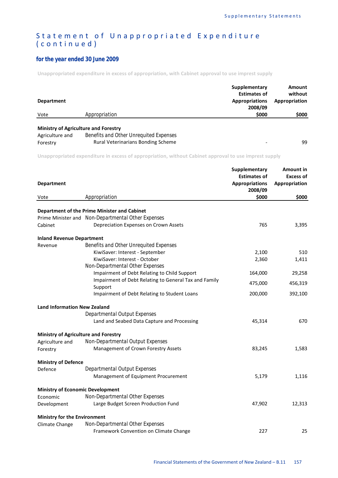## *for the year ended 30 June 2009*

**Unappropriated expenditure in excess of appropriation, with Cabinet approval to use imprest supply**

| <b>Department</b>           |                                                                                                                             | Supplementary<br><b>Estimates of</b><br><b>Appropriations</b><br>2008/09 | Amount<br>without<br>Appropriation             |
|-----------------------------|-----------------------------------------------------------------------------------------------------------------------------|--------------------------------------------------------------------------|------------------------------------------------|
| Vote                        | Appropriation                                                                                                               |                                                                          | \$000                                          |
| Agriculture and<br>Forestry | <b>Ministry of Agriculture and Forestry</b><br>Benefits and Other Unrequited Expenses<br>Rural Veterinarians Bonding Scheme |                                                                          | 99                                             |
|                             | Unappropriated expenditure in excess of appropriation, without Cabinet approval to use imprest supply                       |                                                                          |                                                |
| <b>Department</b>           |                                                                                                                             | Supplementary<br><b>Estimates of</b><br><b>Appropriations</b>            | <b>Amount in</b><br>Excess of<br>Appropriation |

| <b>Department</b>                       |                                                                  | <b>Appropriations</b><br>2008/09 | Appropriation |
|-----------------------------------------|------------------------------------------------------------------|----------------------------------|---------------|
| Vote                                    | Appropriation                                                    | \$000                            | \$000         |
|                                         | Department of the Prime Minister and Cabinet                     |                                  |               |
|                                         | Prime Minister and Non-Departmental Other Expenses               |                                  |               |
| Cabinet                                 | Depreciation Expenses on Crown Assets                            | 765                              | 3,395         |
| <b>Inland Revenue Department</b>        |                                                                  |                                  |               |
| Revenue                                 | <b>Benefits and Other Unrequited Expenses</b>                    |                                  |               |
|                                         | KiwiSaver: Interest - September                                  | 2,100                            | 510           |
|                                         | KiwiSaver: Interest - October                                    | 2,360                            | 1,411         |
|                                         | Non-Departmental Other Expenses                                  |                                  |               |
|                                         | Impairment of Debt Relating to Child Support                     | 164,000                          | 29,258        |
|                                         | Impairment of Debt Relating to General Tax and Family<br>Support | 475,000                          | 456,319       |
|                                         | Impairment of Debt Relating to Student Loans                     | 200,000                          | 392,100       |
| <b>Land Information New Zealand</b>     |                                                                  |                                  |               |
|                                         | Departmental Output Expenses                                     |                                  |               |
|                                         | Land and Seabed Data Capture and Processing                      | 45,314                           | 670           |
|                                         | <b>Ministry of Agriculture and Forestry</b>                      |                                  |               |
| Agriculture and                         | Non-Departmental Output Expenses                                 |                                  |               |
| Forestry                                | Management of Crown Forestry Assets                              | 83,245                           | 1,583         |
| <b>Ministry of Defence</b>              |                                                                  |                                  |               |
| Defence                                 | Departmental Output Expenses                                     |                                  |               |
|                                         | Management of Equipment Procurement                              | 5,179                            | 1,116         |
| <b>Ministry of Economic Development</b> |                                                                  |                                  |               |
| Economic                                | Non-Departmental Other Expenses                                  |                                  |               |
| Development                             | Large Budget Screen Production Fund                              | 47,902                           | 12,313        |
| <b>Ministry for the Environment</b>     |                                                                  |                                  |               |
| Climate Change                          | Non-Departmental Other Expenses                                  |                                  |               |
|                                         | Framework Convention on Climate Change                           | 227                              | 25            |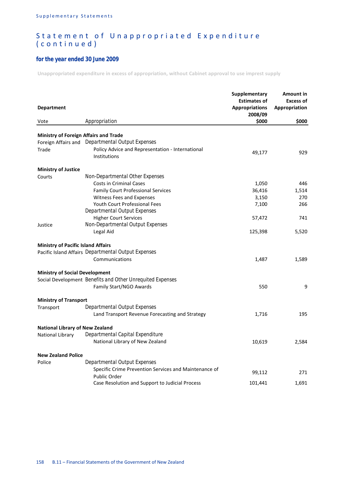## *for the year ended 30 June 2009*

**Unappropriated expenditure in excess of appropriation, without Cabinet approval to use imprest supply**

| <b>Department</b>                            |                                                                              | <b>Supplementary</b><br><b>Estimates of</b><br><b>Appropriations</b><br>2008/09 | Amount in<br><b>Excess of</b><br><b>Appropriation</b> |
|----------------------------------------------|------------------------------------------------------------------------------|---------------------------------------------------------------------------------|-------------------------------------------------------|
| Vote                                         | Appropriation                                                                | \$000                                                                           | \$000                                                 |
|                                              |                                                                              |                                                                                 |                                                       |
| <b>Ministry of Foreign Affairs and Trade</b> |                                                                              |                                                                                 |                                                       |
|                                              | Foreign Affairs and Departmental Output Expenses                             |                                                                                 |                                                       |
| Trade                                        | Policy Advice and Representation - International<br>Institutions             | 49,177                                                                          | 929                                                   |
|                                              |                                                                              |                                                                                 |                                                       |
| <b>Ministry of Justice</b><br>Courts         | Non-Departmental Other Expenses                                              |                                                                                 |                                                       |
|                                              | Costs in Criminal Cases                                                      | 1,050                                                                           | 446                                                   |
|                                              | <b>Family Court Professional Services</b>                                    | 36,416                                                                          | 1,514                                                 |
|                                              | Witness Fees and Expenses                                                    | 3,150                                                                           | 270                                                   |
|                                              | Youth Court Professional Fees                                                | 7,100                                                                           | 266                                                   |
|                                              | Departmental Output Expenses                                                 |                                                                                 |                                                       |
|                                              | <b>Higher Court Services</b>                                                 | 57,472                                                                          | 741                                                   |
| Justice                                      | Non-Departmental Output Expenses                                             |                                                                                 |                                                       |
|                                              | Legal Aid                                                                    | 125,398                                                                         | 5,520                                                 |
| <b>Ministry of Pacific Island Affairs</b>    |                                                                              |                                                                                 |                                                       |
|                                              | Pacific Island Affairs Departmental Output Expenses                          |                                                                                 |                                                       |
|                                              | Communications                                                               | 1,487                                                                           | 1,589                                                 |
| <b>Ministry of Social Development</b>        |                                                                              |                                                                                 |                                                       |
|                                              | Social Development Benefits and Other Unrequited Expenses                    |                                                                                 |                                                       |
|                                              | Family Start/NGO Awards                                                      | 550                                                                             | 9                                                     |
| <b>Ministry of Transport</b>                 |                                                                              |                                                                                 |                                                       |
| Transport                                    | Departmental Output Expenses                                                 |                                                                                 |                                                       |
|                                              | Land Transport Revenue Forecasting and Strategy                              | 1,716                                                                           | 195                                                   |
| <b>National Library of New Zealand</b>       |                                                                              |                                                                                 |                                                       |
| National Library                             | Departmental Capital Expenditure                                             |                                                                                 |                                                       |
|                                              | National Library of New Zealand                                              | 10,619                                                                          | 2,584                                                 |
| <b>New Zealand Police</b>                    |                                                                              |                                                                                 |                                                       |
| Police                                       | Departmental Output Expenses                                                 |                                                                                 |                                                       |
|                                              | Specific Crime Prevention Services and Maintenance of<br><b>Public Order</b> | 99,112                                                                          | 271                                                   |
|                                              | Case Resolution and Support to Judicial Process                              | 101,441                                                                         | 1,691                                                 |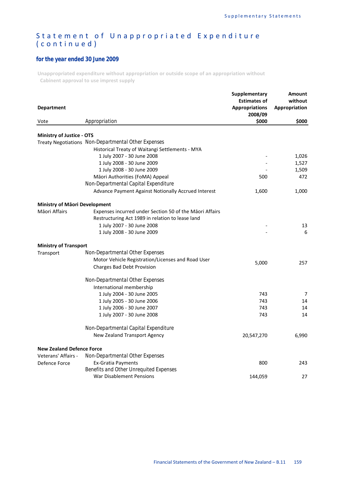## *for the year ended 30 June 2009*

**Unappropriated expenditure without appropriation or outside scope of an appropriation without Cabinent approval to use imprest supply**

| <b>Department</b>                    |                                                         | Supplementary<br><b>Estimates of</b><br><b>Appropriations</b><br>2008/09 | Amount<br>without<br>Appropriation |
|--------------------------------------|---------------------------------------------------------|--------------------------------------------------------------------------|------------------------------------|
| Vote                                 | Appropriation                                           | \$000                                                                    | \$000                              |
| <b>Ministry of Justice - OTS</b>     |                                                         |                                                                          |                                    |
|                                      | Treaty Negotiations Non-Departmental Other Expenses     |                                                                          |                                    |
|                                      | Historical Treaty of Waitangi Settlements - MYA         |                                                                          |                                    |
|                                      | 1 July 2007 - 30 June 2008                              |                                                                          | 1,026                              |
|                                      | 1 July 2008 - 30 June 2009                              |                                                                          | 1,527                              |
|                                      | 1 July 2008 - 30 June 2009                              |                                                                          | 1,509                              |
|                                      | Māori Authorities (FoMA) Appeal                         | 500                                                                      | 472                                |
|                                      | Non-Departmental Capital Expenditure                    |                                                                          |                                    |
|                                      | Advance Payment Against Notionally Accrued Interest     | 1,600                                                                    | 1,000                              |
| <b>Ministry of Maori Development</b> |                                                         |                                                                          |                                    |
| Māori Affairs                        | Expenses incurred under Section 50 of the Māori Affairs |                                                                          |                                    |
|                                      | Restructuring Act 1989 in relation to lease land        |                                                                          |                                    |
|                                      | 1 July 2007 - 30 June 2008                              |                                                                          | 13                                 |
|                                      | 1 July 2008 - 30 June 2009                              |                                                                          | 6                                  |
| <b>Ministry of Transport</b>         |                                                         |                                                                          |                                    |
| Transport                            | Non-Departmental Other Expenses                         |                                                                          |                                    |
|                                      | Motor Vehicle Registration/Licenses and Road User       | 5,000                                                                    | 257                                |
|                                      | <b>Charges Bad Debt Provision</b>                       |                                                                          |                                    |
|                                      | Non-Departmental Other Expenses                         |                                                                          |                                    |
|                                      | International membership                                |                                                                          |                                    |
|                                      | 1 July 2004 - 30 June 2005                              | 743                                                                      | 7                                  |
|                                      | 1 July 2005 - 30 June 2006                              | 743                                                                      | 14                                 |
|                                      | 1 July 2006 - 30 June 2007                              | 743                                                                      | 14                                 |
|                                      | 1 July 2007 - 30 June 2008                              | 743                                                                      | 14                                 |
|                                      | Non-Departmental Capital Expenditure                    |                                                                          |                                    |
|                                      | New Zealand Transport Agency                            | 20,547,270                                                               | 6,990                              |
| <b>New Zealand Defence Force</b>     |                                                         |                                                                          |                                    |
| Veterans' Affairs -                  | Non-Departmental Other Expenses                         |                                                                          |                                    |
| Defence Force                        | <b>Ex-Gratia Payments</b>                               | 800                                                                      | 243                                |
|                                      | <b>Benefits and Other Unrequited Expenses</b>           |                                                                          |                                    |
|                                      | <b>War Disablement Pensions</b>                         | 144,059                                                                  | 27                                 |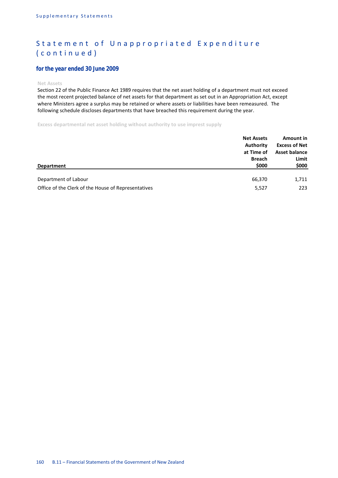## *for the year ended 30 June 2009*

**Net Assets**

Section 22 of the Public Finance Act 1989 requires that the net asset holding of a department must not exceed the most recent projected balance of net assets for that department as set out in an Appropriation Act, except where Ministers agree a surplus may be retained or where assets or liabilities have been remeasured. The following schedule discloses departments that have breached this requirement during the year.

**Excess departmental net asset holding without authority to use imprest supply**

| <b>Department</b>                                   | <b>Net Assets</b><br>Authority<br>at Time of<br><b>Breach</b><br>\$000 | Amount in<br><b>Excess of Net</b><br><b>Asset balance</b><br>Limit<br>\$000 |
|-----------------------------------------------------|------------------------------------------------------------------------|-----------------------------------------------------------------------------|
| Department of Labour                                | 66,370                                                                 | 1,711                                                                       |
| Office of the Clerk of the House of Representatives | 5,527                                                                  | 223                                                                         |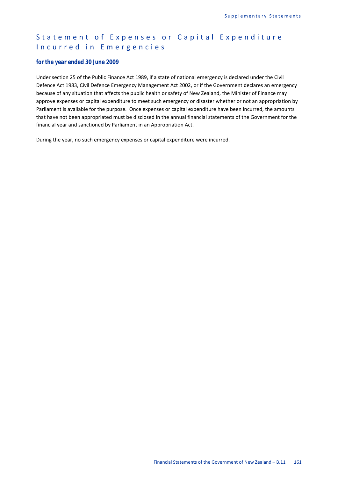## Statement of Expenses or Capital Expenditure Incurred in Emergencies

#### *for the year ended 30 June 2009*

Under section 25 of the Public Finance Act 1989, if a state of national emergency is declared under the Civil Defence Act 1983, Civil Defence Emergency Management Act 2002, or if the Government declares an emergency because of any situation that affects the public health or safety of New Zealand, the Minister of Finance may approve expenses or capital expenditure to meet such emergency or disaster whether or not an appropriation by Parliament is available for the purpose. Once expenses or capital expenditure have been incurred, the amounts that have not been appropriated must be disclosed in the annual financial statements of the Government for the financial year and sanctioned by Parliament in an Appropriation Act.

During the year, no such emergency expenses or capital expenditure were incurred.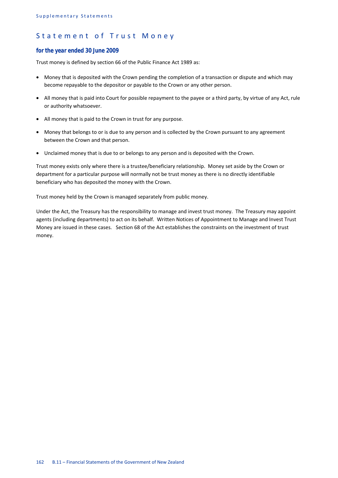## Statement of Trust Money

#### *for the year ended 30 June 2009*

Trust money is defined by section 66 of the Public Finance Act 1989 as:

- Money that is deposited with the Crown pending the completion of a transaction or dispute and which may become repayable to the depositor or payable to the Crown or any other person.
- All money that is paid into Court for possible repayment to the payee or a third party, by virtue of any Act, rule or authority whatsoever.
- All money that is paid to the Crown in trust for any purpose.
- Money that belongs to or is due to any person and is collected by the Crown pursuant to any agreement between the Crown and that person.
- Unclaimed money that is due to or belongs to any person and is deposited with the Crown.

Trust money exists only where there is a trustee/beneficiary relationship. Money set aside by the Crown or department for a particular purpose will normally not be trust money as there is no directly identifiable beneficiary who has deposited the money with the Crown.

Trust money held by the Crown is managed separately from public money.

Under the Act, the Treasury has the responsibility to manage and invest trust money. The Treasury may appoint agents (including departments) to act on its behalf. Written Notices of Appointment to Manage and Invest Trust Money are issued in these cases. Section 68 of the Act establishes the constraints on the investment of trust money.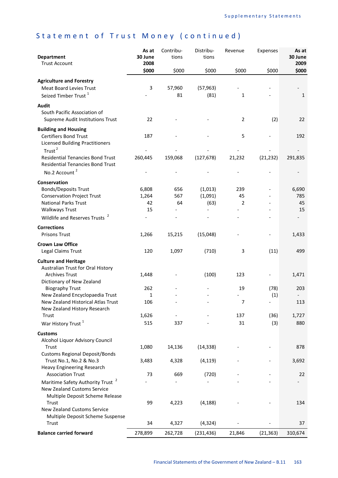| <b>Department</b><br><b>Trust Account</b>                                                                                                                                             | As at<br>30 June<br>2008   | Contribu-<br>tions | Distribu-<br>tions         | Revenue                     | Expenses    | As at<br>30 June<br>2009 |
|---------------------------------------------------------------------------------------------------------------------------------------------------------------------------------------|----------------------------|--------------------|----------------------------|-----------------------------|-------------|--------------------------|
|                                                                                                                                                                                       | \$000                      | \$000              | \$000                      | \$000                       | \$000       | \$000                    |
| <b>Agriculture and Forestry</b><br><b>Meat Board Levies Trust</b><br>Seized Timber Trust <sup>1</sup>                                                                                 | 3                          | 57,960<br>81       | (57, 963)<br>(81)          | $\mathbf{1}$                |             | $\mathbf{1}$             |
| <b>Audit</b><br>South Pacific Association of<br><b>Supreme Audit Institutions Trust</b>                                                                                               | 22                         |                    |                            | 2                           | (2)         | 22                       |
| <b>Building and Housing</b><br><b>Certifiers Bond Trust</b><br><b>Licensed Building Practitioners</b><br>Trust <sup>2</sup><br><b>Residential Tenancies Bond Trust</b>                | 187<br>260,445             | 159,068            | (127, 678)                 | 5<br>21,232                 | (21, 232)   | 192<br>291,835           |
| <b>Residential Tenancies Bond Trust</b><br>No.2 Account <sup>2</sup>                                                                                                                  |                            |                    |                            |                             |             |                          |
|                                                                                                                                                                                       |                            |                    |                            |                             |             |                          |
| Conservation<br><b>Bonds/Deposits Trust</b><br><b>Conservation Project Trust</b><br><b>National Parks Trust</b><br><b>Walkways Trust</b><br>Wildlife and Reserves Trusts <sup>2</sup> | 6,808<br>1,264<br>42<br>15 | 656<br>567<br>64   | (1,013)<br>(1,091)<br>(63) | 239<br>45<br>$\overline{2}$ |             | 6,690<br>785<br>45<br>15 |
| <b>Corrections</b>                                                                                                                                                                    |                            |                    |                            |                             |             |                          |
| <b>Prisons Trust</b>                                                                                                                                                                  | 1,266                      | 15,215             | (15,048)                   |                             |             | 1,433                    |
| <b>Crown Law Office</b><br>Legal Claims Trust                                                                                                                                         | 120                        | 1,097              | (710)                      | 3                           | (11)        | 499                      |
| <b>Culture and Heritage</b><br>Australian Trust for Oral History<br><b>Archives Trust</b><br>Dictionary of New Zealand                                                                | 1,448                      |                    | (100)                      | 123                         |             | 1,471                    |
| <b>Biography Trust</b>                                                                                                                                                                | 262                        |                    |                            | 19                          | (78)        | 203                      |
| New Zealand Encyclopaedia Trust                                                                                                                                                       | 1                          |                    |                            |                             | (1)         |                          |
| New Zealand Historical Atlas Trust<br>New Zealand History Research                                                                                                                    | 106                        |                    |                            | $\overline{7}$              |             | 113                      |
| Trust<br>War History Trust <sup>1</sup>                                                                                                                                               | 1,626<br>515               | 337                |                            | 137<br>31                   | (36)<br>(3) | 1,727<br>880             |
| <b>Customs</b>                                                                                                                                                                        |                            |                    |                            |                             |             |                          |
| Alcohol Liquor Advisory Council<br>Trust<br><b>Customs Regional Deposit/Bonds</b>                                                                                                     | 1,080                      | 14,136             | (14, 338)                  |                             |             | 878                      |
| Trust No.1, No.2 & No.3<br>Heavy Engineering Research                                                                                                                                 | 3,483                      | 4,328              | (4, 119)                   |                             |             | 3,692                    |
| <b>Association Trust</b>                                                                                                                                                              | 73                         | 669                | (720)                      |                             |             | 22                       |
| $\mathbf{z}$<br>Maritime Safety Authority Trust<br><b>New Zealand Customs Service</b><br>Multiple Deposit Scheme Release                                                              |                            |                    |                            |                             |             |                          |
| Trust<br><b>New Zealand Customs Service</b><br>Multiple Deposit Scheme Suspense                                                                                                       | 99                         | 4,223              | (4, 188)                   |                             |             | 134                      |
| Trust                                                                                                                                                                                 | 34                         | 4,327              | (4, 324)                   |                             |             | 37                       |
| <b>Balance carried forward</b>                                                                                                                                                        | 278,899                    | 262,728            | (231, 436)                 | 21,846                      | (21, 363)   | 310,674                  |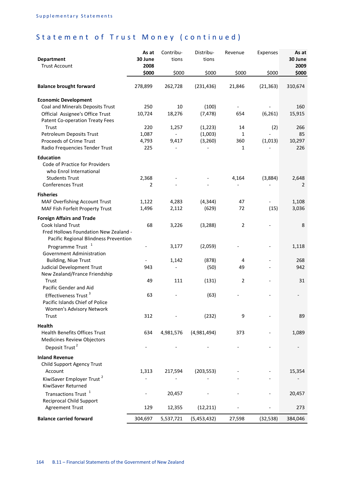| <b>Department</b><br><b>Trust Account</b>                                           | As at<br>30 June<br>2008 | Contribu-<br>tions | Distribu-<br>tions  | Revenue                  | Expenses  | As at<br>30 June<br>2009 |
|-------------------------------------------------------------------------------------|--------------------------|--------------------|---------------------|--------------------------|-----------|--------------------------|
|                                                                                     | \$000                    | \$000              | \$000               | \$000                    | \$000     | \$000                    |
| <b>Balance brought forward</b>                                                      | 278,899                  | 262,728            | (231, 436)          | 21,846                   | (21, 363) | 310,674                  |
| <b>Economic Development</b>                                                         |                          |                    |                     |                          |           |                          |
| Coal and Minerals Deposits Trust                                                    | 250                      | 10                 | (100)               | $\overline{\phantom{a}}$ |           | 160                      |
| Official Assignee's Office Trust<br><b>Patent Co-operation Treaty Fees</b><br>Trust | 10,724<br>220            | 18,276             | (7, 478)            | 654<br>14                | (6, 261)  | 15,915<br>266            |
| Petroleum Deposits Trust                                                            | 1,087                    | 1,257              | (1, 223)<br>(1,003) | 1                        | (2)       | 85                       |
| Proceeds of Crime Trust                                                             | 4,793                    | 9,417              | (3,260)             | 360                      | (1,013)   | 10,297                   |
| Radio Frequencies Tender Trust                                                      | 225                      |                    |                     | 1                        |           | 226                      |
| <b>Education</b><br>Code of Practice for Providers<br>who Enrol International       |                          |                    |                     |                          |           |                          |
| <b>Students Trust</b><br><b>Conferences Trust</b>                                   | 2,368<br>2               |                    |                     | 4,164                    | (3,884)   | 2,648<br>2               |
|                                                                                     |                          |                    |                     |                          |           |                          |
| <b>Fisheries</b><br>MAF Overfishing Account Trust                                   | 1,122                    | 4,283              | (4, 344)            | 47                       |           | 1,108                    |
| MAF Fish Forfeit Property Trust                                                     | 1,496                    | 2,112              | (629)               | 72                       | (15)      | 3,036                    |
| <b>Foreign Affairs and Trade</b>                                                    |                          |                    |                     |                          |           |                          |
| <b>Cook Island Trust</b>                                                            | 68                       | 3,226              | (3, 288)            | $\overline{2}$           |           | 8                        |
| Fred Hollows Foundation New Zealand -<br>Pacific Regional Blindness Prevention      |                          |                    |                     |                          |           |                          |
| Programme Trust                                                                     |                          | 3,177              | (2,059)             |                          |           | 1,118                    |
| Government Administration                                                           |                          |                    |                     |                          |           |                          |
| <b>Building, Niue Trust</b>                                                         | 943                      | 1,142              | (878)               | 4<br>49                  |           | 268<br>942               |
| Judicial Development Trust<br>New Zealand/France Friendship                         |                          |                    | (50)                |                          |           |                          |
| Trust                                                                               | 49                       | 111                | (131)               | 2                        |           | 31                       |
| Pacific Gender and Aid                                                              |                          |                    |                     |                          |           |                          |
| Effectiveness Trust <sup>3</sup>                                                    | 63                       |                    | (63)                |                          |           |                          |
| Pacific Islands Chief of Police<br>Women's Advisory Network                         |                          |                    |                     |                          |           |                          |
| Trust                                                                               | 312                      |                    | (232)               | 9                        |           | 89                       |
| Health                                                                              |                          |                    |                     |                          |           |                          |
| <b>Health Benefits Offices Trust</b><br><b>Medicines Review Objectors</b>           | 634                      | 4,981,576          | (4,981,494)         | 373                      |           | 1,089                    |
| Deposit Trust <sup>2</sup>                                                          |                          |                    |                     |                          |           |                          |
| <b>Inland Revenue</b>                                                               |                          |                    |                     |                          |           |                          |
| Child Support Agency Trust                                                          |                          |                    |                     |                          |           |                          |
| Account                                                                             | 1,313                    | 217,594            | (203, 553)          |                          |           | 15,354                   |
| KiwiSaver Employer Trust <sup>2</sup><br>KiwiSaver Returned                         |                          |                    |                     |                          |           |                          |
| Transactions Trust <sup>1</sup>                                                     |                          | 20,457             |                     |                          |           | 20,457                   |
| <b>Reciprocal Child Support</b><br><b>Agreement Trust</b>                           | 129                      | 12,355             | (12, 211)           |                          |           | 273                      |
| <b>Balance carried forward</b>                                                      | 304,697                  | 5,537,721          | (5,453,432)         | 27,598                   | (32, 538) | 384,046                  |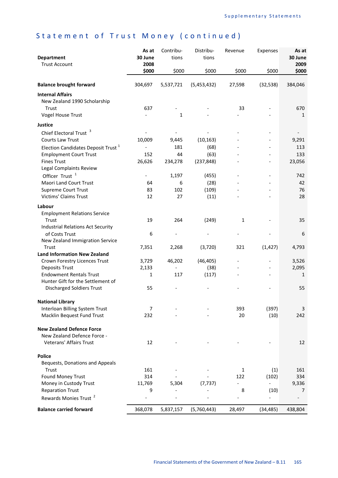| <b>Department</b><br><b>Trust Account</b>                                       | As at<br>30 June<br>2008 | Contribu-<br>tions | Distribu-<br>tions | Revenue                  | Expenses       | As at<br>30 June<br>2009 |
|---------------------------------------------------------------------------------|--------------------------|--------------------|--------------------|--------------------------|----------------|--------------------------|
|                                                                                 | \$000                    | \$000              | \$000              | \$000                    | \$000          | \$000                    |
| <b>Balance brought forward</b>                                                  | 304,697                  | 5,537,721          | (5,453,432)        | 27,598                   | (32, 538)      | 384,046                  |
| <b>Internal Affairs</b>                                                         |                          |                    |                    |                          |                |                          |
| New Zealand 1990 Scholarship<br>Trust                                           | 637                      |                    |                    | 33                       |                |                          |
| <b>Vogel House Trust</b>                                                        |                          | $\mathbf 1$        |                    |                          |                | 670<br>$\mathbf{1}$      |
|                                                                                 |                          |                    |                    |                          |                |                          |
| <b>Justice</b>                                                                  |                          |                    |                    |                          |                |                          |
| Chief Electoral Trust <sup>3</sup>                                              |                          |                    |                    |                          |                |                          |
| Courts Law Trust                                                                | 10,009                   | 9,445<br>181       | (10, 163)<br>(68)  |                          |                | 9,291<br>113             |
| Election Candidates Deposit Trust <sup>1</sup><br><b>Employment Court Trust</b> | 152                      | 44                 | (63)               |                          |                | 133                      |
| <b>Fines Trust</b>                                                              | 26,626                   | 234,278            | (237, 848)         |                          |                | 23,056                   |
| Legal Complaints Review                                                         |                          |                    |                    |                          |                |                          |
| Officer Trust <sup>1</sup>                                                      |                          | 1,197              | (455)              |                          |                | 742                      |
| Maori Land Court Trust                                                          | 64                       | 6                  | (28)               |                          |                | 42                       |
| <b>Supreme Court Trust</b>                                                      | 83                       | 102                | (109)              |                          |                | 76                       |
| <b>Victims' Claims Trust</b>                                                    | 12                       | 27                 | (11)               |                          |                | 28                       |
| Labour                                                                          |                          |                    |                    |                          |                |                          |
| <b>Employment Relations Service</b>                                             |                          |                    |                    |                          |                |                          |
| Trust                                                                           | 19                       | 264                | (249)              | $\mathbf{1}$             |                | 35                       |
| <b>Industrial Relations Act Security</b>                                        |                          |                    |                    |                          |                |                          |
| of Costs Trust                                                                  | 6                        |                    |                    |                          |                | 6                        |
| New Zealand Immigration Service                                                 |                          |                    |                    |                          |                |                          |
| Trust                                                                           | 7,351                    | 2,268              | (3,720)            | 321                      | (1, 427)       | 4,793                    |
| <b>Land Information New Zealand</b>                                             |                          |                    |                    |                          |                |                          |
| Crown Forestry Licences Trust                                                   | 3,729                    | 46,202             | (46, 405)          |                          |                | 3,526                    |
| <b>Deposits Trust</b><br><b>Endowment Rentals Trust</b>                         | 2,133<br>$\mathbf{1}$    | 117                | (38)<br>(117)      |                          |                | 2,095<br>$\mathbf{1}$    |
| Hunter Gift for the Settlement of                                               |                          |                    |                    |                          |                |                          |
| <b>Discharged Soldiers Trust</b>                                                | 55                       |                    |                    |                          |                | 55                       |
|                                                                                 |                          |                    |                    |                          |                |                          |
| <b>National Library</b>                                                         |                          |                    |                    |                          |                |                          |
| Interloan Billing System Trust                                                  | $\overline{7}$           |                    |                    | 393                      | (397)          | 3                        |
| Macklin Bequest Fund Trust                                                      | 232                      |                    |                    | 20                       | (10)           | 242                      |
| <b>New Zealand Defence Force</b>                                                |                          |                    |                    |                          |                |                          |
| New Zealand Defence Force -                                                     |                          |                    |                    |                          |                |                          |
| Veterans' Affairs Trust                                                         | 12                       |                    |                    |                          |                | 12                       |
|                                                                                 |                          |                    |                    |                          |                |                          |
| <b>Police</b>                                                                   |                          |                    |                    |                          |                |                          |
| Bequests, Donations and Appeals                                                 |                          |                    |                    |                          |                |                          |
| Trust                                                                           | 161                      |                    |                    | 1                        | (1)            | 161                      |
| Found Money Trust                                                               | 314                      |                    |                    | 122                      | (102)          | 334                      |
| Money in Custody Trust<br><b>Reparation Trust</b>                               | 11,769<br>9              | 5,304              | (7, 737)           | 8                        | (10)           | 9,336<br>7               |
| Rewards Monies Trust <sup>2</sup>                                               |                          |                    |                    | $\overline{\phantom{a}}$ | $\overline{a}$ |                          |
|                                                                                 |                          |                    |                    |                          |                |                          |
| <b>Balance carried forward</b>                                                  | 368,078                  | 5,837,157          | (5,760,443)        | 28,497                   | (34, 485)      | 438,804                  |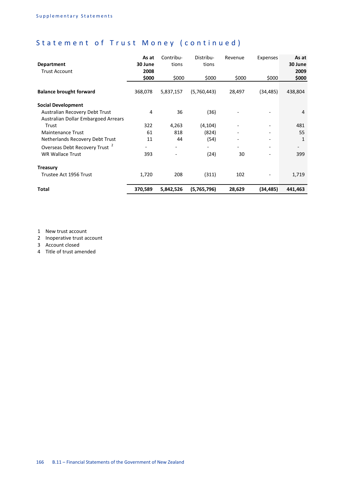| <b>Department</b><br><b>Trust Account</b> | As at<br>30 June<br>2008 | Contribu-<br>tions       | Distribu-<br>tions       | Revenue | Expenses                 | As at<br>30 June<br>2009 |
|-------------------------------------------|--------------------------|--------------------------|--------------------------|---------|--------------------------|--------------------------|
|                                           | \$000                    | \$000                    | \$000                    | \$000   | \$000                    | \$000                    |
| <b>Balance brought forward</b>            | 368,078                  | 5,837,157                | (5,760,443)              | 28,497  | (34,485)                 | 438,804                  |
| <b>Social Development</b>                 |                          |                          |                          |         |                          |                          |
| Australian Recovery Debt Trust            | 4                        | 36                       | (36)                     |         |                          | $\overline{4}$           |
| Australian Dollar Embargoed Arrears       |                          |                          |                          |         |                          |                          |
| Trust                                     | 322                      | 4,263                    | (4, 104)                 |         |                          | 481                      |
| <b>Maintenance Trust</b>                  | 61                       | 818                      | (824)                    |         |                          | 55                       |
| Netherlands Recovery Debt Trust           | 11                       | 44                       | (54)                     |         |                          | $\mathbf{1}$             |
| Overseas Debt Recovery Trust <sup>2</sup> | -                        | $\overline{\phantom{a}}$ | $\overline{\phantom{0}}$ |         | $\overline{\phantom{a}}$ | $\overline{\phantom{a}}$ |
| <b>WR Wallace Trust</b>                   | 393                      | $\overline{\phantom{a}}$ | (24)                     | 30      |                          | 399                      |
| <b>Treasury</b>                           |                          |                          |                          |         |                          |                          |
| Trustee Act 1956 Trust                    | 1,720                    | 208                      | (311)                    | 102     |                          | 1,719                    |
| Total                                     | 370,589                  | 5,842,526                | (5,765,796)              | 28,629  | (34,485)                 | 441,463                  |

1 New trust account

2 Inoperative trust account

3 Account closed

4 Title of trust amended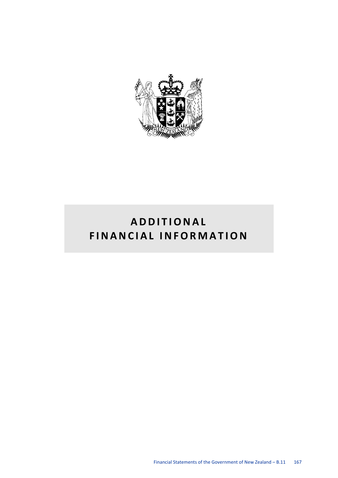

# **ADDITIONAL FINANCIAL INFORMATION**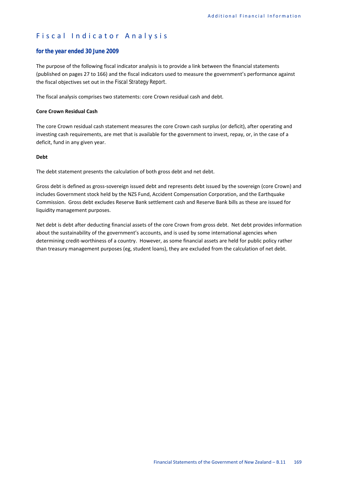## Fiscal Indicator Analysis

## *for the year ended 30 June 2009*

The purpose of the following fiscal indicator analysis is to provide a link between the financial statements (published on pages 27 to 166) and the fiscal indicators used to measure the government's performance against the fiscal objectives set out in the *Fiscal Strategy Report.* 

The fiscal analysis comprises two statements: core Crown residual cash and debt.

### **Core Crown Residual Cash**

The core Crown residual cash statement measures the core Crown cash surplus (or deficit), after operating and investing cash requirements, are met that is available for the government to invest, repay, or, in the case of a deficit, fund in any given year.

#### **Debt**

The debt statement presents the calculation of both gross debt and net debt.

Gross debt is defined as gross-sovereign issued debt and represents debt issued by the sovereign (core Crown) and includes Government stock held by the NZS Fund, Accident Compensation Corporation, and the Earthquake Commission. Gross debt excludes Reserve Bank settlement cash and Reserve Bank bills as these are issued for liquidity management purposes.

Net debt is debt after deducting financial assets of the core Crown from gross debt. Net debt provides information about the sustainability of the government's accounts, and is used by some international agencies when determining credit-worthiness of a country. However, as some financial assets are held for public policy rather than treasury management purposes (eg, student loans), they are excluded from the calculation of net debt.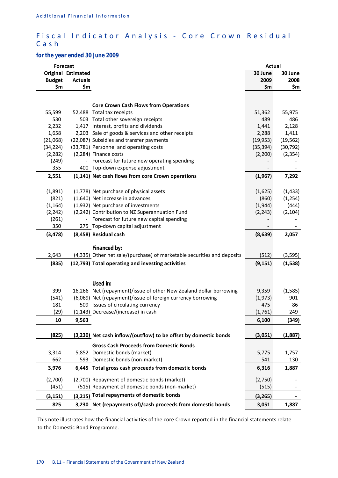## Fiscal Indicator Analysis - Core Crown Residual Cash

## *for the year ended 30 June 2009*

|               | <b>Forecast</b>              |                                                                           | Actual         |           |
|---------------|------------------------------|---------------------------------------------------------------------------|----------------|-----------|
|               | <b>Original Estimated</b>    |                                                                           | 30 June        | 30 June   |
| <b>Budget</b> | <b>Actuals</b>               |                                                                           | 2009           | 2008      |
| \$m           | \$m                          |                                                                           | \$m            | \$m       |
|               |                              |                                                                           |                |           |
|               |                              | <b>Core Crown Cash Flows from Operations</b>                              |                |           |
| 55,599        |                              | 52,488 Total tax receipts                                                 | 51,362         | 55,975    |
| 530           |                              | 503 Total other sovereign receipts                                        | 489            | 486       |
| 2,232         |                              | 1,417 Interest, profits and dividends                                     | 1,441          | 2,128     |
| 1,658         |                              | 2,203 Sale of goods & services and other receipts                         | 2,288          | 1,411     |
| (21,068)      |                              | (22,087) Subsidies and transfer payments                                  | (19, 953)      | (19, 562) |
| (34, 224)     |                              | (33,781) Personnel and operating costs                                    | (35, 394)      | (30, 792) |
| (2, 282)      |                              | (2,284) Finance costs                                                     | (2,200)        | (2, 354)  |
| (249)         |                              | Forecast for future new operating spending                                |                |           |
| 355           |                              | 400 Top-down expense adjustment                                           |                |           |
| 2,551         |                              | (1,141) Net cash flows from core Crown operations                         | (1,967)        | 7,292     |
|               |                              |                                                                           |                |           |
| (1,891)       |                              | (1,778) Net purchase of physical assets                                   | (1,625)        | (1, 433)  |
| (821)         |                              | (1,640) Net increase in advances                                          | (860)          | (1, 254)  |
| (1, 164)      |                              | (1,932) Net purchase of investments                                       | (1,944)        | (444)     |
| (2, 242)      |                              | (2,242) Contribution to NZ Superannuation Fund                            | (2, 243)       | (2, 104)  |
| (261)         | $\qquad \qquad \blacksquare$ | Forecast for future new capital spending                                  |                |           |
| 350           |                              | 275 Top-down capital adjustment                                           |                |           |
| (3, 478)      |                              | (8,458) Residual cash                                                     | (8,639)        | 2,057     |
|               |                              |                                                                           |                |           |
|               |                              | Financed by:                                                              |                |           |
| 2,643         |                              | (4,335) Other net sale/(purchase) of marketable securities and deposits   | (512)          | (3, 595)  |
| (835)         |                              | (12,793) Total operating and investing activities                         | (9, 151)       | (1, 538)  |
|               |                              |                                                                           |                |           |
|               |                              |                                                                           |                |           |
|               |                              | Used in:                                                                  |                |           |
| 399           |                              | 16,266 Net (repayment)/issue of other New Zealand dollar borrowing        | 9,359          | (1, 585)  |
| (541)         |                              | (6,069) Net (repayment)/issue of foreign currency borrowing               | (1,973)        | 901       |
| 181<br>(29)   |                              | 509 Issues of circulating currency<br>(1,143) Decrease/(increase) in cash | 475<br>(1,761) | 86<br>249 |
|               |                              |                                                                           |                |           |
| 10            | 9,563                        |                                                                           | 6,100          | (349)     |
| (825)         |                              | (3,230) Net cash inflow/(outflow) to be offset by domestic bonds          | (3,051)        | (1,887)   |
|               |                              |                                                                           |                |           |
|               |                              | <b>Gross Cash Proceeds from Domestic Bonds</b>                            |                |           |
| 3,314         |                              | 5,852 Domestic bonds (market)                                             | 5,775          | 1,757     |
| 662           |                              | 593 Domestic bonds (non-market)                                           | 541            | 130       |
| 3,976         |                              | 6,445 Total gross cash proceeds from domestic bonds                       | 6,316          | 1,887     |
| (2,700)       |                              | (2,700) Repayment of domestic bonds (market)                              | (2,750)        |           |
| (451)         |                              | (515) Repayment of domestic bonds (non-market)                            | (515)          |           |
|               |                              | (3,215) Total repayments of domestic bonds                                |                |           |
| (3, 151)      |                              |                                                                           | (3, 265)       |           |
| 825           |                              | 3,230 Net (repayments of)/cash proceeds from domestic bonds               | 3,051          | 1,887     |

This note illustrates how the financial activities of the core Crown reported in the financial statements relate to the Domestic Bond Programme.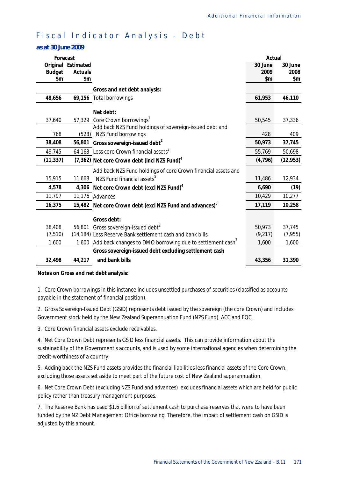# Fiscal Indicator Analysis - Debt

## *as at 30 June 2009*

| Forecast      |                    |                                                                      | Actual  |           |
|---------------|--------------------|----------------------------------------------------------------------|---------|-----------|
|               | Original Estimated |                                                                      | 30 June | 30 June   |
| <b>Budget</b> | <b>Actuals</b>     |                                                                      | 2009    | 2008      |
| \$m           | \$m                |                                                                      | \$m     | \$m       |
|               |                    | Gross and net debt analysis:                                         |         |           |
| 48,656        |                    | 69,156 Total borrowings                                              | 61,953  | 46,110    |
|               |                    | Net debt:                                                            |         |           |
| 37,640        |                    | 57,329 Core Crown borrowings <sup>1</sup>                            | 50,545  | 37,336    |
|               |                    | Add back NZS Fund holdings of sovereign-issued debt and              |         |           |
| 768           | (528)              | NZS Fund borrowings                                                  | 428     | 409       |
| 38,408        |                    | 56,801 Gross sovereign-issued debt <sup>2</sup>                      | 50,973  | 37,745    |
| 49,745        |                    | 64,163 Less core Crown financial assets <sup>3</sup>                 | 55,769  | 50,698    |
| (11, 337)     |                    | (7,362) Net core Crown debt (incl NZS Fund) <sup>4</sup>             | (4,796) | (12, 953) |
|               |                    | Add back NZS Fund holdings of core Crown financial assets and        |         |           |
| 15,915        | 11,668             | NZS Fund financial assets $^5$                                       | 11,486  | 12,934    |
| 4,578         |                    | 4,306 Net core Crown debt (excl NZS Fund) <sup>4</sup>               | 6,690   | (19)      |
| 11,797        |                    | 11,176 Advances                                                      | 10,429  | 10,277    |
| 16,375        |                    | 15,482 Net core Crown debt (excl NZS Fund and advances) <sup>6</sup> | 17,119  | 10,258    |
|               |                    | Gross debt:                                                          |         |           |
| 38,408        |                    | 56,801 Gross sovereign-issued debt <sup>2</sup>                      | 50,973  | 37,745    |
| (7, 510)      |                    | (14,184) Less Reserve Bank settlement cash and bank bills            | (9,217) | (7, 955)  |
| 1,600         |                    | 1,600 Add back changes to DMO borrowing due to settlement cash'      | 1,600   | 1,600     |
|               |                    | Gross sovereign-issued debt excluding settlement cash                |         |           |
| 32,498        | 44,217             | and bank bills                                                       | 43,356  | 31,390    |

#### **Notes on Gross and net debt analysis:**

1. Core Crown borrowings in this instance includes unsettled purchases of securities (classified as accounts payable in the statement of financial position).

2. Gross Sovereign-Issued Debt (GSID) represents debt issued by the sovereign (the core Crown) and includes Government stock held by the New Zealand Superannuation Fund (NZS Fund), ACC and EQC.

3. Core Crown financial assets exclude receivables.

4. Net Core Crown Debt represents GSID less financial assets. This can provide information about the sustainability of the Government's accounts, and is used by some international agencies when determining the credit-worthiness of a country.

5. Adding back the NZS Fund assets provides the financial liabilities less financial assets of the Core Crown, excluding those assets set aside to meet part of the future cost of New Zealand superannuation.

6. Net Core Crown Debt (excluding NZS Fund and advances) excludes financial assets which are held for public policy rather than treasury management purposes.

7. The Reserve Bank has used \$1.6 billion of settlement cash to purchase reserves that were to have been funded by the NZ Debt Management Office borrowing. Therefore, the impact of settlement cash on GSID is adjusted by this amount.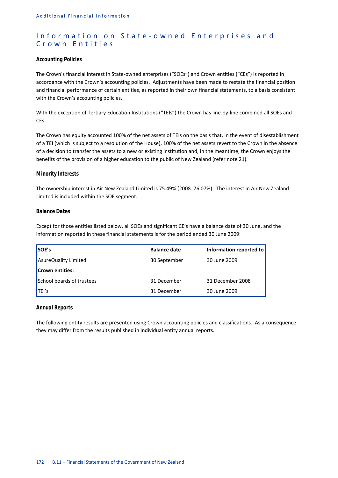## Information on State-owned Enterprises and Crown Entities

## *Accounting Policies*

The Crown's financial interest in State-owned enterprises ("SOEs") and Crown entities ("CEs") is reported in accordance with the Crown's accounting policies. Adjustments have been made to restate the financial position and financial performance of certain entities, as reported in their own financial statements, to a basis consistent with the Crown's accounting policies.

With the exception of Tertiary Education Institutions ("TEIs") the Crown has line-by-line combined all SOEs and CEs.

The Crown has equity accounted 100% of the net assets of TEIs on the basis that, in the event of disestablishment of a TEI (which is subject to a resolution of the House), 100% of the net assets revert to the Crown in the absence of a decision to transfer the assets to a new or existing institution and, in the meantime, the Crown enjoys the benefits of the provision of a higher education to the public of New Zealand (refer note 21).

## *Minority Interests*

The ownership interest in Air New Zealand Limited is 75.49% (2008: 76.07%). The interest in Air New Zealand Limited is included within the SOE segment.

## *Balance Dates*

Except for those entities listed below, all SOEs and significant CE's have a balance date of 30 June, and the information reported in these financial statements is for the period ended 30 June 2009:

| SOE's                     | <b>Balance date</b> | Information reported to |
|---------------------------|---------------------|-------------------------|
| AsureQuality Limited      | 30 September        | 30 June 2009            |
| <b>Crown entities:</b>    |                     |                         |
| School boards of trustees | 31 December         | 31 December 2008        |
| TEI's                     | 31 December         | 30 June 2009            |

#### *Annual Reports*

The following entity results are presented using Crown accounting policies and classifications. As a consequence they may differ from the results published in individual entity annual reports.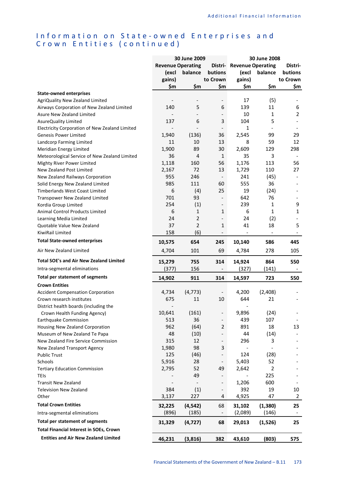## Information on State-owned Enterprises and Crown Entities (continued)

| <b>Revenue Operating</b><br><b>Distri- Revenue Operating</b><br>(excl<br>balance<br>butions<br>(excl<br>balance<br>butions<br>gains)<br>to Crown<br>gains)<br>to Crown<br>\$m<br>\$m<br>\$m<br>\$m<br>\$m<br><b>State-owned enterprises</b><br>(5)<br>17<br>AgriQuality New Zealand Limited<br>$\overline{\phantom{m}}$<br>$\overline{\phantom{a}}$<br>5<br>140<br>6<br>139<br>11<br>Airways Corporation of New Zealand Limited<br>10<br>1<br>Asure New Zealand Limited<br>$\overline{\phantom{0}}$<br>137<br>6<br>3<br>104<br>5<br>AsureQuality Limited<br>1<br>Electricity Corporation of New Zealand Limited<br>2,545<br>99<br>1,940<br>(136)<br>36<br><b>Genesis Power Limited</b><br>10<br>59<br>11<br>13<br>8<br>Landcorp Farming Limited<br>1,900<br>89<br>30<br>2,609<br>129<br>Meridian Energy Limited<br>36<br>$\overline{4}$<br>1<br>35<br>3<br>Meteorological Service of New Zealand Limited | Distri-<br>\$m<br>6<br>$\overline{2}$<br>29<br>12 |
|----------------------------------------------------------------------------------------------------------------------------------------------------------------------------------------------------------------------------------------------------------------------------------------------------------------------------------------------------------------------------------------------------------------------------------------------------------------------------------------------------------------------------------------------------------------------------------------------------------------------------------------------------------------------------------------------------------------------------------------------------------------------------------------------------------------------------------------------------------------------------------------------------------|---------------------------------------------------|
|                                                                                                                                                                                                                                                                                                                                                                                                                                                                                                                                                                                                                                                                                                                                                                                                                                                                                                          |                                                   |
|                                                                                                                                                                                                                                                                                                                                                                                                                                                                                                                                                                                                                                                                                                                                                                                                                                                                                                          |                                                   |
|                                                                                                                                                                                                                                                                                                                                                                                                                                                                                                                                                                                                                                                                                                                                                                                                                                                                                                          |                                                   |
|                                                                                                                                                                                                                                                                                                                                                                                                                                                                                                                                                                                                                                                                                                                                                                                                                                                                                                          |                                                   |
|                                                                                                                                                                                                                                                                                                                                                                                                                                                                                                                                                                                                                                                                                                                                                                                                                                                                                                          |                                                   |
|                                                                                                                                                                                                                                                                                                                                                                                                                                                                                                                                                                                                                                                                                                                                                                                                                                                                                                          |                                                   |
|                                                                                                                                                                                                                                                                                                                                                                                                                                                                                                                                                                                                                                                                                                                                                                                                                                                                                                          |                                                   |
|                                                                                                                                                                                                                                                                                                                                                                                                                                                                                                                                                                                                                                                                                                                                                                                                                                                                                                          |                                                   |
|                                                                                                                                                                                                                                                                                                                                                                                                                                                                                                                                                                                                                                                                                                                                                                                                                                                                                                          |                                                   |
|                                                                                                                                                                                                                                                                                                                                                                                                                                                                                                                                                                                                                                                                                                                                                                                                                                                                                                          |                                                   |
|                                                                                                                                                                                                                                                                                                                                                                                                                                                                                                                                                                                                                                                                                                                                                                                                                                                                                                          |                                                   |
|                                                                                                                                                                                                                                                                                                                                                                                                                                                                                                                                                                                                                                                                                                                                                                                                                                                                                                          |                                                   |
|                                                                                                                                                                                                                                                                                                                                                                                                                                                                                                                                                                                                                                                                                                                                                                                                                                                                                                          | 298                                               |
|                                                                                                                                                                                                                                                                                                                                                                                                                                                                                                                                                                                                                                                                                                                                                                                                                                                                                                          |                                                   |
| 1,118<br>1,176<br>113<br>Mighty River Power Limited<br>160<br>56                                                                                                                                                                                                                                                                                                                                                                                                                                                                                                                                                                                                                                                                                                                                                                                                                                         | 56                                                |
| 2,167<br>72<br>13<br>1,729<br>110<br>New Zealand Post Limited                                                                                                                                                                                                                                                                                                                                                                                                                                                                                                                                                                                                                                                                                                                                                                                                                                            | 27                                                |
| 955<br>246<br>241<br>(45)<br>New Zealand Railways Corporation<br>$\overline{\phantom{a}}$                                                                                                                                                                                                                                                                                                                                                                                                                                                                                                                                                                                                                                                                                                                                                                                                                | $\overline{\phantom{a}}$                          |
| 985<br>111<br>555<br>36<br>60<br>Solid Energy New Zealand Limited                                                                                                                                                                                                                                                                                                                                                                                                                                                                                                                                                                                                                                                                                                                                                                                                                                        |                                                   |
| 6<br>(4)<br>25<br>19<br>(24)<br><b>Timberlands West Coast Limited</b>                                                                                                                                                                                                                                                                                                                                                                                                                                                                                                                                                                                                                                                                                                                                                                                                                                    |                                                   |
| 701<br>93<br>642<br>76<br>Transpower New Zealand Limited<br>$\overline{\phantom{a}}$                                                                                                                                                                                                                                                                                                                                                                                                                                                                                                                                                                                                                                                                                                                                                                                                                     |                                                   |
| 254<br>(1)<br>239<br>Kordia Group Limited<br>$\mathbf{1}$<br>$\qquad \qquad -$                                                                                                                                                                                                                                                                                                                                                                                                                                                                                                                                                                                                                                                                                                                                                                                                                           | 9                                                 |
| 6<br>1<br>6<br>1<br>Animal Control Products Limited<br>1                                                                                                                                                                                                                                                                                                                                                                                                                                                                                                                                                                                                                                                                                                                                                                                                                                                 | $\mathbf 1$                                       |
| 2<br>24<br>24<br>(2)<br>Learning Media Limited                                                                                                                                                                                                                                                                                                                                                                                                                                                                                                                                                                                                                                                                                                                                                                                                                                                           |                                                   |
| $\overline{2}$<br>37<br>1<br>41<br>18<br>Quotable Value New Zealand                                                                                                                                                                                                                                                                                                                                                                                                                                                                                                                                                                                                                                                                                                                                                                                                                                      | 5                                                 |
| 158<br>(6)<br>KiwiRail Limited<br>$\overline{\phantom{a}}$<br>$\overline{\phantom{a}}$<br>$\overline{\phantom{a}}$                                                                                                                                                                                                                                                                                                                                                                                                                                                                                                                                                                                                                                                                                                                                                                                       |                                                   |
| <b>Total State-owned enterprises</b><br>10,575<br>654<br>586<br>245<br>10,140                                                                                                                                                                                                                                                                                                                                                                                                                                                                                                                                                                                                                                                                                                                                                                                                                            | 445                                               |
| 4,704<br>101<br>69<br>4,784<br>278<br>Air New Zealand Limited                                                                                                                                                                                                                                                                                                                                                                                                                                                                                                                                                                                                                                                                                                                                                                                                                                            | 105                                               |
| <b>Total SOE's and Air New Zealand Limited</b><br>15,279<br>755<br>14,924<br>864<br>314                                                                                                                                                                                                                                                                                                                                                                                                                                                                                                                                                                                                                                                                                                                                                                                                                  | 550                                               |
| (377)<br>156<br>(327)<br>(141)<br>Intra-segmental eliminations<br>$\overline{\phantom{0}}$                                                                                                                                                                                                                                                                                                                                                                                                                                                                                                                                                                                                                                                                                                                                                                                                               |                                                   |
| <b>Total per statement of segments</b><br>14,902<br>911<br>314<br>723<br>14,597                                                                                                                                                                                                                                                                                                                                                                                                                                                                                                                                                                                                                                                                                                                                                                                                                          | 550                                               |
| <b>Crown Entities</b>                                                                                                                                                                                                                                                                                                                                                                                                                                                                                                                                                                                                                                                                                                                                                                                                                                                                                    |                                                   |
| (4, 773)<br>(2,408)<br>4,734<br>4,200<br><b>Accident Compensation Corporation</b><br>$\overline{\phantom{a}}$                                                                                                                                                                                                                                                                                                                                                                                                                                                                                                                                                                                                                                                                                                                                                                                            |                                                   |
| 675<br>11<br>644<br>21<br>Crown research institutes<br>10                                                                                                                                                                                                                                                                                                                                                                                                                                                                                                                                                                                                                                                                                                                                                                                                                                                |                                                   |
| District health boards (including the                                                                                                                                                                                                                                                                                                                                                                                                                                                                                                                                                                                                                                                                                                                                                                                                                                                                    |                                                   |
| 10,641<br>9,896<br>(161)<br>(24)<br>Crown Health Funding Agency)<br>$\overline{\phantom{0}}$                                                                                                                                                                                                                                                                                                                                                                                                                                                                                                                                                                                                                                                                                                                                                                                                             |                                                   |
| 513<br>36<br>439<br>107<br>Earthquake Commission                                                                                                                                                                                                                                                                                                                                                                                                                                                                                                                                                                                                                                                                                                                                                                                                                                                         |                                                   |
| 18<br>962<br>(64)<br>891<br>Housing New Zealand Corporation<br>2                                                                                                                                                                                                                                                                                                                                                                                                                                                                                                                                                                                                                                                                                                                                                                                                                                         | 13                                                |
| 48<br>(10)<br>44<br>(14)<br>Museum of New Zealand Te Papa                                                                                                                                                                                                                                                                                                                                                                                                                                                                                                                                                                                                                                                                                                                                                                                                                                                |                                                   |
| 315<br>12<br>New Zealand Fire Service Commission<br>296<br>3                                                                                                                                                                                                                                                                                                                                                                                                                                                                                                                                                                                                                                                                                                                                                                                                                                             |                                                   |
| 1,980<br>98<br>3<br>New Zealand Transport Agency                                                                                                                                                                                                                                                                                                                                                                                                                                                                                                                                                                                                                                                                                                                                                                                                                                                         |                                                   |
| 125<br>124<br>(46)<br>(28)<br><b>Public Trust</b>                                                                                                                                                                                                                                                                                                                                                                                                                                                                                                                                                                                                                                                                                                                                                                                                                                                        |                                                   |
| 5,916<br>28<br>52<br>5,403<br>Schools<br>$\overline{\phantom{0}}$                                                                                                                                                                                                                                                                                                                                                                                                                                                                                                                                                                                                                                                                                                                                                                                                                                        |                                                   |
| $\overline{2}$<br>2,795<br>52<br>2,642<br>49<br><b>Tertiary Education Commission</b>                                                                                                                                                                                                                                                                                                                                                                                                                                                                                                                                                                                                                                                                                                                                                                                                                     |                                                   |
| 49<br>225<br><b>TEIs</b>                                                                                                                                                                                                                                                                                                                                                                                                                                                                                                                                                                                                                                                                                                                                                                                                                                                                                 |                                                   |
| 1,206<br>600<br><b>Transit New Zealand</b><br>$\overline{\phantom{a}}$<br>$\overline{\phantom{a}}$                                                                                                                                                                                                                                                                                                                                                                                                                                                                                                                                                                                                                                                                                                                                                                                                       |                                                   |
| 384<br>(1)<br>392<br>19<br><b>Television New Zealand</b><br>$\overline{\phantom{0}}$                                                                                                                                                                                                                                                                                                                                                                                                                                                                                                                                                                                                                                                                                                                                                                                                                     | 10                                                |
| 3,137<br>227<br>47<br>4<br>4,925<br>Other                                                                                                                                                                                                                                                                                                                                                                                                                                                                                                                                                                                                                                                                                                                                                                                                                                                                | $\overline{2}$                                    |
| <b>Total Crown Entities</b><br>32,225<br>(4, 542)<br>68<br>31,102<br>(1, 380)                                                                                                                                                                                                                                                                                                                                                                                                                                                                                                                                                                                                                                                                                                                                                                                                                            |                                                   |
| (896)<br>(185)<br>(2,089)<br>(146)<br>Intra-segmental eliminations                                                                                                                                                                                                                                                                                                                                                                                                                                                                                                                                                                                                                                                                                                                                                                                                                                       |                                                   |
| Total per statement of segments<br>31,329<br>(4, 727)<br>68<br>29,013<br>(1,526)                                                                                                                                                                                                                                                                                                                                                                                                                                                                                                                                                                                                                                                                                                                                                                                                                         | 25                                                |
| <b>Total Financial Interest in SOEs, Crown</b>                                                                                                                                                                                                                                                                                                                                                                                                                                                                                                                                                                                                                                                                                                                                                                                                                                                           |                                                   |
| <b>Entities and Air New Zealand Limited</b><br>46,231<br>(3,816)<br>382<br>43,610<br>(803)<br>575                                                                                                                                                                                                                                                                                                                                                                                                                                                                                                                                                                                                                                                                                                                                                                                                        | 25                                                |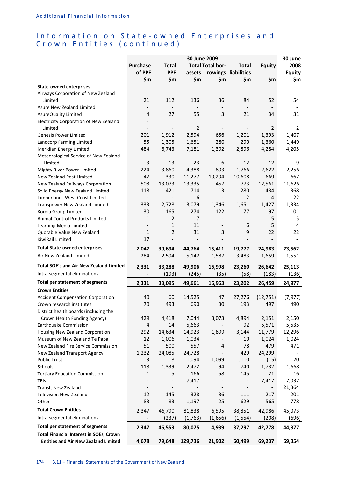## Information on State-owned Enterprises and Crown Entities (continued)

|                                                |                          |                          | 30 June 2009   |                          |                              |                          | 30 June       |
|------------------------------------------------|--------------------------|--------------------------|----------------|--------------------------|------------------------------|--------------------------|---------------|
|                                                | <b>Purchase</b>          | <b>Total</b>             |                | <b>Total Total bor-</b>  | <b>Total</b>                 | Equity                   | 2008          |
|                                                | of PPE                   | <b>PPE</b>               | assets         |                          | rowings liabilities          |                          | <b>Equity</b> |
|                                                | \$m                      | \$m                      | \$m            | \$m                      | \$m                          | \$m                      | \$m           |
| <b>State-owned enterprises</b>                 |                          |                          |                |                          |                              |                          |               |
| Airways Corporation of New Zealand             |                          |                          |                |                          |                              |                          |               |
| Limited                                        | 21                       | 112                      | 136            | 36                       | 84                           | 52                       | 54            |
| Asure New Zealand Limited                      | $\overline{\phantom{a}}$ |                          |                |                          |                              |                          |               |
| AsureQuality Limited                           | 4                        | 27                       | 55             | 3                        | 21                           | 34                       | 31            |
| Electricity Corporation of New Zealand         |                          |                          |                |                          |                              |                          |               |
| Limited                                        | $\overline{\phantom{a}}$ | $\overline{\phantom{a}}$ | $\overline{2}$ | $\overline{\phantom{a}}$ | $\overline{\phantom{a}}$     | 2                        | 2             |
| <b>Genesis Power Limited</b>                   | 201                      | 1,912                    | 2,594          | 656                      | 1,201                        | 1,393                    | 1,407         |
| Landcorp Farming Limited                       | 55                       | 1,305                    | 1,651          | 280                      | 290                          | 1,360                    | 1,449         |
| Meridian Energy Limited                        | 484                      | 6,743                    | 7,181          | 1,392                    | 2,896                        | 4,284                    | 4,205         |
| Meteorological Service of New Zealand          | $\overline{\phantom{a}}$ |                          |                |                          |                              |                          |               |
| Limited                                        | 3                        | 13                       | 23             | 6                        | 12                           | 12                       | 9             |
| Mighty River Power Limited                     | 224                      | 3,860                    | 4,388          | 803                      | 1,766                        | 2,622                    | 2,256         |
| New Zealand Post Limited                       | 47                       | 330                      | 11,277         | 10,294                   | 10,608                       | 669                      | 667           |
| New Zealand Railways Corporation               | 508                      | 13,073                   | 13,335         | 457                      | 773                          | 12,561                   | 11,626        |
| Solid Energy New Zealand Limited               | 118                      | 421                      | 714            | 13                       | 280                          | 434                      | 368           |
| <b>Timberlands West Coast Limited</b>          | $\overline{\phantom{a}}$ | $\overline{\phantom{a}}$ | 6              | $\overline{\phantom{a}}$ | 2                            | 4                        | 22            |
| Transpower New Zealand Limited                 | 333                      | 2,728                    | 3,079          | 1,346                    | 1,651                        | 1,427                    | 1,334         |
| Kordia Group Limited                           | 30                       | 165                      | 274            | 122                      | 177                          | 97                       | 101           |
| Animal Control Products Limited                | $\mathbf{1}$             | $\overline{2}$           | $\overline{7}$ | $\overline{\phantom{a}}$ | 1                            | 5                        | 5             |
| Learning Media Limited                         | $\overline{\phantom{a}}$ | $\mathbf{1}$             | 11             | $\overline{\phantom{a}}$ | 6                            | 5                        | 4             |
| Quotable Value New Zealand                     | $\mathbf{1}$             | $\overline{2}$           | 31             | 3                        | 9                            | 22                       | 22            |
| KiwiRail Limited                               | 17                       |                          |                |                          | $\overline{\phantom{0}}$     | $\overline{\phantom{a}}$ |               |
| <b>Total State-owned enterprises</b>           | 2,047                    | 30,694                   | 44,764         | 15,411                   | 19,777                       | 24,983                   | 23,562        |
| Air New Zealand Limited                        | 284                      | 2,594                    | 5,142          | 1,587                    | 3,483                        | 1,659                    | 1,551         |
| Total SOE's and Air New Zealand Limited        | 2,331                    | 33,288                   | 49,906         | 16,998                   | 23,260                       | 26,642                   | 25,113        |
| Intra-segmental eliminations                   |                          | (193)                    | (245)          | (35)                     | (58)                         | (183)                    | (136)         |
| Total per statement of segments                | 2,331                    | 33,095                   | 49,661         | 16,963                   | 23,202                       | 26,459                   | 24,977        |
| <b>Crown Entities</b>                          |                          |                          |                |                          |                              |                          |               |
| <b>Accident Compensation Corporation</b>       | 40                       | 60                       | 14,525         | 47                       | 27,276                       | (12, 751)                | (7, 977)      |
| Crown research institutes                      | 70                       | 493                      | 690            | 30                       | 193                          | 497                      | 490           |
| District health boards (including the          |                          |                          |                |                          |                              |                          |               |
| Crown Health Funding Agency)                   | 429                      | 4,418                    | 7,044          | 3,073                    | 4,894                        | 2,151                    | 2,150         |
| Earthquake Commission                          | 4                        | 14                       | 5,663          |                          | 92                           | 5,571                    | 5,535         |
| Housing New Zealand Corporation                | 292                      | 14,634                   | 14,923         | 1,899                    | 3,144                        | 11,779                   | 12,296        |
| Museum of New Zealand Te Papa                  | 12                       | 1,006                    | 1,034          | $\overline{\phantom{a}}$ | 10                           | 1,024                    | 1,024         |
| New Zealand Fire Service Commission            | 51                       | 500                      | 557            | 4                        | 78                           | 479                      | 471           |
| New Zealand Transport Agency                   | 1,232                    | 24,085                   | 24,728         | $\overline{\phantom{a}}$ | 429                          | 24,299                   |               |
| <b>Public Trust</b>                            | 3                        | 8                        | 1,094          | 1,099                    | 1,110                        | (15)                     | 20            |
| Schools                                        | 118                      | 1,339                    | 2,472          | 94                       | 740                          | 1,732                    | 1,668         |
| <b>Tertiary Education Commission</b>           | 1                        | 5                        | 166            | 58                       | 145                          | 21                       | 16            |
| <b>TEIs</b>                                    |                          |                          | 7,417          |                          |                              | 7,417                    | 7,037         |
| <b>Transit New Zealand</b>                     | $\overline{\phantom{a}}$ |                          |                | $\overline{\phantom{a}}$ | $\qquad \qquad \blacksquare$ | $\overline{\phantom{0}}$ | 21,364        |
| <b>Television New Zealand</b>                  | 12                       | 145                      | 328            | 36                       | 111                          | 217                      | 201           |
| Other                                          | 83                       | 83                       | 1,197          | 25                       | 629                          | 565                      | 778           |
| <b>Total Crown Entities</b>                    | 2,347                    | 46,790                   | 81,838         | 6,595                    | 38,851                       | 42,986                   | 45,073        |
| Intra-segmental eliminations                   | $\overline{\phantom{a}}$ | (237)                    | (1,763)        | (1,656)                  | (1, 554)                     | (208)                    | (696)         |
| Total per statement of segments                | 2,347                    | 46,553                   | 80,075         | 4,939                    | 37,297                       | 42,778                   | 44,377        |
| <b>Total Financial Interest in SOEs, Crown</b> |                          |                          |                |                          |                              |                          |               |
| <b>Entities and Air New Zealand Limited</b>    | 4,678                    | 79,648                   | 129,736        | 21,902                   | 60,499                       | 69,237                   | 69,354        |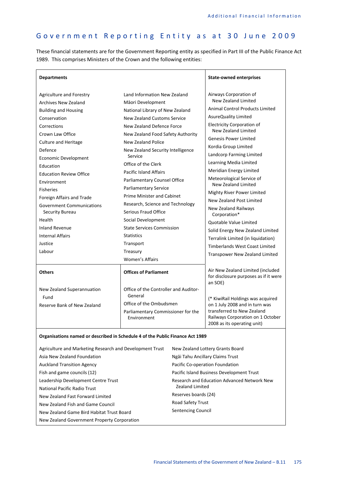$\overline{\phantom{a}}$ 

# Government Reporting Entity as at 30 June 2009

 $\overline{\Gamma}$ 

These financial statements are for the Government Reporting entity as specified in Part III of the Public Finance Act 1989. This comprises Ministers of the Crown and the following entities:

| <b>Departments</b>                                                                                                                                                                                                                                                                                                                                                                                                                                                                 |                                                                                                                                                                                                                                                                                                                                                                                                                                                                                                                                                                                              | <b>State-owned enterprises</b>                                                                                                                                                                                                                                                                                                                                                                                                                                                                                                                                                                                                                            |
|------------------------------------------------------------------------------------------------------------------------------------------------------------------------------------------------------------------------------------------------------------------------------------------------------------------------------------------------------------------------------------------------------------------------------------------------------------------------------------|----------------------------------------------------------------------------------------------------------------------------------------------------------------------------------------------------------------------------------------------------------------------------------------------------------------------------------------------------------------------------------------------------------------------------------------------------------------------------------------------------------------------------------------------------------------------------------------------|-----------------------------------------------------------------------------------------------------------------------------------------------------------------------------------------------------------------------------------------------------------------------------------------------------------------------------------------------------------------------------------------------------------------------------------------------------------------------------------------------------------------------------------------------------------------------------------------------------------------------------------------------------------|
| <b>Agriculture and Forestry</b><br><b>Archives New Zealand</b><br><b>Building and Housing</b><br>Conservation<br>Corrections<br>Crown Law Office<br><b>Culture and Heritage</b><br>Defence<br><b>Economic Development</b><br>Education<br><b>Education Review Office</b><br>Environment<br><b>Fisheries</b><br>Foreign Affairs and Trade<br><b>Government Communications</b><br>Security Bureau<br>Health<br><b>Inland Revenue</b><br><b>Internal Affairs</b><br>Justice<br>Labour | Land Information New Zealand<br>Māori Development<br>National Library of New Zealand<br><b>New Zealand Customs Service</b><br>New Zealand Defence Force<br>New Zealand Food Safety Authority<br>New Zealand Police<br>New Zealand Security Intelligence<br>Service<br>Office of the Clerk<br><b>Pacific Island Affairs</b><br>Parliamentary Counsel Office<br>Parliamentary Service<br><b>Prime Minister and Cabinet</b><br>Research, Science and Technology<br>Serious Fraud Office<br>Social Development<br><b>State Services Commission</b><br><b>Statistics</b><br>Transport<br>Treasury | Airways Corporation of<br>New Zealand Limited<br><b>Animal Control Products Limited</b><br>AsureQuality Limited<br><b>Electricity Corporation of</b><br>New Zealand Limited<br><b>Genesis Power Limited</b><br>Kordia Group Limited<br>Landcorp Farming Limited<br>Learning Media Limited<br>Meridian Energy Limited<br>Meteorological Service of<br>New Zealand Limited<br>Mighty River Power Limited<br>New Zealand Post Limited<br>New Zealand Railways<br>Corporation*<br>Quotable Value Limited<br>Solid Energy New Zealand Limited<br>Terralink Limited (in liquidation)<br><b>Timberlands West Coast Limited</b><br>Transpower New Zealand Limited |
| <b>Others</b>                                                                                                                                                                                                                                                                                                                                                                                                                                                                      | <b>Women's Affairs</b><br><b>Offices of Parliament</b>                                                                                                                                                                                                                                                                                                                                                                                                                                                                                                                                       | Air New Zealand Limited (included<br>for disclosure purposes as if it were                                                                                                                                                                                                                                                                                                                                                                                                                                                                                                                                                                                |
| New Zealand Superannuation<br>Fund<br>Reserve Bank of New Zealand                                                                                                                                                                                                                                                                                                                                                                                                                  | Office of the Controller and Auditor-<br>General<br>Office of the Ombudsmen<br>Parliamentary Commissioner for the<br>Environment                                                                                                                                                                                                                                                                                                                                                                                                                                                             | an SOE)<br>(* KiwiRail Holdings was acquired<br>on 1 July 2008 and in turn was<br>transferred to New Zealand<br>Railways Corporation on 1 October<br>2008 as its operating unit)                                                                                                                                                                                                                                                                                                                                                                                                                                                                          |

**Organisations named or described in Schedule 4 of the Public Finance Act 1989** 

| Agriculture and Marketing Research and Development Trust | New Zealand Lottery Grants Board            |
|----------------------------------------------------------|---------------------------------------------|
| Asia New Zealand Foundation                              | Ngāi Tahu Ancillary Claims Trust            |
| <b>Auckland Transition Agency</b>                        | Pacific Co-operation Foundation             |
| Fish and game councils (12)                              | Pacific Island Business Development Trust   |
| Leadership Development Centre Trust                      | Research and Education Advanced Network New |
| National Pacific Radio Trust                             | <b>Zealand Limited</b>                      |
| New Zealand Fast Forward Limited                         | Reserves boards (24)                        |
| New Zealand Fish and Game Council                        | Road Safety Trust                           |
| New Zealand Game Bird Habitat Trust Board                | <b>Sentencing Council</b>                   |
| New Zealand Government Property Corporation              |                                             |